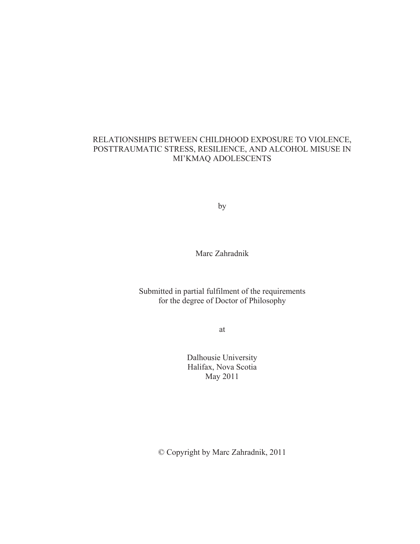# RELATIONSHIPS BETWEEN CHILDHOOD EXPOSURE TO VIOLENCE, POSTTRAUMATIC STRESS, RESILIENCE, AND ALCOHOL MISUSE IN MI'KMAQ ADOLESCENTS

by

Marc Zahradnik

# Submitted in partial fulfilment of the requirements for the degree of Doctor of Philosophy

at

Dalhousie University Halifax, Nova Scotia May 2011

© Copyright by Marc Zahradnik, 2011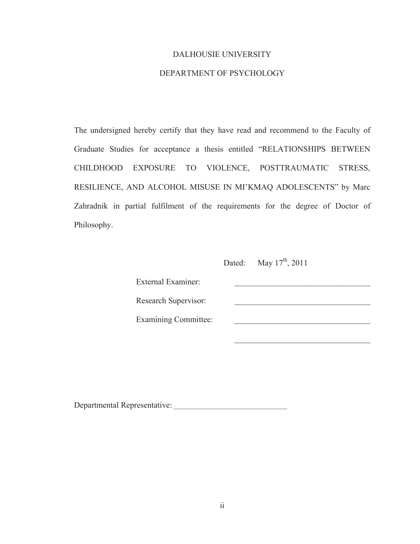## DALHOUSIE UNIVERSITY

# DEPARTMENT OF PSYCHOLOGY

The undersigned hereby certify that they have read and recommend to the Faculty of Graduate Studies for acceptance a thesis entitled "RELATIONSHIPS BETWEEN CHILDHOOD EXPOSURE TO VIOLENCE, POSTTRAUMATIC STRESS, RESILIENCE, AND ALCOHOL MISUSE IN MI'KMAQ ADOLESCENTS" by Marc Zahradnik in partial fulfilment of the requirements for the degree of Doctor of Philosophy.

Dated: May  $17<sup>th</sup>$ , 2011

External Examiner: Research Supervisor: Examining Committee:  $\qquad \qquad$ 

 $\mathcal{L}_\text{max}$  and  $\mathcal{L}_\text{max}$  and  $\mathcal{L}_\text{max}$  are the set of  $\mathcal{L}_\text{max}$ 

Departmental Representative: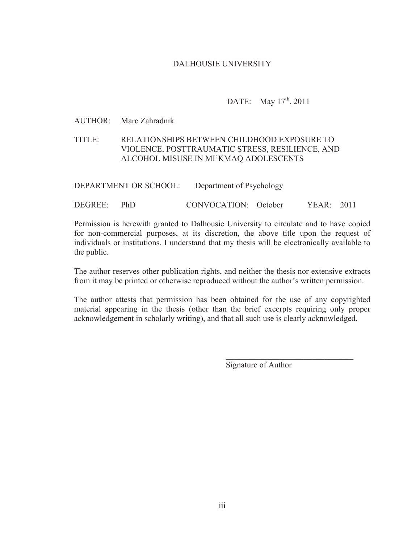# DALHOUSIE UNIVERSITY

# DATE: May  $17^{th}$ , 2011

## AUTHOR: Marc Zahradnik

# TITLE: RELATIONSHIPS BETWEEN CHILDHOOD EXPOSURE TO VIOLENCE, POSTTRAUMATIC STRESS, RESILIENCE, AND ALCOHOL MISUSE IN MI'KMAQ ADOLESCENTS

| DEPARTMENT OR SCHOOL: | Department of Psychology |  |
|-----------------------|--------------------------|--|
|                       |                          |  |

DEGREE: PhD CONVOCATION: October YEAR: 2011

Permission is herewith granted to Dalhousie University to circulate and to have copied for non-commercial purposes, at its discretion, the above title upon the request of individuals or institutions. I understand that my thesis will be electronically available to the public.

The author reserves other publication rights, and neither the thesis nor extensive extracts from it may be printed or otherwise reproduced without the author's written permission.

The author attests that permission has been obtained for the use of any copyrighted material appearing in the thesis (other than the brief excerpts requiring only proper acknowledgement in scholarly writing), and that all such use is clearly acknowledged.

 $\mathcal{L}_\text{max}$  and  $\mathcal{L}_\text{max}$  and  $\mathcal{L}_\text{max}$  and  $\mathcal{L}_\text{max}$  and  $\mathcal{L}_\text{max}$  and  $\mathcal{L}_\text{max}$ 

Signature of Author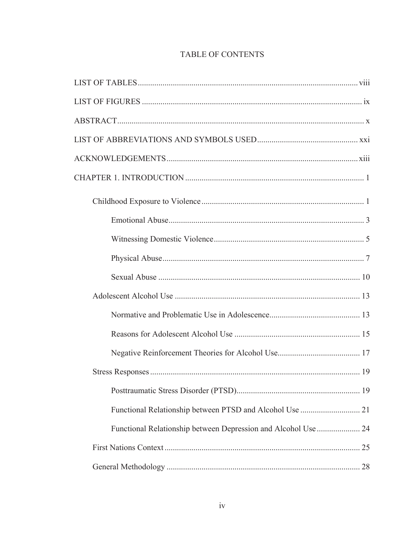# TABLE OF CONTENTS

| Functional Relationship between Depression and Alcohol Use  24 |  |
|----------------------------------------------------------------|--|
|                                                                |  |
|                                                                |  |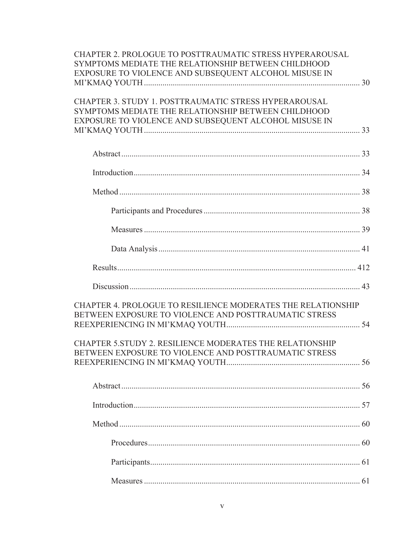| CHAPTER 2. PROLOGUE TO POSTTRAUMATIC STRESS HYPERAROUSAL<br>SYMPTOMS MEDIATE THE RELATIONSHIP BETWEEN CHILDHOOD<br>EXPOSURE TO VIOLENCE AND SUBSEQUENT ALCOHOL MISUSE IN |  |
|--------------------------------------------------------------------------------------------------------------------------------------------------------------------------|--|
|                                                                                                                                                                          |  |
| CHAPTER 3. STUDY 1. POSTTRAUMATIC STRESS HYPERAROUSAL<br>SYMPTOMS MEDIATE THE RELATIONSHIP BETWEEN CHILDHOOD<br>EXPOSURE TO VIOLENCE AND SUBSEQUENT ALCOHOL MISUSE IN    |  |
|                                                                                                                                                                          |  |
|                                                                                                                                                                          |  |
|                                                                                                                                                                          |  |
|                                                                                                                                                                          |  |
|                                                                                                                                                                          |  |
|                                                                                                                                                                          |  |
|                                                                                                                                                                          |  |
|                                                                                                                                                                          |  |
|                                                                                                                                                                          |  |
| CHAPTER 4. PROLOGUE TO RESILIENCE MODERATES THE RELATIONSHIP<br>BETWEEN EXPOSURE TO VIOLENCE AND POSTTRAUMATIC STRESS                                                    |  |
| CHAPTER 5. STUDY 2. RESILIENCE MODERATES THE RELATIONSHIP<br>BETWEEN EXPOSURE TO VIOLENCE AND POSTTRAUMATIC STRESS                                                       |  |
|                                                                                                                                                                          |  |
|                                                                                                                                                                          |  |
|                                                                                                                                                                          |  |
|                                                                                                                                                                          |  |
|                                                                                                                                                                          |  |
|                                                                                                                                                                          |  |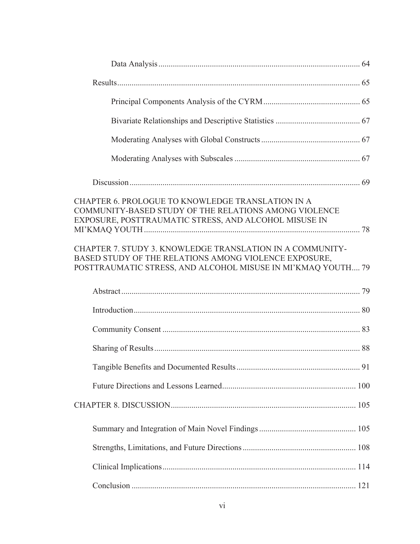| CHAPTER 6. PROLOGUE TO KNOWLEDGE TRANSLATION IN A<br>COMMUNITY-BASED STUDY OF THE RELATIONS AMONG VIOLENCE<br>EXPOSURE, POSTTRAUMATIC STRESS, AND ALCOHOL MISUSE IN                |  |
|------------------------------------------------------------------------------------------------------------------------------------------------------------------------------------|--|
| CHAPTER 7. STUDY 3. KNOWLEDGE TRANSLATION IN A COMMUNITY-<br>BASED STUDY OF THE RELATIONS AMONG VIOLENCE EXPOSURE,<br>POSTTRAUMATIC STRESS, AND ALCOHOL MISUSE IN MI'KMAQ YOUTH 79 |  |
|                                                                                                                                                                                    |  |
|                                                                                                                                                                                    |  |
|                                                                                                                                                                                    |  |
|                                                                                                                                                                                    |  |
|                                                                                                                                                                                    |  |
|                                                                                                                                                                                    |  |
|                                                                                                                                                                                    |  |
|                                                                                                                                                                                    |  |
|                                                                                                                                                                                    |  |
|                                                                                                                                                                                    |  |
|                                                                                                                                                                                    |  |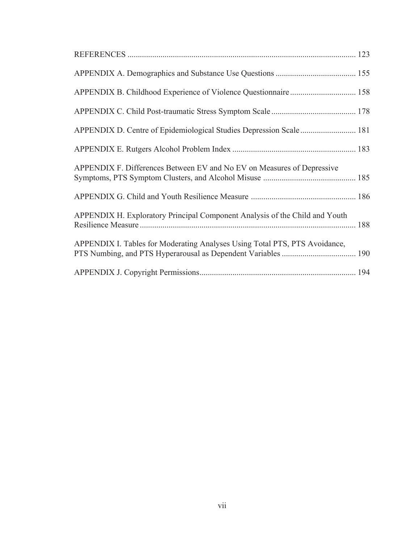| APPENDIX D. Centre of Epidemiological Studies Depression Scale  181         |  |
|-----------------------------------------------------------------------------|--|
|                                                                             |  |
| APPENDIX F. Differences Between EV and No EV on Measures of Depressive      |  |
|                                                                             |  |
| APPENDIX H. Exploratory Principal Component Analysis of the Child and Youth |  |
| APPENDIX I. Tables for Moderating Analyses Using Total PTS, PTS Avoidance,  |  |
|                                                                             |  |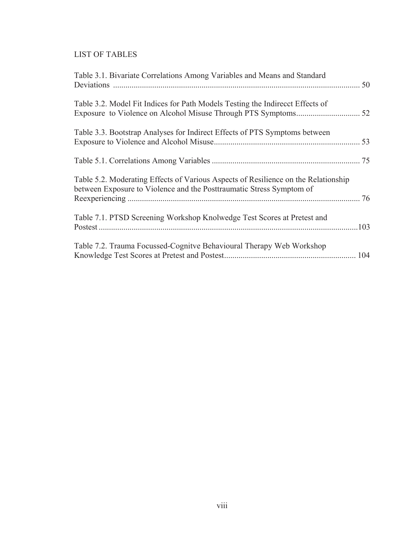# LIST OF TABLES

| Table 3.1. Bivariate Correlations Among Variables and Means and Standard                                                                                   |      |
|------------------------------------------------------------------------------------------------------------------------------------------------------------|------|
| Table 3.2. Model Fit Indices for Path Models Testing the Indirecct Effects of                                                                              |      |
| Table 3.3. Bootstrap Analyses for Indirect Effects of PTS Symptoms between                                                                                 |      |
|                                                                                                                                                            |      |
| Table 5.2. Moderating Effects of Various Aspects of Resilience on the Relationship<br>between Exposure to Violence and the Posttraumatic Stress Symptom of |      |
| Table 7.1. PTSD Screening Workshop Knolwedge Test Scores at Pretest and                                                                                    | .103 |
| Table 7.2. Trauma Focussed-Cognity Behavioural Therapy Web Workshop                                                                                        |      |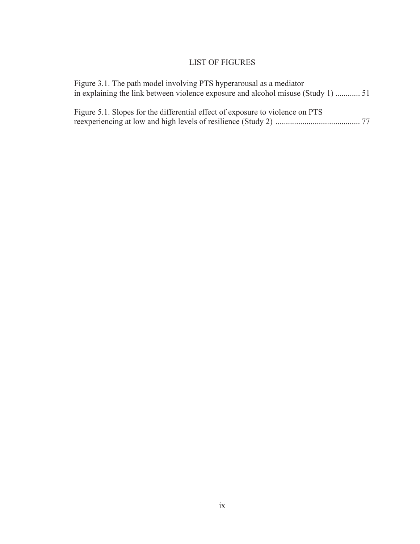# LIST OF FIGURES

| Figure 3.1. The path model involving PTS hyperarousal as a mediator           |  |
|-------------------------------------------------------------------------------|--|
| Figure 5.1. Slopes for the differential effect of exposure to violence on PTS |  |
|                                                                               |  |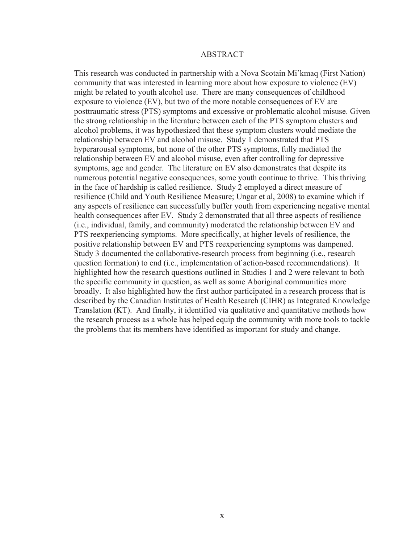#### ABSTRACT

This research was conducted in partnership with a Nova Scotain Mi'kmaq (First Nation) community that was interested in learning more about how exposure to violence (EV) might be related to youth alcohol use. There are many consequences of childhood exposure to violence (EV), but two of the more notable consequences of EV are posttraumatic stress (PTS) symptoms and excessive or problematic alcohol misuse. Given the strong relationship in the literature between each of the PTS symptom clusters and alcohol problems, it was hypothesized that these symptom clusters would mediate the relationship between EV and alcohol misuse. Study 1 demonstrated that PTS hyperarousal symptoms, but none of the other PTS symptoms, fully mediated the relationship between EV and alcohol misuse, even after controlling for depressive symptoms, age and gender. The literature on EV also demonstrates that despite its numerous potential negative consequences, some youth continue to thrive. This thriving in the face of hardship is called resilience. Study 2 employed a direct measure of resilience (Child and Youth Resilience Measure; Ungar et al, 2008) to examine which if any aspects of resilience can successfully buffer youth from experiencing negative mental health consequences after EV. Study 2 demonstrated that all three aspects of resilience (i.e., individual, family, and community) moderated the relationship between EV and PTS reexperiencing symptoms. More specifically, at higher levels of resilience, the positive relationship between EV and PTS reexperiencing symptoms was dampened. Study 3 documented the collaborative-research process from beginning (i.e., research question formation) to end (i.e., implementation of action-based recommendations). It highlighted how the research questions outlined in Studies 1 and 2 were relevant to both the specific community in question, as well as some Aboriginal communities more broadly. It also highlighted how the first author participated in a research process that is described by the Canadian Institutes of Health Research (CIHR) as Integrated Knowledge Translation (KT). And finally, it identified via qualitative and quantitative methods how the research process as a whole has helped equip the community with more tools to tackle the problems that its members have identified as important for study and change.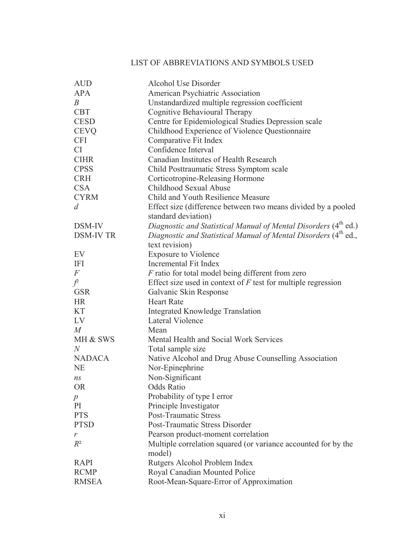# LIST OF ABBREVIATIONS AND SYMBOLS USED

| <b>AUD</b>       | Alcohol Use Disorder                                                        |
|------------------|-----------------------------------------------------------------------------|
| <b>APA</b>       | American Psychiatric Association                                            |
| B                | Unstandardized multiple regression coefficient                              |
| <b>CBT</b>       | Cognitive Behavioural Therapy                                               |
| <b>CESD</b>      | Centre for Epidemiological Studies Depression scale                         |
| <b>CEVQ</b>      | Childhood Experience of Violence Questionnaire                              |
| <b>CFI</b>       | Comparative Fit Index                                                       |
| CI               | Confidence Interval                                                         |
| <b>CIHR</b>      | Canadian Institutes of Health Research                                      |
| <b>CPSS</b>      | Child Posttraumatic Stress Symptom scale                                    |
| <b>CRH</b>       | Corticotropine-Releasing Hormone                                            |
| <b>CSA</b>       | Childhood Sexual Abuse                                                      |
| <b>CYRM</b>      | Child and Youth Resilience Measure                                          |
| $\overline{d}$   | Effect size (difference between two means divided by a pooled               |
|                  | standard deviation)                                                         |
| DSM-IV           | Diagnostic and Statistical Manual of Mental Disorders (4 <sup>th</sup> ed.) |
| <b>DSM-IV TR</b> | Diagnostic and Statistical Manual of Mental Disorders (4 <sup>th</sup> ed., |
|                  | text revision)                                                              |
| EV               | <b>Exposure to Violence</b>                                                 |
| <b>IFI</b>       | Incremental Fit Index                                                       |
| $\boldsymbol{F}$ | $F$ ratio for total model being different from zero                         |
| $\int$           | Effect size used in context of $F$ test for multiple regression             |
| <b>GSR</b>       | Galvanic Skin Response                                                      |
| <b>HR</b>        | <b>Heart Rate</b>                                                           |
| <b>KT</b>        | <b>Integrated Knowledge Translation</b>                                     |
| LV               | Lateral Violence                                                            |
| M                | Mean                                                                        |
| MH & SWS         | Mental Health and Social Work Services                                      |
| N                | Total sample size                                                           |
| <b>NADACA</b>    | Native Alcohol and Drug Abuse Counselling Association                       |
| <b>NE</b>        | Nor-Epinephrine                                                             |
| ns               | Non-Significant                                                             |
| <b>OR</b>        | <b>Odds Ratio</b>                                                           |
| $\boldsymbol{p}$ | Probability of type I error                                                 |
| PI               | Principle Investigator                                                      |
| <b>PTS</b>       | <b>Post-Traumatic Stress</b>                                                |
| <b>PTSD</b>      | Post-Traumatic Stress Disorder                                              |
| r                | Pearson product-moment correlation                                          |
| $R^2$            | Multiple correlation squared (or variance accounted for by the              |
|                  | model)                                                                      |
| <b>RAPI</b>      | Rutgers Alcohol Problem Index                                               |
| <b>RCMP</b>      | Royal Canadian Mounted Police                                               |
| <b>RMSEA</b>     | Root-Mean-Square-Error of Approximation                                     |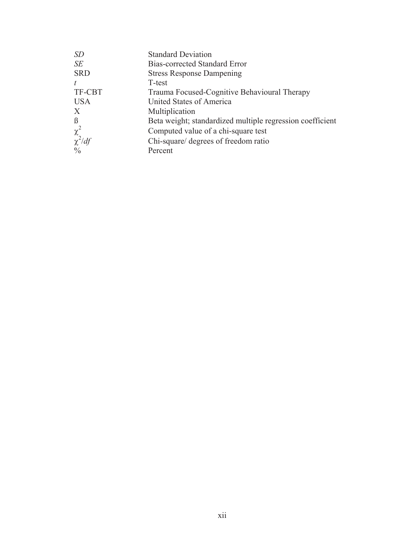| <b>SD</b>     | <b>Standard Deviation</b>                                 |
|---------------|-----------------------------------------------------------|
| SE            | <b>Bias-corrected Standard Error</b>                      |
| <b>SRD</b>    | <b>Stress Response Dampening</b>                          |
| t             | T-test                                                    |
| TF-CBT        | Trauma Focused-Cognitive Behavioural Therapy              |
| <b>USA</b>    | United States of America                                  |
| X             | Multiplication                                            |
| $\beta$       | Beta weight; standardized multiple regression coefficient |
| $\chi^2$      | Computed value of a chi-square test                       |
| $\chi^2/df$   | Chi-square/ degrees of freedom ratio                      |
| $\frac{0}{0}$ | Percent                                                   |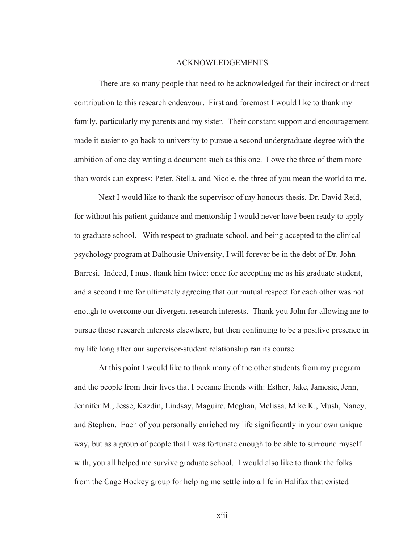#### ACKNOWLEDGEMENTS

 There are so many people that need to be acknowledged for their indirect or direct contribution to this research endeavour. First and foremost I would like to thank my family, particularly my parents and my sister. Their constant support and encouragement made it easier to go back to university to pursue a second undergraduate degree with the ambition of one day writing a document such as this one. I owe the three of them more than words can express: Peter, Stella, and Nicole, the three of you mean the world to me.

Next I would like to thank the supervisor of my honours thesis, Dr. David Reid, for without his patient guidance and mentorship I would never have been ready to apply to graduate school. With respect to graduate school, and being accepted to the clinical psychology program at Dalhousie University, I will forever be in the debt of Dr. John Barresi. Indeed, I must thank him twice: once for accepting me as his graduate student, and a second time for ultimately agreeing that our mutual respect for each other was not enough to overcome our divergent research interests. Thank you John for allowing me to pursue those research interests elsewhere, but then continuing to be a positive presence in my life long after our supervisor-student relationship ran its course.

 At this point I would like to thank many of the other students from my program and the people from their lives that I became friends with: Esther, Jake, Jamesie, Jenn, Jennifer M., Jesse, Kazdin, Lindsay, Maguire, Meghan, Melissa, Mike K., Mush, Nancy, and Stephen. Each of you personally enriched my life significantly in your own unique way, but as a group of people that I was fortunate enough to be able to surround myself with, you all helped me survive graduate school. I would also like to thank the folks from the Cage Hockey group for helping me settle into a life in Halifax that existed

xiii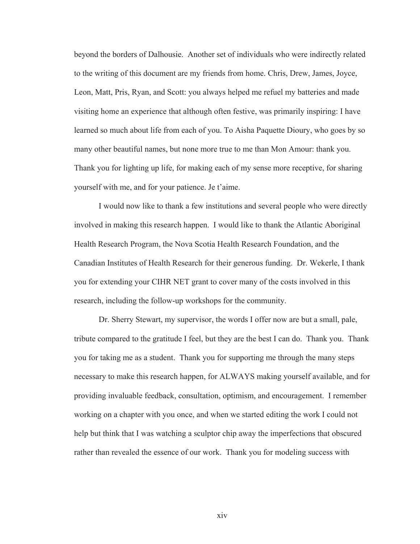beyond the borders of Dalhousie. Another set of individuals who were indirectly related to the writing of this document are my friends from home. Chris, Drew, James, Joyce, Leon, Matt, Pris, Ryan, and Scott: you always helped me refuel my batteries and made visiting home an experience that although often festive, was primarily inspiring: I have learned so much about life from each of you. To Aisha Paquette Dioury, who goes by so many other beautiful names, but none more true to me than Mon Amour: thank you. Thank you for lighting up life, for making each of my sense more receptive, for sharing yourself with me, and for your patience. Je t'aime.

 I would now like to thank a few institutions and several people who were directly involved in making this research happen. I would like to thank the Atlantic Aboriginal Health Research Program, the Nova Scotia Health Research Foundation, and the Canadian Institutes of Health Research for their generous funding. Dr. Wekerle, I thank you for extending your CIHR NET grant to cover many of the costs involved in this research, including the follow-up workshops for the community.

Dr. Sherry Stewart, my supervisor, the words I offer now are but a small, pale, tribute compared to the gratitude I feel, but they are the best I can do. Thank you. Thank you for taking me as a student. Thank you for supporting me through the many steps necessary to make this research happen, for ALWAYS making yourself available, and for providing invaluable feedback, consultation, optimism, and encouragement. I remember working on a chapter with you once, and when we started editing the work I could not help but think that I was watching a sculptor chip away the imperfections that obscured rather than revealed the essence of our work. Thank you for modeling success with

xiv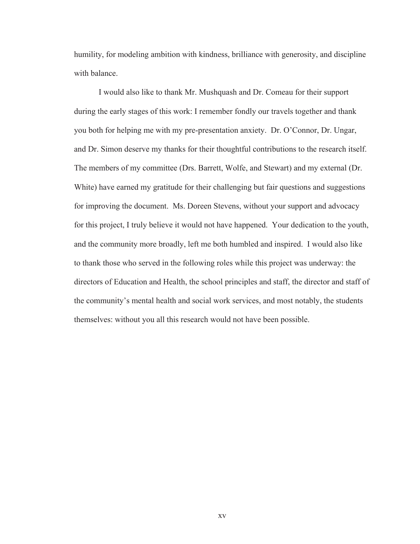humility, for modeling ambition with kindness, brilliance with generosity, and discipline with balance.

 I would also like to thank Mr. Mushquash and Dr. Comeau for their support during the early stages of this work: I remember fondly our travels together and thank you both for helping me with my pre-presentation anxiety. Dr. O'Connor, Dr. Ungar, and Dr. Simon deserve my thanks for their thoughtful contributions to the research itself. The members of my committee (Drs. Barrett, Wolfe, and Stewart) and my external (Dr. White) have earned my gratitude for their challenging but fair questions and suggestions for improving the document. Ms. Doreen Stevens, without your support and advocacy for this project, I truly believe it would not have happened. Your dedication to the youth, and the community more broadly, left me both humbled and inspired. I would also like to thank those who served in the following roles while this project was underway: the directors of Education and Health, the school principles and staff, the director and staff of the community's mental health and social work services, and most notably, the students themselves: without you all this research would not have been possible.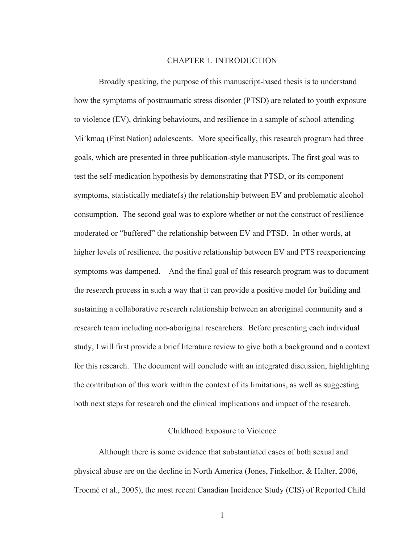#### CHAPTER 1. INTRODUCTION

 Broadly speaking, the purpose of this manuscript-based thesis is to understand how the symptoms of posttraumatic stress disorder (PTSD) are related to youth exposure to violence (EV), drinking behaviours, and resilience in a sample of school-attending Mi'kmaq (First Nation) adolescents. More specifically, this research program had three goals, which are presented in three publication-style manuscripts. The first goal was to test the self-medication hypothesis by demonstrating that PTSD, or its component symptoms, statistically mediate(s) the relationship between EV and problematic alcohol consumption. The second goal was to explore whether or not the construct of resilience moderated or "buffered" the relationship between EV and PTSD. In other words, at higher levels of resilience, the positive relationship between EV and PTS reexperiencing symptoms was dampened. And the final goal of this research program was to document the research process in such a way that it can provide a positive model for building and sustaining a collaborative research relationship between an aboriginal community and a research team including non-aboriginal researchers. Before presenting each individual study, I will first provide a brief literature review to give both a background and a context for this research. The document will conclude with an integrated discussion, highlighting the contribution of this work within the context of its limitations, as well as suggesting both next steps for research and the clinical implications and impact of the research.

#### Childhood Exposure to Violence

 Although there is some evidence that substantiated cases of both sexual and physical abuse are on the decline in North America (Jones, Finkelhor, & Halter, 2006, Trocmé et al., 2005), the most recent Canadian Incidence Study (CIS) of Reported Child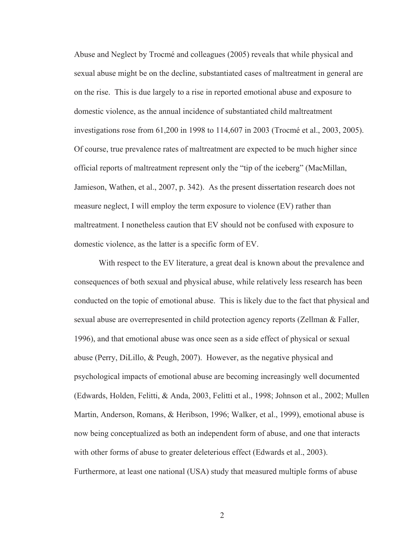Abuse and Neglect by Trocmé and colleagues (2005) reveals that while physical and sexual abuse might be on the decline, substantiated cases of maltreatment in general are on the rise. This is due largely to a rise in reported emotional abuse and exposure to domestic violence, as the annual incidence of substantiated child maltreatment investigations rose from 61,200 in 1998 to 114,607 in 2003 (Trocmé et al., 2003, 2005). Of course, true prevalence rates of maltreatment are expected to be much higher since official reports of maltreatment represent only the "tip of the iceberg" (MacMillan, Jamieson, Wathen, et al., 2007, p. 342). As the present dissertation research does not measure neglect, I will employ the term exposure to violence (EV) rather than maltreatment. I nonetheless caution that EV should not be confused with exposure to domestic violence, as the latter is a specific form of EV.

 With respect to the EV literature, a great deal is known about the prevalence and consequences of both sexual and physical abuse, while relatively less research has been conducted on the topic of emotional abuse. This is likely due to the fact that physical and sexual abuse are overrepresented in child protection agency reports (Zellman & Faller, 1996), and that emotional abuse was once seen as a side effect of physical or sexual abuse (Perry, DiLillo, & Peugh, 2007). However, as the negative physical and psychological impacts of emotional abuse are becoming increasingly well documented (Edwards, Holden, Felitti, & Anda, 2003, Felitti et al., 1998; Johnson et al., 2002; Mullen Martin, Anderson, Romans, & Heribson, 1996; Walker, et al., 1999), emotional abuse is now being conceptualized as both an independent form of abuse, and one that interacts with other forms of abuse to greater deleterious effect (Edwards et al., 2003). Furthermore, at least one national (USA) study that measured multiple forms of abuse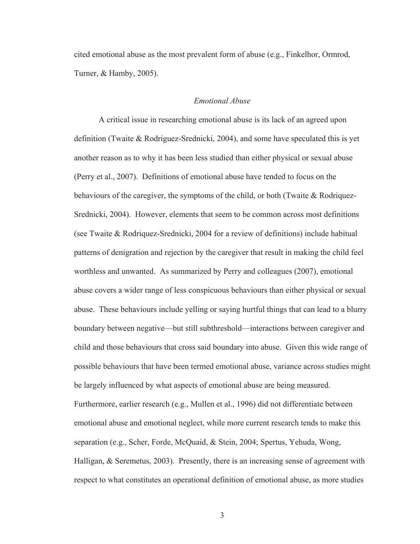cited emotional abuse as the most prevalent form of abuse (e.g., Finkelhor, Ormrod, Turner, & Hamby, 2005).

#### *Emotional Abuse*

 A critical issue in researching emotional abuse is its lack of an agreed upon definition (Twaite & Rodriguez-Srednicki, 2004), and some have speculated this is yet another reason as to why it has been less studied than either physical or sexual abuse (Perry et al., 2007). Definitions of emotional abuse have tended to focus on the behaviours of the caregiver, the symptoms of the child, or both (Twaite  $\&$  Rodriquez-Srednicki, 2004). However, elements that seem to be common across most definitions (see Twaite & Rodriquez-Srednicki, 2004 for a review of definitions) include habitual patterns of denigration and rejection by the caregiver that result in making the child feel worthless and unwanted. As summarized by Perry and colleagues (2007), emotional abuse covers a wider range of less conspicuous behaviours than either physical or sexual abuse. These behaviours include yelling or saying hurtful things that can lead to a blurry boundary between negative—but still subthreshold—interactions between caregiver and child and those behaviours that cross said boundary into abuse. Given this wide range of possible behaviours that have been termed emotional abuse, variance across studies might be largely influenced by what aspects of emotional abuse are being measured. Furthermore, earlier research (e.g., Mullen et al., 1996) did not differentiate between emotional abuse and emotional neglect, while more current research tends to make this separation (e.g., Scher, Forde, McQuaid, & Stein, 2004; Spertus, Yehuda, Wong, Halligan, & Seremetus, 2003). Presently, there is an increasing sense of agreement with respect to what constitutes an operational definition of emotional abuse, as more studies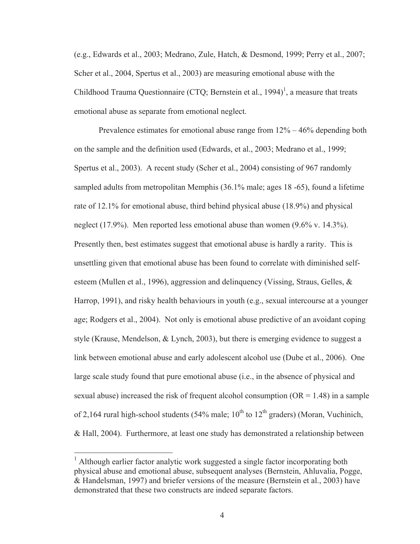(e.g., Edwards et al., 2003; Medrano, Zule, Hatch, & Desmond, 1999; Perry et al., 2007; Scher et al., 2004, Spertus et al., 2003) are measuring emotional abuse with the Childhood Trauma Questionnaire (CTQ; Bernstein et al., 1994)<sup>1</sup>, a measure that treats emotional abuse as separate from emotional neglect.

Prevalence estimates for emotional abuse range from  $12\% - 46\%$  depending both on the sample and the definition used (Edwards, et al., 2003; Medrano et al., 1999; Spertus et al., 2003). A recent study (Scher et al., 2004) consisting of 967 randomly sampled adults from metropolitan Memphis (36.1% male; ages 18 -65), found a lifetime rate of 12.1% for emotional abuse, third behind physical abuse (18.9%) and physical neglect (17.9%). Men reported less emotional abuse than women (9.6% v. 14.3%). Presently then, best estimates suggest that emotional abuse is hardly a rarity. This is unsettling given that emotional abuse has been found to correlate with diminished selfesteem (Mullen et al., 1996), aggression and delinquency (Vissing, Straus, Gelles, & Harrop, 1991), and risky health behaviours in youth (e.g., sexual intercourse at a younger age; Rodgers et al., 2004). Not only is emotional abuse predictive of an avoidant coping style (Krause, Mendelson, & Lynch, 2003), but there is emerging evidence to suggest a link between emotional abuse and early adolescent alcohol use (Dube et al., 2006). One large scale study found that pure emotional abuse (i.e., in the absence of physical and sexual abuse) increased the risk of frequent alcohol consumption  $(OR = 1.48)$  in a sample of 2,164 rural high-school students (54% male;  $10^{th}$  to  $12^{th}$  graders) (Moran, Vuchinich, & Hall, 2004). Furthermore, at least one study has demonstrated a relationship between

 $\overline{a}$ 

<sup>&</sup>lt;sup>1</sup> Although earlier factor analytic work suggested a single factor incorporating both physical abuse and emotional abuse, subsequent analyses (Bernstein, Ahluvalia, Pogge, & Handelsman, 1997) and briefer versions of the measure (Bernstein et al., 2003) have demonstrated that these two constructs are indeed separate factors.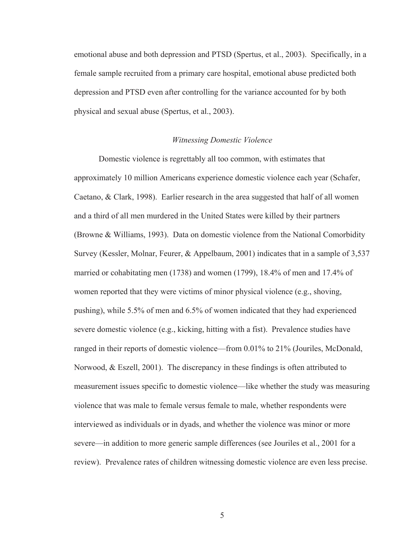emotional abuse and both depression and PTSD (Spertus, et al., 2003). Specifically, in a female sample recruited from a primary care hospital, emotional abuse predicted both depression and PTSD even after controlling for the variance accounted for by both physical and sexual abuse (Spertus, et al., 2003).

#### *Witnessing Domestic Violence*

 Domestic violence is regrettably all too common, with estimates that approximately 10 million Americans experience domestic violence each year (Schafer, Caetano, & Clark, 1998). Earlier research in the area suggested that half of all women and a third of all men murdered in the United States were killed by their partners (Browne & Williams, 1993). Data on domestic violence from the National Comorbidity Survey (Kessler, Molnar, Feurer, & Appelbaum, 2001) indicates that in a sample of 3,537 married or cohabitating men (1738) and women (1799), 18.4% of men and 17.4% of women reported that they were victims of minor physical violence (e.g., shoving, pushing), while 5.5% of men and 6.5% of women indicated that they had experienced severe domestic violence (e.g., kicking, hitting with a fist). Prevalence studies have ranged in their reports of domestic violence—from 0.01% to 21% (Jouriles, McDonald, Norwood, & Eszell, 2001). The discrepancy in these findings is often attributed to measurement issues specific to domestic violence—like whether the study was measuring violence that was male to female versus female to male, whether respondents were interviewed as individuals or in dyads, and whether the violence was minor or more severe—in addition to more generic sample differences (see Jouriles et al., 2001 for a review). Prevalence rates of children witnessing domestic violence are even less precise.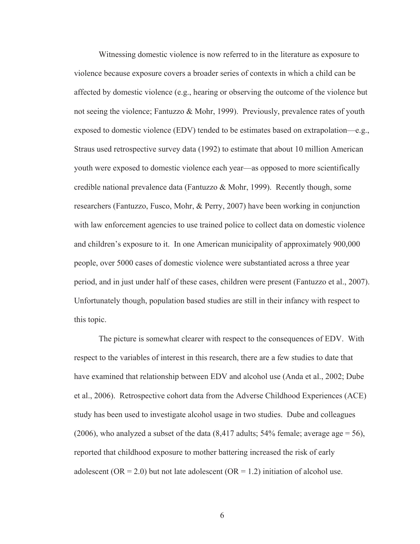Witnessing domestic violence is now referred to in the literature as exposure to violence because exposure covers a broader series of contexts in which a child can be affected by domestic violence (e.g., hearing or observing the outcome of the violence but not seeing the violence; Fantuzzo & Mohr, 1999). Previously, prevalence rates of youth exposed to domestic violence (EDV) tended to be estimates based on extrapolation—e.g., Straus used retrospective survey data (1992) to estimate that about 10 million American youth were exposed to domestic violence each year—as opposed to more scientifically credible national prevalence data (Fantuzzo & Mohr, 1999). Recently though, some researchers (Fantuzzo, Fusco, Mohr, & Perry, 2007) have been working in conjunction with law enforcement agencies to use trained police to collect data on domestic violence and children's exposure to it. In one American municipality of approximately 900,000 people, over 5000 cases of domestic violence were substantiated across a three year period, and in just under half of these cases, children were present (Fantuzzo et al., 2007). Unfortunately though, population based studies are still in their infancy with respect to this topic.

 The picture is somewhat clearer with respect to the consequences of EDV. With respect to the variables of interest in this research, there are a few studies to date that have examined that relationship between EDV and alcohol use (Anda et al., 2002; Dube et al., 2006). Retrospective cohort data from the Adverse Childhood Experiences (ACE) study has been used to investigate alcohol usage in two studies. Dube and colleagues (2006), who analyzed a subset of the data  $(8,417 \text{ adults}; 54\% \text{ female}; \text{average age} = 56)$ , reported that childhood exposure to mother battering increased the risk of early adolescent (OR = 2.0) but not late adolescent (OR = 1.2) initiation of alcohol use.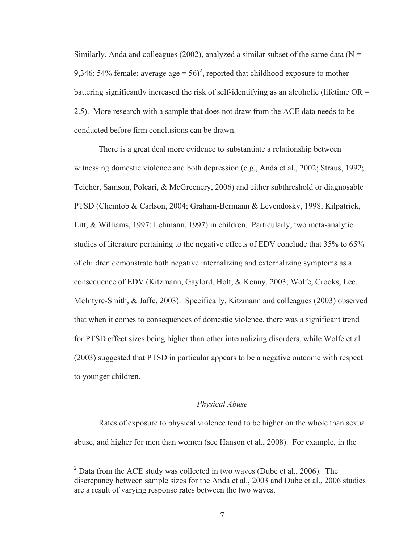Similarly, Anda and colleagues (2002), analyzed a similar subset of the same data ( $N =$ 9,346; 54% female; average age =  $56$ <sup>2</sup>, reported that childhood exposure to mother battering significantly increased the risk of self-identifying as an alcoholic (lifetime OR = 2.5). More research with a sample that does not draw from the ACE data needs to be conducted before firm conclusions can be drawn.

 There is a great deal more evidence to substantiate a relationship between witnessing domestic violence and both depression (e.g., Anda et al., 2002; Straus, 1992; Teicher, Samson, Polcari, & McGreenery, 2006) and either subthreshold or diagnosable PTSD (Chemtob & Carlson, 2004; Graham-Bermann & Levendosky, 1998; Kilpatrick, Litt, & Williams, 1997; Lehmann, 1997) in children. Particularly, two meta-analytic studies of literature pertaining to the negative effects of EDV conclude that 35% to 65% of children demonstrate both negative internalizing and externalizing symptoms as a consequence of EDV (Kitzmann, Gaylord, Holt, & Kenny, 2003; Wolfe, Crooks, Lee, McIntyre-Smith, & Jaffe, 2003). Specifically, Kitzmann and colleagues (2003) observed that when it comes to consequences of domestic violence, there was a significant trend for PTSD effect sizes being higher than other internalizing disorders, while Wolfe et al. (2003) suggested that PTSD in particular appears to be a negative outcome with respect to younger children.

## *Physical Abuse*

 Rates of exposure to physical violence tend to be higher on the whole than sexual abuse, and higher for men than women (see Hanson et al., 2008). For example, in the

-

 $2^2$  Data from the ACE study was collected in two waves (Dube et al., 2006). The discrepancy between sample sizes for the Anda et al., 2003 and Dube et al., 2006 studies are a result of varying response rates between the two waves.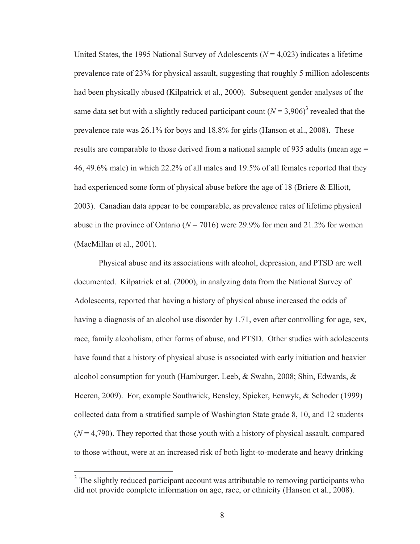United States, the 1995 National Survey of Adolescents ( $N = 4.023$ ) indicates a lifetime prevalence rate of 23% for physical assault, suggesting that roughly 5 million adolescents had been physically abused (Kilpatrick et al., 2000). Subsequent gender analyses of the same data set but with a slightly reduced participant count  $(N = 3,906)^3$  revealed that the prevalence rate was 26.1% for boys and 18.8% for girls (Hanson et al., 2008). These results are comparable to those derived from a national sample of 935 adults (mean age = 46, 49.6% male) in which 22.2% of all males and 19.5% of all females reported that they had experienced some form of physical abuse before the age of 18 (Briere & Elliott, 2003). Canadian data appear to be comparable, as prevalence rates of lifetime physical abuse in the province of Ontario ( $N = 7016$ ) were 29.9% for men and 21.2% for women (MacMillan et al., 2001).

 Physical abuse and its associations with alcohol, depression, and PTSD are well documented. Kilpatrick et al. (2000), in analyzing data from the National Survey of Adolescents, reported that having a history of physical abuse increased the odds of having a diagnosis of an alcohol use disorder by 1.71, even after controlling for age, sex, race, family alcoholism, other forms of abuse, and PTSD. Other studies with adolescents have found that a history of physical abuse is associated with early initiation and heavier alcohol consumption for youth (Hamburger, Leeb, & Swahn, 2008; Shin, Edwards, & Heeren, 2009). For, example Southwick, Bensley, Spieker, Eenwyk, & Schoder (1999) collected data from a stratified sample of Washington State grade 8, 10, and 12 students  $(N = 4,790)$ . They reported that those youth with a history of physical assault, compared to those without, were at an increased risk of both light-to-moderate and heavy drinking

 $\overline{a}$ 

<sup>&</sup>lt;sup>3</sup> The slightly reduced participant account was attributable to removing participants who did not provide complete information on age, race, or ethnicity (Hanson et al., 2008).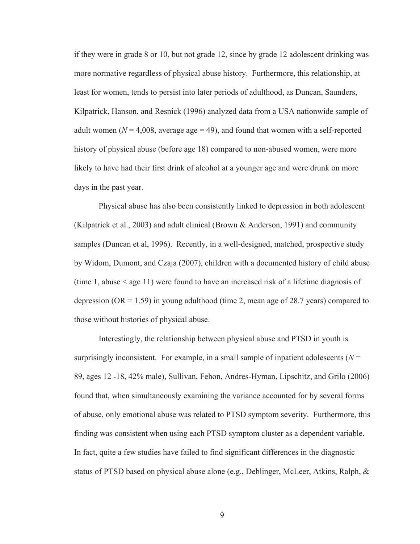if they were in grade 8 or 10, but not grade 12, since by grade 12 adolescent drinking was more normative regardless of physical abuse history. Furthermore, this relationship, at least for women, tends to persist into later periods of adulthood, as Duncan, Saunders, Kilpatrick, Hanson, and Resnick (1996) analyzed data from a USA nationwide sample of adult women ( $N = 4,008$ , average age  $= 49$ ), and found that women with a self-reported history of physical abuse (before age 18) compared to non-abused women, were more likely to have had their first drink of alcohol at a younger age and were drunk on more days in the past year.

 Physical abuse has also been consistently linked to depression in both adolescent (Kilpatrick et al., 2003) and adult clinical (Brown & Anderson, 1991) and community samples (Duncan et al, 1996). Recently, in a well-designed, matched, prospective study by Widom, Dumont, and Czaja (2007), children with a documented history of child abuse (time 1, abuse < age 11) were found to have an increased risk of a lifetime diagnosis of depression (OR  $= 1.59$ ) in young adulthood (time 2, mean age of 28.7 years) compared to those without histories of physical abuse.

 Interestingly, the relationship between physical abuse and PTSD in youth is surprisingly inconsistent. For example, in a small sample of inpatient adolescents  $(N =$ 89, ages 12 -18, 42% male), Sullivan, Fehon, Andres-Hyman, Lipschitz, and Grilo (2006) found that, when simultaneously examining the variance accounted for by several forms of abuse, only emotional abuse was related to PTSD symptom severity. Furthermore, this finding was consistent when using each PTSD symptom cluster as a dependent variable. In fact, quite a few studies have failed to find significant differences in the diagnostic status of PTSD based on physical abuse alone (e.g., Deblinger, McLeer, Atkins, Ralph, &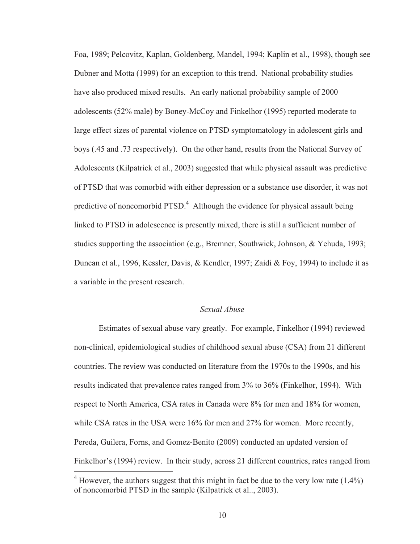Foa, 1989; Pelcovitz, Kaplan, Goldenberg, Mandel, 1994; Kaplin et al., 1998), though see Dubner and Motta (1999) for an exception to this trend. National probability studies have also produced mixed results. An early national probability sample of 2000 adolescents (52% male) by Boney-McCoy and Finkelhor (1995) reported moderate to large effect sizes of parental violence on PTSD symptomatology in adolescent girls and boys (.45 and .73 respectively). On the other hand, results from the National Survey of Adolescents (Kilpatrick et al., 2003) suggested that while physical assault was predictive of PTSD that was comorbid with either depression or a substance use disorder, it was not predictive of noncomorbid PTSD.<sup>4</sup> Although the evidence for physical assault being linked to PTSD in adolescence is presently mixed, there is still a sufficient number of studies supporting the association (e.g., Bremner, Southwick, Johnson, & Yehuda, 1993; Duncan et al., 1996, Kessler, Davis, & Kendler, 1997; Zaidi & Foy, 1994) to include it as a variable in the present research.

## *Sexual Abuse*

 Estimates of sexual abuse vary greatly. For example, Finkelhor (1994) reviewed non-clinical, epidemiological studies of childhood sexual abuse (CSA) from 21 different countries. The review was conducted on literature from the 1970s to the 1990s, and his results indicated that prevalence rates ranged from 3% to 36% (Finkelhor, 1994). With respect to North America, CSA rates in Canada were 8% for men and 18% for women, while CSA rates in the USA were 16% for men and 27% for women. More recently, Pereda, Guilera, Forns, and Gomez-Benito (2009) conducted an updated version of Finkelhor's (1994) review. In their study, across 21 different countries, rates ranged from

 $\overline{a}$ 

 $4$  However, the authors suggest that this might in fact be due to the very low rate  $(1.4\%)$ of noncomorbid PTSD in the sample (Kilpatrick et al.., 2003).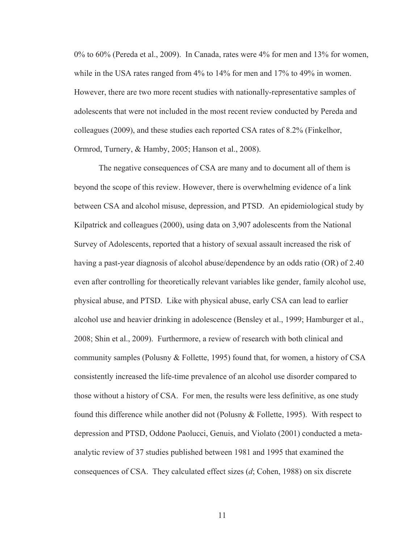0% to 60% (Pereda et al., 2009). In Canada, rates were 4% for men and 13% for women, while in the USA rates ranged from 4% to 14% for men and 17% to 49% in women. However, there are two more recent studies with nationally-representative samples of adolescents that were not included in the most recent review conducted by Pereda and colleagues (2009), and these studies each reported CSA rates of 8.2% (Finkelhor, Ormrod, Turnery, & Hamby, 2005; Hanson et al., 2008).

 The negative consequences of CSA are many and to document all of them is beyond the scope of this review. However, there is overwhelming evidence of a link between CSA and alcohol misuse, depression, and PTSD. An epidemiological study by Kilpatrick and colleagues (2000), using data on 3,907 adolescents from the National Survey of Adolescents, reported that a history of sexual assault increased the risk of having a past-year diagnosis of alcohol abuse/dependence by an odds ratio (OR) of 2.40 even after controlling for theoretically relevant variables like gender, family alcohol use, physical abuse, and PTSD. Like with physical abuse, early CSA can lead to earlier alcohol use and heavier drinking in adolescence (Bensley et al., 1999; Hamburger et al., 2008; Shin et al., 2009). Furthermore, a review of research with both clinical and community samples (Polusny & Follette, 1995) found that, for women, a history of CSA consistently increased the life-time prevalence of an alcohol use disorder compared to those without a history of CSA. For men, the results were less definitive, as one study found this difference while another did not (Polusny & Follette, 1995). With respect to depression and PTSD, Oddone Paolucci, Genuis, and Violato (2001) conducted a metaanalytic review of 37 studies published between 1981 and 1995 that examined the consequences of CSA. They calculated effect sizes (*d*; Cohen, 1988) on six discrete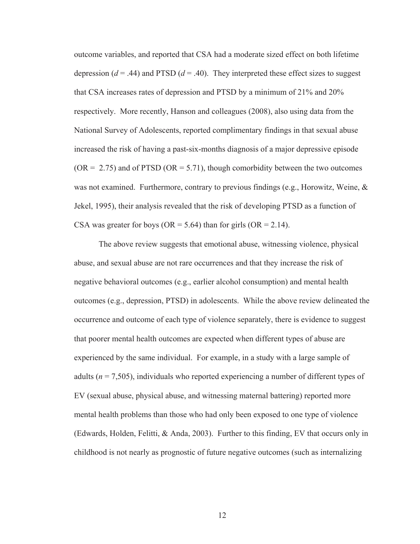outcome variables, and reported that CSA had a moderate sized effect on both lifetime depression  $(d = .44)$  and PTSD  $(d = .40)$ . They interpreted these effect sizes to suggest that CSA increases rates of depression and PTSD by a minimum of 21% and 20% respectively. More recently, Hanson and colleagues (2008), also using data from the National Survey of Adolescents, reported complimentary findings in that sexual abuse increased the risk of having a past-six-months diagnosis of a major depressive episode ( $OR = 2.75$ ) and of PTSD ( $OR = 5.71$ ), though comorbidity between the two outcomes was not examined. Furthermore, contrary to previous findings (e.g., Horowitz, Weine, & Jekel, 1995), their analysis revealed that the risk of developing PTSD as a function of CSA was greater for boys (OR =  $5.64$ ) than for girls (OR =  $2.14$ ).

 The above review suggests that emotional abuse, witnessing violence, physical abuse, and sexual abuse are not rare occurrences and that they increase the risk of negative behavioral outcomes (e.g., earlier alcohol consumption) and mental health outcomes (e.g., depression, PTSD) in adolescents. While the above review delineated the occurrence and outcome of each type of violence separately, there is evidence to suggest that poorer mental health outcomes are expected when different types of abuse are experienced by the same individual. For example, in a study with a large sample of adults (*n* = 7,505), individuals who reported experiencing a number of different types of EV (sexual abuse, physical abuse, and witnessing maternal battering) reported more mental health problems than those who had only been exposed to one type of violence (Edwards, Holden, Felitti, & Anda, 2003). Further to this finding, EV that occurs only in childhood is not nearly as prognostic of future negative outcomes (such as internalizing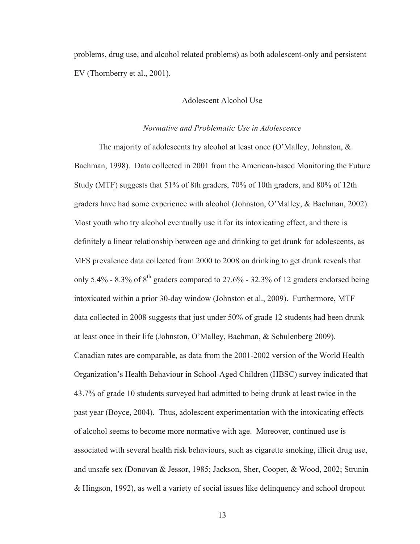problems, drug use, and alcohol related problems) as both adolescent-only and persistent EV (Thornberry et al., 2001).

### Adolescent Alcohol Use

# *Normative and Problematic Use in Adolescence*

The majority of adolescents try alcohol at least once (O'Malley, Johnston, & Bachman, 1998). Data collected in 2001 from the American-based Monitoring the Future Study (MTF) suggests that 51% of 8th graders, 70% of 10th graders, and 80% of 12th graders have had some experience with alcohol (Johnston, O'Malley, & Bachman, 2002). Most youth who try alcohol eventually use it for its intoxicating effect, and there is definitely a linear relationship between age and drinking to get drunk for adolescents, as MFS prevalence data collected from 2000 to 2008 on drinking to get drunk reveals that only 5.4% - 8.3% of  $8<sup>th</sup>$  graders compared to 27.6% - 32.3% of 12 graders endorsed being intoxicated within a prior 30-day window (Johnston et al., 2009). Furthermore, MTF data collected in 2008 suggests that just under 50% of grade 12 students had been drunk at least once in their life (Johnston, O'Malley, Bachman, & Schulenberg 2009). Canadian rates are comparable, as data from the 2001-2002 version of the World Health Organization's Health Behaviour in School-Aged Children (HBSC) survey indicated that 43.7% of grade 10 students surveyed had admitted to being drunk at least twice in the past year (Boyce, 2004). Thus, adolescent experimentation with the intoxicating effects of alcohol seems to become more normative with age. Moreover, continued use is associated with several health risk behaviours, such as cigarette smoking, illicit drug use, and unsafe sex (Donovan & Jessor, 1985; Jackson, Sher, Cooper, & Wood, 2002; Strunin & Hingson, 1992), as well a variety of social issues like delinquency and school dropout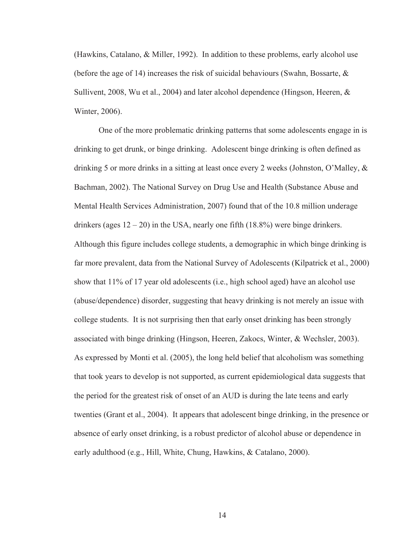(Hawkins, Catalano, & Miller, 1992). In addition to these problems, early alcohol use (before the age of 14) increases the risk of suicidal behaviours (Swahn, Bossarte,  $\&$ Sullivent, 2008, Wu et al., 2004) and later alcohol dependence (Hingson, Heeren, & Winter, 2006).

 One of the more problematic drinking patterns that some adolescents engage in is drinking to get drunk, or binge drinking. Adolescent binge drinking is often defined as drinking 5 or more drinks in a sitting at least once every 2 weeks (Johnston, O'Malley, & Bachman, 2002). The National Survey on Drug Use and Health (Substance Abuse and Mental Health Services Administration, 2007) found that of the 10.8 million underage drinkers (ages  $12 - 20$ ) in the USA, nearly one fifth (18.8%) were binge drinkers. Although this figure includes college students, a demographic in which binge drinking is far more prevalent, data from the National Survey of Adolescents (Kilpatrick et al., 2000) show that 11% of 17 year old adolescents (i.e., high school aged) have an alcohol use (abuse/dependence) disorder, suggesting that heavy drinking is not merely an issue with college students. It is not surprising then that early onset drinking has been strongly associated with binge drinking (Hingson, Heeren, Zakocs, Winter, & Wechsler, 2003). As expressed by Monti et al. (2005), the long held belief that alcoholism was something that took years to develop is not supported, as current epidemiological data suggests that the period for the greatest risk of onset of an AUD is during the late teens and early twenties (Grant et al., 2004). It appears that adolescent binge drinking, in the presence or absence of early onset drinking, is a robust predictor of alcohol abuse or dependence in early adulthood (e.g., Hill, White, Chung, Hawkins, & Catalano, 2000).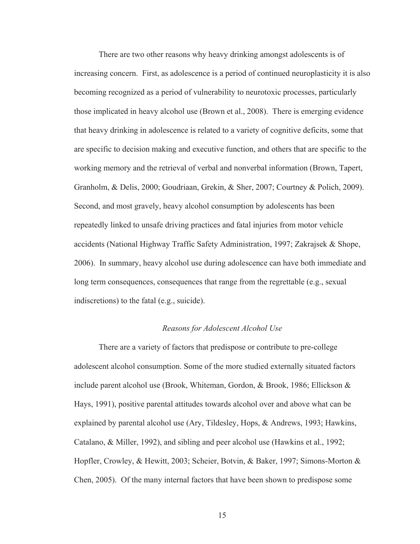There are two other reasons why heavy drinking amongst adolescents is of increasing concern. First, as adolescence is a period of continued neuroplasticity it is also becoming recognized as a period of vulnerability to neurotoxic processes, particularly those implicated in heavy alcohol use (Brown et al., 2008). There is emerging evidence that heavy drinking in adolescence is related to a variety of cognitive deficits, some that are specific to decision making and executive function, and others that are specific to the working memory and the retrieval of verbal and nonverbal information (Brown, Tapert, Granholm, & Delis, 2000; Goudriaan, Grekin, & Sher, 2007; Courtney & Polich, 2009). Second, and most gravely, heavy alcohol consumption by adolescents has been repeatedly linked to unsafe driving practices and fatal injuries from motor vehicle accidents (National Highway Traffic Safety Administration, 1997; Zakrajsek & Shope, 2006). In summary, heavy alcohol use during adolescence can have both immediate and long term consequences, consequences that range from the regrettable (e.g., sexual indiscretions) to the fatal (e.g., suicide).

### *Reasons for Adolescent Alcohol Use*

There are a variety of factors that predispose or contribute to pre-college adolescent alcohol consumption. Some of the more studied externally situated factors include parent alcohol use (Brook, Whiteman, Gordon, & Brook, 1986; Ellickson & Hays, 1991), positive parental attitudes towards alcohol over and above what can be explained by parental alcohol use (Ary, Tildesley, Hops, & Andrews, 1993; Hawkins, Catalano, & Miller, 1992), and sibling and peer alcohol use (Hawkins et al., 1992; Hopfler, Crowley, & Hewitt, 2003; Scheier, Botvin, & Baker, 1997; Simons-Morton & Chen, 2005). Of the many internal factors that have been shown to predispose some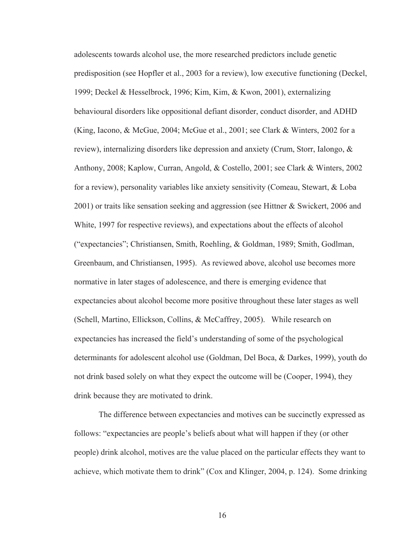adolescents towards alcohol use, the more researched predictors include genetic predisposition (see Hopfler et al., 2003 for a review), low executive functioning (Deckel, 1999; Deckel & Hesselbrock, 1996; Kim, Kim, & Kwon, 2001), externalizing behavioural disorders like oppositional defiant disorder, conduct disorder, and ADHD (King, Iacono, & McGue, 2004; McGue et al., 2001; see Clark & Winters, 2002 for a review), internalizing disorders like depression and anxiety (Crum, Storr, Ialongo, & Anthony, 2008; Kaplow, Curran, Angold, & Costello, 2001; see Clark & Winters, 2002 for a review), personality variables like anxiety sensitivity (Comeau, Stewart, & Loba 2001) or traits like sensation seeking and aggression (see Hittner & Swickert, 2006 and White, 1997 for respective reviews), and expectations about the effects of alcohol ("expectancies"; Christiansen, Smith, Roehling, & Goldman, 1989; Smith, Godlman, Greenbaum, and Christiansen, 1995). As reviewed above, alcohol use becomes more normative in later stages of adolescence, and there is emerging evidence that expectancies about alcohol become more positive throughout these later stages as well (Schell, Martino, Ellickson, Collins, & McCaffrey, 2005). While research on expectancies has increased the field's understanding of some of the psychological determinants for adolescent alcohol use (Goldman, Del Boca, & Darkes, 1999), youth do not drink based solely on what they expect the outcome will be (Cooper, 1994), they drink because they are motivated to drink.

 The difference between expectancies and motives can be succinctly expressed as follows: "expectancies are people's beliefs about what will happen if they (or other people) drink alcohol, motives are the value placed on the particular effects they want to achieve, which motivate them to drink" (Cox and Klinger, 2004, p. 124). Some drinking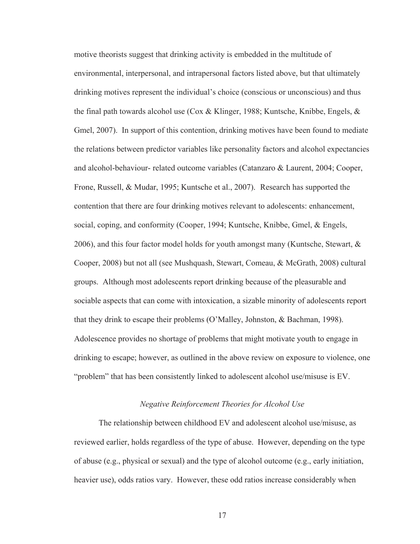motive theorists suggest that drinking activity is embedded in the multitude of environmental, interpersonal, and intrapersonal factors listed above, but that ultimately drinking motives represent the individual's choice (conscious or unconscious) and thus the final path towards alcohol use (Cox & Klinger, 1988; Kuntsche, Knibbe, Engels, & Gmel, 2007). In support of this contention, drinking motives have been found to mediate the relations between predictor variables like personality factors and alcohol expectancies and alcohol-behaviour- related outcome variables (Catanzaro & Laurent, 2004; Cooper, Frone, Russell, & Mudar, 1995; Kuntsche et al., 2007). Research has supported the contention that there are four drinking motives relevant to adolescents: enhancement, social, coping, and conformity (Cooper, 1994; Kuntsche, Knibbe, Gmel, & Engels, 2006), and this four factor model holds for youth amongst many (Kuntsche, Stewart, & Cooper, 2008) but not all (see Mushquash, Stewart, Comeau, & McGrath, 2008) cultural groups. Although most adolescents report drinking because of the pleasurable and sociable aspects that can come with intoxication, a sizable minority of adolescents report that they drink to escape their problems (O'Malley, Johnston, & Bachman, 1998). Adolescence provides no shortage of problems that might motivate youth to engage in drinking to escape; however, as outlined in the above review on exposure to violence, one "problem" that has been consistently linked to adolescent alcohol use/misuse is EV.

## *Negative Reinforcement Theories for Alcohol Use*

 The relationship between childhood EV and adolescent alcohol use/misuse, as reviewed earlier, holds regardless of the type of abuse. However, depending on the type of abuse (e.g., physical or sexual) and the type of alcohol outcome (e.g., early initiation, heavier use), odds ratios vary. However, these odd ratios increase considerably when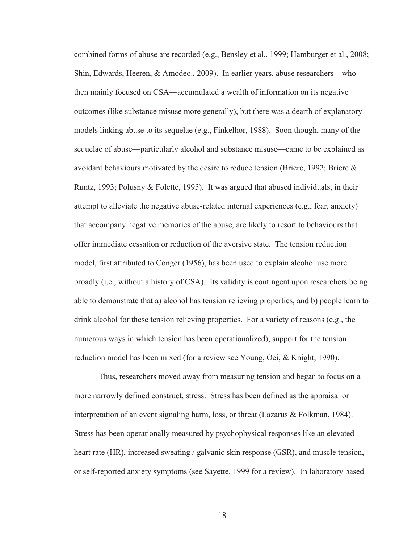combined forms of abuse are recorded (e.g., Bensley et al., 1999; Hamburger et al., 2008; Shin, Edwards, Heeren, & Amodeo., 2009). In earlier years, abuse researchers—who then mainly focused on CSA—accumulated a wealth of information on its negative outcomes (like substance misuse more generally), but there was a dearth of explanatory models linking abuse to its sequelae (e.g., Finkelhor, 1988). Soon though, many of the sequelae of abuse—particularly alcohol and substance misuse—came to be explained as avoidant behaviours motivated by the desire to reduce tension (Briere, 1992; Briere  $\&$ Runtz, 1993; Polusny & Folette, 1995). It was argued that abused individuals, in their attempt to alleviate the negative abuse-related internal experiences (e.g., fear, anxiety) that accompany negative memories of the abuse, are likely to resort to behaviours that offer immediate cessation or reduction of the aversive state. The tension reduction model, first attributed to Conger (1956), has been used to explain alcohol use more broadly (i.e., without a history of CSA). Its validity is contingent upon researchers being able to demonstrate that a) alcohol has tension relieving properties, and b) people learn to drink alcohol for these tension relieving properties. For a variety of reasons (e.g., the numerous ways in which tension has been operationalized), support for the tension reduction model has been mixed (for a review see Young, Oei, & Knight, 1990).

 Thus, researchers moved away from measuring tension and began to focus on a more narrowly defined construct, stress. Stress has been defined as the appraisal or interpretation of an event signaling harm, loss, or threat (Lazarus & Folkman, 1984). Stress has been operationally measured by psychophysical responses like an elevated heart rate (HR), increased sweating / galvanic skin response (GSR), and muscle tension, or self-reported anxiety symptoms (see Sayette, 1999 for a review). In laboratory based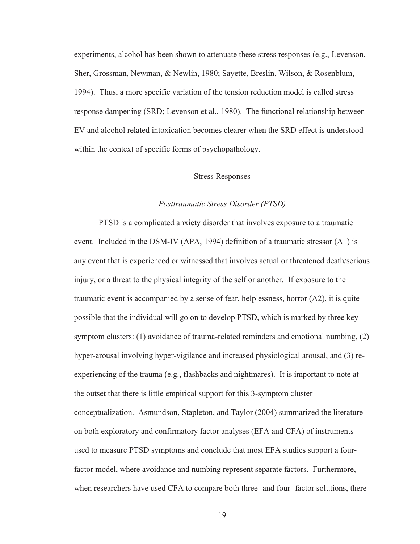experiments, alcohol has been shown to attenuate these stress responses (e.g., Levenson, Sher, Grossman, Newman, & Newlin, 1980; Sayette, Breslin, Wilson, & Rosenblum, 1994). Thus, a more specific variation of the tension reduction model is called stress response dampening (SRD; Levenson et al., 1980). The functional relationship between EV and alcohol related intoxication becomes clearer when the SRD effect is understood within the context of specific forms of psychopathology.

#### Stress Responses

### *Posttraumatic Stress Disorder (PTSD)*

PTSD is a complicated anxiety disorder that involves exposure to a traumatic event. Included in the DSM-IV (APA, 1994) definition of a traumatic stressor (A1) is any event that is experienced or witnessed that involves actual or threatened death/serious injury, or a threat to the physical integrity of the self or another. If exposure to the traumatic event is accompanied by a sense of fear, helplessness, horror (A2), it is quite possible that the individual will go on to develop PTSD, which is marked by three key symptom clusters: (1) avoidance of trauma-related reminders and emotional numbing, (2) hyper-arousal involving hyper-vigilance and increased physiological arousal, and (3) reexperiencing of the trauma (e.g., flashbacks and nightmares). It is important to note at the outset that there is little empirical support for this 3-symptom cluster conceptualization. Asmundson, Stapleton, and Taylor (2004) summarized the literature on both exploratory and confirmatory factor analyses (EFA and CFA) of instruments used to measure PTSD symptoms and conclude that most EFA studies support a fourfactor model, where avoidance and numbing represent separate factors. Furthermore, when researchers have used CFA to compare both three- and four- factor solutions, there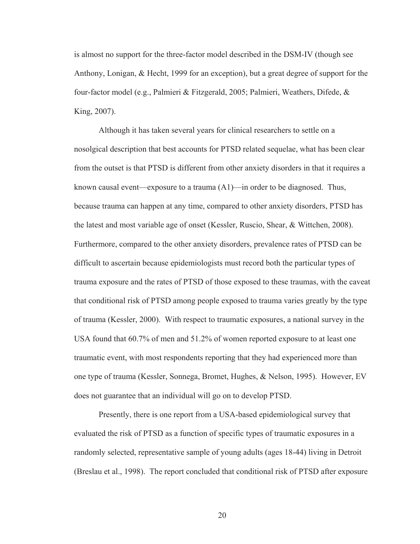is almost no support for the three-factor model described in the DSM-IV (though see Anthony, Lonigan, & Hecht, 1999 for an exception), but a great degree of support for the four-factor model (e.g., Palmieri & Fitzgerald, 2005; Palmieri, Weathers, Difede, & King, 2007).

Although it has taken several years for clinical researchers to settle on a nosolgical description that best accounts for PTSD related sequelae, what has been clear from the outset is that PTSD is different from other anxiety disorders in that it requires a known causal event—exposure to a trauma (A1)—in order to be diagnosed. Thus, because trauma can happen at any time, compared to other anxiety disorders, PTSD has the latest and most variable age of onset (Kessler, Ruscio, Shear, & Wittchen, 2008). Furthermore, compared to the other anxiety disorders, prevalence rates of PTSD can be difficult to ascertain because epidemiologists must record both the particular types of trauma exposure and the rates of PTSD of those exposed to these traumas, with the caveat that conditional risk of PTSD among people exposed to trauma varies greatly by the type of trauma (Kessler, 2000). With respect to traumatic exposures, a national survey in the USA found that 60.7% of men and 51.2% of women reported exposure to at least one traumatic event, with most respondents reporting that they had experienced more than one type of trauma (Kessler, Sonnega, Bromet, Hughes, & Nelson, 1995). However, EV does not guarantee that an individual will go on to develop PTSD.

Presently, there is one report from a USA-based epidemiological survey that evaluated the risk of PTSD as a function of specific types of traumatic exposures in a randomly selected, representative sample of young adults (ages 18-44) living in Detroit (Breslau et al., 1998). The report concluded that conditional risk of PTSD after exposure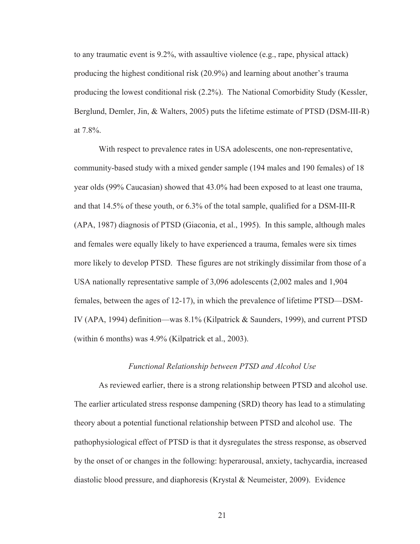to any traumatic event is 9.2%, with assaultive violence (e.g., rape, physical attack) producing the highest conditional risk (20.9%) and learning about another's trauma producing the lowest conditional risk (2.2%). The National Comorbidity Study (Kessler, Berglund, Demler, Jin, & Walters, 2005) puts the lifetime estimate of PTSD (DSM-III-R) at 7.8%.

 With respect to prevalence rates in USA adolescents, one non-representative, community-based study with a mixed gender sample (194 males and 190 females) of 18 year olds (99% Caucasian) showed that 43.0% had been exposed to at least one trauma, and that 14.5% of these youth, or 6.3% of the total sample, qualified for a DSM-III-R (APA, 1987) diagnosis of PTSD (Giaconia, et al., 1995). In this sample, although males and females were equally likely to have experienced a trauma, females were six times more likely to develop PTSD. These figures are not strikingly dissimilar from those of a USA nationally representative sample of 3,096 adolescents (2,002 males and 1,904 females, between the ages of 12-17), in which the prevalence of lifetime PTSD—DSM-IV (APA, 1994) definition—was 8.1% (Kilpatrick & Saunders, 1999), and current PTSD (within 6 months) was 4.9% (Kilpatrick et al., 2003).

#### *Functional Relationship between PTSD and Alcohol Use*

 As reviewed earlier, there is a strong relationship between PTSD and alcohol use. The earlier articulated stress response dampening (SRD) theory has lead to a stimulating theory about a potential functional relationship between PTSD and alcohol use. The pathophysiological effect of PTSD is that it dysregulates the stress response, as observed by the onset of or changes in the following: hyperarousal, anxiety, tachycardia, increased diastolic blood pressure, and diaphoresis (Krystal & Neumeister, 2009). Evidence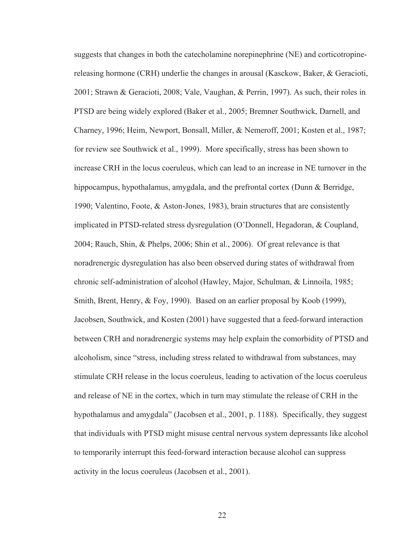suggests that changes in both the catecholamine norepinephrine (NE) and corticotropinereleasing hormone (CRH) underlie the changes in arousal (Kasckow, Baker, & Geracioti, 2001; Strawn & Geracioti, 2008; Vale, Vaughan, & Perrin, 1997). As such, their roles in PTSD are being widely explored (Baker et al., 2005; Bremner Southwick, Darnell, and Charney, 1996; Heim, Newport, Bonsall, Miller, & Nemeroff, 2001; Kosten et al., 1987; for review see Southwick et al., 1999). More specifically, stress has been shown to increase CRH in the locus coeruleus, which can lead to an increase in NE turnover in the hippocampus, hypothalamus, amygdala, and the prefrontal cortex (Dunn & Berridge, 1990; Valentino, Foote, & Aston-Jones, 1983), brain structures that are consistently implicated in PTSD-related stress dysregulation (O'Donnell, Hegadoran, & Coupland, 2004; Rauch, Shin, & Phelps, 2006; Shin et al., 2006). Of great relevance is that noradrenergic dysregulation has also been observed during states of withdrawal from chronic self-administration of alcohol (Hawley, Major, Schulman, & Linnoila, 1985; Smith, Brent, Henry, & Foy, 1990). Based on an earlier proposal by Koob (1999), Jacobsen, Southwick, and Kosten (2001) have suggested that a feed-forward interaction between CRH and noradrenergic systems may help explain the comorbidity of PTSD and alcoholism, since "stress, including stress related to withdrawal from substances, may stimulate CRH release in the locus coeruleus, leading to activation of the locus coeruleus and release of NE in the cortex, which in turn may stimulate the release of CRH in the hypothalamus and amygdala" (Jacobsen et al., 2001, p. 1188). Specifically, they suggest that individuals with PTSD might misuse central nervous system depressants like alcohol to temporarily interrupt this feed-forward interaction because alcohol can suppress activity in the locus coeruleus (Jacobsen et al., 2001).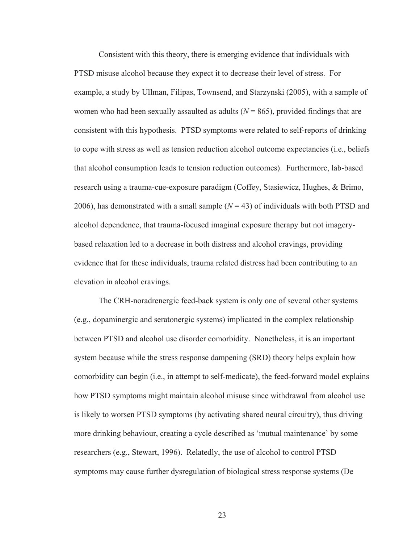Consistent with this theory, there is emerging evidence that individuals with PTSD misuse alcohol because they expect it to decrease their level of stress. For example, a study by Ullman, Filipas, Townsend, and Starzynski (2005), with a sample of women who had been sexually assaulted as adults  $(N = 865)$ , provided findings that are consistent with this hypothesis. PTSD symptoms were related to self-reports of drinking to cope with stress as well as tension reduction alcohol outcome expectancies (i.e., beliefs that alcohol consumption leads to tension reduction outcomes). Furthermore, lab-based research using a trauma-cue-exposure paradigm (Coffey, Stasiewicz, Hughes, & Brimo, 2006), has demonstrated with a small sample  $(N = 43)$  of individuals with both PTSD and alcohol dependence, that trauma-focused imaginal exposure therapy but not imagerybased relaxation led to a decrease in both distress and alcohol cravings, providing evidence that for these individuals, trauma related distress had been contributing to an elevation in alcohol cravings.

 The CRH-noradrenergic feed-back system is only one of several other systems (e.g., dopaminergic and seratonergic systems) implicated in the complex relationship between PTSD and alcohol use disorder comorbidity. Nonetheless, it is an important system because while the stress response dampening (SRD) theory helps explain how comorbidity can begin (i.e., in attempt to self-medicate), the feed-forward model explains how PTSD symptoms might maintain alcohol misuse since withdrawal from alcohol use is likely to worsen PTSD symptoms (by activating shared neural circuitry), thus driving more drinking behaviour, creating a cycle described as 'mutual maintenance' by some researchers (e.g., Stewart, 1996). Relatedly, the use of alcohol to control PTSD symptoms may cause further dysregulation of biological stress response systems (De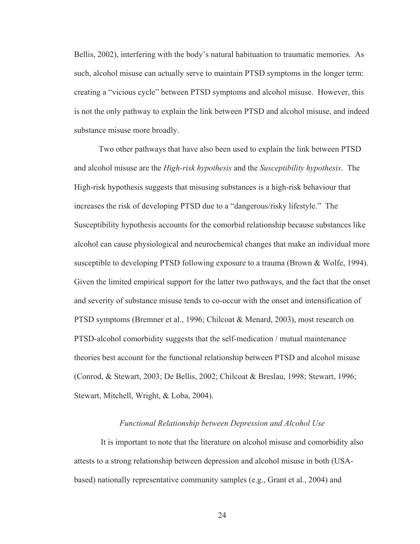Bellis, 2002), interfering with the body's natural habituation to traumatic memories. As such, alcohol misuse can actually serve to maintain PTSD symptoms in the longer term: creating a "vicious cycle" between PTSD symptoms and alcohol misuse. However, this is not the only pathway to explain the link between PTSD and alcohol misuse, and indeed substance misuse more broadly.

 Two other pathways that have also been used to explain the link between PTSD and alcohol misuse are the *High-risk hypothesis* and the *Susceptibility hypothesis*. The High-risk hypothesis suggests that misusing substances is a high-risk behaviour that increases the risk of developing PTSD due to a "dangerous/risky lifestyle." The Susceptibility hypothesis accounts for the comorbid relationship because substances like alcohol can cause physiological and neurochemical changes that make an individual more susceptible to developing PTSD following exposure to a trauma (Brown & Wolfe, 1994). Given the limited empirical support for the latter two pathways, and the fact that the onset and severity of substance misuse tends to co-occur with the onset and intensification of PTSD symptoms (Bremner et al., 1996; Chilcoat & Menard, 2003), most research on PTSD-alcohol comorbidity suggests that the self-medication / mutual maintenance theories best account for the functional relationship between PTSD and alcohol misuse (Conrod, & Stewart, 2003; De Bellis, 2002; Chilcoat & Breslau, 1998; Stewart, 1996; Stewart, Mitchell, Wright, & Loba, 2004).

## *Functional Relationship between Depression and Alcohol Use*

 It is important to note that the literature on alcohol misuse and comorbidity also attests to a strong relationship between depression and alcohol misuse in both (USAbased) nationally representative community samples (e.g., Grant et al., 2004) and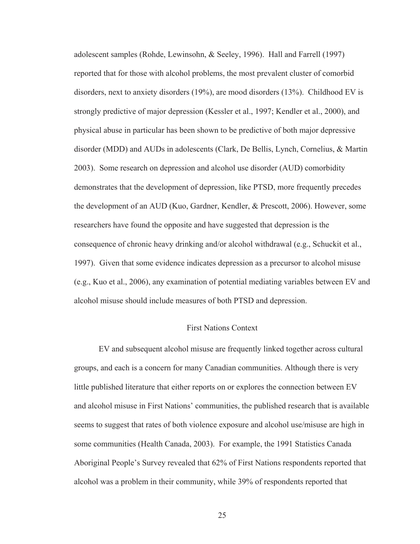adolescent samples (Rohde, Lewinsohn, & Seeley, 1996). Hall and Farrell (1997) reported that for those with alcohol problems, the most prevalent cluster of comorbid disorders, next to anxiety disorders (19%), are mood disorders (13%). Childhood EV is strongly predictive of major depression (Kessler et al., 1997; Kendler et al., 2000), and physical abuse in particular has been shown to be predictive of both major depressive disorder (MDD) and AUDs in adolescents (Clark, De Bellis, Lynch, Cornelius, & Martin 2003). Some research on depression and alcohol use disorder (AUD) comorbidity demonstrates that the development of depression, like PTSD, more frequently precedes the development of an AUD (Kuo, Gardner, Kendler, & Prescott, 2006). However, some researchers have found the opposite and have suggested that depression is the consequence of chronic heavy drinking and/or alcohol withdrawal (e.g., Schuckit et al., 1997). Given that some evidence indicates depression as a precursor to alcohol misuse (e.g., Kuo et al., 2006), any examination of potential mediating variables between EV and alcohol misuse should include measures of both PTSD and depression.

#### First Nations Context

EV and subsequent alcohol misuse are frequently linked together across cultural groups, and each is a concern for many Canadian communities. Although there is very little published literature that either reports on or explores the connection between EV and alcohol misuse in First Nations' communities, the published research that is available seems to suggest that rates of both violence exposure and alcohol use/misuse are high in some communities (Health Canada, 2003). For example, the 1991 Statistics Canada Aboriginal People's Survey revealed that 62% of First Nations respondents reported that alcohol was a problem in their community, while 39% of respondents reported that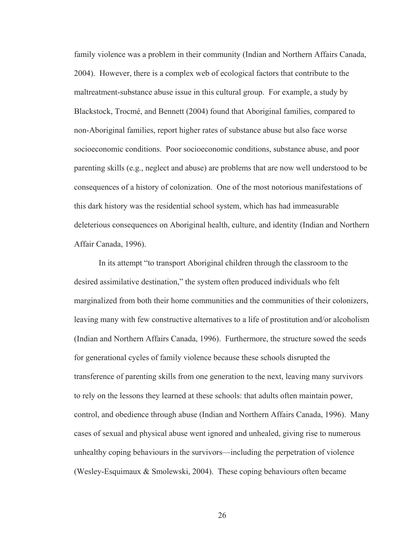family violence was a problem in their community (Indian and Northern Affairs Canada, 2004). However, there is a complex web of ecological factors that contribute to the maltreatment-substance abuse issue in this cultural group. For example, a study by Blackstock, Trocmé, and Bennett (2004) found that Aboriginal families, compared to non-Aboriginal families, report higher rates of substance abuse but also face worse socioeconomic conditions. Poor socioeconomic conditions, substance abuse, and poor parenting skills (e.g., neglect and abuse) are problems that are now well understood to be consequences of a history of colonization. One of the most notorious manifestations of this dark history was the residential school system, which has had immeasurable deleterious consequences on Aboriginal health, culture, and identity (Indian and Northern Affair Canada, 1996).

In its attempt "to transport Aboriginal children through the classroom to the desired assimilative destination," the system often produced individuals who felt marginalized from both their home communities and the communities of their colonizers, leaving many with few constructive alternatives to a life of prostitution and/or alcoholism (Indian and Northern Affairs Canada, 1996). Furthermore, the structure sowed the seeds for generational cycles of family violence because these schools disrupted the transference of parenting skills from one generation to the next, leaving many survivors to rely on the lessons they learned at these schools: that adults often maintain power, control, and obedience through abuse (Indian and Northern Affairs Canada, 1996). Many cases of sexual and physical abuse went ignored and unhealed, giving rise to numerous unhealthy coping behaviours in the survivors—including the perpetration of violence (Wesley-Esquimaux & Smolewski, 2004). These coping behaviours often became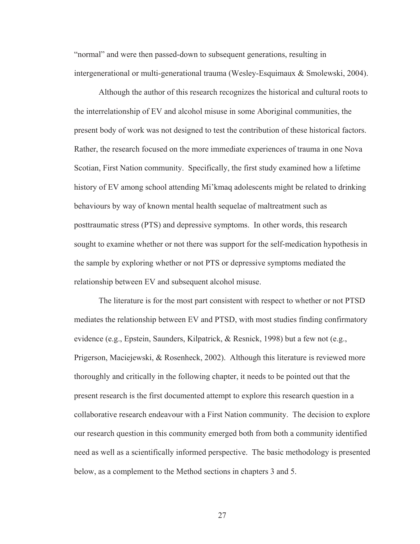"normal" and were then passed-down to subsequent generations, resulting in intergenerational or multi-generational trauma (Wesley-Esquimaux & Smolewski, 2004).

 Although the author of this research recognizes the historical and cultural roots to the interrelationship of EV and alcohol misuse in some Aboriginal communities, the present body of work was not designed to test the contribution of these historical factors. Rather, the research focused on the more immediate experiences of trauma in one Nova Scotian, First Nation community. Specifically, the first study examined how a lifetime history of EV among school attending Mi'kmaq adolescents might be related to drinking behaviours by way of known mental health sequelae of maltreatment such as posttraumatic stress (PTS) and depressive symptoms. In other words, this research sought to examine whether or not there was support for the self-medication hypothesis in the sample by exploring whether or not PTS or depressive symptoms mediated the relationship between EV and subsequent alcohol misuse.

 The literature is for the most part consistent with respect to whether or not PTSD mediates the relationship between EV and PTSD, with most studies finding confirmatory evidence (e.g., Epstein, Saunders, Kilpatrick, & Resnick, 1998) but a few not (e.g., Prigerson, Maciejewski, & Rosenheck, 2002). Although this literature is reviewed more thoroughly and critically in the following chapter, it needs to be pointed out that the present research is the first documented attempt to explore this research question in a collaborative research endeavour with a First Nation community. The decision to explore our research question in this community emerged both from both a community identified need as well as a scientifically informed perspective. The basic methodology is presented below, as a complement to the Method sections in chapters 3 and 5.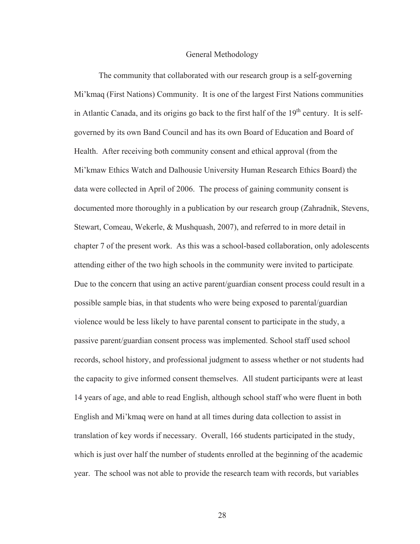#### General Methodology

 The community that collaborated with our research group is a self-governing Mi'kmaq (First Nations) Community. It is one of the largest First Nations communities in Atlantic Canada, and its origins go back to the first half of the  $19<sup>th</sup>$  century. It is selfgoverned by its own Band Council and has its own Board of Education and Board of Health. After receiving both community consent and ethical approval (from the Mi'kmaw Ethics Watch and Dalhousie University Human Research Ethics Board) the data were collected in April of 2006. The process of gaining community consent is documented more thoroughly in a publication by our research group (Zahradnik, Stevens, Stewart, Comeau, Wekerle, & Mushquash, 2007), and referred to in more detail in chapter 7 of the present work. As this was a school-based collaboration, only adolescents attending either of the two high schools in the community were invited to participate. Due to the concern that using an active parent/guardian consent process could result in a possible sample bias, in that students who were being exposed to parental/guardian violence would be less likely to have parental consent to participate in the study, a passive parent/guardian consent process was implemented. School staff used school records, school history, and professional judgment to assess whether or not students had the capacity to give informed consent themselves. All student participants were at least 14 years of age, and able to read English, although school staff who were fluent in both English and Mi'kmaq were on hand at all times during data collection to assist in translation of key words if necessary. Overall, 166 students participated in the study, which is just over half the number of students enrolled at the beginning of the academic year. The school was not able to provide the research team with records, but variables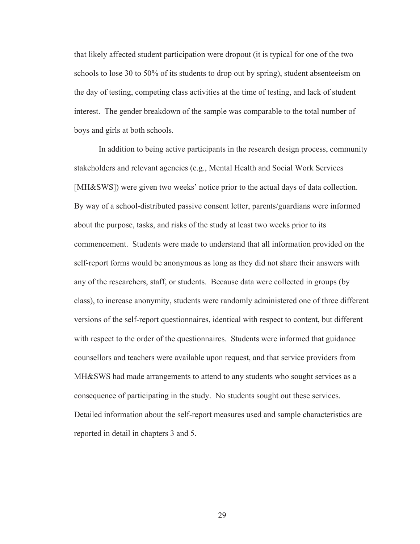that likely affected student participation were dropout (it is typical for one of the two schools to lose 30 to 50% of its students to drop out by spring), student absenteeism on the day of testing, competing class activities at the time of testing, and lack of student interest. The gender breakdown of the sample was comparable to the total number of boys and girls at both schools.

 In addition to being active participants in the research design process, community stakeholders and relevant agencies (e.g., Mental Health and Social Work Services [MH&SWS]) were given two weeks' notice prior to the actual days of data collection. By way of a school-distributed passive consent letter, parents/guardians were informed about the purpose, tasks, and risks of the study at least two weeks prior to its commencement. Students were made to understand that all information provided on the self-report forms would be anonymous as long as they did not share their answers with any of the researchers, staff, or students. Because data were collected in groups (by class), to increase anonymity, students were randomly administered one of three different versions of the self-report questionnaires, identical with respect to content, but different with respect to the order of the questionnaires. Students were informed that guidance counsellors and teachers were available upon request, and that service providers from MH&SWS had made arrangements to attend to any students who sought services as a consequence of participating in the study. No students sought out these services. Detailed information about the self-report measures used and sample characteristics are reported in detail in chapters 3 and 5.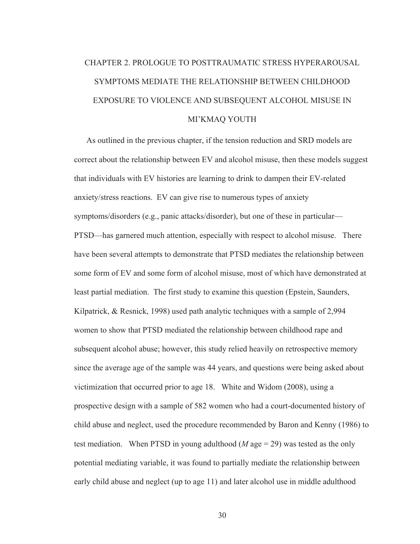# CHAPTER 2. PROLOGUE TO POSTTRAUMATIC STRESS HYPERAROUSAL SYMPTOMS MEDIATE THE RELATIONSHIP BETWEEN CHILDHOOD EXPOSURE TO VIOLENCE AND SUBSEQUENT ALCOHOL MISUSE IN MI'KMAQ YOUTH

 As outlined in the previous chapter, if the tension reduction and SRD models are correct about the relationship between EV and alcohol misuse, then these models suggest that individuals with EV histories are learning to drink to dampen their EV-related anxiety/stress reactions. EV can give rise to numerous types of anxiety symptoms/disorders (e.g., panic attacks/disorder), but one of these in particular— PTSD—has garnered much attention, especially with respect to alcohol misuse. There have been several attempts to demonstrate that PTSD mediates the relationship between some form of EV and some form of alcohol misuse, most of which have demonstrated at least partial mediation. The first study to examine this question (Epstein, Saunders, Kilpatrick, & Resnick, 1998) used path analytic techniques with a sample of 2,994 women to show that PTSD mediated the relationship between childhood rape and subsequent alcohol abuse; however, this study relied heavily on retrospective memory since the average age of the sample was 44 years, and questions were being asked about victimization that occurred prior to age 18. White and Widom (2008), using a prospective design with a sample of 582 women who had a court-documented history of child abuse and neglect, used the procedure recommended by Baron and Kenny (1986) to test mediation. When PTSD in young adulthood  $(M \text{ age} = 29)$  was tested as the only potential mediating variable, it was found to partially mediate the relationship between early child abuse and neglect (up to age 11) and later alcohol use in middle adulthood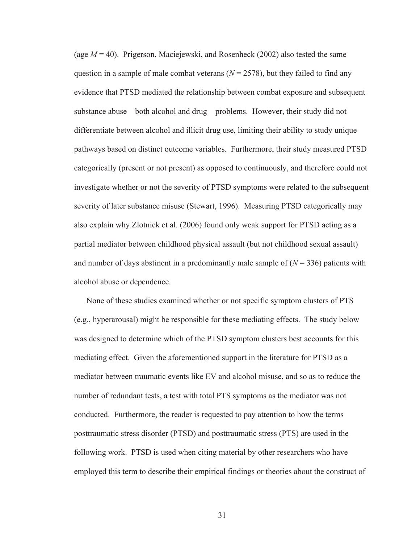(age  $M = 40$ ). Prigerson, Maciejewski, and Rosenheck (2002) also tested the same question in a sample of male combat veterans  $(N = 2578)$ , but they failed to find any evidence that PTSD mediated the relationship between combat exposure and subsequent substance abuse—both alcohol and drug—problems. However, their study did not differentiate between alcohol and illicit drug use, limiting their ability to study unique pathways based on distinct outcome variables. Furthermore, their study measured PTSD categorically (present or not present) as opposed to continuously, and therefore could not investigate whether or not the severity of PTSD symptoms were related to the subsequent severity of later substance misuse (Stewart, 1996). Measuring PTSD categorically may also explain why Zlotnick et al. (2006) found only weak support for PTSD acting as a partial mediator between childhood physical assault (but not childhood sexual assault) and number of days abstinent in a predominantly male sample of  $(N = 336)$  patients with alcohol abuse or dependence.

 None of these studies examined whether or not specific symptom clusters of PTS (e.g., hyperarousal) might be responsible for these mediating effects. The study below was designed to determine which of the PTSD symptom clusters best accounts for this mediating effect. Given the aforementioned support in the literature for PTSD as a mediator between traumatic events like EV and alcohol misuse, and so as to reduce the number of redundant tests, a test with total PTS symptoms as the mediator was not conducted. Furthermore, the reader is requested to pay attention to how the terms posttraumatic stress disorder (PTSD) and posttraumatic stress (PTS) are used in the following work. PTSD is used when citing material by other researchers who have employed this term to describe their empirical findings or theories about the construct of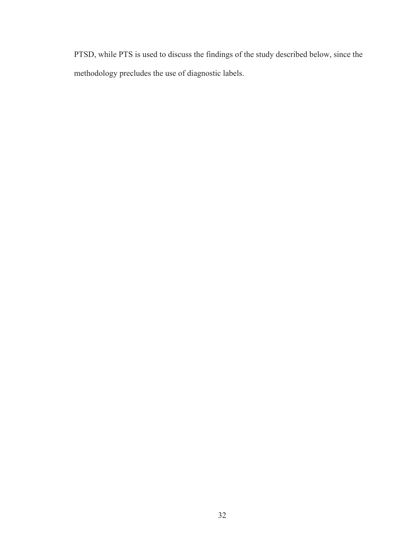PTSD, while PTS is used to discuss the findings of the study described below, since the methodology precludes the use of diagnostic labels.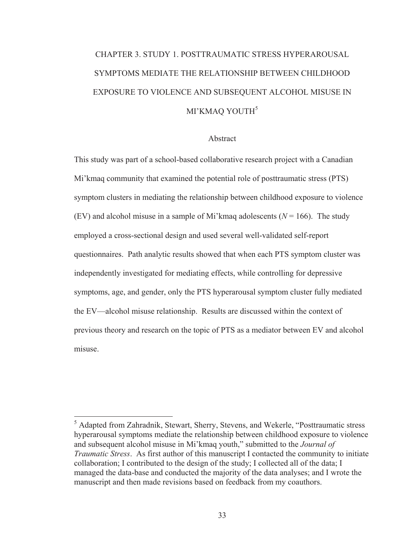# CHAPTER 3. STUDY 1. POSTTRAUMATIC STRESS HYPERAROUSAL SYMPTOMS MEDIATE THE RELATIONSHIP BETWEEN CHILDHOOD EXPOSURE TO VIOLENCE AND SUBSEQUENT ALCOHOL MISUSE IN MI'KMAQ YOUTH<sup>5</sup>

#### Abstract

This study was part of a school-based collaborative research project with a Canadian Mi'kmaq community that examined the potential role of posttraumatic stress (PTS) symptom clusters in mediating the relationship between childhood exposure to violence (EV) and alcohol misuse in a sample of Mi'kmaq adolescents  $(N = 166)$ . The study employed a cross-sectional design and used several well-validated self-report questionnaires. Path analytic results showed that when each PTS symptom cluster was independently investigated for mediating effects, while controlling for depressive symptoms, age, and gender, only the PTS hyperarousal symptom cluster fully mediated the EV—alcohol misuse relationship. Results are discussed within the context of previous theory and research on the topic of PTS as a mediator between EV and alcohol misuse.

<sup>&</sup>lt;sup>5</sup> Adapted from Zahradnik, Stewart, Sherry, Stevens, and Wekerle, "Posttraumatic stress" hyperarousal symptoms mediate the relationship between childhood exposure to violence and subsequent alcohol misuse in Mi'kmaq youth," submitted to the *Journal of Traumatic Stress*. As first author of this manuscript I contacted the community to initiate collaboration; I contributed to the design of the study; I collected all of the data; I managed the data-base and conducted the majority of the data analyses; and I wrote the manuscript and then made revisions based on feedback from my coauthors.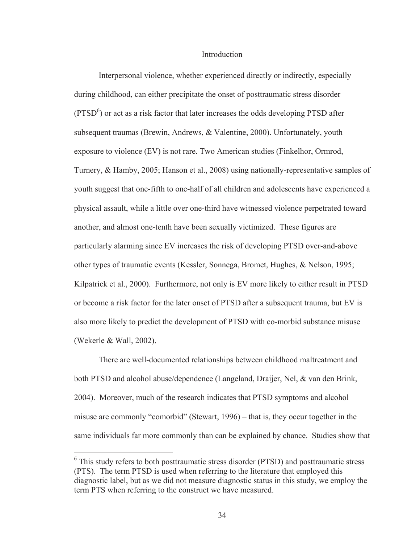#### **Introduction**

Interpersonal violence, whether experienced directly or indirectly, especially during childhood, can either precipitate the onset of posttraumatic stress disorder  $(PTSD<sup>6</sup>)$  or act as a risk factor that later increases the odds developing PTSD after subsequent traumas (Brewin, Andrews, & Valentine, 2000). Unfortunately, youth exposure to violence (EV) is not rare. Two American studies (Finkelhor, Ormrod, Turnery, & Hamby, 2005; Hanson et al., 2008) using nationally-representative samples of youth suggest that one-fifth to one-half of all children and adolescents have experienced a physical assault, while a little over one-third have witnessed violence perpetrated toward another, and almost one-tenth have been sexually victimized. These figures are particularly alarming since EV increases the risk of developing PTSD over-and-above other types of traumatic events (Kessler, Sonnega, Bromet, Hughes, & Nelson, 1995; Kilpatrick et al., 2000). Furthermore, not only is EV more likely to either result in PTSD or become a risk factor for the later onset of PTSD after a subsequent trauma, but EV is also more likely to predict the development of PTSD with co-morbid substance misuse (Wekerle & Wall, 2002).

 There are well-documented relationships between childhood maltreatment and both PTSD and alcohol abuse/dependence (Langeland, Draijer, Nel, & van den Brink, 2004). Moreover, much of the research indicates that PTSD symptoms and alcohol misuse are commonly "comorbid" (Stewart, 1996) – that is, they occur together in the same individuals far more commonly than can be explained by chance. Studies show that

 $\overline{a}$ 

<sup>&</sup>lt;sup>6</sup> This study refers to both posttraumatic stress disorder (PTSD) and posttraumatic stress (PTS). The term PTSD is used when referring to the literature that employed this diagnostic label, but as we did not measure diagnostic status in this study, we employ the term PTS when referring to the construct we have measured.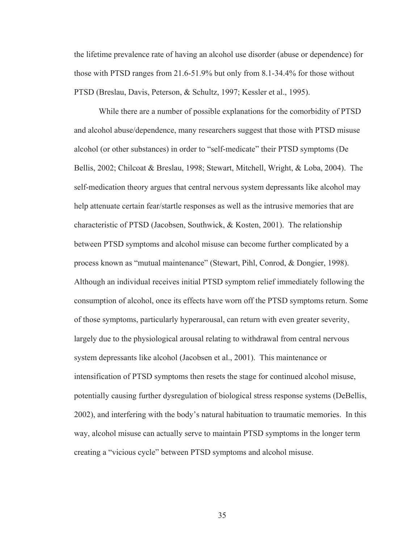the lifetime prevalence rate of having an alcohol use disorder (abuse or dependence) for those with PTSD ranges from 21.6-51.9% but only from 8.1-34.4% for those without PTSD (Breslau, Davis, Peterson, & Schultz, 1997; Kessler et al., 1995).

 While there are a number of possible explanations for the comorbidity of PTSD and alcohol abuse/dependence, many researchers suggest that those with PTSD misuse alcohol (or other substances) in order to "self-medicate" their PTSD symptoms (De Bellis, 2002; Chilcoat & Breslau, 1998; Stewart, Mitchell, Wright, & Loba, 2004). The self-medication theory argues that central nervous system depressants like alcohol may help attenuate certain fear/startle responses as well as the intrusive memories that are characteristic of PTSD (Jacobsen, Southwick, & Kosten, 2001). The relationship between PTSD symptoms and alcohol misuse can become further complicated by a process known as "mutual maintenance" (Stewart, Pihl, Conrod, & Dongier, 1998). Although an individual receives initial PTSD symptom relief immediately following the consumption of alcohol, once its effects have worn off the PTSD symptoms return. Some of those symptoms, particularly hyperarousal, can return with even greater severity, largely due to the physiological arousal relating to withdrawal from central nervous system depressants like alcohol (Jacobsen et al., 2001). This maintenance or intensification of PTSD symptoms then resets the stage for continued alcohol misuse, potentially causing further dysregulation of biological stress response systems (DeBellis, 2002), and interfering with the body's natural habituation to traumatic memories. In this way, alcohol misuse can actually serve to maintain PTSD symptoms in the longer term creating a "vicious cycle" between PTSD symptoms and alcohol misuse.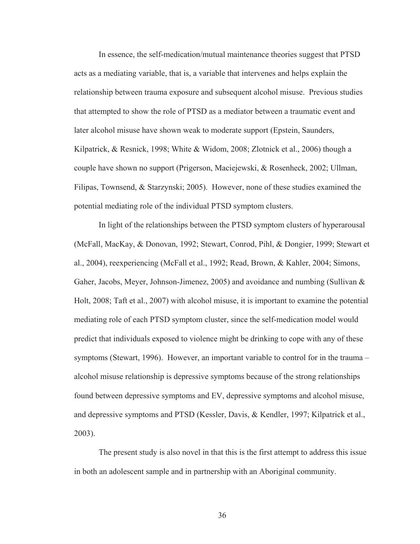In essence, the self-medication/mutual maintenance theories suggest that PTSD acts as a mediating variable, that is, a variable that intervenes and helps explain the relationship between trauma exposure and subsequent alcohol misuse. Previous studies that attempted to show the role of PTSD as a mediator between a traumatic event and later alcohol misuse have shown weak to moderate support (Epstein, Saunders, Kilpatrick, & Resnick, 1998; White & Widom, 2008; Zlotnick et al., 2006) though a couple have shown no support (Prigerson, Maciejewski, & Rosenheck, 2002; Ullman, Filipas, Townsend, & Starzynski; 2005). However, none of these studies examined the potential mediating role of the individual PTSD symptom clusters.

 In light of the relationships between the PTSD symptom clusters of hyperarousal (McFall, MacKay, & Donovan, 1992; Stewart, Conrod, Pihl, & Dongier, 1999; Stewart et al., 2004), reexperiencing (McFall et al., 1992; Read, Brown, & Kahler, 2004; Simons, Gaher, Jacobs, Meyer, Johnson-Jimenez, 2005) and avoidance and numbing (Sullivan & Holt, 2008; Taft et al., 2007) with alcohol misuse, it is important to examine the potential mediating role of each PTSD symptom cluster, since the self-medication model would predict that individuals exposed to violence might be drinking to cope with any of these symptoms (Stewart, 1996). However, an important variable to control for in the trauma – alcohol misuse relationship is depressive symptoms because of the strong relationships found between depressive symptoms and EV, depressive symptoms and alcohol misuse, and depressive symptoms and PTSD (Kessler, Davis, & Kendler, 1997; Kilpatrick et al., 2003).

The present study is also novel in that this is the first attempt to address this issue in both an adolescent sample and in partnership with an Aboriginal community.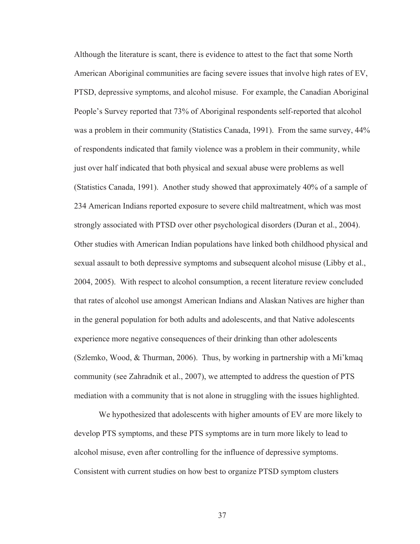Although the literature is scant, there is evidence to attest to the fact that some North American Aboriginal communities are facing severe issues that involve high rates of EV, PTSD, depressive symptoms, and alcohol misuse. For example, the Canadian Aboriginal People's Survey reported that 73% of Aboriginal respondents self-reported that alcohol was a problem in their community (Statistics Canada, 1991). From the same survey, 44% of respondents indicated that family violence was a problem in their community, while just over half indicated that both physical and sexual abuse were problems as well (Statistics Canada, 1991). Another study showed that approximately 40% of a sample of 234 American Indians reported exposure to severe child maltreatment, which was most strongly associated with PTSD over other psychological disorders (Duran et al., 2004). Other studies with American Indian populations have linked both childhood physical and sexual assault to both depressive symptoms and subsequent alcohol misuse (Libby et al., 2004, 2005). With respect to alcohol consumption, a recent literature review concluded that rates of alcohol use amongst American Indians and Alaskan Natives are higher than in the general population for both adults and adolescents, and that Native adolescents experience more negative consequences of their drinking than other adolescents (Szlemko, Wood, & Thurman, 2006). Thus, by working in partnership with a Mi'kmaq community (see Zahradnik et al., 2007), we attempted to address the question of PTS mediation with a community that is not alone in struggling with the issues highlighted.

We hypothesized that adolescents with higher amounts of EV are more likely to develop PTS symptoms, and these PTS symptoms are in turn more likely to lead to alcohol misuse, even after controlling for the influence of depressive symptoms. Consistent with current studies on how best to organize PTSD symptom clusters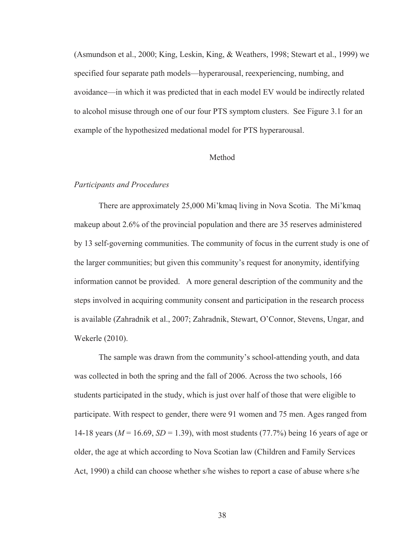(Asmundson et al., 2000; King, Leskin, King, & Weathers, 1998; Stewart et al., 1999) we specified four separate path models—hyperarousal, reexperiencing, numbing, and avoidance—in which it was predicted that in each model EV would be indirectly related to alcohol misuse through one of our four PTS symptom clusters. See Figure 3.1 for an example of the hypothesized medational model for PTS hyperarousal.

## Method

### *Participants and Procedures*

 There are approximately 25,000 Mi'kmaq living in Nova Scotia. The Mi'kmaq makeup about 2.6% of the provincial population and there are 35 reserves administered by 13 self-governing communities. The community of focus in the current study is one of the larger communities; but given this community's request for anonymity, identifying information cannot be provided. A more general description of the community and the steps involved in acquiring community consent and participation in the research process is available (Zahradnik et al., 2007; Zahradnik, Stewart, O'Connor, Stevens, Ungar, and Wekerle (2010).

 The sample was drawn from the community's school-attending youth, and data was collected in both the spring and the fall of 2006. Across the two schools, 166 students participated in the study, which is just over half of those that were eligible to participate. With respect to gender, there were 91 women and 75 men. Ages ranged from 14-18 years (*M* = 16.69, *SD* = 1.39), with most students (77.7%) being 16 years of age or older, the age at which according to Nova Scotian law (Children and Family Services Act, 1990) a child can choose whether s/he wishes to report a case of abuse where s/he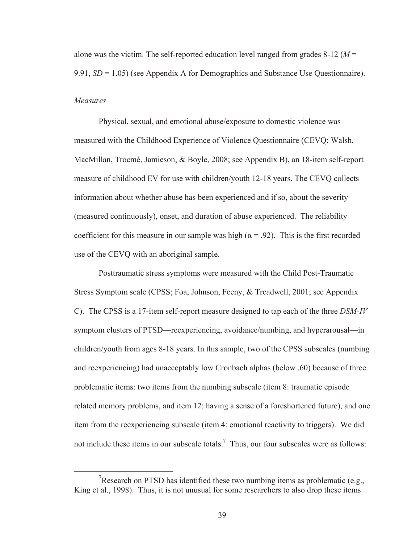alone was the victim. The self-reported education level ranged from grades 8-12 (*M* = 9.91, *SD* = 1.05) (see Appendix A for Demographics and Substance Use Questionnaire). *Measures* 

 Physical, sexual, and emotional abuse/exposure to domestic violence was measured with the Childhood Experience of Violence Questionnaire (CEVQ; Walsh, MacMillan, Trocmé, Jamieson, & Boyle, 2008; see Appendix B), an 18-item self-report measure of childhood EV for use with children/youth 12-18 years. The CEVQ collects information about whether abuse has been experienced and if so, about the severity (measured continuously), onset, and duration of abuse experienced. The reliability coefficient for this measure in our sample was high ( $\alpha = .92$ ). This is the first recorded use of the CEVQ with an aboriginal sample.

 Posttraumatic stress symptoms were measured with the Child Post-Traumatic Stress Symptom scale (CPSS; Foa, Johnson, Feeny, & Treadwell, 2001; see Appendix C). The CPSS is a 17-item self-report measure designed to tap each of the three *DSM-IV* symptom clusters of PTSD—reexperiencing, avoidance/numbing, and hyperarousal—in children/youth from ages 8-18 years. In this sample, two of the CPSS subscales (numbing and reexperiencing) had unacceptably low Cronbach alphas (below .60) because of three problematic items: two items from the numbing subscale (item 8: traumatic episode related memory problems, and item 12: having a sense of a foreshortened future), and one item from the reexperiencing subscale (item 4: emotional reactivity to triggers). We did not include these items in our subscale totals.<sup>7</sup> Thus, our four subscales were as follows:

 <sup>7</sup> <sup>7</sup>Research on PTSD has identified these two numbing items as problematic (e.g., King et al., 1998). Thus, it is not unusual for some researchers to also drop these items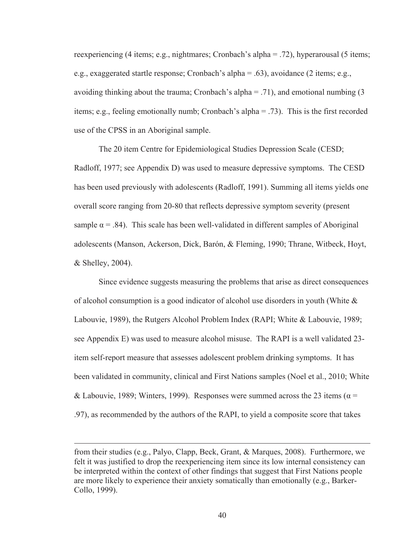reexperiencing (4 items; e.g., nightmares; Cronbach's alpha = .72), hyperarousal (5 items; e.g., exaggerated startle response; Cronbach's alpha = .63), avoidance (2 items; e.g., avoiding thinking about the trauma; Cronbach's alpha  $=$  .71), and emotional numbing (3) items; e.g., feeling emotionally numb; Cronbach's alpha = .73). This is the first recorded use of the CPSS in an Aboriginal sample.

 The 20 item Centre for Epidemiological Studies Depression Scale (CESD; Radloff, 1977; see Appendix D) was used to measure depressive symptoms. The CESD has been used previously with adolescents (Radloff, 1991). Summing all items yields one overall score ranging from 20-80 that reflects depressive symptom severity (present sample  $\alpha = .84$ ). This scale has been well-validated in different samples of Aboriginal adolescents (Manson, Ackerson, Dick, Barón, & Fleming, 1990; Thrane, Witbeck, Hoyt, & Shelley, 2004).

Since evidence suggests measuring the problems that arise as direct consequences of alcohol consumption is a good indicator of alcohol use disorders in youth (White  $\&$ Labouvie, 1989), the Rutgers Alcohol Problem Index (RAPI; White & Labouvie, 1989; see Appendix E) was used to measure alcohol misuse. The RAPI is a well validated 23 item self-report measure that assesses adolescent problem drinking symptoms. It has been validated in community, clinical and First Nations samples (Noel et al., 2010; White & Labouvie, 1989; Winters, 1999). Responses were summed across the 23 items ( $\alpha$  = .97), as recommended by the authors of the RAPI, to yield a composite score that takes

 $\overline{a}$ 

from their studies (e.g., Palyo, Clapp, Beck, Grant, & Marques, 2008). Furthermore, we felt it was justified to drop the reexperiencing item since its low internal consistency can be interpreted within the context of other findings that suggest that First Nations people are more likely to experience their anxiety somatically than emotionally (e.g., Barker-Collo, 1999).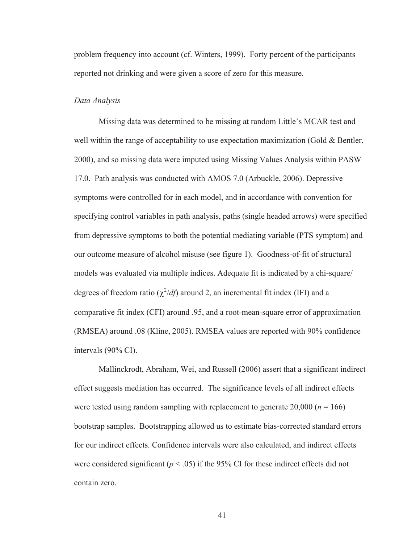problem frequency into account (cf. Winters, 1999). Forty percent of the participants reported not drinking and were given a score of zero for this measure.

## *Data Analysis*

Missing data was determined to be missing at random Little's MCAR test and well within the range of acceptability to use expectation maximization (Gold  $\&$  Bentler, 2000), and so missing data were imputed using Missing Values Analysis within PASW 17.0. Path analysis was conducted with AMOS 7.0 (Arbuckle, 2006). Depressive symptoms were controlled for in each model, and in accordance with convention for specifying control variables in path analysis, paths (single headed arrows) were specified from depressive symptoms to both the potential mediating variable (PTS symptom) and our outcome measure of alcohol misuse (see figure 1). Goodness-of-fit of structural models was evaluated via multiple indices. Adequate fit is indicated by a chi-square/ degrees of freedom ratio  $(\chi^2/df)$  around 2, an incremental fit index (IFI) and a comparative fit index (CFI) around .95, and a root-mean-square error of approximation (RMSEA) around .08 (Kline, 2005). RMSEA values are reported with 90% confidence intervals (90% CI).

Mallinckrodt, Abraham, Wei, and Russell (2006) assert that a significant indirect effect suggests mediation has occurred. The significance levels of all indirect effects were tested using random sampling with replacement to generate  $20,000$  ( $n = 166$ ) bootstrap samples. Bootstrapping allowed us to estimate bias-corrected standard errors for our indirect effects. Confidence intervals were also calculated, and indirect effects were considered significant ( $p < .05$ ) if the 95% CI for these indirect effects did not contain zero.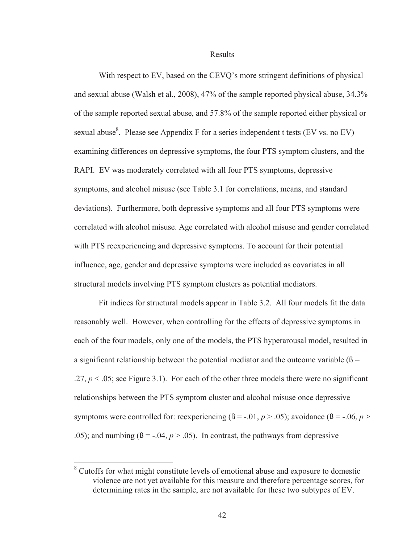Results

 With respect to EV, based on the CEVQ's more stringent definitions of physical and sexual abuse (Walsh et al., 2008), 47% of the sample reported physical abuse, 34.3% of the sample reported sexual abuse, and 57.8% of the sample reported either physical or sexual abuse<sup>8</sup>. Please see Appendix F for a series independent t tests (EV vs. no EV) examining differences on depressive symptoms, the four PTS symptom clusters, and the RAPI. EV was moderately correlated with all four PTS symptoms, depressive symptoms, and alcohol misuse (see Table 3.1 for correlations, means, and standard deviations). Furthermore, both depressive symptoms and all four PTS symptoms were correlated with alcohol misuse. Age correlated with alcohol misuse and gender correlated with PTS reexperiencing and depressive symptoms. To account for their potential influence, age, gender and depressive symptoms were included as covariates in all structural models involving PTS symptom clusters as potential mediators.

Fit indices for structural models appear in Table 3.2. All four models fit the data reasonably well. However, when controlling for the effects of depressive symptoms in each of the four models, only one of the models, the PTS hyperarousal model, resulted in a significant relationship between the potential mediator and the outcome variable ( $\beta$  =  $.27, p \le 0.05$ ; see Figure 3.1). For each of the other three models there were no significant relationships between the PTS symptom cluster and alcohol misuse once depressive symptoms were controlled for: reexperiencing  $(\beta = -0.01, p > 0.05)$ ; avoidance  $(\beta = -0.06, p > 0.05)$ .05); and numbing  $(\beta = -0.04, p > 0.05)$ . In contrast, the pathways from depressive

-

<sup>&</sup>lt;sup>8</sup> Cutoffs for what might constitute levels of emotional abuse and exposure to domestic violence are not yet available for this measure and therefore percentage scores, for determining rates in the sample, are not available for these two subtypes of EV.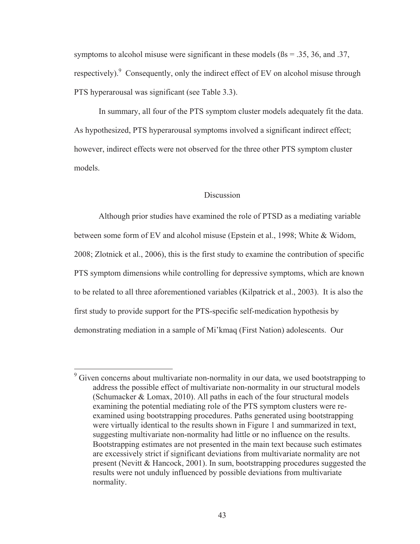symptoms to alcohol misuse were significant in these models ( $\beta$ s = .35, 36, and .37, respectively). Consequently, only the indirect effect of EV on alcohol misuse through PTS hyperarousal was significant (see Table 3.3).

In summary, all four of the PTS symptom cluster models adequately fit the data. As hypothesized, PTS hyperarousal symptoms involved a significant indirect effect; however, indirect effects were not observed for the three other PTS symptom cluster models.

#### Discussion

 Although prior studies have examined the role of PTSD as a mediating variable between some form of EV and alcohol misuse (Epstein et al., 1998; White & Widom, 2008; Zlotnick et al., 2006), this is the first study to examine the contribution of specific PTS symptom dimensions while controlling for depressive symptoms, which are known to be related to all three aforementioned variables (Kilpatrick et al., 2003). It is also the first study to provide support for the PTS-specific self-medication hypothesis by demonstrating mediation in a sample of Mi'kmaq (First Nation) adolescents. Our

 $\overline{a}$ 

<sup>&</sup>lt;sup>9</sup> Given concerns about multivariate non-normality in our data, we used bootstrapping to address the possible effect of multivariate non-normality in our structural models (Schumacker & Lomax, 2010). All paths in each of the four structural models examining the potential mediating role of the PTS symptom clusters were reexamined using bootstrapping procedures. Paths generated using bootstrapping were virtually identical to the results shown in Figure 1 and summarized in text, suggesting multivariate non-normality had little or no influence on the results. Bootstrapping estimates are not presented in the main text because such estimates are excessively strict if significant deviations from multivariate normality are not present (Nevitt & Hancock, 2001). In sum, bootstrapping procedures suggested the results were not unduly influenced by possible deviations from multivariate normality.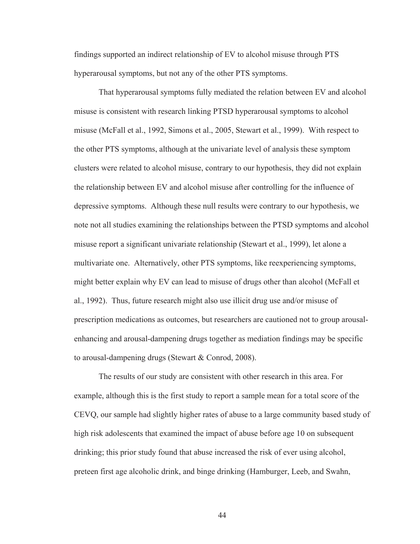findings supported an indirect relationship of EV to alcohol misuse through PTS hyperarousal symptoms, but not any of the other PTS symptoms.

 That hyperarousal symptoms fully mediated the relation between EV and alcohol misuse is consistent with research linking PTSD hyperarousal symptoms to alcohol misuse (McFall et al., 1992, Simons et al., 2005, Stewart et al., 1999). With respect to the other PTS symptoms, although at the univariate level of analysis these symptom clusters were related to alcohol misuse, contrary to our hypothesis, they did not explain the relationship between EV and alcohol misuse after controlling for the influence of depressive symptoms. Although these null results were contrary to our hypothesis, we note not all studies examining the relationships between the PTSD symptoms and alcohol misuse report a significant univariate relationship (Stewart et al., 1999), let alone a multivariate one. Alternatively, other PTS symptoms, like reexperiencing symptoms, might better explain why EV can lead to misuse of drugs other than alcohol (McFall et al., 1992). Thus, future research might also use illicit drug use and/or misuse of prescription medications as outcomes, but researchers are cautioned not to group arousalenhancing and arousal-dampening drugs together as mediation findings may be specific to arousal-dampening drugs (Stewart & Conrod, 2008).

 The results of our study are consistent with other research in this area. For example, although this is the first study to report a sample mean for a total score of the CEVQ, our sample had slightly higher rates of abuse to a large community based study of high risk adolescents that examined the impact of abuse before age 10 on subsequent drinking; this prior study found that abuse increased the risk of ever using alcohol, preteen first age alcoholic drink, and binge drinking (Hamburger, Leeb, and Swahn,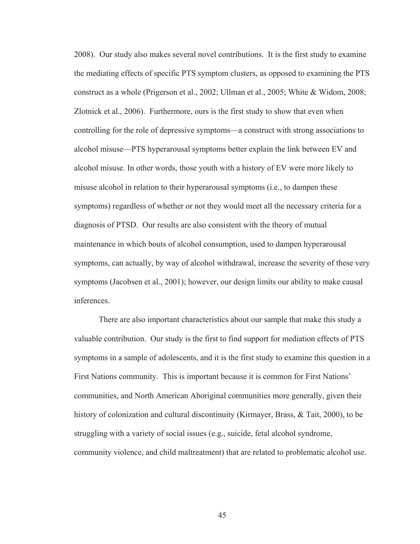2008). Our study also makes several novel contributions. It is the first study to examine the mediating effects of specific PTS symptom clusters, as opposed to examining the PTS construct as a whole (Prigerson et al., 2002; Ullman et al., 2005; White & Widom, 2008; Zlotnick et al., 2006). Furthermore, ours is the first study to show that even when controlling for the role of depressive symptoms—a construct with strong associations to alcohol misuse—PTS hyperarousal symptoms better explain the link between EV and alcohol misuse. In other words, those youth with a history of EV were more likely to misuse alcohol in relation to their hyperarousal symptoms (i.e., to dampen these symptoms) regardless of whether or not they would meet all the necessary criteria for a diagnosis of PTSD. Our results are also consistent with the theory of mutual maintenance in which bouts of alcohol consumption, used to dampen hyperarousal symptoms, can actually, by way of alcohol withdrawal, increase the severity of these very symptoms (Jacobsen et al., 2001); however, our design limits our ability to make causal inferences.

 There are also important characteristics about our sample that make this study a valuable contribution. Our study is the first to find support for mediation effects of PTS symptoms in a sample of adolescents, and it is the first study to examine this question in a First Nations community. This is important because it is common for First Nations' communities, and North American Aboriginal communities more generally, given their history of colonization and cultural discontinuity (Kirmayer, Brass, & Tait, 2000), to be struggling with a variety of social issues (e.g., suicide, fetal alcohol syndrome, community violence, and child maltreatment) that are related to problematic alcohol use.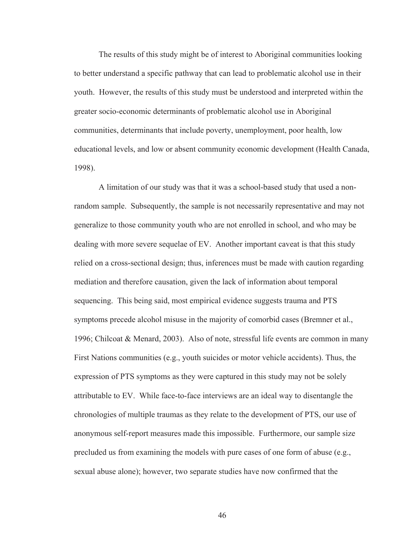The results of this study might be of interest to Aboriginal communities looking to better understand a specific pathway that can lead to problematic alcohol use in their youth. However, the results of this study must be understood and interpreted within the greater socio-economic determinants of problematic alcohol use in Aboriginal communities, determinants that include poverty, unemployment, poor health, low educational levels, and low or absent community economic development (Health Canada, 1998).

 A limitation of our study was that it was a school-based study that used a nonrandom sample. Subsequently, the sample is not necessarily representative and may not generalize to those community youth who are not enrolled in school, and who may be dealing with more severe sequelae of EV. Another important caveat is that this study relied on a cross-sectional design; thus, inferences must be made with caution regarding mediation and therefore causation, given the lack of information about temporal sequencing. This being said, most empirical evidence suggests trauma and PTS symptoms precede alcohol misuse in the majority of comorbid cases (Bremner et al., 1996; Chilcoat & Menard, 2003). Also of note, stressful life events are common in many First Nations communities (e.g., youth suicides or motor vehicle accidents). Thus, the expression of PTS symptoms as they were captured in this study may not be solely attributable to EV. While face-to-face interviews are an ideal way to disentangle the chronologies of multiple traumas as they relate to the development of PTS, our use of anonymous self-report measures made this impossible. Furthermore, our sample size precluded us from examining the models with pure cases of one form of abuse (e.g., sexual abuse alone); however, two separate studies have now confirmed that the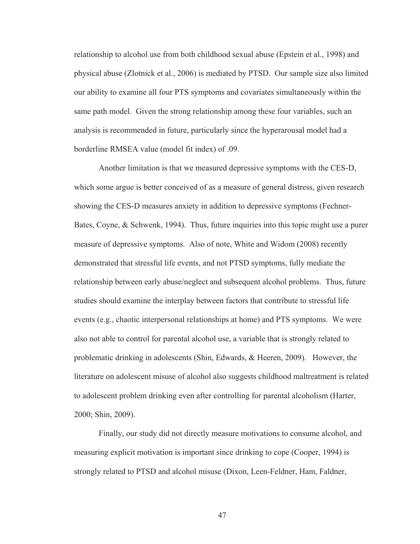relationship to alcohol use from both childhood sexual abuse (Epstein et al., 1998) and physical abuse (Zlotnick et al., 2006) is mediated by PTSD. Our sample size also limited our ability to examine all four PTS symptoms and covariates simultaneously within the same path model. Given the strong relationship among these four variables, such an analysis is recommended in future, particularly since the hyperarousal model had a borderline RMSEA value (model fit index) of .09.

 Another limitation is that we measured depressive symptoms with the CES-D, which some argue is better conceived of as a measure of general distress, given research showing the CES-D measures anxiety in addition to depressive symptoms (Fechner-Bates, Coyne, & Schwenk, 1994). Thus, future inquiries into this topic might use a purer measure of depressive symptoms. Also of note, White and Widom (2008) recently demonstrated that stressful life events, and not PTSD symptoms, fully mediate the relationship between early abuse/neglect and subsequent alcohol problems. Thus, future studies should examine the interplay between factors that contribute to stressful life events (e.g., chaotic interpersonal relationships at home) and PTS symptoms. We were also not able to control for parental alcohol use, a variable that is strongly related to problematic drinking in adolescents (Shin, Edwards, & Heeren, 2009). However, the literature on adolescent misuse of alcohol also suggests childhood maltreatment is related to adolescent problem drinking even after controlling for parental alcoholism (Harter, 2000; Shin, 2009).

 Finally, our study did not directly measure motivations to consume alcohol, and measuring explicit motivation is important since drinking to cope (Cooper, 1994) is strongly related to PTSD and alcohol misuse (Dixon, Leen-Feldner, Ham, Faldner,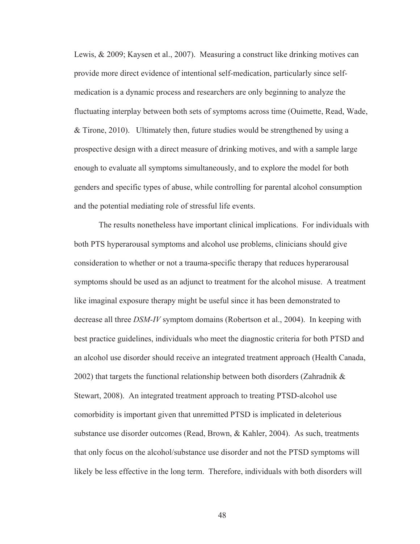Lewis, & 2009; Kaysen et al., 2007). Measuring a construct like drinking motives can provide more direct evidence of intentional self-medication, particularly since selfmedication is a dynamic process and researchers are only beginning to analyze the fluctuating interplay between both sets of symptoms across time (Ouimette, Read, Wade, & Tirone, 2010). Ultimately then, future studies would be strengthened by using a prospective design with a direct measure of drinking motives, and with a sample large enough to evaluate all symptoms simultaneously, and to explore the model for both genders and specific types of abuse, while controlling for parental alcohol consumption and the potential mediating role of stressful life events.

 The results nonetheless have important clinical implications. For individuals with both PTS hyperarousal symptoms and alcohol use problems, clinicians should give consideration to whether or not a trauma-specific therapy that reduces hyperarousal symptoms should be used as an adjunct to treatment for the alcohol misuse. A treatment like imaginal exposure therapy might be useful since it has been demonstrated to decrease all three *DSM-IV* symptom domains (Robertson et al., 2004). In keeping with best practice guidelines, individuals who meet the diagnostic criteria for both PTSD and an alcohol use disorder should receive an integrated treatment approach (Health Canada, 2002) that targets the functional relationship between both disorders (Zahradnik & Stewart, 2008). An integrated treatment approach to treating PTSD-alcohol use comorbidity is important given that unremitted PTSD is implicated in deleterious substance use disorder outcomes (Read, Brown, & Kahler, 2004). As such, treatments that only focus on the alcohol/substance use disorder and not the PTSD symptoms will likely be less effective in the long term. Therefore, individuals with both disorders will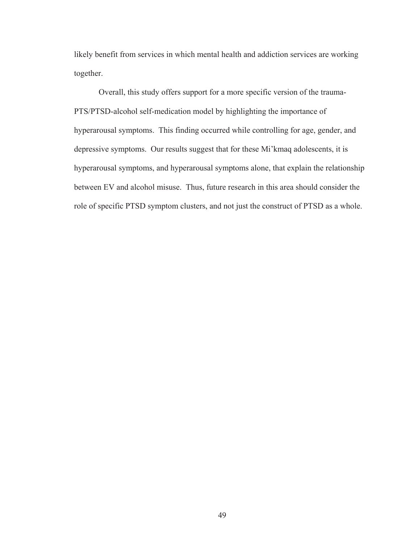likely benefit from services in which mental health and addiction services are working together.

 Overall, this study offers support for a more specific version of the trauma-PTS/PTSD-alcohol self-medication model by highlighting the importance of hyperarousal symptoms. This finding occurred while controlling for age, gender, and depressive symptoms. Our results suggest that for these Mi'kmaq adolescents, it is hyperarousal symptoms, and hyperarousal symptoms alone, that explain the relationship between EV and alcohol misuse. Thus, future research in this area should consider the role of specific PTSD symptom clusters, and not just the construct of PTSD as a whole.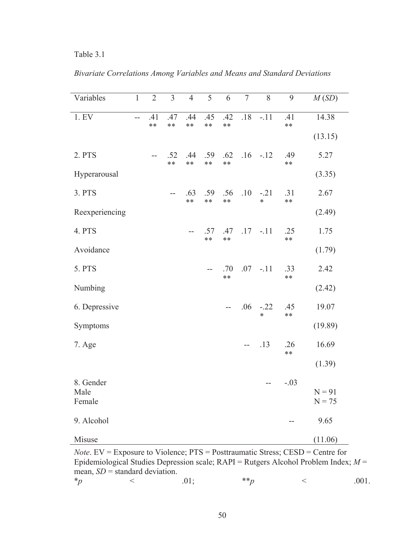# Table 3.1

*Bivariate Correlations Among Variables and Means and Standard Deviations* 

| Variables      | $\mathbf{1}$   | $\overline{2}$ | $\overline{3}$ | $\overline{4}$ | $\overline{5}$ | 6            | $\overline{7}$ | 8                | 9            | M(SD)                |
|----------------|----------------|----------------|----------------|----------------|----------------|--------------|----------------|------------------|--------------|----------------------|
| 1. EV          | $\overline{a}$ | .41<br>$***$   | .47<br>$**$    | .44<br>$***$   | .45<br>$***$   | .42<br>$***$ | $.18\,$        | $-.11$           | .41<br>$***$ | 14.38                |
|                |                |                |                |                |                |              |                |                  |              | (13.15)              |
| 2. PTS         |                | $-$            | .52<br>$***$   | .44<br>$**$    | .59<br>$***$   | .62<br>$***$ | .16            | $-.12$           | .49<br>$***$ | 5.27                 |
| Hyperarousal   |                |                |                |                |                |              |                |                  |              | (3.35)               |
| 3. PTS         |                |                | $-$            | .63<br>$**$    | .59<br>$***$   | .56<br>$***$ | .10            | $-.21$<br>$\ast$ | .31<br>$**$  | 2.67                 |
| Reexperiencing |                |                |                |                |                |              |                |                  |              | (2.49)               |
| 4. PTS         |                |                |                | $- -$          | .57<br>$***$   | .47<br>**    | .17            | $-.11$           | .25<br>$***$ | 1.75                 |
| Avoidance      |                |                |                |                |                |              |                |                  |              | (1.79)               |
| 5. PTS         |                |                |                |                | --             | .70<br>$**$  | .07            | $-.11$           | .33<br>$***$ | 2.42                 |
| Numbing        |                |                |                |                |                |              |                |                  |              | (2.42)               |
| 6. Depressive  |                |                |                |                |                | $- -$        | .06            | $-.22$<br>$\ast$ | .45<br>$***$ | 19.07                |
| Symptoms       |                |                |                |                |                |              |                |                  |              | (19.89)              |
| 7. Age         |                |                |                |                |                |              | $-$            | .13              | .26<br>$***$ | 16.69                |
|                |                |                |                |                |                |              |                |                  |              | (1.39)               |
| 8. Gender      |                |                |                |                |                |              |                | --               | $-.03$       |                      |
| Male<br>Female |                |                |                |                |                |              |                |                  |              | $N = 91$<br>$N = 75$ |
| 9. Alcohol     |                |                |                |                |                |              |                |                  | $-$          | 9.65                 |
| Misuse         |                |                |                |                |                |              |                |                  |              | (11.06)              |

*Note*. EV = Exposure to Violence; PTS = Posttraumatic Stress; CESD = Centre for Epidemiological Studies Depression scale; RAPI = Rutgers Alcohol Problem Index; *M* = mean,  $SD$  = standard deviation.<br>\*p

 $\langle 01; \hspace{1.5cm} **p \hspace{1.5cm} < \hspace{1.5cm} .001.$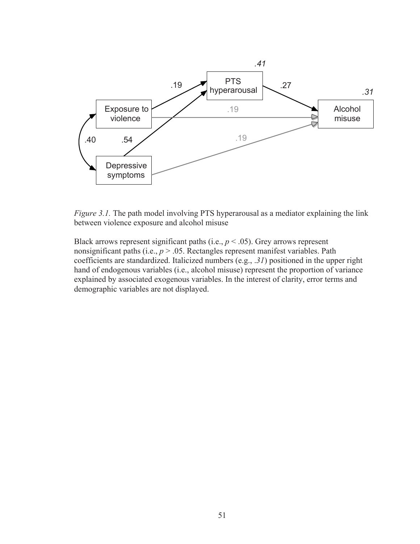

*Figure 3.1.* The path model involving PTS hyperarousal as a mediator explaining the link between violence exposure and alcohol misuse

Black arrows represent significant paths (i.e.,  $p < .05$ ). Grey arrows represent nonsignificant paths (i.e.,  $p > 0.05$ . Rectangles represent manifest variables. Path coefficients are standardized. Italicized numbers (e.g., .*31*) positioned in the upper right hand of endogenous variables (i.e., alcohol misuse) represent the proportion of variance explained by associated exogenous variables. In the interest of clarity, error terms and demographic variables are not displayed.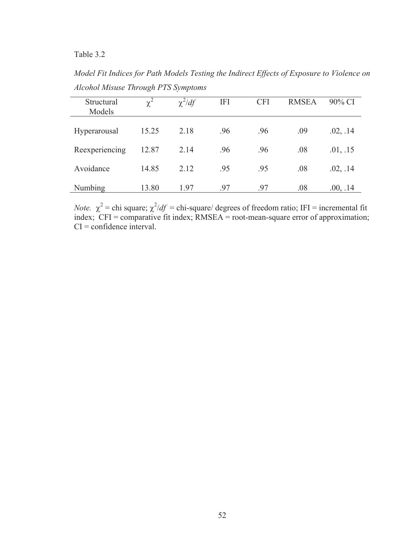Table 3.2

*Model Fit Indices for Path Models Testing the Indirect Effects of Exposure to Violence on Alcohol Misuse Through PTS Symptoms* 

| Structural<br>Models | $\overline{\chi}^2$ | $\chi^2/df$ | <b>IFI</b> | <b>CFI</b> | <b>RMSEA</b> | 90% CI   |
|----------------------|---------------------|-------------|------------|------------|--------------|----------|
| Hyperarousal         | 15.25               | 2.18        | .96        | .96        | .09          | .02, .14 |
| Reexperiencing       | 12.87               | 2.14        | .96        | .96        | .08          | .01, .15 |
| Avoidance            | 14.85               | 2.12        | .95        | .95        | .08          | .02, .14 |
| Numbing              | 13.80               | 1.97        | .97        | .97        | .08          | .00, .14 |

*Note.*  $\chi^2$  = chi square;  $\chi^2/df$  = chi-square/ degrees of freedom ratio; IFI = incremental fit index; CFI = comparative fit index; RMSEA = root-mean-square error of approximation;  $CI =$ confidence interval.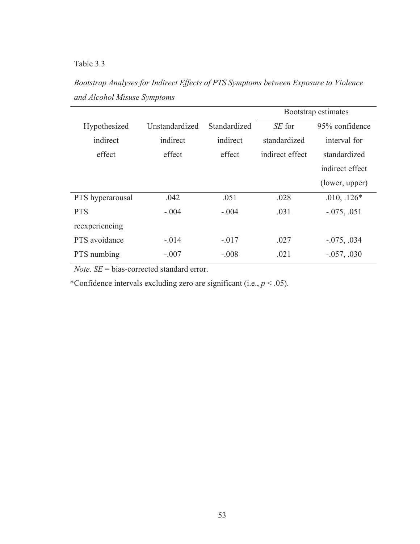# Table 3.3

*Bootstrap Analyses for Indirect Effects of PTS Symptoms between Exposure to Violence and Alcohol Misuse Symptoms* 

|                  |                |              | Bootstrap estimates |                 |  |
|------------------|----------------|--------------|---------------------|-----------------|--|
| Hypothesized     | Unstandardized | Standardized | SE for              | 95% confidence  |  |
| indirect         | indirect       | indirect     | standardized        | interval for    |  |
| effect           | effect         | effect       | indirect effect     | standardized    |  |
|                  |                |              |                     | indirect effect |  |
|                  |                |              |                     | (lower, upper)  |  |
| PTS hyperarousal | .042           | .051         | .028                | $.010, .126*$   |  |
| <b>PTS</b>       | $-.004$        | $-.004$      | .031                | $-0.075, 0.051$ |  |
| reexperiencing   |                |              |                     |                 |  |
| PTS avoidance    | $-.014$        | $-.017$      | .027                | $-0.075, 0.034$ |  |
| PTS numbing      | $-.007$        | $-.008$      | .021                | $-.057, .030$   |  |

*Note*. *SE* = bias-corrected standard error.

\*Confidence intervals excluding zero are significant (i.e., *p* < .05).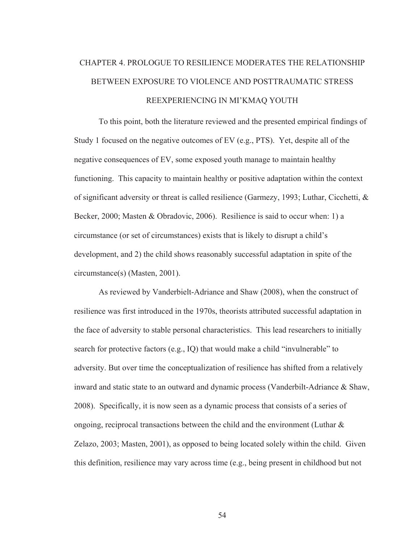# CHAPTER 4. PROLOGUE TO RESILIENCE MODERATES THE RELATIONSHIP BETWEEN EXPOSURE TO VIOLENCE AND POSTTRAUMATIC STRESS REEXPERIENCING IN MI'KMAQ YOUTH

 To this point, both the literature reviewed and the presented empirical findings of Study 1 focused on the negative outcomes of EV (e.g., PTS). Yet, despite all of the negative consequences of EV, some exposed youth manage to maintain healthy functioning. This capacity to maintain healthy or positive adaptation within the context of significant adversity or threat is called resilience (Garmezy, 1993; Luthar, Cicchetti, & Becker, 2000; Masten & Obradovic, 2006). Resilience is said to occur when: 1) a circumstance (or set of circumstances) exists that is likely to disrupt a child's development, and 2) the child shows reasonably successful adaptation in spite of the circumstance(s) (Masten, 2001).

 As reviewed by Vanderbielt-Adriance and Shaw (2008), when the construct of resilience was first introduced in the 1970s, theorists attributed successful adaptation in the face of adversity to stable personal characteristics. This lead researchers to initially search for protective factors (e.g., IQ) that would make a child "invulnerable" to adversity. But over time the conceptualization of resilience has shifted from a relatively inward and static state to an outward and dynamic process (Vanderbilt-Adriance & Shaw, 2008). Specifically, it is now seen as a dynamic process that consists of a series of ongoing, reciprocal transactions between the child and the environment (Luthar  $\&$ Zelazo, 2003; Masten, 2001), as opposed to being located solely within the child. Given this definition, resilience may vary across time (e.g., being present in childhood but not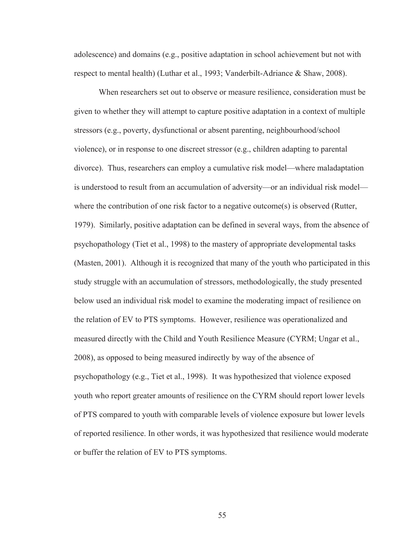adolescence) and domains (e.g., positive adaptation in school achievement but not with respect to mental health) (Luthar et al., 1993; Vanderbilt-Adriance & Shaw, 2008).

 When researchers set out to observe or measure resilience, consideration must be given to whether they will attempt to capture positive adaptation in a context of multiple stressors (e.g., poverty, dysfunctional or absent parenting, neighbourhood/school violence), or in response to one discreet stressor (e.g., children adapting to parental divorce). Thus, researchers can employ a cumulative risk model—where maladaptation is understood to result from an accumulation of adversity—or an individual risk model where the contribution of one risk factor to a negative outcome(s) is observed (Rutter, 1979). Similarly, positive adaptation can be defined in several ways, from the absence of psychopathology (Tiet et al., 1998) to the mastery of appropriate developmental tasks (Masten, 2001). Although it is recognized that many of the youth who participated in this study struggle with an accumulation of stressors, methodologically, the study presented below used an individual risk model to examine the moderating impact of resilience on the relation of EV to PTS symptoms. However, resilience was operationalized and measured directly with the Child and Youth Resilience Measure (CYRM; Ungar et al., 2008), as opposed to being measured indirectly by way of the absence of psychopathology (e.g., Tiet et al., 1998). It was hypothesized that violence exposed youth who report greater amounts of resilience on the CYRM should report lower levels of PTS compared to youth with comparable levels of violence exposure but lower levels of reported resilience. In other words, it was hypothesized that resilience would moderate or buffer the relation of EV to PTS symptoms.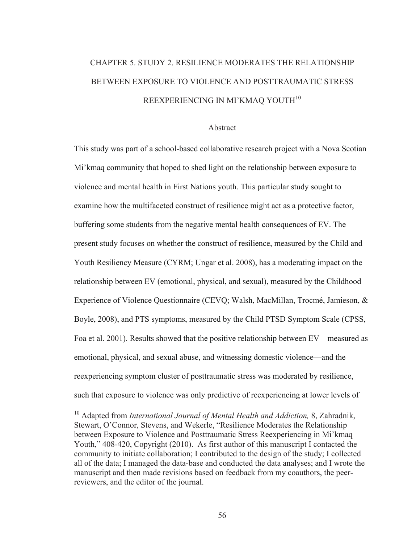# CHAPTER 5. STUDY 2. RESILIENCE MODERATES THE RELATIONSHIP BETWEEN EXPOSURE TO VIOLENCE AND POSTTRAUMATIC STRESS REEXPERIENCING IN MI'KMAQ YOUTH<sup>10</sup>

## Abstract

This study was part of a school-based collaborative research project with a Nova Scotian Mi'kmaq community that hoped to shed light on the relationship between exposure to violence and mental health in First Nations youth. This particular study sought to examine how the multifaceted construct of resilience might act as a protective factor, buffering some students from the negative mental health consequences of EV. The present study focuses on whether the construct of resilience, measured by the Child and Youth Resiliency Measure (CYRM; Ungar et al. 2008), has a moderating impact on the relationship between EV (emotional, physical, and sexual), measured by the Childhood Experience of Violence Questionnaire (CEVQ; Walsh, MacMillan, Trocmé, Jamieson, & Boyle, 2008), and PTS symptoms, measured by the Child PTSD Symptom Scale (CPSS, Foa et al. 2001). Results showed that the positive relationship between EV—measured as emotional, physical, and sexual abuse, and witnessing domestic violence—and the reexperiencing symptom cluster of posttraumatic stress was moderated by resilience, such that exposure to violence was only predictive of reexperiencing at lower levels of

 $\overline{a}$ 

<sup>&</sup>lt;sup>10</sup> Adapted from *International Journal of Mental Health and Addiction*, 8, Zahradnik, Stewart, O'Connor, Stevens, and Wekerle, "Resilience Moderates the Relationship between Exposure to Violence and Posttraumatic Stress Reexperiencing in Mi'kmaq Youth," 408-420, Copyright (2010). As first author of this manuscript I contacted the community to initiate collaboration; I contributed to the design of the study; I collected all of the data; I managed the data-base and conducted the data analyses; and I wrote the manuscript and then made revisions based on feedback from my coauthors, the peerreviewers, and the editor of the journal.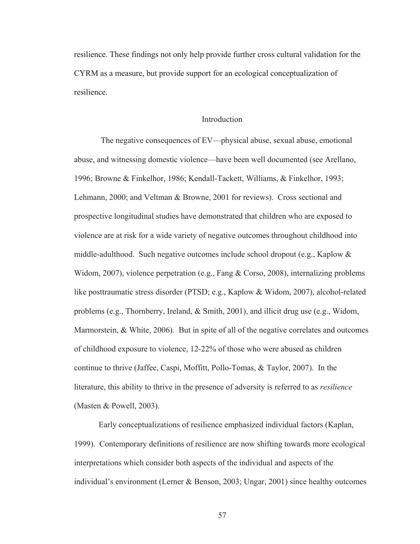resilience. These findings not only help provide further cross cultural validation for the CYRM as a measure, but provide support for an ecological conceptualization of resilience.

#### Introduction

 The negative consequences of EV—physical abuse, sexual abuse, emotional abuse, and witnessing domestic violence—have been well documented (see Arellano, 1996; Browne & Finkelhor, 1986; Kendall-Tackett, Williams, & Finkelhor, 1993; Lehmann, 2000; and Veltman & Browne, 2001 for reviews). Cross sectional and prospective longitudinal studies have demonstrated that children who are exposed to violence are at risk for a wide variety of negative outcomes throughout childhood into middle-adulthood. Such negative outcomes include school dropout (e.g., Kaplow  $\&$ Widom, 2007), violence perpetration (e.g., Fang & Corso, 2008), internalizing problems like posttraumatic stress disorder (PTSD; e.g., Kaplow & Widom, 2007), alcohol-related problems (e.g., Thornberry, Ireland, & Smith, 2001), and illicit drug use (e.g., Widom, Marmorstein, & White, 2006). But in spite of all of the negative correlates and outcomes of childhood exposure to violence, 12-22% of those who were abused as children continue to thrive (Jaffee, Caspi, Moffitt, Pollo-Tomas, & Taylor, 2007). In the literature, this ability to thrive in the presence of adversity is referred to as *resilience* (Masten & Powell, 2003).

 Early conceptualizations of resilience emphasized individual factors (Kaplan, 1999). Contemporary definitions of resilience are now shifting towards more ecological interpretations which consider both aspects of the individual and aspects of the individual's environment (Lerner & Benson, 2003; Ungar, 2001) since healthy outcomes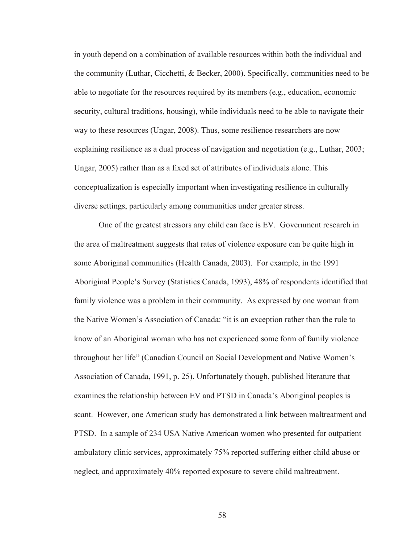in youth depend on a combination of available resources within both the individual and the community (Luthar, Cicchetti, & Becker, 2000). Specifically, communities need to be able to negotiate for the resources required by its members (e.g., education, economic security, cultural traditions, housing), while individuals need to be able to navigate their way to these resources (Ungar, 2008). Thus, some resilience researchers are now explaining resilience as a dual process of navigation and negotiation (e.g., Luthar, 2003; Ungar, 2005) rather than as a fixed set of attributes of individuals alone. This conceptualization is especially important when investigating resilience in culturally diverse settings, particularly among communities under greater stress.

 One of the greatest stressors any child can face is EV. Government research in the area of maltreatment suggests that rates of violence exposure can be quite high in some Aboriginal communities (Health Canada, 2003). For example, in the 1991 Aboriginal People's Survey (Statistics Canada, 1993), 48% of respondents identified that family violence was a problem in their community. As expressed by one woman from the Native Women's Association of Canada: "it is an exception rather than the rule to know of an Aboriginal woman who has not experienced some form of family violence throughout her life" (Canadian Council on Social Development and Native Women's Association of Canada, 1991, p. 25). Unfortunately though, published literature that examines the relationship between EV and PTSD in Canada's Aboriginal peoples is scant. However, one American study has demonstrated a link between maltreatment and PTSD. In a sample of 234 USA Native American women who presented for outpatient ambulatory clinic services, approximately 75% reported suffering either child abuse or neglect, and approximately 40% reported exposure to severe child maltreatment.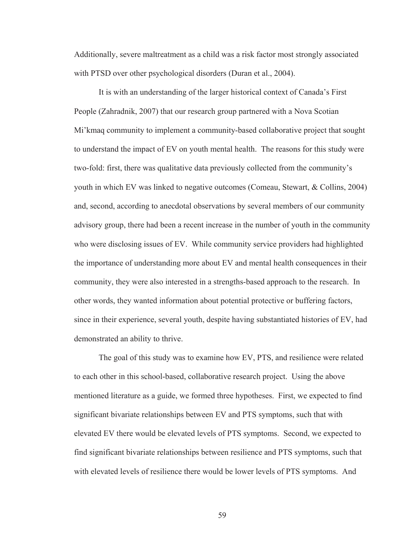Additionally, severe maltreatment as a child was a risk factor most strongly associated with PTSD over other psychological disorders (Duran et al., 2004).

 It is with an understanding of the larger historical context of Canada's First People (Zahradnik, 2007) that our research group partnered with a Nova Scotian Mi'kmaq community to implement a community-based collaborative project that sought to understand the impact of EV on youth mental health. The reasons for this study were two-fold: first, there was qualitative data previously collected from the community's youth in which EV was linked to negative outcomes (Comeau, Stewart, & Collins, 2004) and, second, according to anecdotal observations by several members of our community advisory group, there had been a recent increase in the number of youth in the community who were disclosing issues of EV. While community service providers had highlighted the importance of understanding more about EV and mental health consequences in their community, they were also interested in a strengths-based approach to the research. In other words, they wanted information about potential protective or buffering factors, since in their experience, several youth, despite having substantiated histories of EV, had demonstrated an ability to thrive.

 The goal of this study was to examine how EV, PTS, and resilience were related to each other in this school-based, collaborative research project. Using the above mentioned literature as a guide, we formed three hypotheses. First, we expected to find significant bivariate relationships between EV and PTS symptoms, such that with elevated EV there would be elevated levels of PTS symptoms. Second, we expected to find significant bivariate relationships between resilience and PTS symptoms, such that with elevated levels of resilience there would be lower levels of PTS symptoms. And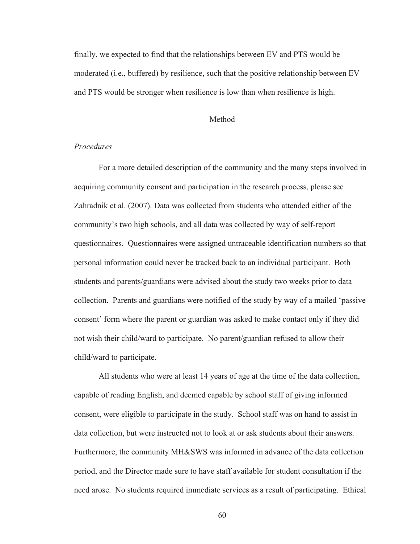finally, we expected to find that the relationships between EV and PTS would be moderated (i.e., buffered) by resilience, such that the positive relationship between EV and PTS would be stronger when resilience is low than when resilience is high.

#### Method

# *Procedures*

 For a more detailed description of the community and the many steps involved in acquiring community consent and participation in the research process, please see Zahradnik et al. (2007). Data was collected from students who attended either of the community's two high schools, and all data was collected by way of self-report questionnaires. Questionnaires were assigned untraceable identification numbers so that personal information could never be tracked back to an individual participant. Both students and parents/guardians were advised about the study two weeks prior to data collection. Parents and guardians were notified of the study by way of a mailed 'passive consent' form where the parent or guardian was asked to make contact only if they did not wish their child/ward to participate. No parent/guardian refused to allow their child/ward to participate.

 All students who were at least 14 years of age at the time of the data collection, capable of reading English, and deemed capable by school staff of giving informed consent, were eligible to participate in the study. School staff was on hand to assist in data collection, but were instructed not to look at or ask students about their answers. Furthermore, the community MH&SWS was informed in advance of the data collection period, and the Director made sure to have staff available for student consultation if the need arose. No students required immediate services as a result of participating. Ethical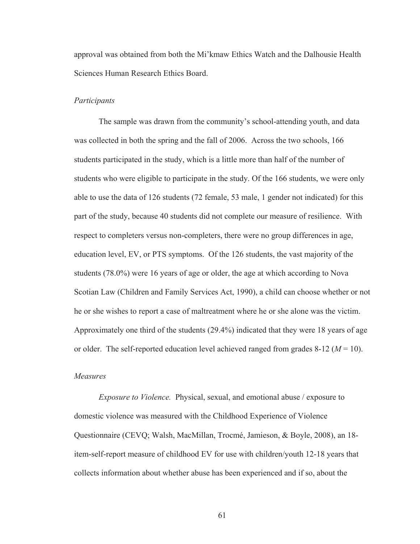approval was obtained from both the Mi'kmaw Ethics Watch and the Dalhousie Health Sciences Human Research Ethics Board.

#### *Participants*

 The sample was drawn from the community's school-attending youth, and data was collected in both the spring and the fall of 2006. Across the two schools, 166 students participated in the study, which is a little more than half of the number of students who were eligible to participate in the study. Of the 166 students, we were only able to use the data of 126 students (72 female, 53 male, 1 gender not indicated) for this part of the study, because 40 students did not complete our measure of resilience. With respect to completers versus non-completers, there were no group differences in age, education level, EV, or PTS symptoms. Of the 126 students, the vast majority of the students (78.0%) were 16 years of age or older, the age at which according to Nova Scotian Law (Children and Family Services Act, 1990), a child can choose whether or not he or she wishes to report a case of maltreatment where he or she alone was the victim. Approximately one third of the students (29.4%) indicated that they were 18 years of age or older. The self-reported education level achieved ranged from grades  $8-12$  ( $M = 10$ ).

# *Measures*

*Exposure to Violence.* Physical, sexual, and emotional abuse / exposure to domestic violence was measured with the Childhood Experience of Violence Questionnaire (CEVQ; Walsh, MacMillan, Trocmé, Jamieson, & Boyle, 2008), an 18 item-self-report measure of childhood EV for use with children/youth 12-18 years that collects information about whether abuse has been experienced and if so, about the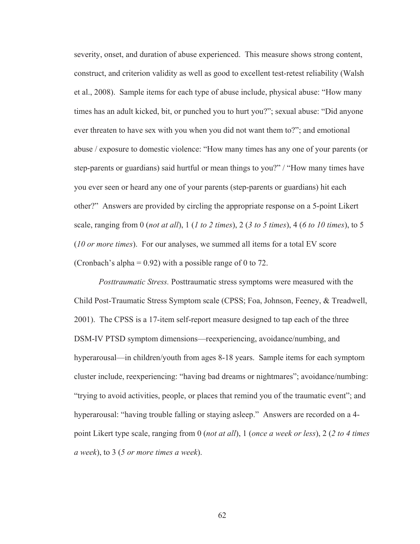severity, onset, and duration of abuse experienced. This measure shows strong content, construct, and criterion validity as well as good to excellent test-retest reliability (Walsh et al., 2008). Sample items for each type of abuse include, physical abuse: "How many times has an adult kicked, bit, or punched you to hurt you?"; sexual abuse: "Did anyone ever threaten to have sex with you when you did not want them to?"; and emotional abuse / exposure to domestic violence: "How many times has any one of your parents (or step-parents or guardians) said hurtful or mean things to you?" / "How many times have you ever seen or heard any one of your parents (step-parents or guardians) hit each other?" Answers are provided by circling the appropriate response on a 5-point Likert scale, ranging from 0 (*not at all*), 1 (*1 to 2 times*), 2 (*3 to 5 times*), 4 (*6 to 10 times*), to 5 (*10 or more times*). For our analyses, we summed all items for a total EV score (Cronbach's alpha =  $0.92$ ) with a possible range of 0 to 72.

*Posttraumatic Stress.* Posttraumatic stress symptoms were measured with the Child Post-Traumatic Stress Symptom scale (CPSS; Foa, Johnson, Feeney, & Treadwell, 2001). The CPSS is a 17-item self-report measure designed to tap each of the three DSM-IV PTSD symptom dimensions—reexperiencing, avoidance/numbing, and hyperarousal—in children/youth from ages 8-18 years. Sample items for each symptom cluster include, reexperiencing: "having bad dreams or nightmares"; avoidance/numbing: "trying to avoid activities, people, or places that remind you of the traumatic event"; and hyperarousal: "having trouble falling or staying asleep." Answers are recorded on a 4point Likert type scale, ranging from 0 (*not at all*), 1 (*once a week or less*), 2 (*2 to 4 times a week*), to 3 (*5 or more times a week*).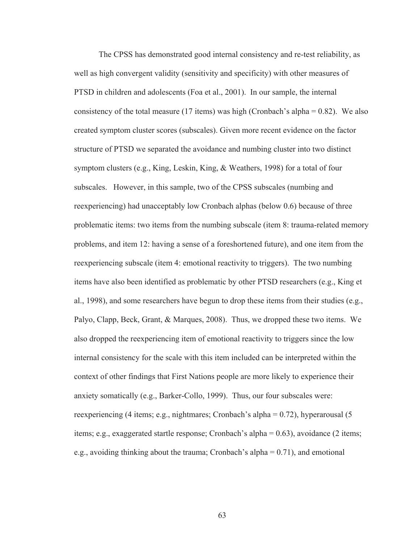The CPSS has demonstrated good internal consistency and re-test reliability, as well as high convergent validity (sensitivity and specificity) with other measures of PTSD in children and adolescents (Foa et al., 2001). In our sample, the internal consistency of the total measure (17 items) was high (Cronbach's alpha  $= 0.82$ ). We also created symptom cluster scores (subscales). Given more recent evidence on the factor structure of PTSD we separated the avoidance and numbing cluster into two distinct symptom clusters (e.g., King, Leskin, King, & Weathers, 1998) for a total of four subscales. However, in this sample, two of the CPSS subscales (numbing and reexperiencing) had unacceptably low Cronbach alphas (below 0.6) because of three problematic items: two items from the numbing subscale (item 8: trauma-related memory problems, and item 12: having a sense of a foreshortened future), and one item from the reexperiencing subscale (item 4: emotional reactivity to triggers). The two numbing items have also been identified as problematic by other PTSD researchers (e.g., King et al., 1998), and some researchers have begun to drop these items from their studies (e.g., Palyo, Clapp, Beck, Grant, & Marques, 2008). Thus, we dropped these two items. We also dropped the reexperiencing item of emotional reactivity to triggers since the low internal consistency for the scale with this item included can be interpreted within the context of other findings that First Nations people are more likely to experience their anxiety somatically (e.g., Barker-Collo, 1999). Thus, our four subscales were: reexperiencing (4 items; e.g., nightmares; Cronbach's alpha = 0.72), hyperarousal (5 items; e.g., exaggerated startle response; Cronbach's alpha = 0.63), avoidance (2 items; e.g., avoiding thinking about the trauma; Cronbach's alpha  $= 0.71$ ), and emotional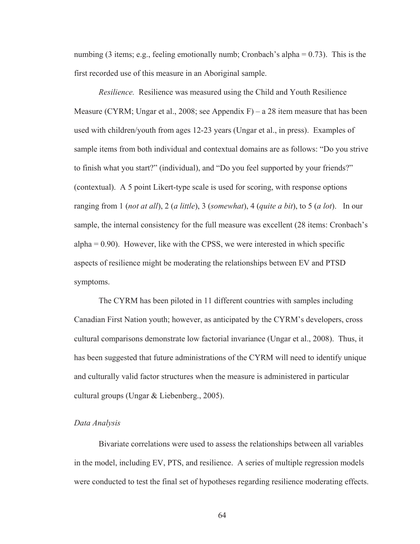numbing (3 items; e.g., feeling emotionally numb; Cronbach's alpha = 0.73). This is the first recorded use of this measure in an Aboriginal sample.

*Resilience.* Resilience was measured using the Child and Youth Resilience Measure (CYRM; Ungar et al., 2008; see Appendix  $F$ ) – a 28 item measure that has been used with children/youth from ages 12-23 years (Ungar et al., in press). Examples of sample items from both individual and contextual domains are as follows: "Do you strive to finish what you start?" (individual), and "Do you feel supported by your friends?" (contextual). A 5 point Likert-type scale is used for scoring, with response options ranging from 1 (*not at all*), 2 (*a little*), 3 (*somewhat*), 4 (*quite a bit*), to 5 (*a lot*). In our sample, the internal consistency for the full measure was excellent (28 items: Cronbach's  $alpha = 0.90$ . However, like with the CPSS, we were interested in which specific aspects of resilience might be moderating the relationships between EV and PTSD symptoms.

The CYRM has been piloted in 11 different countries with samples including Canadian First Nation youth; however, as anticipated by the CYRM's developers, cross cultural comparisons demonstrate low factorial invariance (Ungar et al., 2008). Thus, it has been suggested that future administrations of the CYRM will need to identify unique and culturally valid factor structures when the measure is administered in particular cultural groups (Ungar & Liebenberg., 2005).

# *Data Analysis*

 Bivariate correlations were used to assess the relationships between all variables in the model, including EV, PTS, and resilience. A series of multiple regression models were conducted to test the final set of hypotheses regarding resilience moderating effects.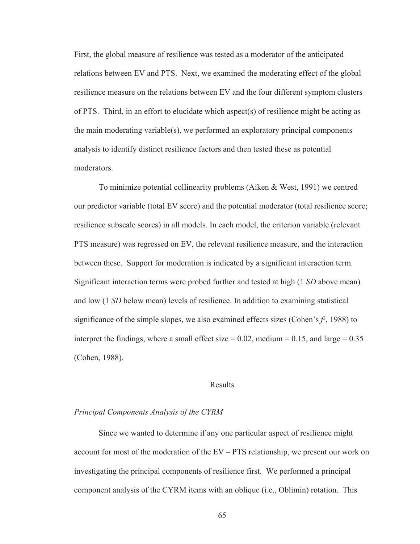First, the global measure of resilience was tested as a moderator of the anticipated relations between EV and PTS. Next, we examined the moderating effect of the global resilience measure on the relations between EV and the four different symptom clusters of PTS. Third, in an effort to elucidate which aspect(s) of resilience might be acting as the main moderating variable(s), we performed an exploratory principal components analysis to identify distinct resilience factors and then tested these as potential moderators.

 To minimize potential collinearity problems (Aiken & West, 1991) we centred our predictor variable (total EV score) and the potential moderator (total resilience score; resilience subscale scores) in all models. In each model, the criterion variable (relevant PTS measure) was regressed on EV, the relevant resilience measure, and the interaction between these. Support for moderation is indicated by a significant interaction term. Significant interaction terms were probed further and tested at high (1 *SD* above mean) and low (1 *SD* below mean) levels of resilience. In addition to examining statistical significance of the simple slopes, we also examined effects sizes (Cohen's  $f^2$ , 1988) to interpret the findings, where a small effect size  $= 0.02$ , medium  $= 0.15$ , and large  $= 0.35$ (Cohen, 1988).

#### Results

# *Principal Components Analysis of the CYRM*

 Since we wanted to determine if any one particular aspect of resilience might account for most of the moderation of the EV – PTS relationship, we present our work on investigating the principal components of resilience first. We performed a principal component analysis of the CYRM items with an oblique (i.e., Oblimin) rotation. This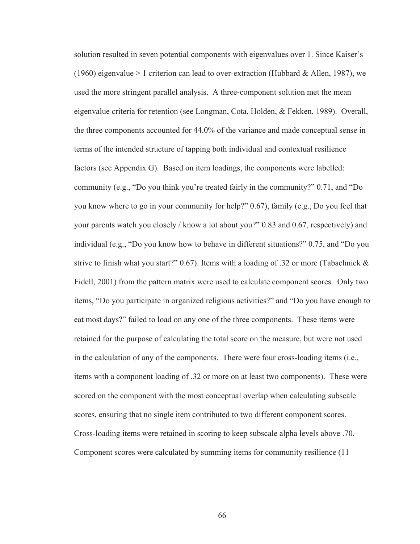solution resulted in seven potential components with eigenvalues over 1. Since Kaiser's (1960) eigenvalue  $> 1$  criterion can lead to over-extraction (Hubbard & Allen, 1987), we used the more stringent parallel analysis. A three-component solution met the mean eigenvalue criteria for retention (see Longman, Cota, Holden, & Fekken, 1989). Overall, the three components accounted for 44.0% of the variance and made conceptual sense in terms of the intended structure of tapping both individual and contextual resilience factors (see Appendix G). Based on item loadings, the components were labelled: community (e.g., "Do you think you're treated fairly in the community?" 0.71, and "Do you know where to go in your community for help?" 0.67), family (e.g., Do you feel that your parents watch you closely / know a lot about you?" 0.83 and 0.67, respectively) and individual (e.g., "Do you know how to behave in different situations?" 0.75, and "Do you strive to finish what you start?" 0.67). Items with a loading of .32 or more (Tabachnick & Fidell, 2001) from the pattern matrix were used to calculate component scores. Only two items, "Do you participate in organized religious activities?" and "Do you have enough to eat most days?" failed to load on any one of the three components. These items were retained for the purpose of calculating the total score on the measure, but were not used in the calculation of any of the components. There were four cross-loading items (i.e., items with a component loading of .32 or more on at least two components). These were scored on the component with the most conceptual overlap when calculating subscale scores, ensuring that no single item contributed to two different component scores. Cross-loading items were retained in scoring to keep subscale alpha levels above .70. Component scores were calculated by summing items for community resilience (11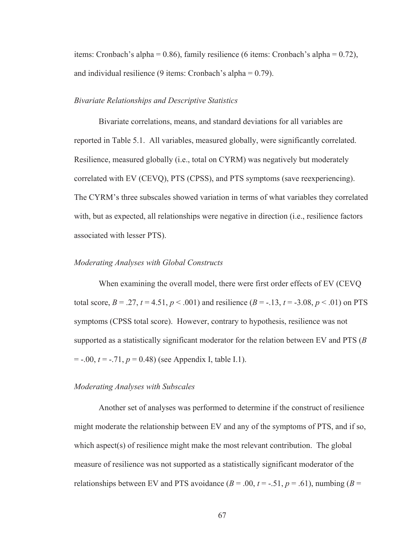items: Cronbach's alpha = 0.86), family resilience (6 items: Cronbach's alpha = 0.72), and individual resilience  $(9 \text{ items: Cronbach's alpha} = 0.79)$ .

# *Bivariate Relationships and Descriptive Statistics*

Bivariate correlations, means, and standard deviations for all variables are reported in Table 5.1. All variables, measured globally, were significantly correlated. Resilience, measured globally (i.e., total on CYRM) was negatively but moderately correlated with EV (CEVQ), PTS (CPSS), and PTS symptoms (save reexperiencing). The CYRM's three subscales showed variation in terms of what variables they correlated with, but as expected, all relationships were negative in direction (i.e., resilience factors associated with lesser PTS).

### *Moderating Analyses with Global Constructs*

When examining the overall model, there were first order effects of EV (CEVQ total score,  $B = .27$ ,  $t = 4.51$ ,  $p < .001$ ) and resilience  $(B = -.13, t = .3.08, p < .01)$  on PTS symptoms (CPSS total score). However, contrary to hypothesis, resilience was not supported as a statistically significant moderator for the relation between EV and PTS (*B*   $=$  -.00,  $t = -0.71$ ,  $p = 0.48$ ) (see Appendix I, table I.1).

#### *Moderating Analyses with Subscales*

 Another set of analyses was performed to determine if the construct of resilience might moderate the relationship between EV and any of the symptoms of PTS, and if so, which aspect(s) of resilience might make the most relevant contribution. The global measure of resilience was not supported as a statistically significant moderator of the relationships between EV and PTS avoidance  $(B = .00, t = -.51, p = .61)$ , numbing  $(B =$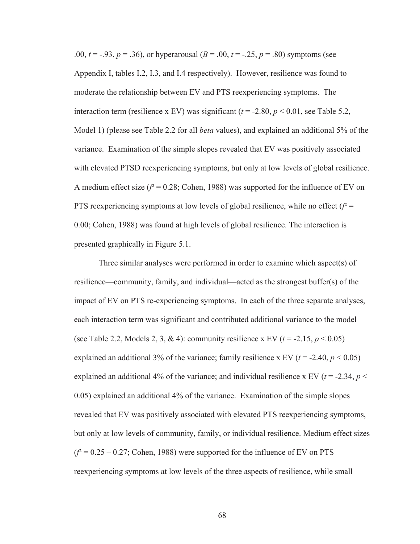.00,  $t = -0.93$ ,  $p = 0.36$ , or hyperarousal  $(B = 0.00, t = -0.25, p = 0.80)$  symptoms (see Appendix I, tables I.2, I.3, and I.4 respectively). However, resilience was found to moderate the relationship between EV and PTS reexperiencing symptoms. The interaction term (resilience x EV) was significant ( $t = -2.80$ ,  $p < 0.01$ , see Table 5.2, Model 1) (please see Table 2.2 for all *beta* values), and explained an additional 5% of the variance. Examination of the simple slopes revealed that EV was positively associated with elevated PTSD reexperiencing symptoms, but only at low levels of global resilience. A medium effect size  $(f^2 = 0.28$ ; Cohen, 1988) was supported for the influence of EV on PTS reexperiencing symptoms at low levels of global resilience, while no effect  $(f^2 =$ 0.00; Cohen, 1988) was found at high levels of global resilience. The interaction is presented graphically in Figure 5.1.

 Three similar analyses were performed in order to examine which aspect(s) of resilience—community, family, and individual—acted as the strongest buffer(s) of the impact of EV on PTS re-experiencing symptoms. In each of the three separate analyses, each interaction term was significant and contributed additional variance to the model (see Table 2.2, Models 2, 3, & 4): community resilience x EV  $(t = -2.15, p \le 0.05)$ explained an additional 3% of the variance; family resilience x EV  $(t = -2.40, p \le 0.05)$ explained an additional 4% of the variance; and individual resilience x EV ( $t = -2.34$ ,  $p <$ 0.05) explained an additional 4% of the variance. Examination of the simple slopes revealed that EV was positively associated with elevated PTS reexperiencing symptoms, but only at low levels of community, family, or individual resilience. Medium effect sizes  $(f^2 = 0.25 - 0.27$ ; Cohen, 1988) were supported for the influence of EV on PTS reexperiencing symptoms at low levels of the three aspects of resilience, while small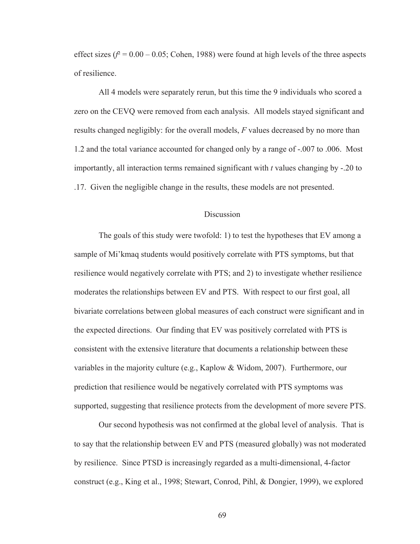effect sizes  $(f^2 = 0.00 - 0.05)$ ; Cohen, 1988) were found at high levels of the three aspects of resilience.

 All 4 models were separately rerun, but this time the 9 individuals who scored a zero on the CEVQ were removed from each analysis. All models stayed significant and results changed negligibly: for the overall models, *F* values decreased by no more than 1.2 and the total variance accounted for changed only by a range of -.007 to .006. Most importantly, all interaction terms remained significant with *t* values changing by -.20 to .17. Given the negligible change in the results, these models are not presented.

# **Discussion**

 The goals of this study were twofold: 1) to test the hypotheses that EV among a sample of Mi'kmaq students would positively correlate with PTS symptoms, but that resilience would negatively correlate with PTS; and 2) to investigate whether resilience moderates the relationships between EV and PTS. With respect to our first goal, all bivariate correlations between global measures of each construct were significant and in the expected directions. Our finding that EV was positively correlated with PTS is consistent with the extensive literature that documents a relationship between these variables in the majority culture (e.g., Kaplow & Widom, 2007). Furthermore, our prediction that resilience would be negatively correlated with PTS symptoms was supported, suggesting that resilience protects from the development of more severe PTS.

 Our second hypothesis was not confirmed at the global level of analysis. That is to say that the relationship between EV and PTS (measured globally) was not moderated by resilience. Since PTSD is increasingly regarded as a multi-dimensional, 4-factor construct (e.g., King et al., 1998; Stewart, Conrod, Pihl, & Dongier, 1999), we explored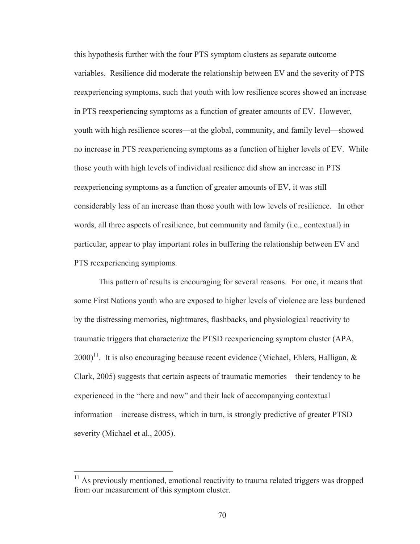this hypothesis further with the four PTS symptom clusters as separate outcome variables. Resilience did moderate the relationship between EV and the severity of PTS reexperiencing symptoms, such that youth with low resilience scores showed an increase in PTS reexperiencing symptoms as a function of greater amounts of EV. However, youth with high resilience scores—at the global, community, and family level—showed no increase in PTS reexperiencing symptoms as a function of higher levels of EV. While those youth with high levels of individual resilience did show an increase in PTS reexperiencing symptoms as a function of greater amounts of EV, it was still considerably less of an increase than those youth with low levels of resilience. In other words, all three aspects of resilience, but community and family (i.e., contextual) in particular, appear to play important roles in buffering the relationship between EV and PTS reexperiencing symptoms.

 This pattern of results is encouraging for several reasons. For one, it means that some First Nations youth who are exposed to higher levels of violence are less burdened by the distressing memories, nightmares, flashbacks, and physiological reactivity to traumatic triggers that characterize the PTSD reexperiencing symptom cluster (APA,  $2000$ <sup>11</sup>. It is also encouraging because recent evidence (Michael, Ehlers, Halligan, & Clark, 2005) suggests that certain aspects of traumatic memories—their tendency to be experienced in the "here and now" and their lack of accompanying contextual information—increase distress, which in turn, is strongly predictive of greater PTSD severity (Michael et al., 2005).

 $11$  As previously mentioned, emotional reactivity to trauma related triggers was dropped from our measurement of this symptom cluster.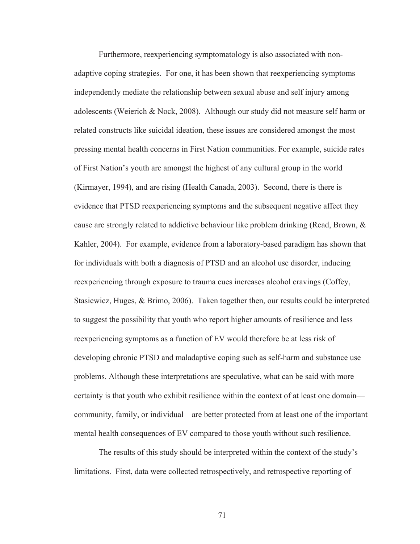Furthermore, reexperiencing symptomatology is also associated with nonadaptive coping strategies. For one, it has been shown that reexperiencing symptoms independently mediate the relationship between sexual abuse and self injury among adolescents (Weierich & Nock, 2008). Although our study did not measure self harm or related constructs like suicidal ideation, these issues are considered amongst the most pressing mental health concerns in First Nation communities. For example, suicide rates of First Nation's youth are amongst the highest of any cultural group in the world (Kirmayer, 1994), and are rising (Health Canada, 2003). Second, there is there is evidence that PTSD reexperiencing symptoms and the subsequent negative affect they cause are strongly related to addictive behaviour like problem drinking (Read, Brown, & Kahler, 2004). For example, evidence from a laboratory-based paradigm has shown that for individuals with both a diagnosis of PTSD and an alcohol use disorder, inducing reexperiencing through exposure to trauma cues increases alcohol cravings (Coffey, Stasiewicz, Huges, & Brimo, 2006). Taken together then, our results could be interpreted to suggest the possibility that youth who report higher amounts of resilience and less reexperiencing symptoms as a function of EV would therefore be at less risk of developing chronic PTSD and maladaptive coping such as self-harm and substance use problems. Although these interpretations are speculative, what can be said with more certainty is that youth who exhibit resilience within the context of at least one domain community, family, or individual—are better protected from at least one of the important mental health consequences of EV compared to those youth without such resilience.

 The results of this study should be interpreted within the context of the study's limitations. First, data were collected retrospectively, and retrospective reporting of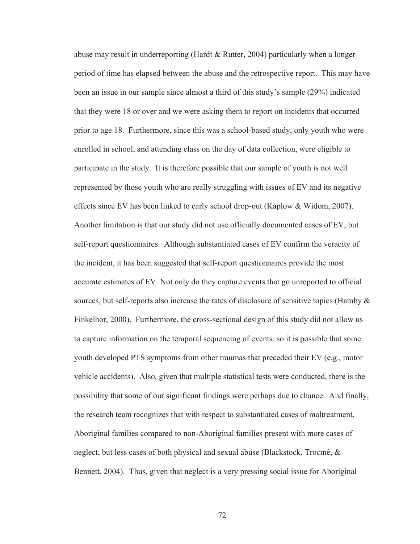abuse may result in underreporting (Hardt & Rutter, 2004) particularly when a longer period of time has elapsed between the abuse and the retrospective report. This may have been an issue in our sample since almost a third of this study's sample (29%) indicated that they were 18 or over and we were asking them to report on incidents that occurred prior to age 18. Furthermore, since this was a school-based study, only youth who were enrolled in school, and attending class on the day of data collection, were eligible to participate in the study. It is therefore possible that our sample of youth is not well represented by those youth who are really struggling with issues of EV and its negative effects since EV has been linked to early school drop-out (Kaplow & Widom, 2007). Another limitation is that our study did not use officially documented cases of EV, but self-report questionnaires. Although substantiated cases of EV confirm the veracity of the incident, it has been suggested that self-report questionnaires provide the most accurate estimates of EV. Not only do they capture events that go unreported to official sources, but self-reports also increase the rates of disclosure of sensitive topics (Hamby & Finkelhor, 2000). Furthermore, the cross-sectional design of this study did not allow us to capture information on the temporal sequencing of events, so it is possible that some youth developed PTS symptoms from other traumas that preceded their EV (e.g., motor vehicle accidents). Also, given that multiple statistical tests were conducted, there is the possibility that some of our significant findings were perhaps due to chance. And finally, the research team recognizes that with respect to substantiated cases of maltreatment, Aboriginal families compared to non-Aboriginal families present with more cases of neglect, but less cases of both physical and sexual abuse (Blackstock, Trocmé, & Bennett, 2004). Thus, given that neglect is a very pressing social issue for Aboriginal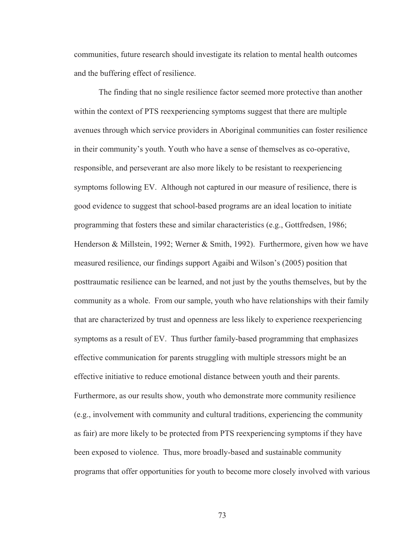communities, future research should investigate its relation to mental health outcomes and the buffering effect of resilience.

 The finding that no single resilience factor seemed more protective than another within the context of PTS reexperiencing symptoms suggest that there are multiple avenues through which service providers in Aboriginal communities can foster resilience in their community's youth. Youth who have a sense of themselves as co-operative, responsible, and perseverant are also more likely to be resistant to reexperiencing symptoms following EV. Although not captured in our measure of resilience, there is good evidence to suggest that school-based programs are an ideal location to initiate programming that fosters these and similar characteristics (e.g., Gottfredsen, 1986; Henderson & Millstein, 1992; Werner & Smith, 1992). Furthermore, given how we have measured resilience, our findings support Agaibi and Wilson's (2005) position that posttraumatic resilience can be learned, and not just by the youths themselves, but by the community as a whole. From our sample, youth who have relationships with their family that are characterized by trust and openness are less likely to experience reexperiencing symptoms as a result of EV. Thus further family-based programming that emphasizes effective communication for parents struggling with multiple stressors might be an effective initiative to reduce emotional distance between youth and their parents. Furthermore, as our results show, youth who demonstrate more community resilience (e.g., involvement with community and cultural traditions, experiencing the community as fair) are more likely to be protected from PTS reexperiencing symptoms if they have been exposed to violence. Thus, more broadly-based and sustainable community programs that offer opportunities for youth to become more closely involved with various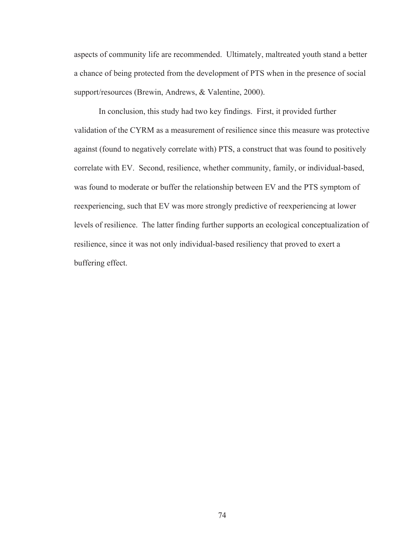aspects of community life are recommended. Ultimately, maltreated youth stand a better a chance of being protected from the development of PTS when in the presence of social support/resources (Brewin, Andrews, & Valentine, 2000).

 In conclusion, this study had two key findings. First, it provided further validation of the CYRM as a measurement of resilience since this measure was protective against (found to negatively correlate with) PTS, a construct that was found to positively correlate with EV. Second, resilience, whether community, family, or individual-based, was found to moderate or buffer the relationship between EV and the PTS symptom of reexperiencing, such that EV was more strongly predictive of reexperiencing at lower levels of resilience. The latter finding further supports an ecological conceptualization of resilience, since it was not only individual-based resiliency that proved to exert a buffering effect.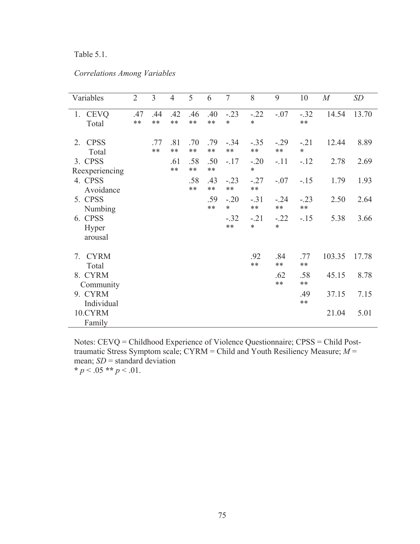# Table 5.1.

# *Correlations Among Variables*

| Variables                   | $\overline{2}$ | 3           | $\overline{4}$ | 5            | 6            | $\overline{7}$   | 8                | 9                | 10               | M      | <b>SD</b> |
|-----------------------------|----------------|-------------|----------------|--------------|--------------|------------------|------------------|------------------|------------------|--------|-----------|
| 1. CEVQ<br>Total            | .47<br>**      | .44<br>**   | .42<br>**      | .46<br>$***$ | .40<br>$***$ | $-.23$<br>$\ast$ | $-.22$<br>$\ast$ | $-.07$           | $-.32$<br>**     | 14.54  | 13.70     |
| <b>CPSS</b><br>2.<br>Total  |                | .77<br>$**$ | .81<br>$**$    | .70<br>$***$ | .79<br>$***$ | $-.34$<br>$***$  | $-.35$<br>**     | $-.29$<br>$***$  | $-.21$<br>$\ast$ | 12.44  | 8.89      |
| 3. CPSS<br>Reexperiencing   |                |             | .61<br>$***$   | .58<br>$**$  | .50<br>$***$ | $-.17$           | $-.20$<br>$\ast$ | $-.11$           | $-12$            | 2.78   | 2.69      |
| 4. CPSS<br>Avoidance        |                |             |                | .58<br>$***$ | .43<br>$***$ | $-.23$<br>$**$   | $-.27$<br>$***$  | $-.07$           | $-15$            | 1.79   | 1.93      |
| 5. CPSS<br>Numbing          |                |             |                |              | .59<br>$***$ | $-.20$<br>$\ast$ | $-.31$<br>$***$  | $-.24$<br>$***$  | $-.23$<br>$**$   | 2.50   | 2.64      |
| 6. CPSS<br>Hyper<br>arousal |                |             |                |              |              | $-.32$<br>$***$  | $-.21$<br>$\ast$ | $-.22$<br>$\ast$ | $-15$            | 5.38   | 3.66      |
| <b>CYRM</b><br>7.<br>Total  |                |             |                |              |              |                  | .92<br>$**$      | .84<br>$***$     | .77<br>**        | 103.35 | 17.78     |
| 8. CYRM<br>Community        |                |             |                |              |              |                  |                  | .62<br>$**$      | .58<br>$**$      | 45.15  | 8.78      |
| 9. CYRM<br>Individual       |                |             |                |              |              |                  |                  |                  | .49<br>**        | 37.15  | 7.15      |
| 10.CYRM<br>Family           |                |             |                |              |              |                  |                  |                  |                  | 21.04  | 5.01      |

Notes: CEVQ = Childhood Experience of Violence Questionnaire; CPSS = Child Posttraumatic Stress Symptom scale; CYRM = Child and Youth Resiliency Measure; *M* = mean; *SD* = standard deviation **\***  $p < .05$  **\*\***  $p < .01$ .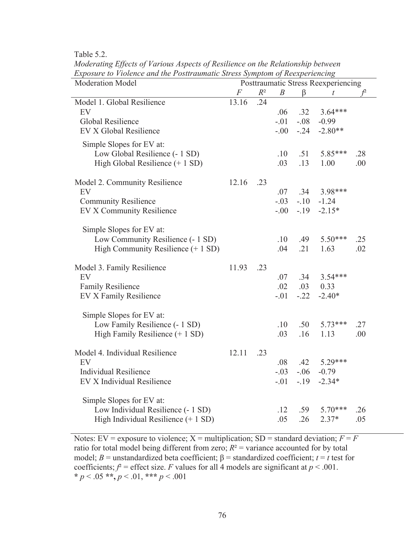Table 5.2.

| Exposure to violence and the Postiraumatic Stress Symptom of Reexperiencing<br>Moderation Model | Posttraumatic Stress Reexperiencing |       |                  |        |                  |     |  |
|-------------------------------------------------------------------------------------------------|-------------------------------------|-------|------------------|--------|------------------|-----|--|
|                                                                                                 | $\,F$                               | $R^2$ | $\boldsymbol{B}$ | β      | $\boldsymbol{t}$ |     |  |
| Model 1. Global Resilience                                                                      | 13.16                               | .24   |                  |        |                  |     |  |
| EV                                                                                              |                                     |       | .06              | .32    | $3.64***$        |     |  |
| Global Resilience                                                                               |                                     |       | $-.01$           | $-.08$ | $-0.99$          |     |  |
| EV X Global Resilience                                                                          |                                     |       | $-0.00$          | $-.24$ | $-2.80**$        |     |  |
|                                                                                                 |                                     |       |                  |        |                  |     |  |
| Simple Slopes for EV at:<br>Low Global Resilience (- 1 SD)                                      |                                     |       | .10              | .51    | 5.85***          | .28 |  |
| High Global Resilience (+ 1 SD)                                                                 |                                     |       | .03              | .13    | 1.00             | .00 |  |
|                                                                                                 |                                     |       |                  |        |                  |     |  |
| Model 2. Community Resilience                                                                   | 12.16                               | .23   |                  |        |                  |     |  |
| EV                                                                                              |                                     |       | .07              | .34    | 3.98***          |     |  |
| <b>Community Resilience</b>                                                                     |                                     |       | $-.03$           | $-10$  | $-1.24$          |     |  |
| EV X Community Resilience                                                                       |                                     |       | $-.00$           | $-19$  | $-2.15*$         |     |  |
|                                                                                                 |                                     |       |                  |        |                  |     |  |
| Simple Slopes for EV at:                                                                        |                                     |       |                  |        |                  |     |  |
| Low Community Resilience (- 1 SD)                                                               |                                     |       | .10              | .49    | $5.50***$        | .25 |  |
| High Community Resilience (+ 1 SD)                                                              |                                     |       | .04              | .21    | 1.63             | .02 |  |
|                                                                                                 |                                     |       |                  |        |                  |     |  |
| Model 3. Family Resilience                                                                      | 11.93                               | .23   |                  |        |                  |     |  |
| EV                                                                                              |                                     |       | .07              | .34    | $3.54***$        |     |  |
| <b>Family Resilience</b>                                                                        |                                     |       | .02              | .03    | 0.33             |     |  |
| EV X Family Resilience                                                                          |                                     |       | $-.01$           | $-.22$ | $-2.40*$         |     |  |
|                                                                                                 |                                     |       |                  |        |                  |     |  |
| Simple Slopes for EV at:                                                                        |                                     |       |                  |        |                  |     |  |
| Low Family Resilience (- 1 SD)                                                                  |                                     |       | .10              | .50    | $5.73***$        | .27 |  |
| High Family Resilience $(+ 1 SD)$                                                               |                                     |       | .03              | .16    | 1.13             | .00 |  |
|                                                                                                 |                                     |       |                  |        |                  |     |  |
| Model 4. Individual Resilience                                                                  | 12.11                               | .23   |                  |        |                  |     |  |
| EV                                                                                              |                                     |       | .08              | .42    | 5.29***          |     |  |
| <b>Individual Resilience</b>                                                                    |                                     |       | $-.03$           | $-.06$ | $-0.79$          |     |  |
| EV X Individual Resilience                                                                      |                                     |       | $-.01$           | $-.19$ | $-2.34*$         |     |  |
| Simple Slopes for EV at:                                                                        |                                     |       |                  |        |                  |     |  |
| Low Individual Resilience (- 1 SD)                                                              |                                     |       | .12              | .59    | $5.70***$        | .26 |  |
| High Individual Resilience (+ 1 SD)                                                             |                                     |       | .05              | .26    | $2.37*$          | .05 |  |
|                                                                                                 |                                     |       |                  |        |                  |     |  |

*Moderating Effects of Various Aspects of Resilience on the Relationship between Exposure to Violence and the Posttraumatic Stress Symptom of Reexperiencing* 

Notes:  $EV =$  exposure to violence;  $X =$  multiplication;  $SD =$  standard deviation;  $F = F$ ratio for total model being different from zero;  $R^2$  = variance accounted for by total model; *B* = unstandardized beta coefficient;  $\beta$  = standardized coefficient; *t* = *t* test for coefficients;  $f^2$  = effect size. *F* values for all 4 models are significant at  $p < .001$ . **\*** *p* < .05 **\*\*,** *p* < .01, **\*\*\*** *p* < .001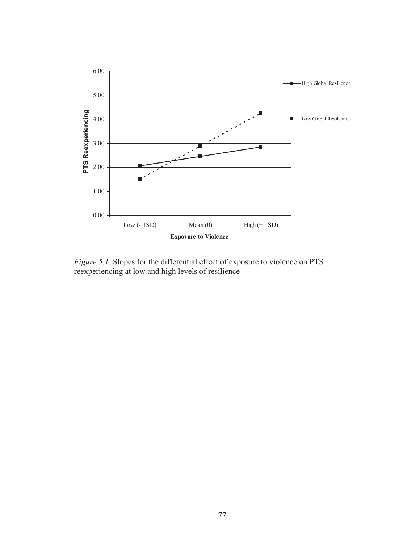

*Figure 5.1.* Slopes for the differential effect of exposure to violence on PTS reexperiencing at low and high levels of resilience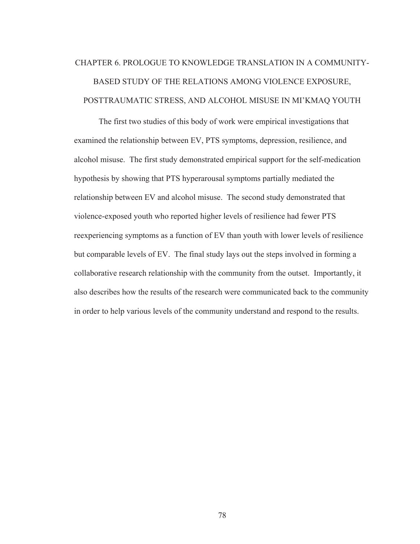# CHAPTER 6. PROLOGUE TO KNOWLEDGE TRANSLATION IN A COMMUNITY-BASED STUDY OF THE RELATIONS AMONG VIOLENCE EXPOSURE, POSTTRAUMATIC STRESS, AND ALCOHOL MISUSE IN MI'KMAQ YOUTH

 The first two studies of this body of work were empirical investigations that examined the relationship between EV, PTS symptoms, depression, resilience, and alcohol misuse. The first study demonstrated empirical support for the self-medication hypothesis by showing that PTS hyperarousal symptoms partially mediated the relationship between EV and alcohol misuse. The second study demonstrated that violence-exposed youth who reported higher levels of resilience had fewer PTS reexperiencing symptoms as a function of EV than youth with lower levels of resilience but comparable levels of EV. The final study lays out the steps involved in forming a collaborative research relationship with the community from the outset. Importantly, it also describes how the results of the research were communicated back to the community in order to help various levels of the community understand and respond to the results.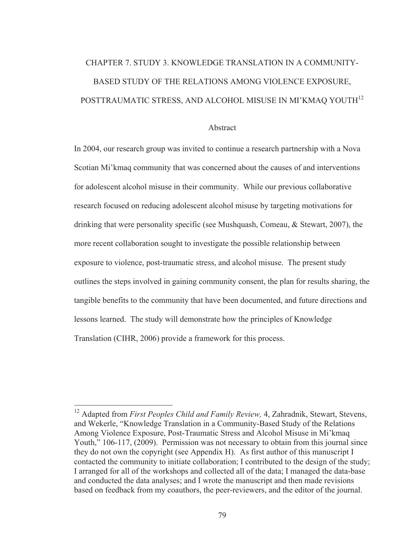# CHAPTER 7. STUDY 3. KNOWLEDGE TRANSLATION IN A COMMUNITY-BASED STUDY OF THE RELATIONS AMONG VIOLENCE EXPOSURE, POSTTRAUMATIC STRESS, AND ALCOHOL MISUSE IN MI'KMAQ YOUTH<sup>12</sup>

#### Abstract

In 2004, our research group was invited to continue a research partnership with a Nova Scotian Mi'kmaq community that was concerned about the causes of and interventions for adolescent alcohol misuse in their community. While our previous collaborative research focused on reducing adolescent alcohol misuse by targeting motivations for drinking that were personality specific (see Mushquash, Comeau, & Stewart, 2007), the more recent collaboration sought to investigate the possible relationship between exposure to violence, post-traumatic stress, and alcohol misuse. The present study outlines the steps involved in gaining community consent, the plan for results sharing, the tangible benefits to the community that have been documented, and future directions and lessons learned. The study will demonstrate how the principles of Knowledge Translation (CIHR, 2006) provide a framework for this process.

-

<sup>&</sup>lt;sup>12</sup> Adapted from *First Peoples Child and Family Review*, 4, Zahradnik, Stewart, Stevens, and Wekerle, "Knowledge Translation in a Community-Based Study of the Relations Among Violence Exposure, Post-Traumatic Stress and Alcohol Misuse in Mi'kmaq Youth," 106-117, (2009). Permission was not necessary to obtain from this journal since they do not own the copyright (see Appendix H). As first author of this manuscript I contacted the community to initiate collaboration; I contributed to the design of the study; I arranged for all of the workshops and collected all of the data; I managed the data-base and conducted the data analyses; and I wrote the manuscript and then made revisions based on feedback from my coauthors, the peer-reviewers, and the editor of the journal.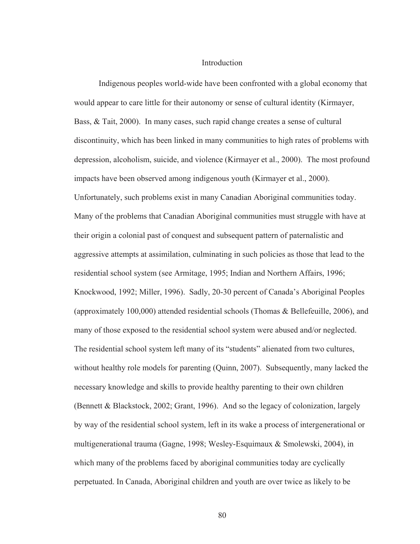#### Introduction

Indigenous peoples world-wide have been confronted with a global economy that would appear to care little for their autonomy or sense of cultural identity (Kirmayer, Bass, & Tait, 2000). In many cases, such rapid change creates a sense of cultural discontinuity, which has been linked in many communities to high rates of problems with depression, alcoholism, suicide, and violence (Kirmayer et al., 2000). The most profound impacts have been observed among indigenous youth (Kirmayer et al., 2000). Unfortunately, such problems exist in many Canadian Aboriginal communities today. Many of the problems that Canadian Aboriginal communities must struggle with have at their origin a colonial past of conquest and subsequent pattern of paternalistic and aggressive attempts at assimilation, culminating in such policies as those that lead to the residential school system (see Armitage, 1995; Indian and Northern Affairs, 1996; Knockwood, 1992; Miller, 1996). Sadly, 20-30 percent of Canada's Aboriginal Peoples (approximately 100,000) attended residential schools (Thomas & Bellefeuille, 2006), and many of those exposed to the residential school system were abused and/or neglected. The residential school system left many of its "students" alienated from two cultures, without healthy role models for parenting (Quinn, 2007). Subsequently, many lacked the necessary knowledge and skills to provide healthy parenting to their own children (Bennett & Blackstock, 2002; Grant, 1996). And so the legacy of colonization, largely by way of the residential school system, left in its wake a process of intergenerational or multigenerational trauma (Gagne, 1998; Wesley-Esquimaux & Smolewski, 2004), in which many of the problems faced by aboriginal communities today are cyclically perpetuated. In Canada, Aboriginal children and youth are over twice as likely to be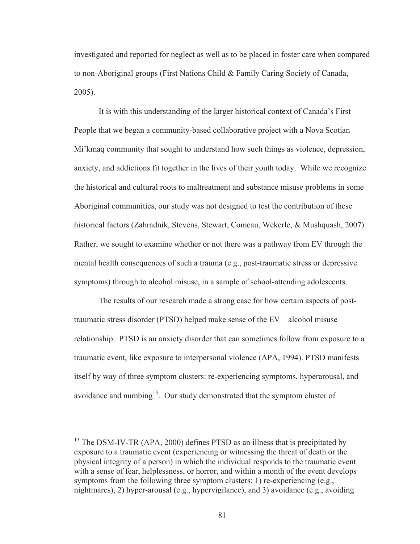investigated and reported for neglect as well as to be placed in foster care when compared to non-Aboriginal groups (First Nations Child & Family Caring Society of Canada, 2005).

It is with this understanding of the larger historical context of Canada's First People that we began a community-based collaborative project with a Nova Scotian Mi'kmaq community that sought to understand how such things as violence, depression, anxiety, and addictions fit together in the lives of their youth today. While we recognize the historical and cultural roots to maltreatment and substance misuse problems in some Aboriginal communities, our study was not designed to test the contribution of these historical factors (Zahradnik, Stevens, Stewart, Comeau, Wekerle, & Mushquash, 2007). Rather, we sought to examine whether or not there was a pathway from EV through the mental health consequences of such a trauma (e.g., post-traumatic stress or depressive symptoms) through to alcohol misuse, in a sample of school-attending adolescents.

The results of our research made a strong case for how certain aspects of posttraumatic stress disorder (PTSD) helped make sense of the EV – alcohol misuse relationship. PTSD is an anxiety disorder that can sometimes follow from exposure to a traumatic event, like exposure to interpersonal violence (APA, 1994). PTSD manifests itself by way of three symptom clusters: re-experiencing symptoms, hyperarousal, and avoidance and numbing<sup>13</sup>. Our study demonstrated that the symptom cluster of

 $13$  The DSM-IV-TR (APA, 2000) defines PTSD as an illness that is precipitated by exposure to a traumatic event (experiencing or witnessing the threat of death or the physical integrity of a person) in which the individual responds to the traumatic event with a sense of fear, helplessness, or horror, and within a month of the event develops symptoms from the following three symptom clusters: 1) re-experiencing (e.g., nightmares), 2) hyper-arousal (e.g., hypervigilance), and 3) avoidance (e.g., avoiding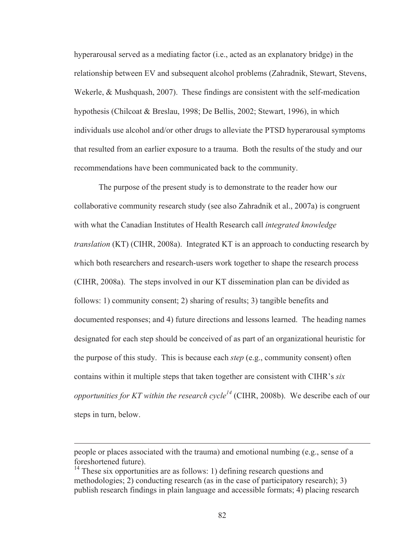hyperarousal served as a mediating factor (i.e., acted as an explanatory bridge) in the relationship between EV and subsequent alcohol problems (Zahradnik, Stewart, Stevens, Wekerle, & Mushquash, 2007). These findings are consistent with the self-medication hypothesis (Chilcoat & Breslau, 1998; De Bellis, 2002; Stewart, 1996), in which individuals use alcohol and/or other drugs to alleviate the PTSD hyperarousal symptoms that resulted from an earlier exposure to a trauma. Both the results of the study and our recommendations have been communicated back to the community.

The purpose of the present study is to demonstrate to the reader how our collaborative community research study (see also Zahradnik et al., 2007a) is congruent with what the Canadian Institutes of Health Research call *integrated knowledge translation* (KT) (CIHR, 2008a). Integrated KT is an approach to conducting research by which both researchers and research-users work together to shape the research process (CIHR, 2008a). The steps involved in our KT dissemination plan can be divided as follows: 1) community consent; 2) sharing of results; 3) tangible benefits and documented responses; and 4) future directions and lessons learned. The heading names designated for each step should be conceived of as part of an organizational heuristic for the purpose of this study. This is because each *step* (e.g., community consent) often contains within it multiple steps that taken together are consistent with CIHR's *six opportunities for KT within the research cycle*<sup> $14$ </sup> (CIHR, 2008b). We describe each of our steps in turn, below.

people or places associated with the trauma) and emotional numbing (e.g., sense of a foreshortened future).

 $14$  These six opportunities are as follows: 1) defining research questions and methodologies; 2) conducting research (as in the case of participatory research); 3) publish research findings in plain language and accessible formats; 4) placing research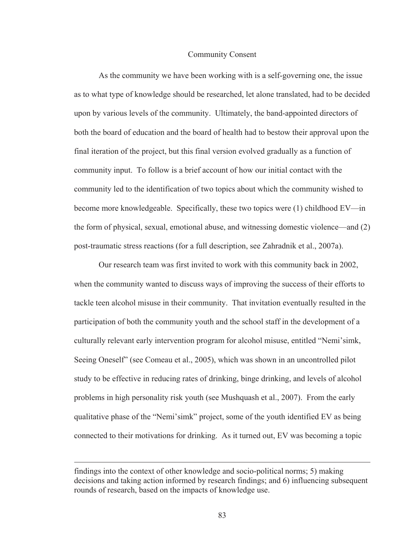## Community Consent

As the community we have been working with is a self-governing one, the issue as to what type of knowledge should be researched, let alone translated, had to be decided upon by various levels of the community. Ultimately, the band-appointed directors of both the board of education and the board of health had to bestow their approval upon the final iteration of the project, but this final version evolved gradually as a function of community input. To follow is a brief account of how our initial contact with the community led to the identification of two topics about which the community wished to become more knowledgeable. Specifically, these two topics were (1) childhood EV—in the form of physical, sexual, emotional abuse, and witnessing domestic violence—and (2) post-traumatic stress reactions (for a full description, see Zahradnik et al., 2007a).

 Our research team was first invited to work with this community back in 2002, when the community wanted to discuss ways of improving the success of their efforts to tackle teen alcohol misuse in their community. That invitation eventually resulted in the participation of both the community youth and the school staff in the development of a culturally relevant early intervention program for alcohol misuse, entitled "Nemi'simk, Seeing Oneself" (see Comeau et al., 2005), which was shown in an uncontrolled pilot study to be effective in reducing rates of drinking, binge drinking, and levels of alcohol problems in high personality risk youth (see Mushquash et al., 2007). From the early qualitative phase of the "Nemi'simk" project, some of the youth identified EV as being connected to their motivations for drinking. As it turned out, EV was becoming a topic

findings into the context of other knowledge and socio-political norms; 5) making decisions and taking action informed by research findings; and 6) influencing subsequent rounds of research, based on the impacts of knowledge use.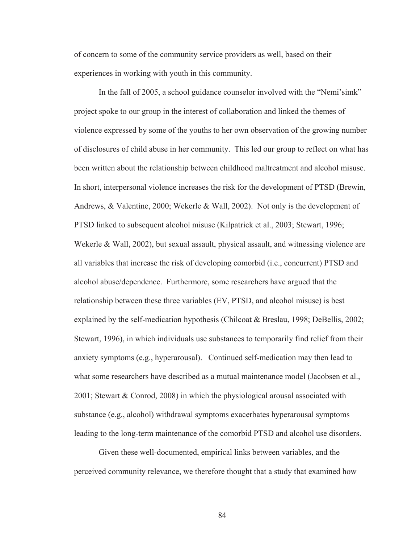of concern to some of the community service providers as well, based on their experiences in working with youth in this community.

In the fall of 2005, a school guidance counselor involved with the "Nemi'simk" project spoke to our group in the interest of collaboration and linked the themes of violence expressed by some of the youths to her own observation of the growing number of disclosures of child abuse in her community. This led our group to reflect on what has been written about the relationship between childhood maltreatment and alcohol misuse. In short, interpersonal violence increases the risk for the development of PTSD (Brewin, Andrews, & Valentine, 2000; Wekerle & Wall, 2002). Not only is the development of PTSD linked to subsequent alcohol misuse (Kilpatrick et al., 2003; Stewart, 1996; Wekerle & Wall, 2002), but sexual assault, physical assault, and witnessing violence are all variables that increase the risk of developing comorbid (i.e., concurrent) PTSD and alcohol abuse/dependence. Furthermore, some researchers have argued that the relationship between these three variables (EV, PTSD, and alcohol misuse) is best explained by the self-medication hypothesis (Chilcoat & Breslau, 1998; DeBellis, 2002; Stewart, 1996), in which individuals use substances to temporarily find relief from their anxiety symptoms (e.g., hyperarousal). Continued self-medication may then lead to what some researchers have described as a mutual maintenance model (Jacobsen et al., 2001; Stewart & Conrod, 2008) in which the physiological arousal associated with substance (e.g., alcohol) withdrawal symptoms exacerbates hyperarousal symptoms leading to the long-term maintenance of the comorbid PTSD and alcohol use disorders.

Given these well-documented, empirical links between variables, and the perceived community relevance, we therefore thought that a study that examined how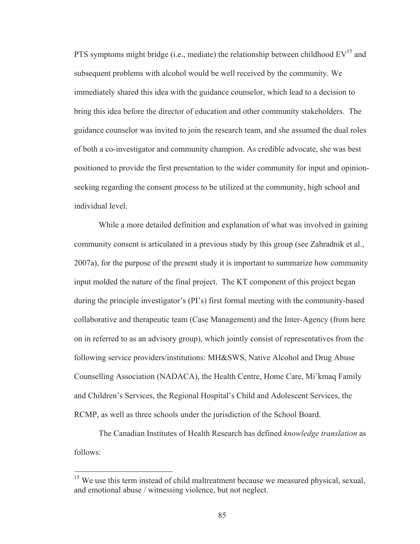PTS symptoms might bridge (i.e., mediate) the relationship between childhood  $EV^{15}$  and subsequent problems with alcohol would be well received by the community. We immediately shared this idea with the guidance counselor, which lead to a decision to bring this idea before the director of education and other community stakeholders. The guidance counselor was invited to join the research team, and she assumed the dual roles of both a co-investigator and community champion. As credible advocate, she was best positioned to provide the first presentation to the wider community for input and opinionseeking regarding the consent process to be utilized at the community, high school and individual level.

While a more detailed definition and explanation of what was involved in gaining community consent is articulated in a previous study by this group (see Zahradnik et al., 2007a), for the purpose of the present study it is important to summarize how community input molded the nature of the final project. The KT component of this project began during the principle investigator's (PI's) first formal meeting with the community-based collaborative and therapeutic team (Case Management) and the Inter-Agency (from here on in referred to as an advisory group), which jointly consist of representatives from the following service providers/institutions: MH&SWS, Native Alcohol and Drug Abuse Counselling Association (NADACA), the Health Centre, Home Care, Mi'kmaq Family and Children's Services, the Regional Hospital's Child and Adolescent Services, the RCMP, as well as three schools under the jurisdiction of the School Board.

The Canadian Institutes of Health Research has defined *knowledge translation* as follows:

-

 $15$  We use this term instead of child maltreatment because we measured physical, sexual, and emotional abuse / witnessing violence, but not neglect.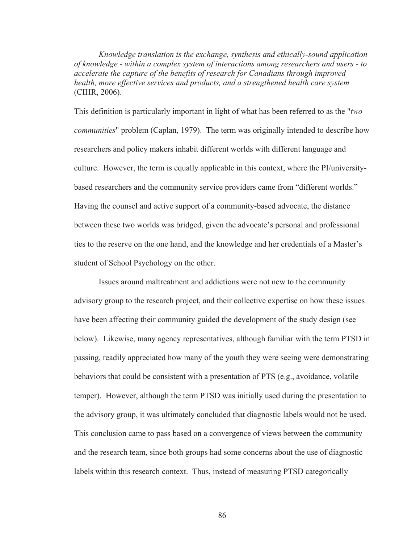*Knowledge translation is the exchange, synthesis and ethically-sound application of knowledge - within a complex system of interactions among researchers and users - to accelerate the capture of the benefits of research for Canadians through improved health, more effective services and products, and a strengthened health care system*  (CIHR, 2006).

This definition is particularly important in light of what has been referred to as the "*two communities*" problem (Caplan, 1979). The term was originally intended to describe how researchers and policy makers inhabit different worlds with different language and culture. However, the term is equally applicable in this context, where the PI/universitybased researchers and the community service providers came from "different worlds." Having the counsel and active support of a community-based advocate, the distance between these two worlds was bridged, given the advocate's personal and professional ties to the reserve on the one hand, and the knowledge and her credentials of a Master's student of School Psychology on the other.

Issues around maltreatment and addictions were not new to the community advisory group to the research project, and their collective expertise on how these issues have been affecting their community guided the development of the study design (see below). Likewise, many agency representatives, although familiar with the term PTSD in passing, readily appreciated how many of the youth they were seeing were demonstrating behaviors that could be consistent with a presentation of PTS (e.g., avoidance, volatile temper). However, although the term PTSD was initially used during the presentation to the advisory group, it was ultimately concluded that diagnostic labels would not be used. This conclusion came to pass based on a convergence of views between the community and the research team, since both groups had some concerns about the use of diagnostic labels within this research context. Thus, instead of measuring PTSD categorically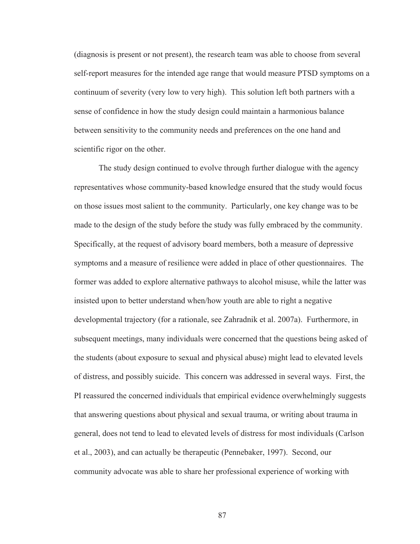(diagnosis is present or not present), the research team was able to choose from several self-report measures for the intended age range that would measure PTSD symptoms on a continuum of severity (very low to very high). This solution left both partners with a sense of confidence in how the study design could maintain a harmonious balance between sensitivity to the community needs and preferences on the one hand and scientific rigor on the other.

The study design continued to evolve through further dialogue with the agency representatives whose community-based knowledge ensured that the study would focus on those issues most salient to the community. Particularly, one key change was to be made to the design of the study before the study was fully embraced by the community. Specifically, at the request of advisory board members, both a measure of depressive symptoms and a measure of resilience were added in place of other questionnaires. The former was added to explore alternative pathways to alcohol misuse, while the latter was insisted upon to better understand when/how youth are able to right a negative developmental trajectory (for a rationale, see Zahradnik et al. 2007a). Furthermore, in subsequent meetings, many individuals were concerned that the questions being asked of the students (about exposure to sexual and physical abuse) might lead to elevated levels of distress, and possibly suicide. This concern was addressed in several ways. First, the PI reassured the concerned individuals that empirical evidence overwhelmingly suggests that answering questions about physical and sexual trauma, or writing about trauma in general, does not tend to lead to elevated levels of distress for most individuals (Carlson et al., 2003), and can actually be therapeutic (Pennebaker, 1997). Second, our community advocate was able to share her professional experience of working with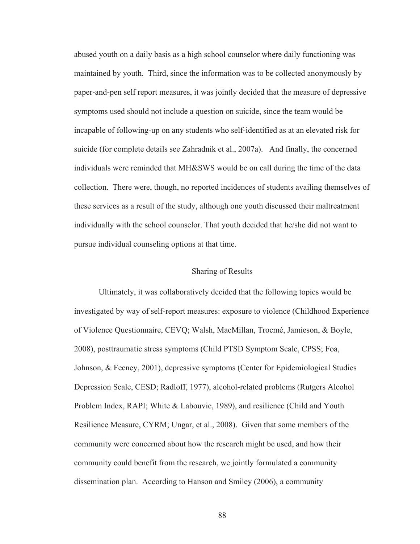abused youth on a daily basis as a high school counselor where daily functioning was maintained by youth. Third, since the information was to be collected anonymously by paper-and-pen self report measures, it was jointly decided that the measure of depressive symptoms used should not include a question on suicide, since the team would be incapable of following-up on any students who self-identified as at an elevated risk for suicide (for complete details see Zahradnik et al., 2007a). And finally, the concerned individuals were reminded that MH&SWS would be on call during the time of the data collection. There were, though, no reported incidences of students availing themselves of these services as a result of the study, although one youth discussed their maltreatment individually with the school counselor. That youth decided that he/she did not want to pursue individual counseling options at that time.

### Sharing of Results

 Ultimately, it was collaboratively decided that the following topics would be investigated by way of self-report measures: exposure to violence (Childhood Experience of Violence Questionnaire, CEVQ; Walsh, MacMillan, Trocmé, Jamieson, & Boyle, 2008), posttraumatic stress symptoms (Child PTSD Symptom Scale, CPSS; Foa, Johnson, & Feeney, 2001), depressive symptoms (Center for Epidemiological Studies Depression Scale, CESD; Radloff, 1977), alcohol-related problems (Rutgers Alcohol Problem Index, RAPI; White & Labouvie, 1989), and resilience (Child and Youth Resilience Measure, CYRM; Ungar, et al., 2008). Given that some members of the community were concerned about how the research might be used, and how their community could benefit from the research, we jointly formulated a community dissemination plan. According to Hanson and Smiley (2006), a community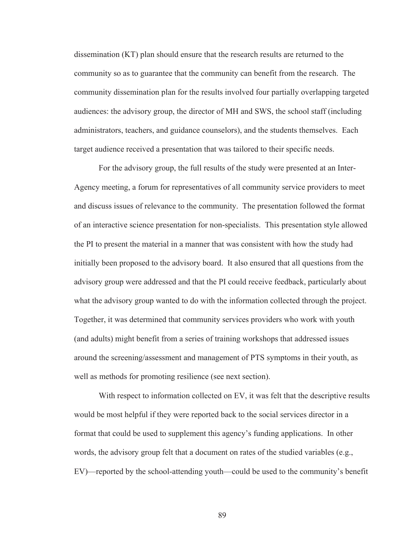dissemination (KT) plan should ensure that the research results are returned to the community so as to guarantee that the community can benefit from the research. The community dissemination plan for the results involved four partially overlapping targeted audiences: the advisory group, the director of MH and SWS, the school staff (including administrators, teachers, and guidance counselors), and the students themselves. Each target audience received a presentation that was tailored to their specific needs.

For the advisory group, the full results of the study were presented at an Inter-Agency meeting, a forum for representatives of all community service providers to meet and discuss issues of relevance to the community. The presentation followed the format of an interactive science presentation for non-specialists. This presentation style allowed the PI to present the material in a manner that was consistent with how the study had initially been proposed to the advisory board. It also ensured that all questions from the advisory group were addressed and that the PI could receive feedback, particularly about what the advisory group wanted to do with the information collected through the project. Together, it was determined that community services providers who work with youth (and adults) might benefit from a series of training workshops that addressed issues around the screening/assessment and management of PTS symptoms in their youth, as well as methods for promoting resilience (see next section).

With respect to information collected on EV, it was felt that the descriptive results would be most helpful if they were reported back to the social services director in a format that could be used to supplement this agency's funding applications. In other words, the advisory group felt that a document on rates of the studied variables (e.g., EV)—reported by the school-attending youth—could be used to the community's benefit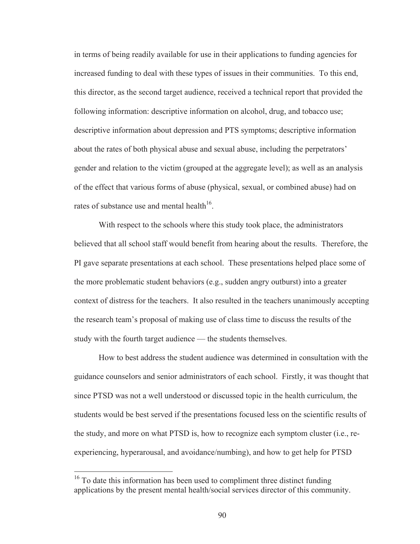in terms of being readily available for use in their applications to funding agencies for increased funding to deal with these types of issues in their communities. To this end, this director, as the second target audience, received a technical report that provided the following information: descriptive information on alcohol, drug, and tobacco use; descriptive information about depression and PTS symptoms; descriptive information about the rates of both physical abuse and sexual abuse, including the perpetrators' gender and relation to the victim (grouped at the aggregate level); as well as an analysis of the effect that various forms of abuse (physical, sexual, or combined abuse) had on rates of substance use and mental health<sup>16</sup>.

 With respect to the schools where this study took place, the administrators believed that all school staff would benefit from hearing about the results. Therefore, the PI gave separate presentations at each school. These presentations helped place some of the more problematic student behaviors (e.g., sudden angry outburst) into a greater context of distress for the teachers. It also resulted in the teachers unanimously accepting the research team's proposal of making use of class time to discuss the results of the study with the fourth target audience — the students themselves.

 How to best address the student audience was determined in consultation with the guidance counselors and senior administrators of each school. Firstly, it was thought that since PTSD was not a well understood or discussed topic in the health curriculum, the students would be best served if the presentations focused less on the scientific results of the study, and more on what PTSD is, how to recognize each symptom cluster (i.e., reexperiencing, hyperarousal, and avoidance/numbing), and how to get help for PTSD

 $16$  To date this information has been used to compliment three distinct funding applications by the present mental health/social services director of this community.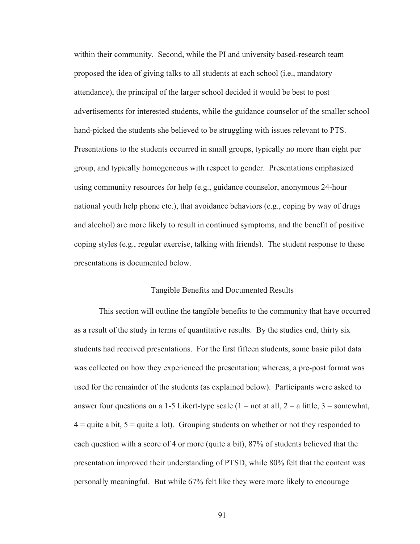within their community. Second, while the PI and university based-research team proposed the idea of giving talks to all students at each school (i.e., mandatory attendance), the principal of the larger school decided it would be best to post advertisements for interested students, while the guidance counselor of the smaller school hand-picked the students she believed to be struggling with issues relevant to PTS. Presentations to the students occurred in small groups, typically no more than eight per group, and typically homogeneous with respect to gender. Presentations emphasized using community resources for help (e.g., guidance counselor, anonymous 24-hour national youth help phone etc.), that avoidance behaviors (e.g., coping by way of drugs and alcohol) are more likely to result in continued symptoms, and the benefit of positive coping styles (e.g., regular exercise, talking with friends). The student response to these presentations is documented below.

#### Tangible Benefits and Documented Results

This section will outline the tangible benefits to the community that have occurred as a result of the study in terms of quantitative results. By the studies end, thirty six students had received presentations. For the first fifteen students, some basic pilot data was collected on how they experienced the presentation; whereas, a pre-post format was used for the remainder of the students (as explained below). Participants were asked to answer four questions on a 1-5 Likert-type scale (1 = not at all, 2 = a little, 3 = somewhat,  $4 =$  quite a bit,  $5 =$  quite a lot). Grouping students on whether or not they responded to each question with a score of 4 or more (quite a bit), 87% of students believed that the presentation improved their understanding of PTSD, while 80% felt that the content was personally meaningful. But while 67% felt like they were more likely to encourage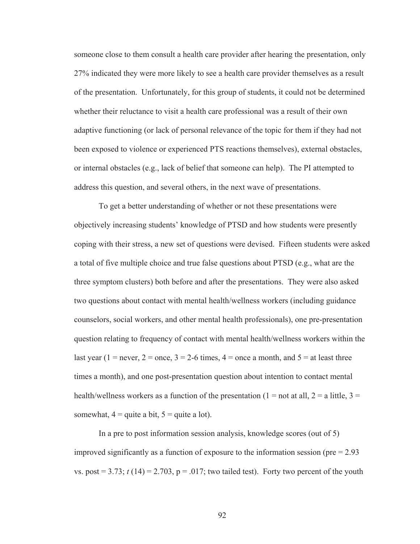someone close to them consult a health care provider after hearing the presentation, only 27% indicated they were more likely to see a health care provider themselves as a result of the presentation. Unfortunately, for this group of students, it could not be determined whether their reluctance to visit a health care professional was a result of their own adaptive functioning (or lack of personal relevance of the topic for them if they had not been exposed to violence or experienced PTS reactions themselves), external obstacles, or internal obstacles (e.g., lack of belief that someone can help). The PI attempted to address this question, and several others, in the next wave of presentations.

 To get a better understanding of whether or not these presentations were objectively increasing students' knowledge of PTSD and how students were presently coping with their stress, a new set of questions were devised. Fifteen students were asked a total of five multiple choice and true false questions about PTSD (e.g., what are the three symptom clusters) both before and after the presentations. They were also asked two questions about contact with mental health/wellness workers (including guidance counselors, social workers, and other mental health professionals), one pre-presentation question relating to frequency of contact with mental health/wellness workers within the last year (1 = never, 2 = once,  $3 = 2-6$  times,  $4 =$  once a month, and  $5 =$  at least three times a month), and one post-presentation question about intention to contact mental health/wellness workers as a function of the presentation (1 = not at all, 2 = a little, 3 = somewhat,  $4 =$  quite a bit,  $5 =$  quite a lot).

In a pre to post information session analysis, knowledge scores (out of 5) improved significantly as a function of exposure to the information session ( $pre = 2.93$ ) vs. post  $= 3.73$ ;  $t(14) = 2.703$ ,  $p = .017$ ; two tailed test). Forty two percent of the youth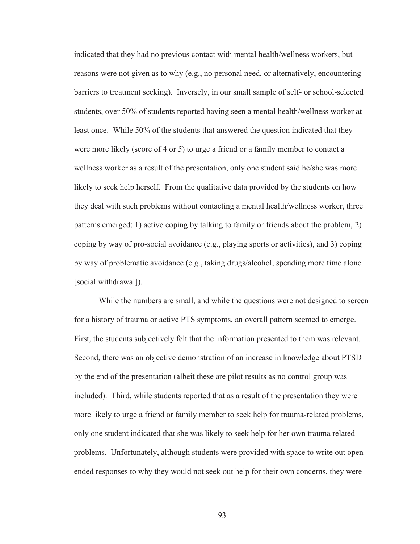indicated that they had no previous contact with mental health/wellness workers, but reasons were not given as to why (e.g., no personal need, or alternatively, encountering barriers to treatment seeking). Inversely, in our small sample of self- or school-selected students, over 50% of students reported having seen a mental health/wellness worker at least once. While 50% of the students that answered the question indicated that they were more likely (score of 4 or 5) to urge a friend or a family member to contact a wellness worker as a result of the presentation, only one student said he/she was more likely to seek help herself. From the qualitative data provided by the students on how they deal with such problems without contacting a mental health/wellness worker, three patterns emerged: 1) active coping by talking to family or friends about the problem, 2) coping by way of pro-social avoidance (e.g., playing sports or activities), and 3) coping by way of problematic avoidance (e.g., taking drugs/alcohol, spending more time alone [social withdrawal]).

 While the numbers are small, and while the questions were not designed to screen for a history of trauma or active PTS symptoms, an overall pattern seemed to emerge. First, the students subjectively felt that the information presented to them was relevant. Second, there was an objective demonstration of an increase in knowledge about PTSD by the end of the presentation (albeit these are pilot results as no control group was included). Third, while students reported that as a result of the presentation they were more likely to urge a friend or family member to seek help for trauma-related problems, only one student indicated that she was likely to seek help for her own trauma related problems. Unfortunately, although students were provided with space to write out open ended responses to why they would not seek out help for their own concerns, they were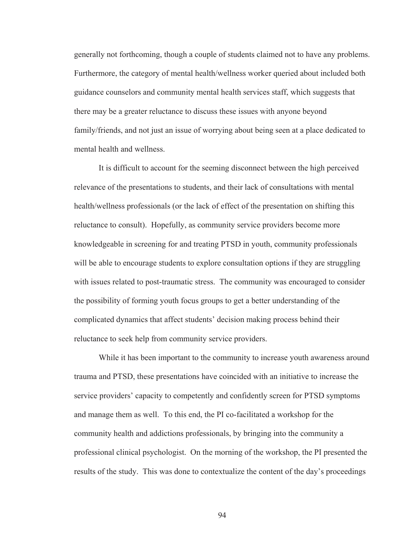generally not forthcoming, though a couple of students claimed not to have any problems. Furthermore, the category of mental health/wellness worker queried about included both guidance counselors and community mental health services staff, which suggests that there may be a greater reluctance to discuss these issues with anyone beyond family/friends, and not just an issue of worrying about being seen at a place dedicated to mental health and wellness.

 It is difficult to account for the seeming disconnect between the high perceived relevance of the presentations to students, and their lack of consultations with mental health/wellness professionals (or the lack of effect of the presentation on shifting this reluctance to consult). Hopefully, as community service providers become more knowledgeable in screening for and treating PTSD in youth, community professionals will be able to encourage students to explore consultation options if they are struggling with issues related to post-traumatic stress. The community was encouraged to consider the possibility of forming youth focus groups to get a better understanding of the complicated dynamics that affect students' decision making process behind their reluctance to seek help from community service providers.

 While it has been important to the community to increase youth awareness around trauma and PTSD, these presentations have coincided with an initiative to increase the service providers' capacity to competently and confidently screen for PTSD symptoms and manage them as well. To this end, the PI co-facilitated a workshop for the community health and addictions professionals, by bringing into the community a professional clinical psychologist. On the morning of the workshop, the PI presented the results of the study. This was done to contextualize the content of the day's proceedings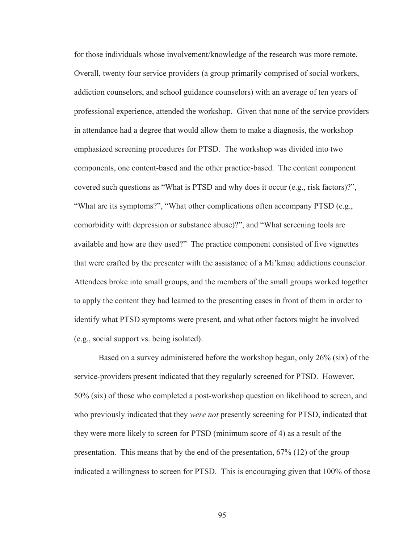for those individuals whose involvement/knowledge of the research was more remote. Overall, twenty four service providers (a group primarily comprised of social workers, addiction counselors, and school guidance counselors) with an average of ten years of professional experience, attended the workshop. Given that none of the service providers in attendance had a degree that would allow them to make a diagnosis, the workshop emphasized screening procedures for PTSD. The workshop was divided into two components, one content-based and the other practice-based. The content component covered such questions as "What is PTSD and why does it occur (e.g., risk factors)?", "What are its symptoms?", "What other complications often accompany PTSD (e.g., comorbidity with depression or substance abuse)?", and "What screening tools are available and how are they used?" The practice component consisted of five vignettes that were crafted by the presenter with the assistance of a Mi'kmaq addictions counselor. Attendees broke into small groups, and the members of the small groups worked together to apply the content they had learned to the presenting cases in front of them in order to identify what PTSD symptoms were present, and what other factors might be involved (e.g., social support vs. being isolated).

 Based on a survey administered before the workshop began, only 26% (six) of the service-providers present indicated that they regularly screened for PTSD. However, 50% (six) of those who completed a post-workshop question on likelihood to screen, and who previously indicated that they *were not* presently screening for PTSD, indicated that they were more likely to screen for PTSD (minimum score of 4) as a result of the presentation. This means that by the end of the presentation, 67% (12) of the group indicated a willingness to screen for PTSD. This is encouraging given that 100% of those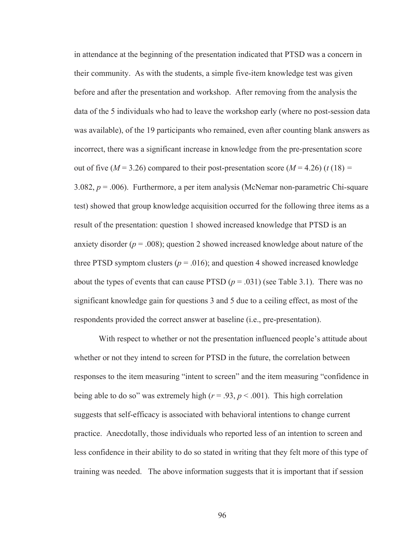in attendance at the beginning of the presentation indicated that PTSD was a concern in their community. As with the students, a simple five-item knowledge test was given before and after the presentation and workshop. After removing from the analysis the data of the 5 individuals who had to leave the workshop early (where no post-session data was available), of the 19 participants who remained, even after counting blank answers as incorrect, there was a significant increase in knowledge from the pre-presentation score out of five ( $M = 3.26$ ) compared to their post-presentation score ( $M = 4.26$ ) ( $t(18) =$ 3.082,  $p = 0.006$ ). Furthermore, a per item analysis (McNemar non-parametric Chi-square test) showed that group knowledge acquisition occurred for the following three items as a result of the presentation: question 1 showed increased knowledge that PTSD is an anxiety disorder ( $p = .008$ ); question 2 showed increased knowledge about nature of the three PTSD symptom clusters ( $p = .016$ ); and question 4 showed increased knowledge about the types of events that can cause PTSD  $(p = .031)$  (see Table 3.1). There was no significant knowledge gain for questions 3 and 5 due to a ceiling effect, as most of the respondents provided the correct answer at baseline (i.e., pre-presentation).

With respect to whether or not the presentation influenced people's attitude about whether or not they intend to screen for PTSD in the future, the correlation between responses to the item measuring "intent to screen" and the item measuring "confidence in being able to do so" was extremely high ( $r = .93$ ,  $p < .001$ ). This high correlation suggests that self-efficacy is associated with behavioral intentions to change current practice. Anecdotally, those individuals who reported less of an intention to screen and less confidence in their ability to do so stated in writing that they felt more of this type of training was needed. The above information suggests that it is important that if session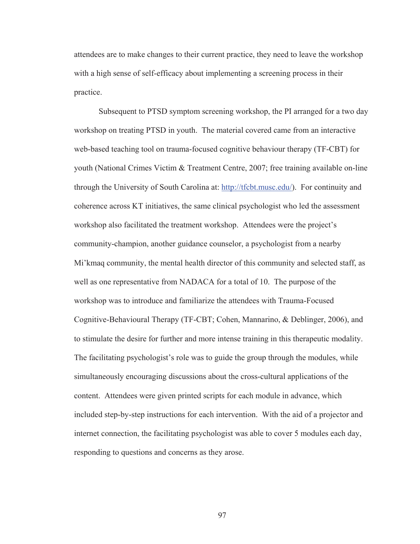attendees are to make changes to their current practice, they need to leave the workshop with a high sense of self-efficacy about implementing a screening process in their practice.

Subsequent to PTSD symptom screening workshop, the PI arranged for a two day workshop on treating PTSD in youth. The material covered came from an interactive web-based teaching tool on trauma-focused cognitive behaviour therapy (TF-CBT) for youth (National Crimes Victim & Treatment Centre, 2007; free training available on-line through the University of South Carolina at: http://tfcbt.musc.edu/). For continuity and coherence across KT initiatives, the same clinical psychologist who led the assessment workshop also facilitated the treatment workshop. Attendees were the project's community-champion, another guidance counselor, a psychologist from a nearby Mi'kmaq community, the mental health director of this community and selected staff, as well as one representative from NADACA for a total of 10. The purpose of the workshop was to introduce and familiarize the attendees with Trauma-Focused Cognitive-Behavioural Therapy (TF-CBT; Cohen, Mannarino, & Deblinger, 2006), and to stimulate the desire for further and more intense training in this therapeutic modality. The facilitating psychologist's role was to guide the group through the modules, while simultaneously encouraging discussions about the cross-cultural applications of the content. Attendees were given printed scripts for each module in advance, which included step-by-step instructions for each intervention. With the aid of a projector and internet connection, the facilitating psychologist was able to cover 5 modules each day, responding to questions and concerns as they arose.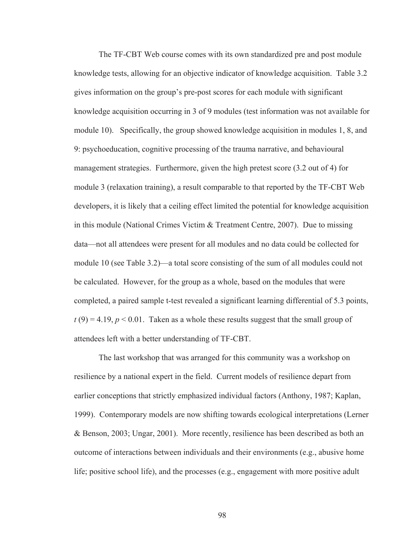The TF-CBT Web course comes with its own standardized pre and post module knowledge tests, allowing for an objective indicator of knowledge acquisition. Table 3.2 gives information on the group's pre-post scores for each module with significant knowledge acquisition occurring in 3 of 9 modules (test information was not available for module 10). Specifically, the group showed knowledge acquisition in modules 1, 8, and 9: psychoeducation, cognitive processing of the trauma narrative, and behavioural management strategies. Furthermore, given the high pretest score (3.2 out of 4) for module 3 (relaxation training), a result comparable to that reported by the TF-CBT Web developers, it is likely that a ceiling effect limited the potential for knowledge acquisition in this module (National Crimes Victim & Treatment Centre, 2007). Due to missing data—not all attendees were present for all modules and no data could be collected for module 10 (see Table 3.2)—a total score consisting of the sum of all modules could not be calculated. However, for the group as a whole, based on the modules that were completed, a paired sample t-test revealed a significant learning differential of 5.3 points,  $t(9) = 4.19$ ,  $p < 0.01$ . Taken as a whole these results suggest that the small group of attendees left with a better understanding of TF-CBT.

The last workshop that was arranged for this community was a workshop on resilience by a national expert in the field. Current models of resilience depart from earlier conceptions that strictly emphasized individual factors (Anthony, 1987; Kaplan, 1999). Contemporary models are now shifting towards ecological interpretations (Lerner & Benson, 2003; Ungar, 2001). More recently, resilience has been described as both an outcome of interactions between individuals and their environments (e.g., abusive home life; positive school life), and the processes (e.g., engagement with more positive adult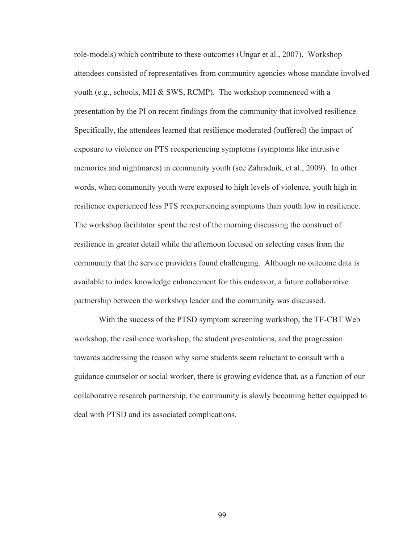role-models) which contribute to these outcomes (Ungar et al., 2007). Workshop attendees consisted of representatives from community agencies whose mandate involved youth (e.g., schools, MH & SWS, RCMP). The workshop commenced with a presentation by the PI on recent findings from the community that involved resilience. Specifically, the attendees learned that resilience moderated (buffered) the impact of exposure to violence on PTS reexperiencing symptoms (symptoms like intrusive memories and nightmares) in community youth (see Zahradnik, et al., 2009). In other words, when community youth were exposed to high levels of violence, youth high in resilience experienced less PTS reexperiencing symptoms than youth low in resilience. The workshop facilitator spent the rest of the morning discussing the construct of resilience in greater detail while the afternoon focused on selecting cases from the community that the service providers found challenging. Although no outcome data is available to index knowledge enhancement for this endeavor, a future collaborative partnership between the workshop leader and the community was discussed.

With the success of the PTSD symptom screening workshop, the TF-CBT Web workshop, the resilience workshop, the student presentations, and the progression towards addressing the reason why some students seem reluctant to consult with a guidance counselor or social worker, there is growing evidence that, as a function of our collaborative research partnership, the community is slowly becoming better equipped to deal with PTSD and its associated complications.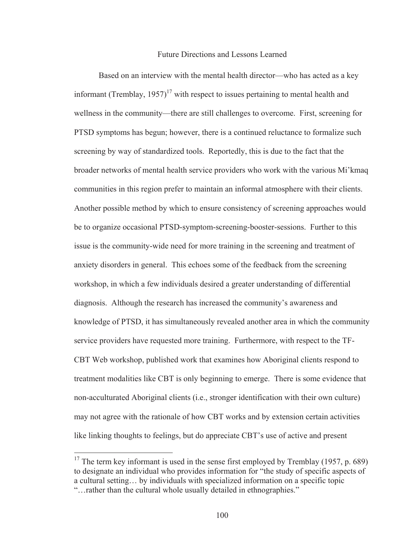## Future Directions and Lessons Learned

 Based on an interview with the mental health director—who has acted as a key informant (Tremblay,  $1957$ )<sup>17</sup> with respect to issues pertaining to mental health and wellness in the community—there are still challenges to overcome. First, screening for PTSD symptoms has begun; however, there is a continued reluctance to formalize such screening by way of standardized tools. Reportedly, this is due to the fact that the broader networks of mental health service providers who work with the various Mi'kmaq communities in this region prefer to maintain an informal atmosphere with their clients. Another possible method by which to ensure consistency of screening approaches would be to organize occasional PTSD-symptom-screening-booster-sessions. Further to this issue is the community-wide need for more training in the screening and treatment of anxiety disorders in general. This echoes some of the feedback from the screening workshop, in which a few individuals desired a greater understanding of differential diagnosis. Although the research has increased the community's awareness and knowledge of PTSD, it has simultaneously revealed another area in which the community service providers have requested more training. Furthermore, with respect to the TF-CBT Web workshop, published work that examines how Aboriginal clients respond to treatment modalities like CBT is only beginning to emerge. There is some evidence that non-acculturated Aboriginal clients (i.e., stronger identification with their own culture) may not agree with the rationale of how CBT works and by extension certain activities like linking thoughts to feelings, but do appreciate CBT's use of active and present

 $\overline{a}$ 

<sup>&</sup>lt;sup>17</sup> The term key informant is used in the sense first employed by Tremblay (1957, p. 689) to designate an individual who provides information for "the study of specific aspects of a cultural setting… by individuals with specialized information on a specific topic "…rather than the cultural whole usually detailed in ethnographies."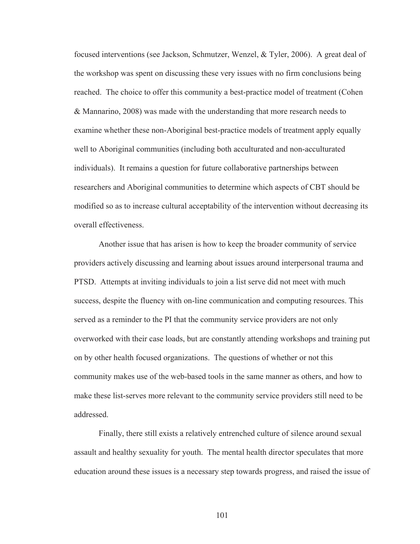focused interventions (see Jackson, Schmutzer, Wenzel, & Tyler, 2006). A great deal of the workshop was spent on discussing these very issues with no firm conclusions being reached. The choice to offer this community a best-practice model of treatment (Cohen & Mannarino, 2008) was made with the understanding that more research needs to examine whether these non-Aboriginal best-practice models of treatment apply equally well to Aboriginal communities (including both acculturated and non-acculturated individuals). It remains a question for future collaborative partnerships between researchers and Aboriginal communities to determine which aspects of CBT should be modified so as to increase cultural acceptability of the intervention without decreasing its overall effectiveness.

 Another issue that has arisen is how to keep the broader community of service providers actively discussing and learning about issues around interpersonal trauma and PTSD. Attempts at inviting individuals to join a list serve did not meet with much success, despite the fluency with on-line communication and computing resources. This served as a reminder to the PI that the community service providers are not only overworked with their case loads, but are constantly attending workshops and training put on by other health focused organizations. The questions of whether or not this community makes use of the web-based tools in the same manner as others, and how to make these list-serves more relevant to the community service providers still need to be addressed.

Finally, there still exists a relatively entrenched culture of silence around sexual assault and healthy sexuality for youth. The mental health director speculates that more education around these issues is a necessary step towards progress, and raised the issue of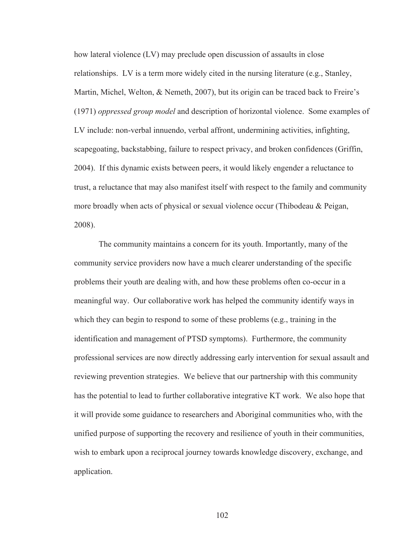how lateral violence (LV) may preclude open discussion of assaults in close relationships. LV is a term more widely cited in the nursing literature (e.g., Stanley, Martin, Michel, Welton, & Nemeth, 2007), but its origin can be traced back to Freire's (1971) *oppressed group model* and description of horizontal violence. Some examples of LV include: non-verbal innuendo, verbal affront, undermining activities, infighting, scapegoating, backstabbing, failure to respect privacy, and broken confidences (Griffin, 2004). If this dynamic exists between peers, it would likely engender a reluctance to trust, a reluctance that may also manifest itself with respect to the family and community more broadly when acts of physical or sexual violence occur (Thibodeau & Peigan, 2008).

The community maintains a concern for its youth. Importantly, many of the community service providers now have a much clearer understanding of the specific problems their youth are dealing with, and how these problems often co-occur in a meaningful way. Our collaborative work has helped the community identify ways in which they can begin to respond to some of these problems (e.g., training in the identification and management of PTSD symptoms). Furthermore, the community professional services are now directly addressing early intervention for sexual assault and reviewing prevention strategies. We believe that our partnership with this community has the potential to lead to further collaborative integrative KT work. We also hope that it will provide some guidance to researchers and Aboriginal communities who, with the unified purpose of supporting the recovery and resilience of youth in their communities, wish to embark upon a reciprocal journey towards knowledge discovery, exchange, and application.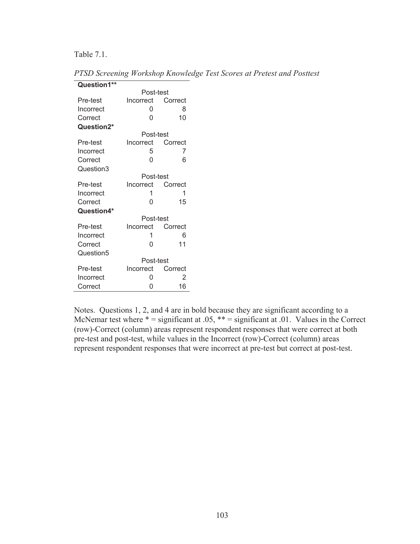Table 7.1.

*PTSD Screening Workshop Knowledge Test Scores at Pretest and Posttest*

| Question1** |                   |         |  |
|-------------|-------------------|---------|--|
|             | Post-test         |         |  |
| Pre-test    | Incorrect Correct |         |  |
| Incorrect   | 0                 | 8       |  |
| Correct     | N                 | 10      |  |
| Question2*  |                   |         |  |
|             | Post-test         |         |  |
| Pre-test    | Incorrect Correct |         |  |
| Incorrect   | 5                 | 7       |  |
| Correct     | 0                 | 6       |  |
| Question3   |                   |         |  |
|             | Post-test         |         |  |
| Pre-test    | Incorrect Correct |         |  |
| Incorrect   | 1                 | 1       |  |
| Correct     | 0                 | 15      |  |
| Question4*  |                   |         |  |
|             | Post-test         |         |  |
| Pre-test    | Incorrect Correct |         |  |
| Incorrect   | 1                 | 6       |  |
| Correct     | 0                 | 11      |  |
| Question5   |                   |         |  |
|             | Post-test         |         |  |
| Pre-test    | Incorrect         | Correct |  |
| Incorrect   | 0                 | 2       |  |
| Correct     | ი                 | 16      |  |

Notes. Questions 1, 2, and 4 are in bold because they are significant according to a McNemar test where  $* =$  significant at .05,  $** =$  significant at .01. Values in the Correct (row)-Correct (column) areas represent respondent responses that were correct at both pre-test and post-test, while values in the Incorrect (row)-Correct (column) areas represent respondent responses that were incorrect at pre-test but correct at post-test.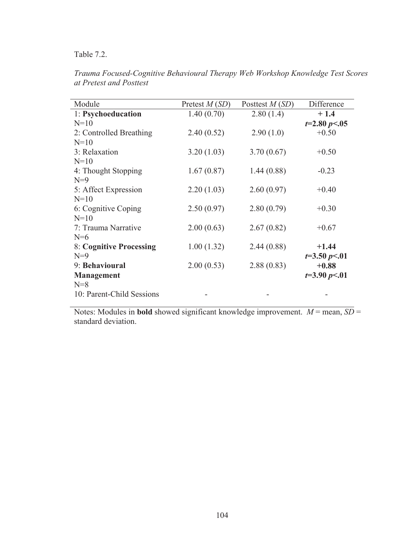Table 7.2.

| Module                    | Pretest $M(SD)$ | Posttest $M(SD)$ | Difference     |
|---------------------------|-----------------|------------------|----------------|
| 1: Psychoeducation        | 1.40(0.70)      | 2.80(1.4)        | $+1.4$         |
| $N=10$                    |                 |                  | $t=2.80 p<.05$ |
| 2: Controlled Breathing   | 2.40(0.52)      | 2.90(1.0)        | $+0.50$        |
| $N=10$                    |                 |                  |                |
| 3: Relaxation             | 3.20(1.03)      | 3.70(0.67)       | $+0.50$        |
| $N=10$                    |                 |                  |                |
| 4: Thought Stopping       | 1.67(0.87)      | 1.44(0.88)       | $-0.23$        |
| $N=9$                     |                 |                  |                |
| 5: Affect Expression      | 2.20(1.03)      | 2.60(0.97)       | $+0.40$        |
| $N=10$                    |                 |                  |                |
| 6: Cognitive Coping       | 2.50(0.97)      | 2.80(0.79)       | $+0.30$        |
| $N=10$                    |                 |                  |                |
| 7: Trauma Narrative       | 2.00(0.63)      | 2.67(0.82)       | $+0.67$        |
| $N=6$                     |                 |                  |                |
| 8: Cognitive Processing   | 1.00(1.32)      | 2.44(0.88)       | $+1.44$        |
| $N=9$                     |                 |                  | $t=3.50 p<.01$ |
| 9: Behavioural            | 2.00(0.53)      | 2.88(0.83)       | $+0.88$        |
| <b>Management</b>         |                 |                  | $t=3.90 p<.01$ |
| $N=8$                     |                 |                  |                |
| 10: Parent-Child Sessions |                 |                  |                |

*Trauma Focused-Cognitive Behavioural Therapy Web Workshop Knowledge Test Scores at Pretest and Posttest*

Notes: Modules in **bold** showed significant knowledge improvement.  $M =$  mean,  $SD =$ standard deviation.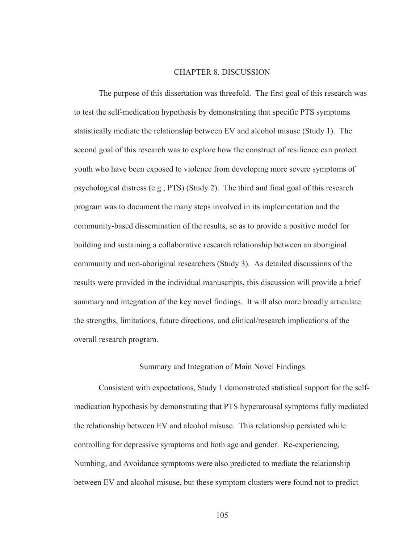## CHAPTER 8. DISCUSSION

 The purpose of this dissertation was threefold. The first goal of this research was to test the self-medication hypothesis by demonstrating that specific PTS symptoms statistically mediate the relationship between EV and alcohol misuse (Study 1). The second goal of this research was to explore how the construct of resilience can protect youth who have been exposed to violence from developing more severe symptoms of psychological distress (e.g., PTS) (Study 2). The third and final goal of this research program was to document the many steps involved in its implementation and the community-based dissemination of the results, so as to provide a positive model for building and sustaining a collaborative research relationship between an aboriginal community and non-aboriginal researchers (Study 3). As detailed discussions of the results were provided in the individual manuscripts, this discussion will provide a brief summary and integration of the key novel findings. It will also more broadly articulate the strengths, limitations, future directions, and clinical/research implications of the overall research program.

## Summary and Integration of Main Novel Findings

 Consistent with expectations, Study 1 demonstrated statistical support for the selfmedication hypothesis by demonstrating that PTS hyperarousal symptoms fully mediated the relationship between EV and alcohol misuse. This relationship persisted while controlling for depressive symptoms and both age and gender. Re-experiencing, Numbing, and Avoidance symptoms were also predicted to mediate the relationship between EV and alcohol misuse, but these symptom clusters were found not to predict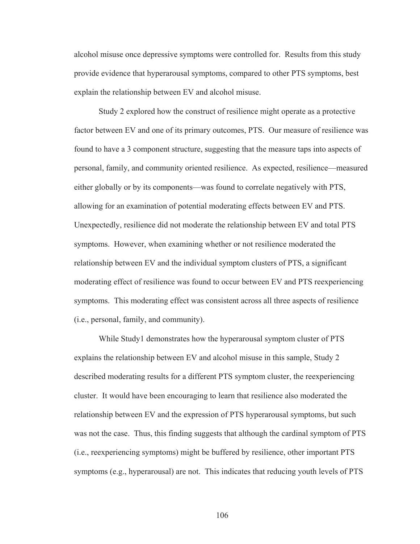alcohol misuse once depressive symptoms were controlled for. Results from this study provide evidence that hyperarousal symptoms, compared to other PTS symptoms, best explain the relationship between EV and alcohol misuse.

 Study 2 explored how the construct of resilience might operate as a protective factor between EV and one of its primary outcomes, PTS. Our measure of resilience was found to have a 3 component structure, suggesting that the measure taps into aspects of personal, family, and community oriented resilience. As expected, resilience—measured either globally or by its components—was found to correlate negatively with PTS, allowing for an examination of potential moderating effects between EV and PTS. Unexpectedly, resilience did not moderate the relationship between EV and total PTS symptoms. However, when examining whether or not resilience moderated the relationship between EV and the individual symptom clusters of PTS, a significant moderating effect of resilience was found to occur between EV and PTS reexperiencing symptoms. This moderating effect was consistent across all three aspects of resilience (i.e., personal, family, and community).

 While Study1 demonstrates how the hyperarousal symptom cluster of PTS explains the relationship between EV and alcohol misuse in this sample, Study 2 described moderating results for a different PTS symptom cluster, the reexperiencing cluster. It would have been encouraging to learn that resilience also moderated the relationship between EV and the expression of PTS hyperarousal symptoms, but such was not the case. Thus, this finding suggests that although the cardinal symptom of PTS (i.e., reexperiencing symptoms) might be buffered by resilience, other important PTS symptoms (e.g., hyperarousal) are not. This indicates that reducing youth levels of PTS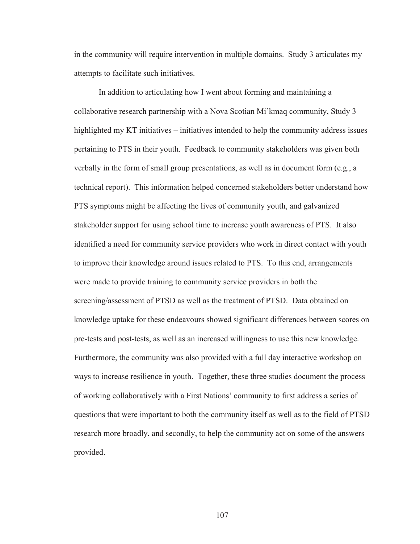in the community will require intervention in multiple domains. Study 3 articulates my attempts to facilitate such initiatives.

 In addition to articulating how I went about forming and maintaining a collaborative research partnership with a Nova Scotian Mi'kmaq community, Study 3 highlighted my KT initiatives – initiatives intended to help the community address issues pertaining to PTS in their youth. Feedback to community stakeholders was given both verbally in the form of small group presentations, as well as in document form (e.g., a technical report). This information helped concerned stakeholders better understand how PTS symptoms might be affecting the lives of community youth, and galvanized stakeholder support for using school time to increase youth awareness of PTS. It also identified a need for community service providers who work in direct contact with youth to improve their knowledge around issues related to PTS. To this end, arrangements were made to provide training to community service providers in both the screening/assessment of PTSD as well as the treatment of PTSD. Data obtained on knowledge uptake for these endeavours showed significant differences between scores on pre-tests and post-tests, as well as an increased willingness to use this new knowledge. Furthermore, the community was also provided with a full day interactive workshop on ways to increase resilience in youth. Together, these three studies document the process of working collaboratively with a First Nations' community to first address a series of questions that were important to both the community itself as well as to the field of PTSD research more broadly, and secondly, to help the community act on some of the answers provided.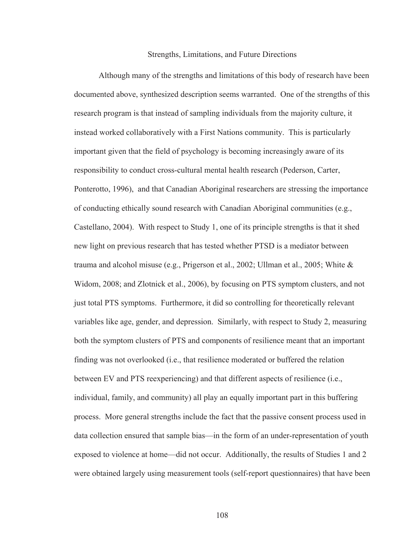#### Strengths, Limitations, and Future Directions

 Although many of the strengths and limitations of this body of research have been documented above, synthesized description seems warranted. One of the strengths of this research program is that instead of sampling individuals from the majority culture, it instead worked collaboratively with a First Nations community. This is particularly important given that the field of psychology is becoming increasingly aware of its responsibility to conduct cross-cultural mental health research (Pederson, Carter, Ponterotto, 1996), and that Canadian Aboriginal researchers are stressing the importance of conducting ethically sound research with Canadian Aboriginal communities (e.g., Castellano, 2004). With respect to Study 1, one of its principle strengths is that it shed new light on previous research that has tested whether PTSD is a mediator between trauma and alcohol misuse (e.g., Prigerson et al., 2002; Ullman et al., 2005; White & Widom, 2008; and Zlotnick et al., 2006), by focusing on PTS symptom clusters, and not just total PTS symptoms. Furthermore, it did so controlling for theoretically relevant variables like age, gender, and depression. Similarly, with respect to Study 2, measuring both the symptom clusters of PTS and components of resilience meant that an important finding was not overlooked (i.e., that resilience moderated or buffered the relation between EV and PTS reexperiencing) and that different aspects of resilience (i.e., individual, family, and community) all play an equally important part in this buffering process. More general strengths include the fact that the passive consent process used in data collection ensured that sample bias—in the form of an under-representation of youth exposed to violence at home—did not occur. Additionally, the results of Studies 1 and 2 were obtained largely using measurement tools (self-report questionnaires) that have been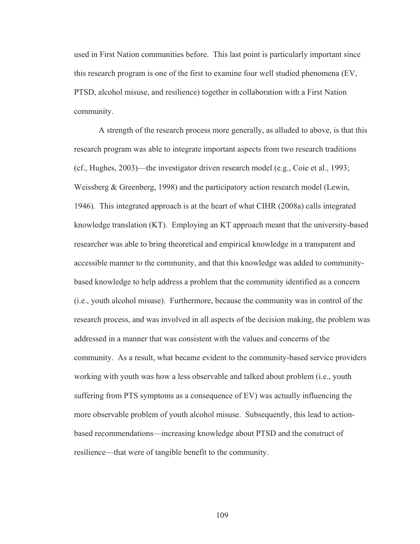used in First Nation communities before. This last point is particularly important since this research program is one of the first to examine four well studied phenomena (EV, PTSD, alcohol misuse, and resilience) together in collaboration with a First Nation community.

 A strength of the research process more generally, as alluded to above, is that this research program was able to integrate important aspects from two research traditions (cf., Hughes, 2003)—the investigator driven research model (e.g., Coie et al., 1993; Weissberg & Greenberg, 1998) and the participatory action research model (Lewin, 1946). This integrated approach is at the heart of what CIHR (2008a) calls integrated knowledge translation (KT). Employing an KT approach meant that the university-based researcher was able to bring theoretical and empirical knowledge in a transparent and accessible manner to the community, and that this knowledge was added to communitybased knowledge to help address a problem that the community identified as a concern (i.e., youth alcohol misuse). Furthermore, because the community was in control of the research process, and was involved in all aspects of the decision making, the problem was addressed in a manner that was consistent with the values and concerns of the community. As a result, what became evident to the community-based service providers working with youth was how a less observable and talked about problem (i.e., youth suffering from PTS symptoms as a consequence of EV) was actually influencing the more observable problem of youth alcohol misuse. Subsequently, this lead to actionbased recommendations—increasing knowledge about PTSD and the construct of resilience—that were of tangible benefit to the community.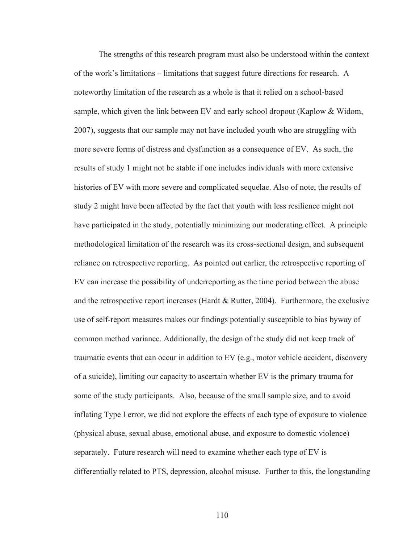The strengths of this research program must also be understood within the context of the work's limitations – limitations that suggest future directions for research. A noteworthy limitation of the research as a whole is that it relied on a school-based sample, which given the link between EV and early school dropout (Kaplow & Widom, 2007), suggests that our sample may not have included youth who are struggling with more severe forms of distress and dysfunction as a consequence of EV. As such, the results of study 1 might not be stable if one includes individuals with more extensive histories of EV with more severe and complicated sequelae. Also of note, the results of study 2 might have been affected by the fact that youth with less resilience might not have participated in the study, potentially minimizing our moderating effect. A principle methodological limitation of the research was its cross-sectional design, and subsequent reliance on retrospective reporting. As pointed out earlier, the retrospective reporting of EV can increase the possibility of underreporting as the time period between the abuse and the retrospective report increases (Hardt & Rutter, 2004). Furthermore, the exclusive use of self-report measures makes our findings potentially susceptible to bias byway of common method variance. Additionally, the design of the study did not keep track of traumatic events that can occur in addition to EV (e.g., motor vehicle accident, discovery of a suicide), limiting our capacity to ascertain whether EV is the primary trauma for some of the study participants. Also, because of the small sample size, and to avoid inflating Type I error, we did not explore the effects of each type of exposure to violence (physical abuse, sexual abuse, emotional abuse, and exposure to domestic violence) separately. Future research will need to examine whether each type of EV is differentially related to PTS, depression, alcohol misuse. Further to this, the longstanding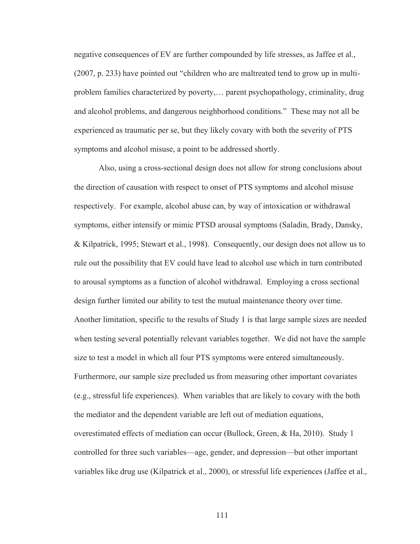negative consequences of EV are further compounded by life stresses, as Jaffee et al., (2007, p. 233) have pointed out "children who are maltreated tend to grow up in multiproblem families characterized by poverty,… parent psychopathology, criminality, drug and alcohol problems, and dangerous neighborhood conditions." These may not all be experienced as traumatic per se, but they likely covary with both the severity of PTS symptoms and alcohol misuse, a point to be addressed shortly.

 Also, using a cross-sectional design does not allow for strong conclusions about the direction of causation with respect to onset of PTS symptoms and alcohol misuse respectively. For example, alcohol abuse can, by way of intoxication or withdrawal symptoms, either intensify or mimic PTSD arousal symptoms (Saladin, Brady, Dansky, & Kilpatrick, 1995; Stewart et al., 1998). Consequently, our design does not allow us to rule out the possibility that EV could have lead to alcohol use which in turn contributed to arousal symptoms as a function of alcohol withdrawal. Employing a cross sectional design further limited our ability to test the mutual maintenance theory over time. Another limitation, specific to the results of Study 1 is that large sample sizes are needed when testing several potentially relevant variables together. We did not have the sample size to test a model in which all four PTS symptoms were entered simultaneously. Furthermore, our sample size precluded us from measuring other important covariates (e.g., stressful life experiences). When variables that are likely to covary with the both the mediator and the dependent variable are left out of mediation equations, overestimated effects of mediation can occur (Bullock, Green, & Ha, 2010). Study 1 controlled for three such variables—age, gender, and depression—but other important variables like drug use (Kilpatrick et al., 2000), or stressful life experiences (Jaffee et al.,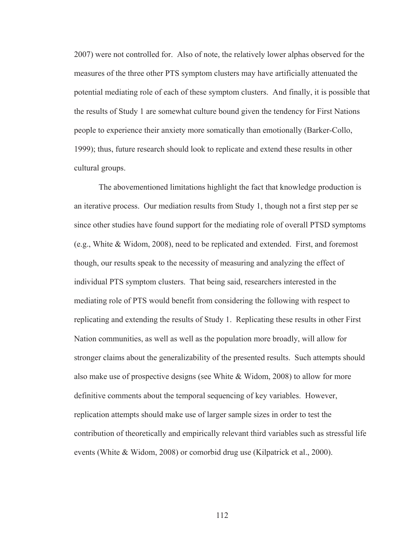2007) were not controlled for. Also of note, the relatively lower alphas observed for the measures of the three other PTS symptom clusters may have artificially attenuated the potential mediating role of each of these symptom clusters. And finally, it is possible that the results of Study 1 are somewhat culture bound given the tendency for First Nations people to experience their anxiety more somatically than emotionally (Barker-Collo, 1999); thus, future research should look to replicate and extend these results in other cultural groups.

 The abovementioned limitations highlight the fact that knowledge production is an iterative process. Our mediation results from Study 1, though not a first step per se since other studies have found support for the mediating role of overall PTSD symptoms (e.g., White & Widom, 2008), need to be replicated and extended. First, and foremost though, our results speak to the necessity of measuring and analyzing the effect of individual PTS symptom clusters. That being said, researchers interested in the mediating role of PTS would benefit from considering the following with respect to replicating and extending the results of Study 1. Replicating these results in other First Nation communities, as well as well as the population more broadly, will allow for stronger claims about the generalizability of the presented results. Such attempts should also make use of prospective designs (see White & Widom, 2008) to allow for more definitive comments about the temporal sequencing of key variables. However, replication attempts should make use of larger sample sizes in order to test the contribution of theoretically and empirically relevant third variables such as stressful life events (White & Widom, 2008) or comorbid drug use (Kilpatrick et al., 2000).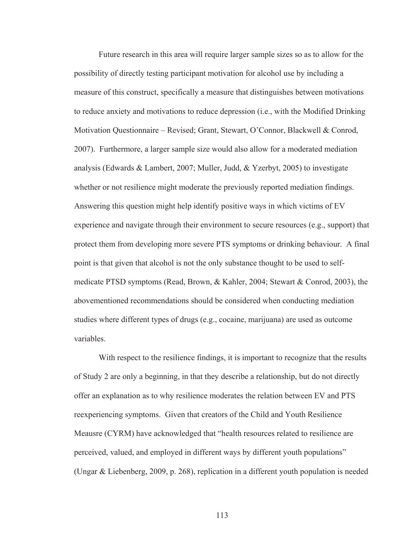Future research in this area will require larger sample sizes so as to allow for the possibility of directly testing participant motivation for alcohol use by including a measure of this construct, specifically a measure that distinguishes between motivations to reduce anxiety and motivations to reduce depression (i.e., with the Modified Drinking Motivation Questionnaire – Revised; Grant, Stewart, O'Connor, Blackwell & Conrod, 2007). Furthermore, a larger sample size would also allow for a moderated mediation analysis (Edwards & Lambert, 2007; Muller, Judd, & Yzerbyt, 2005) to investigate whether or not resilience might moderate the previously reported mediation findings. Answering this question might help identify positive ways in which victims of EV experience and navigate through their environment to secure resources (e.g., support) that protect them from developing more severe PTS symptoms or drinking behaviour. A final point is that given that alcohol is not the only substance thought to be used to selfmedicate PTSD symptoms (Read, Brown, & Kahler, 2004; Stewart & Conrod, 2003), the abovementioned recommendations should be considered when conducting mediation studies where different types of drugs (e.g., cocaine, marijuana) are used as outcome variables.

With respect to the resilience findings, it is important to recognize that the results of Study 2 are only a beginning, in that they describe a relationship, but do not directly offer an explanation as to why resilience moderates the relation between EV and PTS reexperiencing symptoms. Given that creators of the Child and Youth Resilience Meausre (CYRM) have acknowledged that "health resources related to resilience are perceived, valued, and employed in different ways by different youth populations" (Ungar & Liebenberg, 2009, p. 268), replication in a different youth population is needed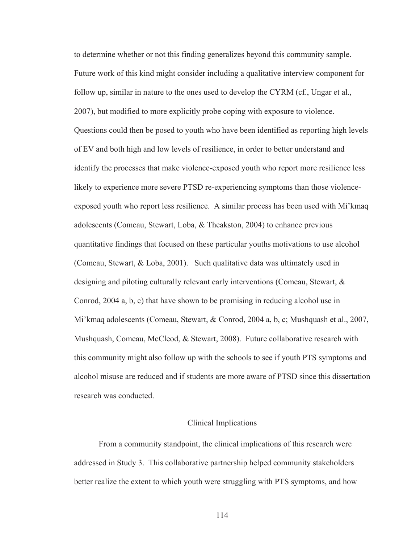to determine whether or not this finding generalizes beyond this community sample. Future work of this kind might consider including a qualitative interview component for follow up, similar in nature to the ones used to develop the CYRM (cf., Ungar et al., 2007), but modified to more explicitly probe coping with exposure to violence. Questions could then be posed to youth who have been identified as reporting high levels of EV and both high and low levels of resilience, in order to better understand and identify the processes that make violence-exposed youth who report more resilience less likely to experience more severe PTSD re-experiencing symptoms than those violenceexposed youth who report less resilience. A similar process has been used with Mi'kmaq adolescents (Comeau, Stewart, Loba, & Theakston, 2004) to enhance previous quantitative findings that focused on these particular youths motivations to use alcohol (Comeau, Stewart, & Loba, 2001). Such qualitative data was ultimately used in designing and piloting culturally relevant early interventions (Comeau, Stewart, & Conrod, 2004 a, b, c) that have shown to be promising in reducing alcohol use in Mi'kmaq adolescents (Comeau, Stewart, & Conrod, 2004 a, b, c; Mushquash et al., 2007, Mushquash, Comeau, McCleod, & Stewart, 2008). Future collaborative research with this community might also follow up with the schools to see if youth PTS symptoms and alcohol misuse are reduced and if students are more aware of PTSD since this dissertation research was conducted.

# Clinical Implications

 From a community standpoint, the clinical implications of this research were addressed in Study 3. This collaborative partnership helped community stakeholders better realize the extent to which youth were struggling with PTS symptoms, and how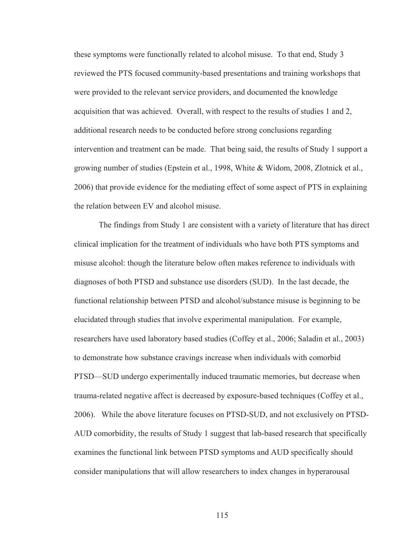these symptoms were functionally related to alcohol misuse. To that end, Study 3 reviewed the PTS focused community-based presentations and training workshops that were provided to the relevant service providers, and documented the knowledge acquisition that was achieved. Overall, with respect to the results of studies 1 and 2, additional research needs to be conducted before strong conclusions regarding intervention and treatment can be made. That being said, the results of Study 1 support a growing number of studies (Epstein et al., 1998, White & Widom, 2008, Zlotnick et al., 2006) that provide evidence for the mediating effect of some aspect of PTS in explaining the relation between EV and alcohol misuse.

 The findings from Study 1 are consistent with a variety of literature that has direct clinical implication for the treatment of individuals who have both PTS symptoms and misuse alcohol: though the literature below often makes reference to individuals with diagnoses of both PTSD and substance use disorders (SUD). In the last decade, the functional relationship between PTSD and alcohol/substance misuse is beginning to be elucidated through studies that involve experimental manipulation. For example, researchers have used laboratory based studies (Coffey et al., 2006; Saladin et al., 2003) to demonstrate how substance cravings increase when individuals with comorbid PTSD—SUD undergo experimentally induced traumatic memories, but decrease when trauma-related negative affect is decreased by exposure-based techniques (Coffey et al., 2006). While the above literature focuses on PTSD-SUD, and not exclusively on PTSD-AUD comorbidity, the results of Study 1 suggest that lab-based research that specifically examines the functional link between PTSD symptoms and AUD specifically should consider manipulations that will allow researchers to index changes in hyperarousal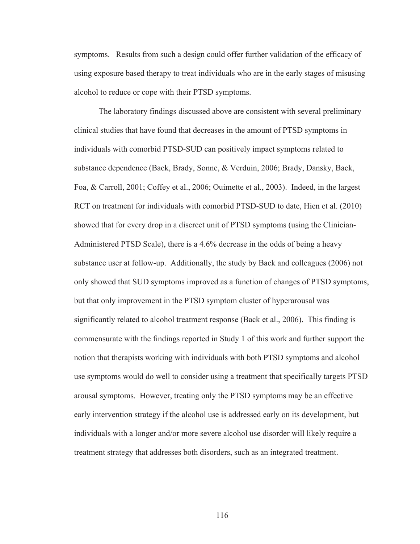symptoms. Results from such a design could offer further validation of the efficacy of using exposure based therapy to treat individuals who are in the early stages of misusing alcohol to reduce or cope with their PTSD symptoms.

 The laboratory findings discussed above are consistent with several preliminary clinical studies that have found that decreases in the amount of PTSD symptoms in individuals with comorbid PTSD-SUD can positively impact symptoms related to substance dependence (Back, Brady, Sonne, & Verduin, 2006; Brady, Dansky, Back, Foa, & Carroll, 2001; Coffey et al., 2006; Ouimette et al., 2003). Indeed, in the largest RCT on treatment for individuals with comorbid PTSD-SUD to date, Hien et al. (2010) showed that for every drop in a discreet unit of PTSD symptoms (using the Clinician-Administered PTSD Scale), there is a 4.6% decrease in the odds of being a heavy substance user at follow-up. Additionally, the study by Back and colleagues (2006) not only showed that SUD symptoms improved as a function of changes of PTSD symptoms, but that only improvement in the PTSD symptom cluster of hyperarousal was significantly related to alcohol treatment response (Back et al., 2006). This finding is commensurate with the findings reported in Study 1 of this work and further support the notion that therapists working with individuals with both PTSD symptoms and alcohol use symptoms would do well to consider using a treatment that specifically targets PTSD arousal symptoms. However, treating only the PTSD symptoms may be an effective early intervention strategy if the alcohol use is addressed early on its development, but individuals with a longer and/or more severe alcohol use disorder will likely require a treatment strategy that addresses both disorders, such as an integrated treatment.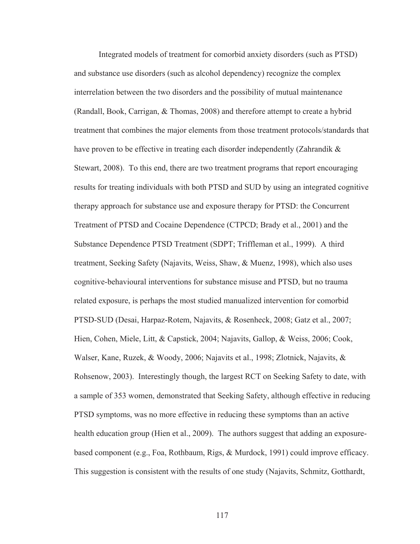Integrated models of treatment for comorbid anxiety disorders (such as PTSD) and substance use disorders (such as alcohol dependency) recognize the complex interrelation between the two disorders and the possibility of mutual maintenance (Randall, Book, Carrigan, & Thomas, 2008) and therefore attempt to create a hybrid treatment that combines the major elements from those treatment protocols/standards that have proven to be effective in treating each disorder independently (Zahrandik  $\&$ Stewart, 2008). To this end, there are two treatment programs that report encouraging results for treating individuals with both PTSD and SUD by using an integrated cognitive therapy approach for substance use and exposure therapy for PTSD: the Concurrent Treatment of PTSD and Cocaine Dependence (CTPCD; Brady et al., 2001) and the Substance Dependence PTSD Treatment (SDPT; Triffleman et al., 1999). A third treatment, Seeking Safety (Najavits, Weiss, Shaw, & Muenz, 1998), which also uses cognitive-behavioural interventions for substance misuse and PTSD, but no trauma related exposure, is perhaps the most studied manualized intervention for comorbid PTSD-SUD (Desai, Harpaz-Rotem, Najavits, & Rosenheck, 2008; Gatz et al., 2007; Hien, Cohen, Miele, Litt, & Capstick, 2004; Najavits, Gallop, & Weiss, 2006; Cook, Walser, Kane, Ruzek, & Woody, 2006; Najavits et al., 1998; Zlotnick, Najavits, & Rohsenow, 2003). Interestingly though, the largest RCT on Seeking Safety to date, with a sample of 353 women, demonstrated that Seeking Safety, although effective in reducing PTSD symptoms, was no more effective in reducing these symptoms than an active health education group (Hien et al., 2009). The authors suggest that adding an exposurebased component (e.g., Foa, Rothbaum, Rigs, & Murdock, 1991) could improve efficacy. This suggestion is consistent with the results of one study (Najavits, Schmitz, Gotthardt,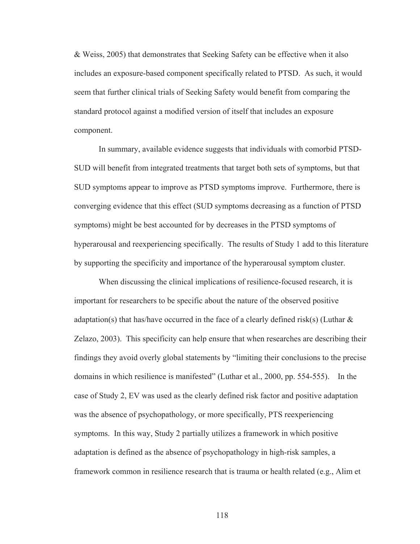& Weiss, 2005) that demonstrates that Seeking Safety can be effective when it also includes an exposure-based component specifically related to PTSD. As such, it would seem that further clinical trials of Seeking Safety would benefit from comparing the standard protocol against a modified version of itself that includes an exposure component.

 In summary, available evidence suggests that individuals with comorbid PTSD-SUD will benefit from integrated treatments that target both sets of symptoms, but that SUD symptoms appear to improve as PTSD symptoms improve. Furthermore, there is converging evidence that this effect (SUD symptoms decreasing as a function of PTSD symptoms) might be best accounted for by decreases in the PTSD symptoms of hyperarousal and reexperiencing specifically. The results of Study 1 add to this literature by supporting the specificity and importance of the hyperarousal symptom cluster.

 When discussing the clinical implications of resilience-focused research, it is important for researchers to be specific about the nature of the observed positive adaptation(s) that has/have occurred in the face of a clearly defined risk(s) (Luthar  $\&$ Zelazo, 2003). This specificity can help ensure that when researches are describing their findings they avoid overly global statements by "limiting their conclusions to the precise domains in which resilience is manifested" (Luthar et al., 2000, pp. 554-555). In the case of Study 2, EV was used as the clearly defined risk factor and positive adaptation was the absence of psychopathology, or more specifically, PTS reexperiencing symptoms. In this way, Study 2 partially utilizes a framework in which positive adaptation is defined as the absence of psychopathology in high-risk samples, a framework common in resilience research that is trauma or health related (e.g., Alim et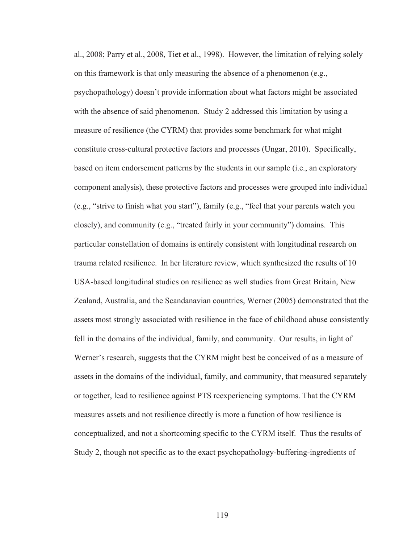al., 2008; Parry et al., 2008, Tiet et al., 1998). However, the limitation of relying solely on this framework is that only measuring the absence of a phenomenon (e.g., psychopathology) doesn't provide information about what factors might be associated with the absence of said phenomenon. Study 2 addressed this limitation by using a measure of resilience (the CYRM) that provides some benchmark for what might constitute cross-cultural protective factors and processes (Ungar, 2010). Specifically, based on item endorsement patterns by the students in our sample (i.e., an exploratory component analysis), these protective factors and processes were grouped into individual (e.g., "strive to finish what you start"), family (e.g., "feel that your parents watch you closely), and community (e.g., "treated fairly in your community") domains. This particular constellation of domains is entirely consistent with longitudinal research on trauma related resilience. In her literature review, which synthesized the results of 10 USA-based longitudinal studies on resilience as well studies from Great Britain, New Zealand, Australia, and the Scandanavian countries, Werner (2005) demonstrated that the assets most strongly associated with resilience in the face of childhood abuse consistently fell in the domains of the individual, family, and community. Our results, in light of Werner's research, suggests that the CYRM might best be conceived of as a measure of assets in the domains of the individual, family, and community, that measured separately or together, lead to resilience against PTS reexperiencing symptoms. That the CYRM measures assets and not resilience directly is more a function of how resilience is conceptualized, and not a shortcoming specific to the CYRM itself. Thus the results of Study 2, though not specific as to the exact psychopathology-buffering-ingredients of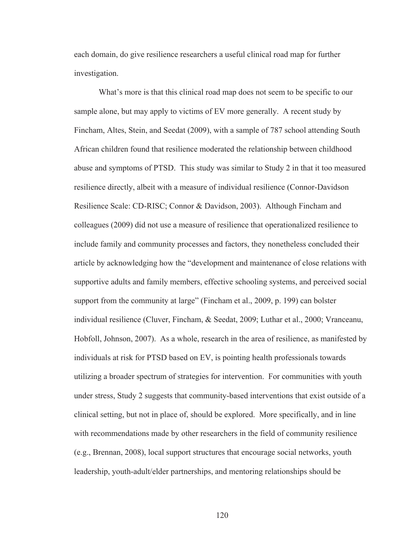each domain, do give resilience researchers a useful clinical road map for further investigation.

 What's more is that this clinical road map does not seem to be specific to our sample alone, but may apply to victims of EV more generally. A recent study by Fincham, Altes, Stein, and Seedat (2009), with a sample of 787 school attending South African children found that resilience moderated the relationship between childhood abuse and symptoms of PTSD. This study was similar to Study 2 in that it too measured resilience directly, albeit with a measure of individual resilience (Connor-Davidson Resilience Scale: CD-RISC; Connor & Davidson, 2003). Although Fincham and colleagues (2009) did not use a measure of resilience that operationalized resilience to include family and community processes and factors, they nonetheless concluded their article by acknowledging how the "development and maintenance of close relations with supportive adults and family members, effective schooling systems, and perceived social support from the community at large" (Fincham et al., 2009, p. 199) can bolster individual resilience (Cluver, Fincham, & Seedat, 2009; Luthar et al., 2000; Vranceanu, Hobfoll, Johnson, 2007). As a whole, research in the area of resilience, as manifested by individuals at risk for PTSD based on EV, is pointing health professionals towards utilizing a broader spectrum of strategies for intervention. For communities with youth under stress, Study 2 suggests that community-based interventions that exist outside of a clinical setting, but not in place of, should be explored. More specifically, and in line with recommendations made by other researchers in the field of community resilience (e.g., Brennan, 2008), local support structures that encourage social networks, youth leadership, youth-adult/elder partnerships, and mentoring relationships should be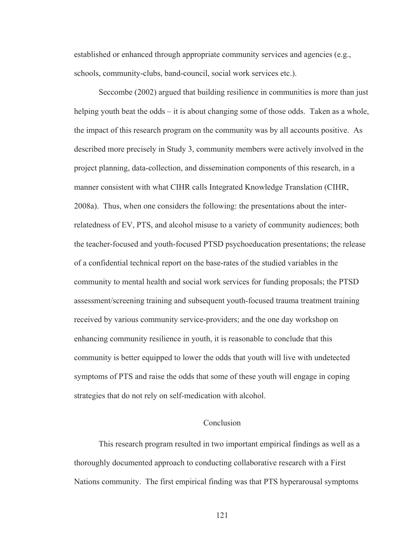established or enhanced through appropriate community services and agencies (e.g., schools, community-clubs, band-council, social work services etc.).

 Seccombe (2002) argued that building resilience in communities is more than just helping youth beat the odds – it is about changing some of those odds. Taken as a whole, the impact of this research program on the community was by all accounts positive. As described more precisely in Study 3, community members were actively involved in the project planning, data-collection, and dissemination components of this research, in a manner consistent with what CIHR calls Integrated Knowledge Translation (CIHR, 2008a). Thus, when one considers the following: the presentations about the interrelatedness of EV, PTS, and alcohol misuse to a variety of community audiences; both the teacher-focused and youth-focused PTSD psychoeducation presentations; the release of a confidential technical report on the base-rates of the studied variables in the community to mental health and social work services for funding proposals; the PTSD assessment/screening training and subsequent youth-focused trauma treatment training received by various community service-providers; and the one day workshop on enhancing community resilience in youth, it is reasonable to conclude that this community is better equipped to lower the odds that youth will live with undetected symptoms of PTS and raise the odds that some of these youth will engage in coping strategies that do not rely on self-medication with alcohol.

# Conclusion

 This research program resulted in two important empirical findings as well as a thoroughly documented approach to conducting collaborative research with a First Nations community. The first empirical finding was that PTS hyperarousal symptoms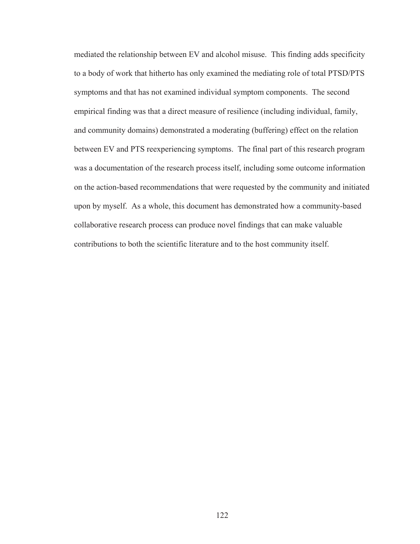mediated the relationship between EV and alcohol misuse. This finding adds specificity to a body of work that hitherto has only examined the mediating role of total PTSD/PTS symptoms and that has not examined individual symptom components. The second empirical finding was that a direct measure of resilience (including individual, family, and community domains) demonstrated a moderating (buffering) effect on the relation between EV and PTS reexperiencing symptoms. The final part of this research program was a documentation of the research process itself, including some outcome information on the action-based recommendations that were requested by the community and initiated upon by myself. As a whole, this document has demonstrated how a community-based collaborative research process can produce novel findings that can make valuable contributions to both the scientific literature and to the host community itself.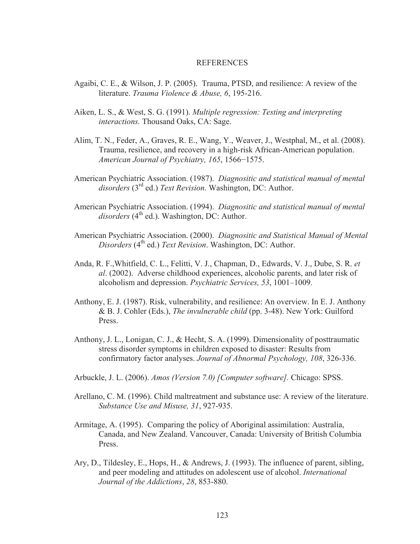## **REFERENCES**

- Agaibi, C. E., & Wilson, J. P. (2005). Trauma, PTSD, and resilience: A review of the literature. *Trauma Violence & Abuse, 6*, 195-216.
- Aiken, L. S., & West, S. G. (1991). *Multiple regression: Testing and interpreting interactions.* Thousand Oaks, CA: Sage.
- Alim, T. N., Feder, A., Graves, R. E., Wang, Y., Weaver, J., Westphal, M., et al. (2008). Trauma, resilience, and recovery in a high-risk African-American population. *American Journal of Psychiatry, 165, 1566-1575.*
- American Psychiatric Association. (1987). *Diagnositic and statistical manual of mental disorders* (3rd ed.) *Text Revision*. Washington, DC: Author.
- American Psychiatric Association. (1994). *Diagnositic and statistical manual of mental*  disorders (4<sup>th</sup> ed.). Washington, DC: Author.
- American Psychiatric Association. (2000). *Diagnositic and Statistical Manual of Mental Disorders* (4<sup>th</sup> ed.) *Text Revision*. Washington, DC: Author.
- Anda, R. F.,Whitfield, C. L., Felitti, V. J., Chapman, D., Edwards, V. J., Dube, S. R. *et al*. (2002). Adverse childhood experiences, alcoholic parents, and later risk of alcoholism and depression. *Psychiatric Services, 53*, 1001–1009.
- Anthony, E. J. (1987). Risk, vulnerability, and resilience: An overview. In E. J. Anthony & B. J. Cohler (Eds.), *The invulnerable child* (pp. 3-48). New York: Guilford Press.
- Anthony, J. L., Lonigan, C. J., & Hecht, S. A. (1999). Dimensionality of posttraumatic stress disorder symptoms in children exposed to disaster: Results from confirmatory factor analyses. *Journal of Abnormal Psychology, 108*, 326-336.
- Arbuckle, J. L. (2006). *Amos (Version 7.0) [Computer software].* Chicago: SPSS.
- Arellano, C. M. (1996). Child maltreatment and substance use: A review of the literature. *Substance Use and Misuse, 31*, 927-935.
- Armitage, A. (1995). Comparing the policy of Aboriginal assimilation: Australia, Canada, and New Zealand. Vancouver, Canada: University of British Columbia Press.
- Ary, D., Tildesley, E., Hops, H., & Andrews, J. (1993). The influence of parent, sibling, and peer modeling and attitudes on adolescent use of alcohol. *International Journal of the Addictions*, *28*, 853-880.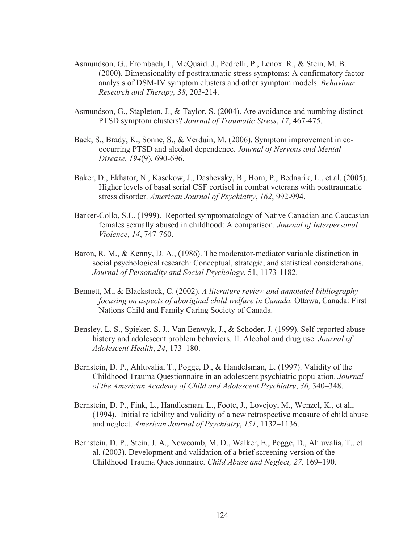- Asmundson, G., Frombach, I., McQuaid. J., Pedrelli, P., Lenox. R., & Stein, M. B. (2000). Dimensionality of posttraumatic stress symptoms: A confirmatory factor analysis of DSM-IV symptom clusters and other symptom models. *Behaviour Research and Therapy, 38*, 203-214.
- Asmundson, G., Stapleton, J., & Taylor, S. (2004). Are avoidance and numbing distinct PTSD symptom clusters? *Journal of Traumatic Stress*, *17*, 467-475.
- Back, S., Brady, K., Sonne, S., & Verduin, M. (2006). Symptom improvement in cooccurring PTSD and alcohol dependence. *Journal of Nervous and Mental Disease*, *194*(9), 690-696.
- Baker, D., Ekhator, N., Kasckow, J., Dashevsky, B., Horn, P., Bednarik, L., et al. (2005). Higher levels of basal serial CSF cortisol in combat veterans with posttraumatic stress disorder. *American Journal of Psychiatry*, *162*, 992-994.
- Barker-Collo, S.L. (1999). Reported symptomatology of Native Canadian and Caucasian females sexually abused in childhood: A comparison. *Journal of Interpersonal Violence, 14*, 747-760.
- Baron, R. M., & Kenny, D. A., (1986). The moderator-mediator variable distinction in social psychological research: Conceptual, strategic, and statistical considerations. *Journal of Personality and Social Psychology*. 51, 1173-1182.
- Bennett, M., & Blackstock, C. (2002). *A literature review and annotated bibliography focusing on aspects of aboriginal child welfare in Canada.* Ottawa, Canada: First Nations Child and Family Caring Society of Canada.
- Bensley, L. S., Spieker, S. J., Van Eenwyk, J., & Schoder, J. (1999). Self-reported abuse history and adolescent problem behaviors. II. Alcohol and drug use. *Journal of Adolescent Health*, *24*, 173–180.
- Bernstein, D. P., Ahluvalia, T., Pogge, D., & Handelsman, L. (1997). Validity of the Childhood Trauma Questionnaire in an adolescent psychiatric population. *Journal of the American Academy of Child and Adolescent Psychiatry*, *36,* 340–348.
- Bernstein, D. P., Fink, L., Handlesman, L., Foote, J., Lovejoy, M., Wenzel, K., et al., (1994). Initial reliability and validity of a new retrospective measure of child abuse and neglect. *American Journal of Psychiatry*, *151*, 1132–1136.
- Bernstein, D. P., Stein, J. A., Newcomb, M. D., Walker, E., Pogge, D., Ahluvalia, T., et al. (2003). Development and validation of a brief screening version of the Childhood Trauma Questionnaire. *Child Abuse and Neglect, 27,* 169–190.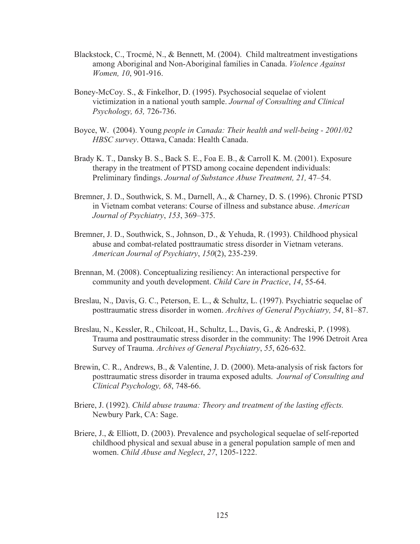- Blackstock, C., Trocmé, N., & Bennett, M. (2004). Child maltreatment investigations among Aboriginal and Non-Aboriginal families in Canada. *Violence Against Women, 10*, 901-916.
- Boney-McCoy. S., & Finkelhor, D. (1995). Psychosocial sequelae of violent victimization in a national youth sample. *Journal of Consulting and Clinical Psychology, 63,* 726-736.
- Boyce, W. (2004). Young *people in Canada: Their health and well-being 2001/02 HBSC survey*. Ottawa, Canada: Health Canada.
- Brady K. T., Dansky B. S., Back S. E., Foa E. B., & Carroll K. M. (2001). Exposure therapy in the treatment of PTSD among cocaine dependent individuals: Preliminary findings. *Journal of Substance Abuse Treatment, 21,* 47–54.
- Bremner, J. D., Southwick, S. M., Darnell, A., & Charney, D. S. (1996). Chronic PTSD in Vietnam combat veterans: Course of illness and substance abuse. *American Journal of Psychiatry*, *153*, 369–375.
- Bremner, J. D., Southwick, S., Johnson, D., & Yehuda, R. (1993). Childhood physical abuse and combat-related posttraumatic stress disorder in Vietnam veterans. *American Journal of Psychiatry*, *150*(2), 235-239.
- Brennan, M. (2008). Conceptualizing resiliency: An interactional perspective for community and youth development. *Child Care in Practice*, *14*, 55-64.
- Breslau, N., Davis, G. C., Peterson, E. L., & Schultz, L. (1997). Psychiatric sequelae of posttraumatic stress disorder in women. *Archives of General Psychiatry, 54*, 81–87.
- Breslau, N., Kessler, R., Chilcoat, H., Schultz, L., Davis, G., & Andreski, P. (1998). Trauma and posttraumatic stress disorder in the community: The 1996 Detroit Area Survey of Trauma. *Archives of General Psychiatry*, *55*, 626-632.
- Brewin, C. R., Andrews, B., & Valentine, J. D. (2000). Meta-analysis of risk factors for posttraumatic stress disorder in trauma exposed adults. *Journal of Consulting and Clinical Psychology, 68*, 748-66.
- Briere, J. (1992). *Child abuse trauma: Theory and treatment of the lasting effects.*  Newbury Park, CA: Sage.
- Briere, J., & Elliott, D. (2003). Prevalence and psychological sequelae of self-reported childhood physical and sexual abuse in a general population sample of men and women. *Child Abuse and Neglect*, *27*, 1205-1222.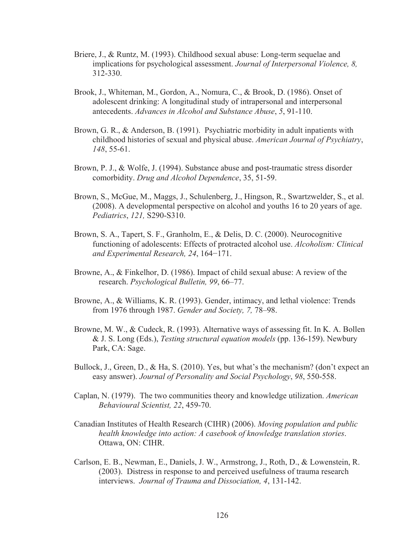- Briere, J., & Runtz, M. (1993). Childhood sexual abuse: Long-term sequelae and implications for psychological assessment. *Journal of Interpersonal Violence, 8,*  312-330.
- Brook, J., Whiteman, M., Gordon, A., Nomura, C., & Brook, D. (1986). Onset of adolescent drinking: A longitudinal study of intrapersonal and interpersonal antecedents. *Advances in Alcohol and Substance Abuse*, *5*, 91-110.
- Brown, G. R., & Anderson, B. (1991). Psychiatric morbidity in adult inpatients with childhood histories of sexual and physical abuse. *American Journal of Psychiatry*, *148*, 55-61.
- Brown, P. J., & Wolfe, J. (1994). Substance abuse and post-traumatic stress disorder comorbidity. *Drug and Alcohol Dependence*, 35, 51-59.
- Brown, S., McGue, M., Maggs, J., Schulenberg, J., Hingson, R., Swartzwelder, S., et al. (2008). A developmental perspective on alcohol and youths 16 to 20 years of age. *Pediatrics*, *121,* S290-S310.
- Brown, S. A., Tapert, S. F., Granholm, E., & Delis, D. C. (2000). Neurocognitive functioning of adolescents: Effects of protracted alcohol use. *Alcoholism: Clinical and Experimental Research, 24, 164-171.*
- Browne, A., & Finkelhor, D. (1986). Impact of child sexual abuse: A review of the research. *Psychological Bulletin, 99*, 66–77.
- Browne, A., & Williams, K. R. (1993). Gender, intimacy, and lethal violence: Trends from 1976 through 1987. *Gender and Society, 7,* 78–98.
- Browne, M. W., & Cudeck, R. (1993). Alternative ways of assessing fit. In K. A. Bollen & J. S. Long (Eds.), *Testing structural equation models* (pp. 136-159). Newbury Park, CA: Sage.
- Bullock, J., Green, D., & Ha, S. (2010). Yes, but what's the mechanism? (don't expect an easy answer). *Journal of Personality and Social Psychology*, *98*, 550-558.
- Caplan, N. (1979). The two communities theory and knowledge utilization. *American Behavioural Scientist, 22*, 459-70.
- Canadian Institutes of Health Research (CIHR) (2006). *Moving population and public health knowledge into action: A casebook of knowledge translation stories*. Ottawa, ON: CIHR.
- Carlson, E. B., Newman, E., Daniels, J. W., Armstrong, J., Roth, D., & Lowenstein, R. (2003). Distress in response to and perceived usefulness of trauma research interviews. *Journal of Trauma and Dissociation, 4*, 131-142.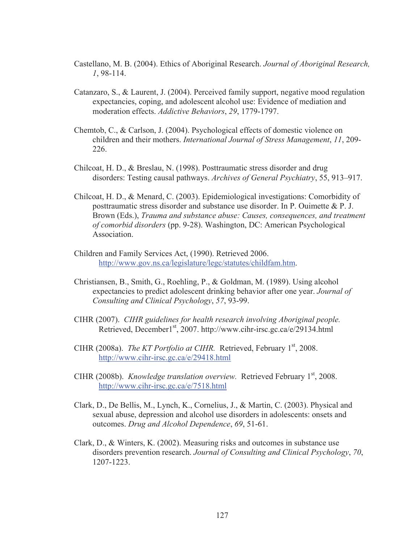- Castellano, M. B. (2004). Ethics of Aboriginal Research. *Journal of Aboriginal Research, 1*, 98-114.
- Catanzaro, S., & Laurent, J. (2004). Perceived family support, negative mood regulation expectancies, coping, and adolescent alcohol use: Evidence of mediation and moderation effects. *Addictive Behaviors*, *29*, 1779-1797.
- Chemtob, C., & Carlson, J. (2004). Psychological effects of domestic violence on children and their mothers. *International Journal of Stress Management*, *11*, 209- 226.
- Chilcoat, H. D., & Breslau, N. (1998). Posttraumatic stress disorder and drug disorders: Testing causal pathways. *Archives of General Psychiatry*, 55, 913–917.
- Chilcoat, H. D., & Menard, C. (2003). Epidemiological investigations: Comorbidity of posttraumatic stress disorder and substance use disorder. In P. Ouimette & P. J. Brown (Eds.), *Trauma and substance abuse: Causes, consequences, and treatment of comorbid disorders* (pp. 9-28). Washington, DC: American Psychological **Association**
- Children and Family Services Act, (1990). Retrieved 2006. http://www.gov.ns.ca/legislature/legc/statutes/childfam.htm.
- Christiansen, B., Smith, G., Roehling, P., & Goldman, M. (1989). Using alcohol expectancies to predict adolescent drinking behavior after one year. *Journal of Consulting and Clinical Psychology*, *57*, 93-99.
- CIHR (2007). *CIHR guidelines for health research involving Aboriginal people.*  Retrieved, December1<sup>st</sup>, 2007. http://www.cihr-irsc.gc.ca/e/29134.html
- CIHR (2008a). *The KT Portfolio at CIHR*. Retrieved, February 1<sup>st</sup>, 2008. http://www.cihr-irsc.gc.ca/e/29418.html
- CIHR (2008b). *Knowledge translation overview.* Retrieved February 1<sup>st</sup>, 2008. http://www.cihr-irsc.gc.ca/e/7518.html
- Clark, D., De Bellis, M., Lynch, K., Cornelius, J., & Martin, C. (2003). Physical and sexual abuse, depression and alcohol use disorders in adolescents: onsets and outcomes. *Drug and Alcohol Dependence*, *69*, 51-61.
- Clark, D., & Winters, K. (2002). Measuring risks and outcomes in substance use disorders prevention research. *Journal of Consulting and Clinical Psychology*, *70*, 1207-1223.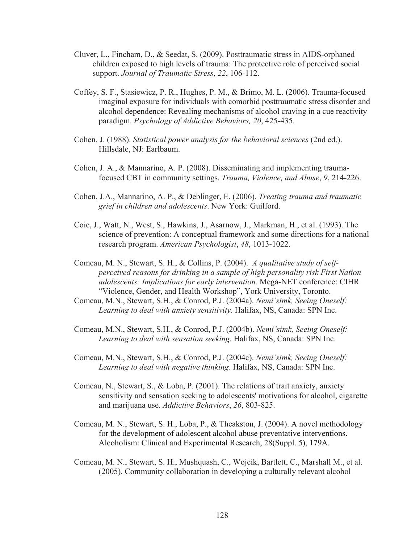- Cluver, L., Fincham, D., & Seedat, S. (2009). Posttraumatic stress in AIDS-orphaned children exposed to high levels of trauma: The protective role of perceived social support. *Journal of Traumatic Stress*, *22*, 106-112.
- Coffey, S. F., Stasiewicz, P. R., Hughes, P. M., & Brimo, M. L. (2006). Trauma-focused imaginal exposure for individuals with comorbid posttraumatic stress disorder and alcohol dependence: Revealing mechanisms of alcohol craving in a cue reactivity paradigm. *Psychology of Addictive Behaviors, 20*, 425-435.
- Cohen, J. (1988). *Statistical power analysis for the behavioral sciences* (2nd ed.). Hillsdale, NJ: Earlbaum.
- Cohen, J. A., & Mannarino, A. P. (2008). Disseminating and implementing traumafocused CBT in community settings. *Trauma, Violence, and Abuse*, *9*, 214-226.
- Cohen, J.A., Mannarino, A. P., & Deblinger, E. (2006). *Treating trauma and traumatic grief in children and adolescents*. New York: Guilford.
- Coie, J., Watt, N., West, S., Hawkins, J., Asarnow, J., Markman, H., et al. (1993). The science of prevention: A conceptual framework and some directions for a national research program. *American Psychologist*, *48*, 1013-1022.
- Comeau, M. N., Stewart, S. H., & Collins, P. (2004). *A qualitative study of selfperceived reasons for drinking in a sample of high personality risk First Nation adolescents: Implications for early intervention.* Mega-NET conference: CIHR "Violence, Gender, and Health Workshop", York University, Toronto.
- Comeau, M.N., Stewart, S.H., & Conrod, P.J. (2004a). *Nemi'simk, Seeing Oneself: Learning to deal with anxiety sensitivity*. Halifax, NS, Canada: SPN Inc.
- Comeau, M.N., Stewart, S.H., & Conrod, P.J. (2004b). *Nemi'simk, Seeing Oneself: Learning to deal with sensation seeking*. Halifax, NS, Canada: SPN Inc.
- Comeau, M.N., Stewart, S.H., & Conrod, P.J. (2004c). *Nemi'simk, Seeing Oneself: Learning to deal with negative thinking*. Halifax, NS, Canada: SPN Inc.
- Comeau, N., Stewart, S., & Loba, P. (2001). The relations of trait anxiety, anxiety sensitivity and sensation seeking to adolescents' motivations for alcohol, cigarette and marijuana use. *Addictive Behaviors*, *26*, 803-825.
- Comeau, M. N., Stewart, S. H., Loba, P., & Theakston, J. (2004). A novel methodology for the development of adolescent alcohol abuse preventative interventions. Alcoholism: Clinical and Experimental Research, 28(Suppl. 5), 179A.
- Comeau, M. N., Stewart, S. H., Mushquash, C., Wojcik, Bartlett, C., Marshall M., et al. (2005). Community collaboration in developing a culturally relevant alcohol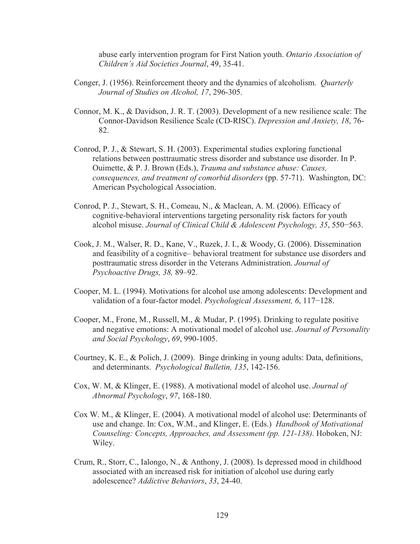abuse early intervention program for First Nation youth. *Ontario Association of Children's Aid Societies Journal*, 49, 35-41.

- Conger, J. (1956). Reinforcement theory and the dynamics of alcoholism. *Quarterly Journal of Studies on Alcohol, 17*, 296-305.
- Connor, M. K., & Davidson, J. R. T. (2003). Development of a new resilience scale: The Connor-Davidson Resilience Scale (CD-RISC). *Depression and Anxiety, 18*, 76- 82.
- Conrod, P. J., & Stewart, S. H. (2003). Experimental studies exploring functional relations between posttraumatic stress disorder and substance use disorder. In P. Ouimette, & P. J. Brown (Eds.), *Trauma and substance abuse: Causes, consequences, and treatment of comorbid disorders* (pp. 57-71). Washington, DC: American Psychological Association.
- Conrod, P. J., Stewart, S. H., Comeau, N., & Maclean, A. M. (2006). Efficacy of cognitive-behavioral interventions targeting personality risk factors for youth alcohol misuse. *Journal of Clinical Child & Adolescent Psychology*, 35, 550–563.
- Cook, J. M., Walser, R. D., Kane, V., Ruzek, J. I., & Woody, G. (2006). Dissemination and feasibility of a cognitive– behavioral treatment for substance use disorders and posttraumatic stress disorder in the Veterans Administration. *Journal of Psychoactive Drugs, 38,* 89–92.
- Cooper, M. L. (1994). Motivations for alcohol use among adolescents: Development and validation of a four-factor model. *Psychological Assessment*, 6, 117–128.
- Cooper, M., Frone, M., Russell, M., & Mudar, P. (1995). Drinking to regulate positive and negative emotions: A motivational model of alcohol use. *Journal of Personality and Social Psychology*, *69*, 990-1005.
- Courtney, K. E., & Polich, J. (2009). Binge drinking in young adults: Data, definitions, and determinants. *Psychological Bulletin, 135*, 142-156.
- Cox, W. M, & Klinger, E. (1988). A motivational model of alcohol use. *Journal of Abnormal Psychology*, *97*, 168-180.
- Cox W. M., & Klinger, E. (2004). A motivational model of alcohol use: Determinants of use and change. In: Cox, W.M., and Klinger, E. (Eds.) *Handbook of Motivational Counseling: Concepts, Approaches, and Assessment (pp. 121-138)*. Hoboken, NJ: Wiley.
- Crum, R., Storr, C., Ialongo, N., & Anthony, J. (2008). Is depressed mood in childhood associated with an increased risk for initiation of alcohol use during early adolescence? *Addictive Behaviors*, *33*, 24-40.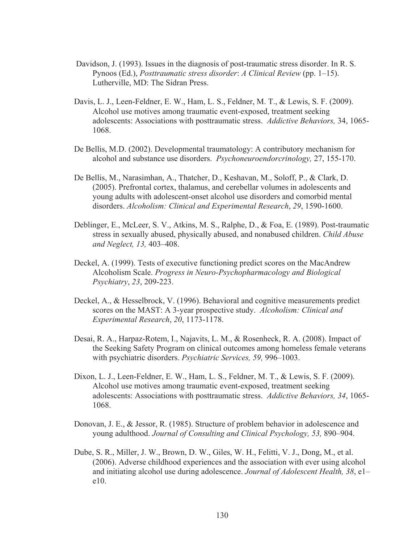- Davidson, J. (1993). Issues in the diagnosis of post-traumatic stress disorder. In R. S. Pynoos (Ed.), *Posttraumatic stress disorder*: *A Clinical Review* (pp. 1–15). Lutherville, MD: The Sidran Press.
- Davis, L. J., Leen-Feldner, E. W., Ham, L. S., Feldner, M. T., & Lewis, S. F. (2009). Alcohol use motives among traumatic event-exposed, treatment seeking adolescents: Associations with posttraumatic stress. *Addictive Behaviors,* 34, 1065- 1068.
- De Bellis, M.D. (2002). Developmental traumatology: A contributory mechanism for alcohol and substance use disorders. *Psychoneuroendorcrinology,* 27, 155-170.
- De Bellis, M., Narasimhan, A., Thatcher, D., Keshavan, M., Soloff, P., & Clark, D. (2005). Prefrontal cortex, thalamus, and cerebellar volumes in adolescents and young adults with adolescent-onset alcohol use disorders and comorbid mental disorders. *Alcoholism: Clinical and Experimental Research*, *29*, 1590-1600.
- Deblinger, E., McLeer, S. V., Atkins, M. S., Ralphe, D., & Foa, E. (1989). Post-traumatic stress in sexually abused, physically abused, and nonabused children. *Child Abuse and Neglect, 13,* 403–408.
- Deckel, A. (1999). Tests of executive functioning predict scores on the MacAndrew Alcoholism Scale. *Progress in Neuro-Psychopharmacology and Biological Psychiatry*, *23*, 209-223.
- Deckel, A., & Hesselbrock, V. (1996). Behavioral and cognitive measurements predict scores on the MAST: A 3-year prospective study. *Alcoholism: Clinical and Experimental Research*, *20*, 1173-1178.
- Desai, R. A., Harpaz-Rotem, I., Najavits, L. M., & Rosenheck, R. A. (2008). Impact of the Seeking Safety Program on clinical outcomes among homeless female veterans with psychiatric disorders. *Psychiatric Services, 59,* 996–1003.
- Dixon, L. J., Leen-Feldner, E. W., Ham, L. S., Feldner, M. T., & Lewis, S. F. (2009). Alcohol use motives among traumatic event-exposed, treatment seeking adolescents: Associations with posttraumatic stress. *Addictive Behaviors, 34*, 1065- 1068.
- Donovan, J. E., & Jessor, R. (1985). Structure of problem behavior in adolescence and young adulthood. *Journal of Consulting and Clinical Psychology, 53,* 890–904.
- Dube, S. R., Miller, J. W., Brown, D. W., Giles, W. H., Felitti, V. J., Dong, M., et al. (2006). Adverse childhood experiences and the association with ever using alcohol and initiating alcohol use during adolescence. *Journal of Adolescent Health, 38*, e1– e10.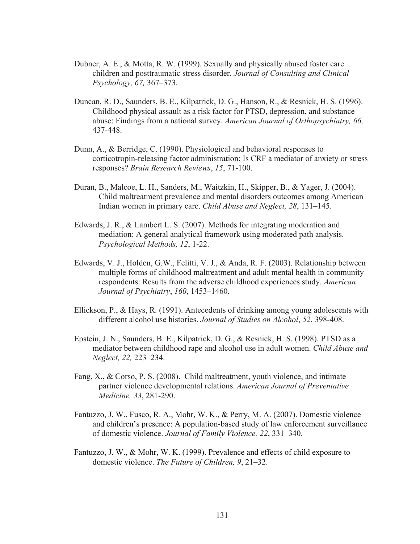- Dubner, A. E., & Motta, R. W. (1999). Sexually and physically abused foster care children and posttraumatic stress disorder. *Journal of Consulting and Clinical Psychology, 67,* 367–373.
- Duncan, R. D., Saunders, B. E., Kilpatrick, D. G., Hanson, R., & Resnick, H. S. (1996). Childhood physical assault as a risk factor for PTSD, depression, and substance abuse: Findings from a national survey. *American Journal of Orthopsychiatry, 66,*  437-448.
- Dunn, A., & Berridge, C. (1990). Physiological and behavioral responses to corticotropin-releasing factor administration: Is CRF a mediator of anxiety or stress responses? *Brain Research Reviews*, *15*, 71-100.
- Duran, B., Malcoe, L. H., Sanders, M., Waitzkin, H., Skipper, B., & Yager, J. (2004). Child maltreatment prevalence and mental disorders outcomes among American Indian women in primary care. *Child Abuse and Neglect, 28*, 131–145.
- Edwards, J. R., & Lambert L. S. (2007). Methods for integrating moderation and mediation: A general analytical framework using moderated path analysis. *Psychological Methods, 12*, 1-22.
- Edwards, V. J., Holden, G.W., Felitti, V. J., & Anda, R. F. (2003). Relationship between multiple forms of childhood maltreatment and adult mental health in community respondents: Results from the adverse childhood experiences study. *American Journal of Psychiatry*, *160*, 1453–1460.
- Ellickson, P., & Hays, R. (1991). Antecedents of drinking among young adolescents with different alcohol use histories. *Journal of Studies on Alcohol*, *52*, 398-408.
- Epstein, J. N., Saunders, B. E., Kilpatrick, D. G., & Resnick, H. S. (1998). PTSD as a mediator between childhood rape and alcohol use in adult women. *Child Abuse and Neglect, 22,* 223–234.
- Fang, X., & Corso, P. S. (2008). Child maltreatment, youth violence, and intimate partner violence developmental relations. *American Journal of Preventative Medicine, 33*, 281-290.
- Fantuzzo, J. W., Fusco, R. A., Mohr, W. K., & Perry, M. A. (2007). Domestic violence and children's presence: A population-based study of law enforcement surveillance of domestic violence. *Journal of Family Violence, 22*, 331–340.
- Fantuzzo, J. W., & Mohr, W. K. (1999). Prevalence and effects of child exposure to domestic violence. *The Future of Children, 9*, 21–32.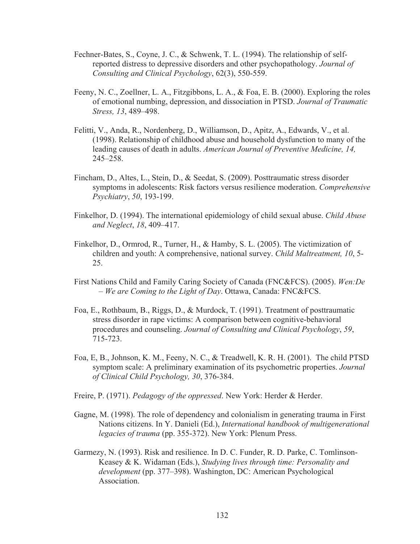- Fechner-Bates, S., Coyne, J. C., & Schwenk, T. L. (1994). The relationship of selfreported distress to depressive disorders and other psychopathology. *Journal of Consulting and Clinical Psychology*, 62(3), 550-559.
- Feeny, N. C., Zoellner, L. A., Fitzgibbons, L. A., & Foa, E. B. (2000). Exploring the roles of emotional numbing, depression, and dissociation in PTSD. *Journal of Traumatic Stress, 13*, 489–498.
- Felitti, V., Anda, R., Nordenberg, D., Williamson, D., Apitz, A., Edwards, V., et al. (1998). Relationship of childhood abuse and household dysfunction to many of the leading causes of death in adults. *American Journal of Preventive Medicine, 14,*  245–258.
- Fincham, D., Altes, L., Stein, D., & Seedat, S. (2009). Posttraumatic stress disorder symptoms in adolescents: Risk factors versus resilience moderation. *Comprehensive Psychiatry*, *50*, 193-199.
- Finkelhor, D. (1994). The international epidemiology of child sexual abuse. *Child Abuse and Neglect*, *18*, 409–417.
- Finkelhor, D., Ormrod, R., Turner, H., & Hamby, S. L. (2005). The victimization of children and youth: A comprehensive, national survey. *Child Maltreatment, 10*, 5- 25.
- First Nations Child and Family Caring Society of Canada (FNC&FCS). (2005). *Wen:De – We are Coming to the Light of Day*. Ottawa, Canada: FNC&FCS.
- Foa, E., Rothbaum, B., Riggs, D., & Murdock, T. (1991). Treatment of posttraumatic stress disorder in rape victims: A comparison between cognitive-behavioral procedures and counseling. *Journal of Consulting and Clinical Psychology*, *59*, 715-723.
- Foa, E, B., Johnson, K. M., Feeny, N. C., & Treadwell, K. R. H. (2001). The child PTSD symptom scale: A preliminary examination of its psychometric properties. *Journal of Clinical Child Psychology, 30*, 376-384.
- Freire, P. (1971). *Pedagogy of the oppressed*. New York: Herder & Herder.
- Gagne, M. (1998). The role of dependency and colonialism in generating trauma in First Nations citizens. In Y. Danieli (Ed.), *International handbook of multigenerational legacies of trauma* (pp. 355-372). New York: Plenum Press.
- Garmezy, N. (1993). Risk and resilience. In D. C. Funder, R. D. Parke, C. Tomlinson-Keasey & K. Widaman (Eds.), *Studying lives through time: Personality and development* (pp. 377–398). Washington, DC: American Psychological Association.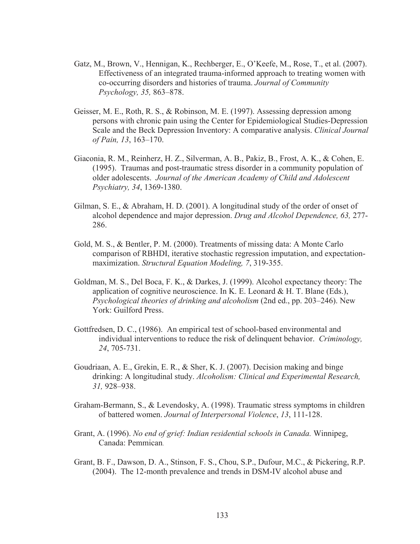- Gatz, M., Brown, V., Hennigan, K., Rechberger, E., O'Keefe, M., Rose, T., et al. (2007). Effectiveness of an integrated trauma-informed approach to treating women with co-occurring disorders and histories of trauma. *Journal of Community Psychology, 35,* 863–878.
- Geisser, M. E., Roth, R. S., & Robinson, M. E. (1997). Assessing depression among persons with chronic pain using the Center for Epidemiological Studies-Depression Scale and the Beck Depression Inventory: A comparative analysis. *Clinical Journal of Pain, 13*, 163–170.
- Giaconia, R. M., Reinherz, H. Z., Silverman, A. B., Pakiz, B., Frost, A. K., & Cohen, E. (1995). Traumas and post-traumatic stress disorder in a community population of older adolescents. *Journal of the American Academy of Child and Adolescent Psychiatry, 34*, 1369-1380.
- Gilman, S. E., & Abraham, H. D. (2001). A longitudinal study of the order of onset of alcohol dependence and major depression. *Drug and Alcohol Dependence, 63,* 277- 286.
- Gold, M. S., & Bentler, P. M. (2000). Treatments of missing data: A Monte Carlo comparison of RBHDI, iterative stochastic regression imputation, and expectationmaximization. *Structural Equation Modeling, 7*, 319-355.
- Goldman, M. S., Del Boca, F. K., & Darkes, J. (1999). Alcohol expectancy theory: The application of cognitive neuroscience. In K. E. Leonard  $\&$  H. T. Blane (Eds.), *Psychological theories of drinking and alcoholism* (2nd ed., pp. 203–246). New York: Guilford Press.
- Gottfredsen, D. C., (1986). An empirical test of school-based environmental and individual interventions to reduce the risk of delinquent behavior. *Criminology, 24*, 705-731.
- Goudriaan, A. E., Grekin, E. R., & Sher, K. J. (2007). Decision making and binge drinking: A longitudinal study. *Alcoholism: Clinical and Experimental Research, 31,* 928–938.
- Graham-Bermann, S., & Levendosky, A. (1998). Traumatic stress symptoms in children of battered women. *Journal of Interpersonal Violence*, *13*, 111-128.
- Grant, A. (1996). *No end of grief: Indian residential schools in Canada.* Winnipeg, Canada: Pemmican.
- Grant, B. F., Dawson, D. A., Stinson, F. S., Chou, S.P., Dufour, M.C., & Pickering, R.P. (2004). The 12-month prevalence and trends in DSM-IV alcohol abuse and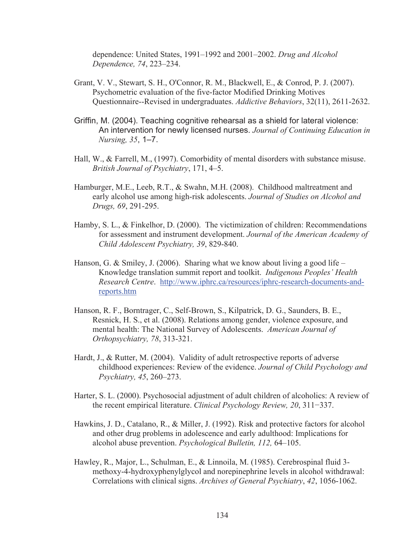dependence: United States, 1991–1992 and 2001–2002. *Drug and Alcohol Dependence, 74*, 223–234.

- Grant, V. V., Stewart, S. H., O'Connor, R. M., Blackwell, E., & Conrod, P. J. (2007). Psychometric evaluation of the five-factor Modified Drinking Motives Questionnaire--Revised in undergraduates. *Addictive Behaviors*, 32(11), 2611-2632.
- Griffin, M. (2004). Teaching cognitive rehearsal as a shield for lateral violence: An intervention for newly licensed nurses. *Journal of Continuing Education in Nursing, 35*, 1–7.
- Hall, W., & Farrell, M., (1997). Comorbidity of mental disorders with substance misuse. *British Journal of Psychiatry*, 171, 4–5.
- Hamburger, M.E., Leeb, R.T., & Swahn, M.H. (2008). Childhood maltreatment and early alcohol use among high-risk adolescents. *Journal of Studies on Alcohol and Drugs, 69*, 291-295.
- Hamby, S. L., & Finkelhor, D. (2000). The victimization of children: Recommendations for assessment and instrument development. *Journal of the American Academy of Child Adolescent Psychiatry, 39*, 829-840.
- Hanson, G. & Smiley, J. (2006). Sharing what we know about living a good life Knowledge translation summit report and toolkit. *Indigenous Peoples' Health Research Centre*. http://www.iphrc.ca/resources/iphrc-research-documents-andreports.htm
- Hanson, R. F., Borntrager, C., Self-Brown, S., Kilpatrick, D. G., Saunders, B. E., Resnick, H. S., et al. (2008). Relations among gender, violence exposure, and mental health: The National Survey of Adolescents. *American Journal of Orthopsychiatry, 78*, 313-321.
- Hardt, J., & Rutter, M. (2004). Validity of adult retrospective reports of adverse childhood experiences: Review of the evidence. *Journal of Child Psychology and Psychiatry, 45*, 260–273.
- Harter, S. L. (2000). Psychosocial adjustment of adult children of alcoholics: A review of the recent empirical literature. *Clinical Psychology Review, 20, 311–337.*
- Hawkins, J. D., Catalano, R., & Miller, J. (1992). Risk and protective factors for alcohol and other drug problems in adolescence and early adulthood: Implications for alcohol abuse prevention. *Psychological Bulletin, 112,* 64–105.
- Hawley, R., Major, L., Schulman, E., & Linnoila, M. (1985). Cerebrospinal fluid 3 methoxy-4-hydroxyphenylglycol and norepinephrine levels in alcohol withdrawal: Correlations with clinical signs. *Archives of General Psychiatry*, *42*, 1056-1062.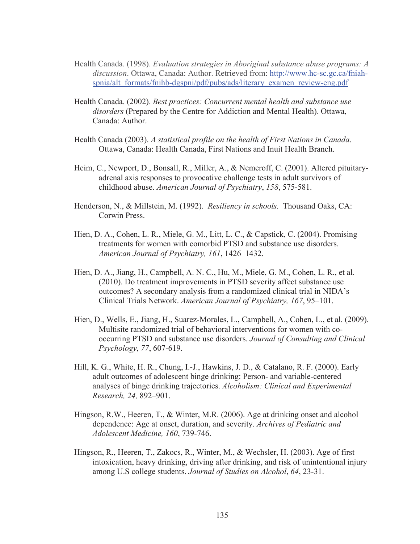- Health Canada. (1998). *Evaluation strategies in Aboriginal substance abuse programs: A discussion*. Ottawa, Canada: Author. Retrieved from: http://www.hc-sc.gc.ca/fniahspnia/alt\_formats/fnihb-dgspni/pdf/pubs/ads/literary\_examen\_review-eng.pdf
- Health Canada. (2002). *Best practices: Concurrent mental health and substance use disorders* (Prepared by the Centre for Addiction and Mental Health). Ottawa, Canada: Author.
- Health Canada (2003). *A statistical profile on the health of First Nations in Canada*. Ottawa, Canada: Health Canada, First Nations and Inuit Health Branch.
- Heim, C., Newport, D., Bonsall, R., Miller, A., & Nemeroff, C. (2001). Altered pituitaryadrenal axis responses to provocative challenge tests in adult survivors of childhood abuse. *American Journal of Psychiatry*, *158*, 575-581.
- Henderson, N., & Millstein, M. (1992). *Resiliency in schools.* Thousand Oaks, CA: Corwin Press.
- Hien, D. A., Cohen, L. R., Miele, G. M., Litt, L. C., & Capstick, C. (2004). Promising treatments for women with comorbid PTSD and substance use disorders. *American Journal of Psychiatry, 161*, 1426–1432.
- Hien, D. A., Jiang, H., Campbell, A. N. C., Hu, M., Miele, G. M., Cohen, L. R., et al. (2010). Do treatment improvements in PTSD severity affect substance use outcomes? A secondary analysis from a randomized clinical trial in NIDA's Clinical Trials Network. *American Journal of Psychiatry, 167*, 95–101.
- Hien, D., Wells, E., Jiang, H., Suarez-Morales, L., Campbell, A., Cohen, L., et al. (2009). Multisite randomized trial of behavioral interventions for women with cooccurring PTSD and substance use disorders. *Journal of Consulting and Clinical Psychology*, *77*, 607-619.
- Hill, K. G., White, H. R., Chung, I.-J., Hawkins, J. D., & Catalano, R. F. (2000). Early adult outcomes of adolescent binge drinking: Person- and variable-centered analyses of binge drinking trajectories. *Alcoholism: Clinical and Experimental Research, 24,* 892–901.
- Hingson, R.W., Heeren, T., & Winter, M.R. (2006). Age at drinking onset and alcohol dependence: Age at onset, duration, and severity. *Archives of Pediatric and Adolescent Medicine, 160*, 739-746.
- Hingson, R., Heeren, T., Zakocs, R., Winter, M., & Wechsler, H. (2003). Age of first intoxication, heavy drinking, driving after drinking, and risk of unintentional injury among U.S college students. *Journal of Studies on Alcohol*, *64*, 23-31.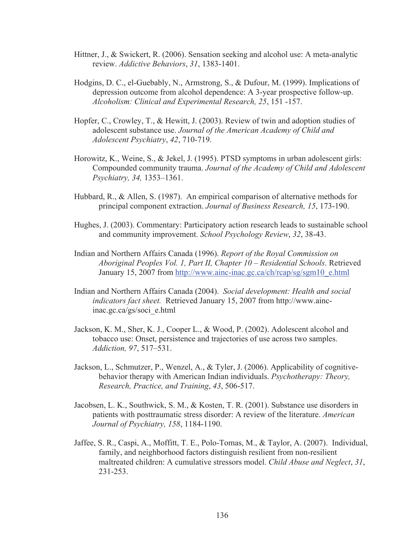- Hittner, J., & Swickert, R. (2006). Sensation seeking and alcohol use: A meta-analytic review. *Addictive Behaviors*, *31*, 1383-1401.
- Hodgins, D. C., el-Guebably, N., Armstrong, S., & Dufour, M. (1999). Implications of depression outcome from alcohol dependence: A 3-year prospective follow-up. *Alcoholism: Clinical and Experimental Research, 25*, 151 -157.
- Hopfer, C., Crowley, T., & Hewitt, J. (2003). Review of twin and adoption studies of adolescent substance use. *Journal of the American Academy of Child and Adolescent Psychiatry*, *42*, 710-719.
- Horowitz, K., Weine, S., & Jekel, J. (1995). PTSD symptoms in urban adolescent girls: Compounded community trauma. *Journal of the Academy of Child and Adolescent Psychiatry, 34,* 1353–1361.
- Hubbard, R., & Allen, S. (1987). An empirical comparison of alternative methods for principal component extraction. *Journal of Business Research, 15*, 173-190.
- Hughes, J. (2003). Commentary: Participatory action research leads to sustainable school and community improvement. *School Psychology Review*, *32*, 38-43.
- Indian and Northern Affairs Canada (1996). *Report of the Royal Commission on Aboriginal Peoples Vol. 1, Part II, Chapter 10 – Residential Schools*. Retrieved January 15, 2007 from http://www.ainc-inac.gc.ca/ch/rcap/sg/sgm10\_e.html
- Indian and Northern Affairs Canada (2004). *Social development: Health and social indicators fact sheet.* Retrieved January 15, 2007 from http://www.aincinac.gc.ca/gs/soci\_e.html
- Jackson, K. M., Sher, K. J., Cooper L., & Wood, P. (2002). Adolescent alcohol and tobacco use: Onset, persistence and trajectories of use across two samples. *Addiction, 97*, 517–531.
- Jackson, L., Schmutzer, P., Wenzel, A., & Tyler, J. (2006). Applicability of cognitivebehavior therapy with American Indian individuals. *Psychotherapy: Theory, Research, Practice, and Training*, *43*, 506-517.
- Jacobsen, L. K., Southwick, S. M., & Kosten, T. R. (2001). Substance use disorders in patients with posttraumatic stress disorder: A review of the literature. *American Journal of Psychiatry, 158*, 1184-1190.
- Jaffee, S. R., Caspi, A., Moffitt, T. E., Polo-Tomas, M., & Taylor, A. (2007). Individual, family, and neighborhood factors distinguish resilient from non-resilient maltreated children: A cumulative stressors model. *Child Abuse and Neglect*, *31*, 231-253.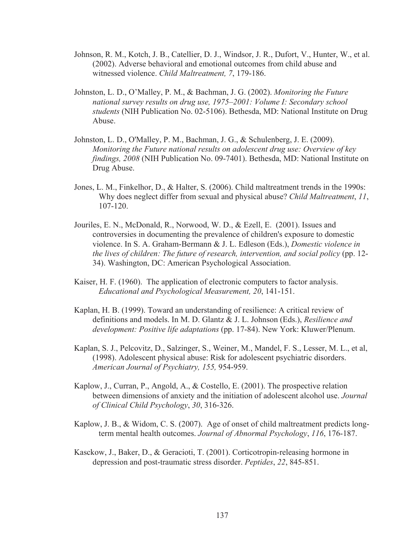- Johnson, R. M., Kotch, J. B., Catellier, D. J., Windsor, J. R., Dufort, V., Hunter, W., et al. (2002). Adverse behavioral and emotional outcomes from child abuse and witnessed violence. *Child Maltreatment, 7*, 179-186.
- Johnston, L. D., O'Malley, P. M., & Bachman, J. G. (2002). *Monitoring the Future national survey results on drug use, 1975–2001: Volume I: Secondary school students* (NIH Publication No. 02-5106). Bethesda, MD: National Institute on Drug Abuse.
- Johnston, L. D., O'Malley, P. M., Bachman, J. G., & Schulenberg, J. E. (2009). *Monitoring the Future national results on adolescent drug use: Overview of key findings, 2008* (NIH Publication No. 09-7401). Bethesda, MD: National Institute on Drug Abuse.
- Jones, L. M., Finkelhor, D., & Halter, S. (2006). Child maltreatment trends in the 1990s: Why does neglect differ from sexual and physical abuse? *Child Maltreatment*, *11*, 107-120.
- Jouriles, E. N., McDonald, R., Norwood, W. D., & Ezell, E. (2001). Issues and controversies in documenting the prevalence of children's exposure to domestic violence. In S. A. Graham-Bermann & J. L. Edleson (Eds.), *Domestic violence in the lives of children: The future of research, intervention, and social policy* (pp. 12- 34). Washington, DC: American Psychological Association.
- Kaiser, H. F. (1960). The application of electronic computers to factor analysis. *Educational and Psychological Measurement, 20*, 141-151.
- Kaplan, H. B. (1999). Toward an understanding of resilience: A critical review of definitions and models. In M. D. Glantz & J. L. Johnson (Eds.), *Resilience and development: Positive life adaptations* (pp. 17-84). New York: Kluwer/Plenum.
- Kaplan, S. J., Pelcovitz, D., Salzinger, S., Weiner, M., Mandel, F. S., Lesser, M. L., et al, (1998). Adolescent physical abuse: Risk for adolescent psychiatric disorders. *American Journal of Psychiatry, 155,* 954-959.
- Kaplow, J., Curran, P., Angold, A., & Costello, E. (2001). The prospective relation between dimensions of anxiety and the initiation of adolescent alcohol use. *Journal of Clinical Child Psychology*, *30*, 316-326.
- Kaplow, J. B., & Widom, C. S. (2007). Age of onset of child maltreatment predicts longterm mental health outcomes. *Journal of Abnormal Psychology*, *116*, 176-187.
- Kasckow, J., Baker, D., & Geracioti, T. (2001). Corticotropin-releasing hormone in depression and post-traumatic stress disorder. *Peptides*, *22*, 845-851.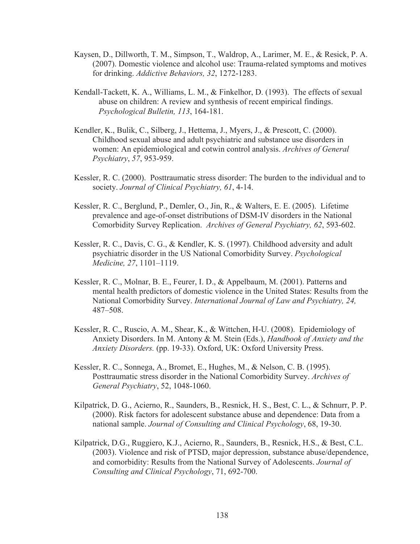- Kaysen, D., Dillworth, T. M., Simpson, T., Waldrop, A., Larimer, M. E., & Resick, P. A. (2007). Domestic violence and alcohol use: Trauma-related symptoms and motives for drinking. *Addictive Behaviors, 32*, 1272-1283.
- Kendall-Tackett, K. A., Williams, L. M., & Finkelhor, D. (1993). The effects of sexual abuse on children: A review and synthesis of recent empirical findings. *Psychological Bulletin, 113*, 164-181.
- Kendler, K., Bulik, C., Silberg, J., Hettema, J., Myers, J., & Prescott, C. (2000). Childhood sexual abuse and adult psychiatric and substance use disorders in women: An epidemiological and cotwin control analysis. *Archives of General Psychiatry*, *57*, 953-959.
- Kessler, R. C. (2000). Posttraumatic stress disorder: The burden to the individual and to society. *Journal of Clinical Psychiatry, 61*, 4-14.
- Kessler, R. C., Berglund, P., Demler, O., Jin, R., & Walters, E. E. (2005). Lifetime prevalence and age-of-onset distributions of DSM-IV disorders in the National Comorbidity Survey Replication. *Archives of General Psychiatry, 62*, 593-602.
- Kessler, R. C., Davis, C. G., & Kendler, K. S. (1997). Childhood adversity and adult psychiatric disorder in the US National Comorbidity Survey. *Psychological Medicine, 27*, 1101–1119.
- Kessler, R. C., Molnar, B. E., Feurer, I. D., & Appelbaum, M. (2001). Patterns and mental health predictors of domestic violence in the United States: Results from the National Comorbidity Survey. *International Journal of Law and Psychiatry, 24,*  487–508.
- Kessler, R. C., Ruscio, A. M., Shear, K., & Wittchen, H-U. (2008). Epidemiology of Anxiety Disorders. In M. Antony & M. Stein (Eds.), *Handbook of Anxiety and the Anxiety Disorders.* (pp. 19-33). Oxford, UK: Oxford University Press.
- Kessler, R. C., Sonnega, A., Bromet, E., Hughes, M., & Nelson, C. B. (1995). Posttraumatic stress disorder in the National Comorbidity Survey. *Archives of General Psychiatry*, 52, 1048-1060.
- Kilpatrick, D. G., Acierno, R., Saunders, B., Resnick, H. S., Best, C. L., & Schnurr, P. P. (2000). Risk factors for adolescent substance abuse and dependence: Data from a national sample. *Journal of Consulting and Clinical Psychology*, 68, 19-30.
- Kilpatrick, D.G., Ruggiero, K.J., Acierno, R., Saunders, B., Resnick, H.S., & Best, C.L. (2003). Violence and risk of PTSD, major depression, substance abuse/dependence, and comorbidity: Results from the National Survey of Adolescents. *Journal of Consulting and Clinical Psychology*, 71, 692-700.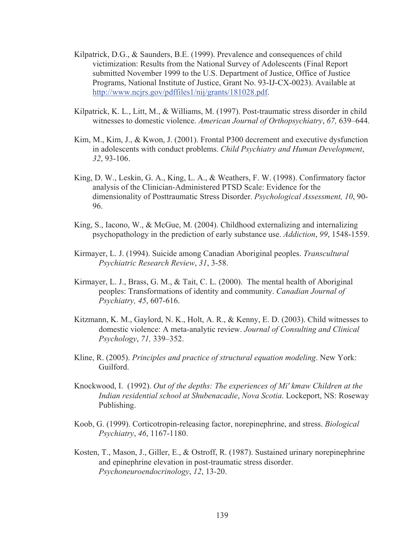- Kilpatrick, D.G., & Saunders, B.E. (1999). Prevalence and consequences of child victimization: Results from the National Survey of Adolescents (Final Report submitted November 1999 to the U.S. Department of Justice, Office of Justice Programs, National Institute of Justice, Grant No. 93-IJ-CX-0023). Available at http://www.ncjrs.gov/pdffiles1/nij/grants/181028.pdf.
- Kilpatrick, K. L., Litt, M., & Williams, M. (1997). Post-traumatic stress disorder in child witnesses to domestic violence. *American Journal of Orthopsychiatry*, *67,* 639–644.
- Kim, M., Kim, J., & Kwon, J. (2001). Frontal P300 decrement and executive dysfunction in adolescents with conduct problems. *Child Psychiatry and Human Development*, *32*, 93-106.
- King, D. W., Leskin, G. A., King, L. A., & Weathers, F. W. (1998). Confirmatory factor analysis of the Clinician-Administered PTSD Scale: Evidence for the dimensionality of Posttraumatic Stress Disorder. *Psychological Assessment, 10*, 90- 96.
- King, S., Iacono, W., & McGue, M. (2004). Childhood externalizing and internalizing psychopathology in the prediction of early substance use. *Addiction*, *99*, 1548-1559.
- Kirmayer, L. J. (1994). Suicide among Canadian Aboriginal peoples. *Transcultural Psychiatric Research Review*, *31*, 3-58.
- Kirmayer, L. J., Brass, G. M., & Tait, C. L. (2000). The mental health of Aboriginal peoples: Transformations of identity and community. *Canadian Journal of Psychiatry, 45*, 607-616.
- Kitzmann, K. M., Gaylord, N. K., Holt, A. R., & Kenny, E. D. (2003). Child witnesses to domestic violence: A meta-analytic review. *Journal of Consulting and Clinical Psychology*, *71,* 339–352.
- Kline, R. (2005). *Principles and practice of structural equation modeling*. New York: Guilford.
- Knockwood, I. (1992). *Out of the depths: The experiences of Mi' kmaw Children at the Indian residential school at Shubenacadie*, *Nova Scotia*. Lockeport, NS: Roseway Publishing.
- Koob, G. (1999). Corticotropin-releasing factor, norepinephrine, and stress. *Biological Psychiatry*, *46*, 1167-1180.
- Kosten, T., Mason, J., Giller, E., & Ostroff, R. (1987). Sustained urinary norepinephrine and epinephrine elevation in post-traumatic stress disorder. *Psychoneuroendocrinology*, *12*, 13-20.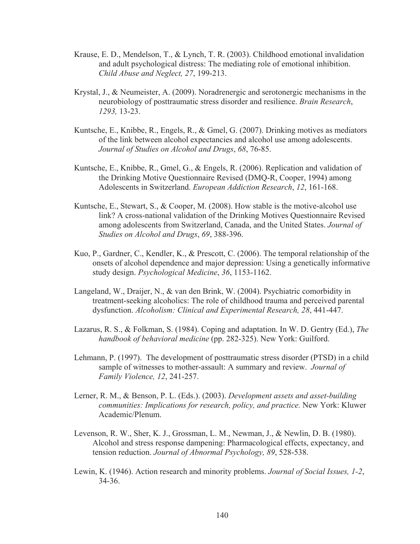- Krause, E. D., Mendelson, T., & Lynch, T. R. (2003). Childhood emotional invalidation and adult psychological distress: The mediating role of emotional inhibition. *Child Abuse and Neglect, 27*, 199-213.
- Krystal, J., & Neumeister, A. (2009). Noradrenergic and serotonergic mechanisms in the neurobiology of posttraumatic stress disorder and resilience. *Brain Research*, *1293,* 13-23.
- Kuntsche, E., Knibbe, R., Engels, R., & Gmel, G. (2007). Drinking motives as mediators of the link between alcohol expectancies and alcohol use among adolescents. *Journal of Studies on Alcohol and Drugs*, *68*, 76-85.
- Kuntsche, E., Knibbe, R., Gmel, G., & Engels, R. (2006). Replication and validation of the Drinking Motive Questionnaire Revised (DMQ-R, Cooper, 1994) among Adolescents in Switzerland. *European Addiction Research*, *12*, 161-168.
- Kuntsche, E., Stewart, S., & Cooper, M. (2008). How stable is the motive-alcohol use link? A cross-national validation of the Drinking Motives Questionnaire Revised among adolescents from Switzerland, Canada, and the United States. *Journal of Studies on Alcohol and Drugs*, *69*, 388-396.
- Kuo, P., Gardner, C., Kendler, K., & Prescott, C. (2006). The temporal relationship of the onsets of alcohol dependence and major depression: Using a genetically informative study design. *Psychological Medicine*, *36*, 1153-1162.
- Langeland, W., Draijer, N., & van den Brink, W. (2004). Psychiatric comorbidity in treatment-seeking alcoholics: The role of childhood trauma and perceived parental dysfunction. *Alcoholism: Clinical and Experimental Research, 28*, 441-447.
- Lazarus, R. S., & Folkman, S. (1984). Coping and adaptation. In W. D. Gentry (Ed.), *The handbook of behavioral medicine* (pp. 282-325). New York: Guilford.
- Lehmann, P. (1997). The development of posttraumatic stress disorder (PTSD) in a child sample of witnesses to mother-assault: A summary and review. *Journal of Family Violence, 12*, 241-257.
- Lerner, R. M., & Benson, P. L. (Eds.). (2003). *Development assets and asset-building communities: Implications for research, policy, and practice.* New York: Kluwer Academic/Plenum.
- Levenson, R. W., Sher, K. J., Grossman, L. M., Newman, J., & Newlin, D. B. (1980). Alcohol and stress response dampening: Pharmacological effects, expectancy, and tension reduction. *Journal of Abnormal Psychology, 89*, 528-538.
- Lewin, K. (1946). Action research and minority problems. *Journal of Social Issues, 1-2*, 34-36.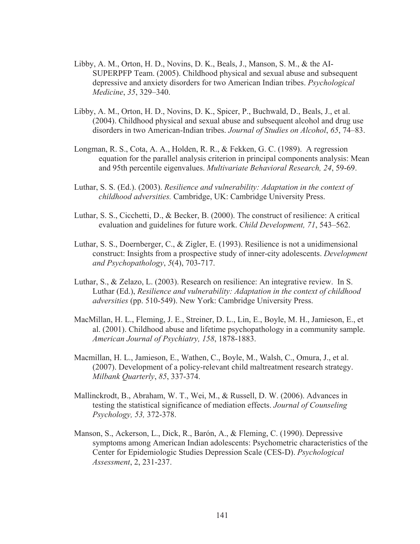- Libby, A. M., Orton, H. D., Novins, D. K., Beals, J., Manson, S. M., & the AI-SUPERPFP Team. (2005). Childhood physical and sexual abuse and subsequent depressive and anxiety disorders for two American Indian tribes. *Psychological Medicine*, *35*, 329–340.
- Libby, A. M., Orton, H. D., Novins, D. K., Spicer, P., Buchwald, D., Beals, J., et al. (2004). Childhood physical and sexual abuse and subsequent alcohol and drug use disorders in two American-Indian tribes. *Journal of Studies on Alcohol*, *65*, 74–83.
- Longman, R. S., Cota, A. A., Holden, R. R., & Fekken, G. C. (1989). A regression equation for the parallel analysis criterion in principal components analysis: Mean and 95th percentile eigenvalues. *Multivariate Behavioral Research, 24*, 59-69.
- Luthar, S. S. (Ed.). (2003). *Resilience and vulnerability: Adaptation in the context of childhood adversities.* Cambridge, UK: Cambridge University Press.
- Luthar, S. S., Cicchetti, D., & Becker, B. (2000). The construct of resilience: A critical evaluation and guidelines for future work. *Child Development, 71*, 543–562.
- Luthar, S. S., Doernberger, C., & Zigler, E. (1993). Resilience is not a unidimensional construct: Insights from a prospective study of inner-city adolescents. *Development and Psychopathology*, *5*(4), 703-717.
- Luthar, S., & Zelazo, L. (2003). Research on resilience: An integrative review. In S. Luthar (Ed.), *Resilience and vulnerability: Adaptation in the context of childhood adversities* (pp. 510-549). New York: Cambridge University Press.
- MacMillan, H. L., Fleming, J. E., Streiner, D. L., Lin, E., Boyle, M. H., Jamieson, E., et al. (2001). Childhood abuse and lifetime psychopathology in a community sample. *American Journal of Psychiatry, 158*, 1878-1883.
- Macmillan, H. L., Jamieson, E., Wathen, C., Boyle, M., Walsh, C., Omura, J., et al. (2007). Development of a policy-relevant child maltreatment research strategy. *Milbank Quarterly*, *85*, 337-374.
- Mallinckrodt, B., Abraham, W. T., Wei, M., & Russell, D. W. (2006). Advances in testing the statistical significance of mediation effects. *Journal of Counseling Psychology, 53,* 372-378.
- Manson, S., Ackerson, L., Dick, R., Barón, A., & Fleming, C. (1990). Depressive symptoms among American Indian adolescents: Psychometric characteristics of the Center for Epidemiologic Studies Depression Scale (CES-D). *Psychological Assessment*, 2, 231-237.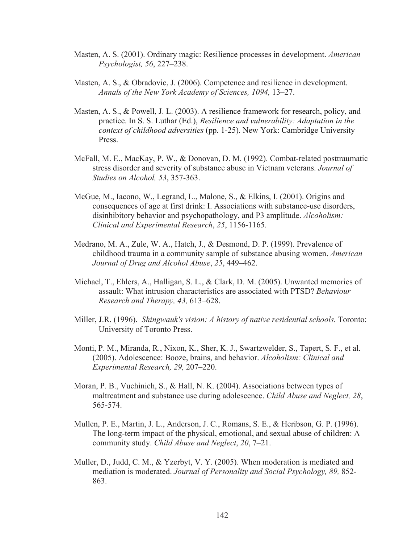- Masten, A. S. (2001). Ordinary magic: Resilience processes in development. *American Psychologist, 56*, 227–238.
- Masten, A. S., & Obradovic, J. (2006). Competence and resilience in development. *Annals of the New York Academy of Sciences, 1094,* 13–27.
- Masten, A. S., & Powell, J. L. (2003). A resilience framework for research, policy, and practice. In S. S. Luthar (Ed.), *Resilience and vulnerability: Adaptation in the context of childhood adversities* (pp. 1-25). New York: Cambridge University Press.
- McFall, M. E., MacKay, P. W., & Donovan, D. M. (1992). Combat-related posttraumatic stress disorder and severity of substance abuse in Vietnam veterans. *Journal of Studies on Alcohol, 53*, 357-363.
- McGue, M., Iacono, W., Legrand, L., Malone, S., & Elkins, I. (2001). Origins and consequences of age at first drink: I. Associations with substance-use disorders, disinhibitory behavior and psychopathology, and P3 amplitude. *Alcoholism: Clinical and Experimental Research*, *25*, 1156-1165.
- Medrano, M. A., Zule, W. A., Hatch, J., & Desmond, D. P. (1999). Prevalence of childhood trauma in a community sample of substance abusing women. *American Journal of Drug and Alcohol Abuse*, *25*, 449–462.
- Michael, T., Ehlers, A., Halligan, S. L., & Clark, D. M. (2005). Unwanted memories of assault: What intrusion characteristics are associated with PTSD? *Behaviour Research and Therapy, 43,* 613–628.
- Miller, J.R. (1996). *Shingwauk's vision: A history of native residential schools.* Toronto: University of Toronto Press.
- Monti, P. M., Miranda, R., Nixon, K., Sher, K. J., Swartzwelder, S., Tapert, S. F., et al. (2005). Adolescence: Booze, brains, and behavior. *Alcoholism: Clinical and Experimental Research, 29,* 207–220.
- Moran, P. B., Vuchinich, S., & Hall, N. K. (2004). Associations between types of maltreatment and substance use during adolescence. *Child Abuse and Neglect, 28*, 565-574.
- Mullen, P. E., Martin, J. L., Anderson, J. C., Romans, S. E., & Heribson, G. P. (1996). The long-term impact of the physical, emotional, and sexual abuse of children: A community study. *Child Abuse and Neglect*, *20*, 7–21.
- Muller, D., Judd, C. M., & Yzerbyt, V. Y. (2005). When moderation is mediated and mediation is moderated. *Journal of Personality and Social Psychology, 89,* 852- 863.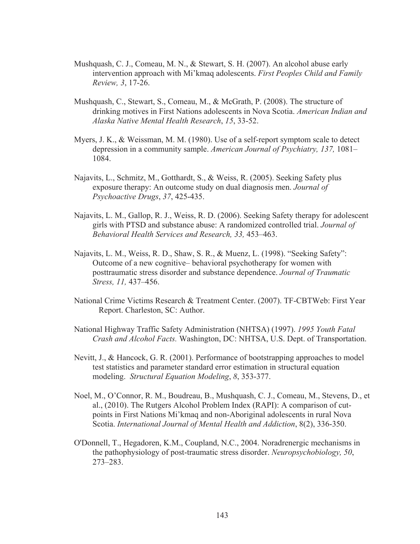- Mushquash, C. J., Comeau, M. N., & Stewart, S. H. (2007). An alcohol abuse early intervention approach with Mi'kmaq adolescents. *First Peoples Child and Family Review, 3*, 17-26.
- Mushquash, C., Stewart, S., Comeau, M., & McGrath, P. (2008). The structure of drinking motives in First Nations adolescents in Nova Scotia. *American Indian and Alaska Native Mental Health Research*, *15*, 33-52.
- Myers, J. K., & Weissman, M. M. (1980). Use of a self-report symptom scale to detect depression in a community sample. *American Journal of Psychiatry, 137,* 1081– 1084.
- Najavits, L., Schmitz, M., Gotthardt, S., & Weiss, R. (2005). Seeking Safety plus exposure therapy: An outcome study on dual diagnosis men. *Journal of Psychoactive Drugs*, *37*, 425-435.
- Najavits, L. M., Gallop, R. J., Weiss, R. D. (2006). Seeking Safety therapy for adolescent girls with PTSD and substance abuse: A randomized controlled trial. *Journal of Behavioral Health Services and Research, 33,* 453–463.
- Najavits, L. M., Weiss, R. D., Shaw, S. R., & Muenz, L. (1998). "Seeking Safety": Outcome of a new cognitive– behavioral psychotherapy for women with posttraumatic stress disorder and substance dependence. *Journal of Traumatic Stress, 11,* 437–456.
- National Crime Victims Research & Treatment Center. (2007). TF-CBTWeb: First Year Report. Charleston, SC: Author.
- National Highway Traffic Safety Administration (NHTSA) (1997). *1995 Youth Fatal Crash and Alcohol Facts.* Washington, DC: NHTSA, U.S. Dept. of Transportation.
- Nevitt, J., & Hancock, G. R. (2001). Performance of bootstrapping approaches to model test statistics and parameter standard error estimation in structural equation modeling. *Structural Equation Modeling*, *8*, 353-377.
- Noel, M., O'Connor, R. M., Boudreau, B., Mushquash, C. J., Comeau, M., Stevens, D., et al., (2010). The Rutgers Alcohol Problem Index (RAPI): A comparison of cutpoints in First Nations Mi'kmaq and non-Aboriginal adolescents in rural Nova Scotia. *International Journal of Mental Health and Addiction*, 8(2), 336-350.
- O'Donnell, T., Hegadoren, K.M., Coupland, N.C., 2004. Noradrenergic mechanisms in the pathophysiology of post-traumatic stress disorder. *Neuropsychobiology, 50*, 273–283.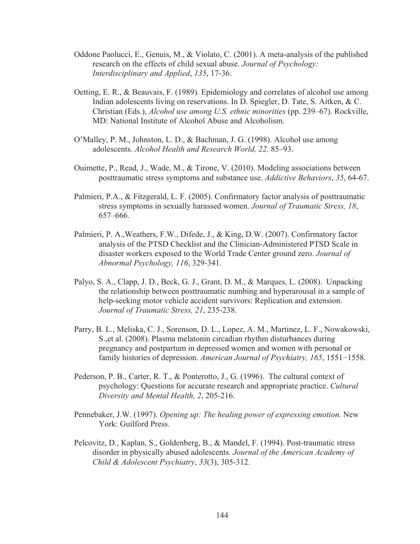- Oddone Paolucci, E., Genuis, M., & Violato, C. (2001). A meta-analysis of the published research on the effects of child sexual abuse. *Journal of Psychology: Interdisciplinary and Applied*, *135*, 17-36.
- Oetting, E. R., & Beauvais, F. (1989). Epidemiology and correlates of alcohol use among Indian adolescents living on reservations. In D. Spiegler, D. Tate, S. Aitken, & C. Christian (Eds.), *Alcohol use among U.S. ethnic minorities* (pp. 239–67). Rockville, MD: National Institute of Alcohol Abuse and Alcoholism.
- O'Malley, P. M., Johnston, L. D., & Bachman, J. G. (1998). Alcohol use among adolescents. *Alcohol Health and Research World, 22,* 85–93.
- Ouimette, P., Read, J., Wade, M., & Tirone, V. (2010). Modeling associations between posttraumatic stress symptoms and substance use. *Addictive Behaviors*, *35*, 64-67.
- Palmieri, P.A., & Fitzgerald, L. F. (2005). Confirmatory factor analysis of posttraumatic stress symptoms in sexually harassed women. *Journal of Traumatic Stress, 18*, 657–666.
- Palmieri, P. A.,Weathers, F.W., Difede, J., & King, D.W. (2007). Confirmatory factor analysis of the PTSD Checklist and the Clinician-Administered PTSD Scale in disaster workers exposed to the World Trade Center ground zero. *Journal of Abnormal Psychology, 116*, 329-341.
- Palyo, S. A., Clapp, J. D., Beck, G. J., Grant, D. M., & Marques, L. (2008). Unpacking the relationship between posttraumatic numbing and hyperarousal in a sample of help-seeking motor vehicle accident survivors: Replication and extension. *Journal of Traumatic Stress, 21*, 235-238.
- Parry, B. L., Meliska, C. J., Sorenson, D. L., Lopez, A. M., Martinez, L. F., Nowakowski, S.,et al. (2008). Plasma melatonin circadian rhythm disturbances during pregnancy and postpartum in depressed women and women with personal or family histories of depression. *American Journal of Psychiatry, 165*, 1551–1558.
- Pederson, P. B., Carter, R. T., & Ponterotto, J., G. (1996). The cultural context of psychology: Questions for accurate research and appropriate practice. *Cultural Diversity and Mental Health, 2*, 205-216.
- Pennebaker, J.W. (1997). *Opening up: The healing power of expressing emotion.* New York: Guilford Press.
- Pelcovitz, D., Kaplan, S., Goldenberg, B., & Mandel, F. (1994). Post-traumatic stress disorder in physically abused adolescents. *Journal of the American Academy of Child & Adolescent Psychiatry*, *33*(3), 305-312.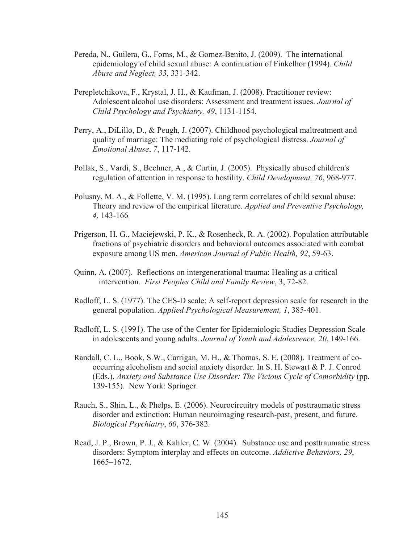- Pereda, N., Guilera, G., Forns, M., & Gomez-Benito, J. (2009). The international epidemiology of child sexual abuse: A continuation of Finkelhor (1994). *Child Abuse and Neglect, 33*, 331-342.
- Perepletchikova, F., Krystal, J. H., & Kaufman, J. (2008). Practitioner review: Adolescent alcohol use disorders: Assessment and treatment issues. *Journal of Child Psychology and Psychiatry, 49*, 1131-1154.
- Perry, A., DiLillo, D., & Peugh, J. (2007). Childhood psychological maltreatment and quality of marriage: The mediating role of psychological distress. *Journal of Emotional Abuse*, *7*, 117-142.
- Pollak, S., Vardi, S., Bechner, A., & Curtin, J. (2005). Physically abused children's regulation of attention in response to hostility. *Child Development, 76*, 968-977.
- Polusny, M. A., & Follette, V. M. (1995). Long term correlates of child sexual abuse: Theory and review of the empirical literature. *Applied and Preventive Psychology, 4,* 143-166.
- Prigerson, H. G., Maciejewski, P. K., & Rosenheck, R. A. (2002). Population attributable fractions of psychiatric disorders and behavioral outcomes associated with combat exposure among US men. *American Journal of Public Health, 92*, 59-63.
- Quinn, A. (2007). Reflections on intergenerational trauma: Healing as a critical intervention. *First Peoples Child and Family Review*, 3, 72-82.
- Radloff, L. S. (1977). The CES-D scale: A self-report depression scale for research in the general population. *Applied Psychological Measurement, 1*, 385-401.
- Radloff, L. S. (1991). The use of the Center for Epidemiologic Studies Depression Scale in adolescents and young adults. *Journal of Youth and Adolescence, 20*, 149-166.
- Randall, C. L., Book, S.W., Carrigan, M. H., & Thomas, S. E. (2008). Treatment of cooccurring alcoholism and social anxiety disorder. In S. H. Stewart & P. J. Conrod (Eds.), *Anxiety and Substance Use Disorder: The Vicious Cycle of Comorbidity* (pp. 139-155). New York: Springer.
- Rauch, S., Shin, L., & Phelps, E. (2006). Neurocircuitry models of posttraumatic stress disorder and extinction: Human neuroimaging research-past, present, and future. *Biological Psychiatry*, *60*, 376-382.
- Read, J. P., Brown, P. J., & Kahler, C. W. (2004). Substance use and posttraumatic stress disorders: Symptom interplay and effects on outcome. *Addictive Behaviors, 29*, 1665–1672.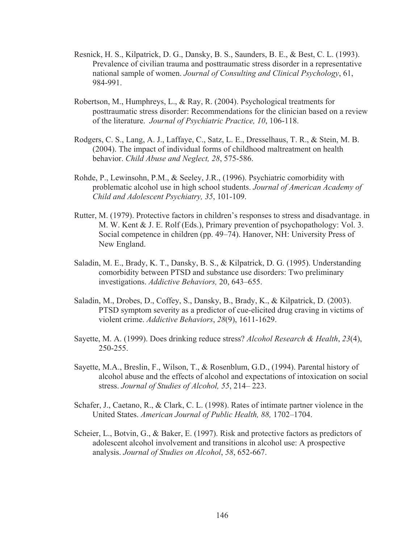- Resnick, H. S., Kilpatrick, D. G., Dansky, B. S., Saunders, B. E., & Best, C. L. (1993). Prevalence of civilian trauma and posttraumatic stress disorder in a representative national sample of women. *Journal of Consulting and Clinical Psychology*, 61, 984-991.
- Robertson, M., Humphreys, L., & Ray, R. (2004). Psychological treatments for posttraumatic stress disorder: Recommendations for the clinician based on a review of the literature. *Journal of Psychiatric Practice, 10*, 106-118.
- Rodgers, C. S., Lang, A. J., Laffaye, C., Satz, L. E., Dresselhaus, T. R., & Stein, M. B. (2004). The impact of individual forms of childhood maltreatment on health behavior. *Child Abuse and Neglect, 28*, 575-586.
- Rohde, P., Lewinsohn, P.M., & Seeley, J.R., (1996). Psychiatric comorbidity with problematic alcohol use in high school students. *Journal of American Academy of Child and Adolescent Psychiatry, 35*, 101-109.
- Rutter, M. (1979). Protective factors in children's responses to stress and disadvantage. in M. W. Kent & J. E. Rolf (Eds.), Primary prevention of psychopathology: Vol. 3. Social competence in children (pp. 49–74). Hanover, NH: University Press of New England.
- Saladin, M. E., Brady, K. T., Dansky, B. S., & Kilpatrick, D. G. (1995). Understanding comorbidity between PTSD and substance use disorders: Two preliminary investigations. *Addictive Behaviors,* 20, 643–655.
- Saladin, M., Drobes, D., Coffey, S., Dansky, B., Brady, K., & Kilpatrick, D. (2003). PTSD symptom severity as a predictor of cue-elicited drug craving in victims of violent crime. *Addictive Behaviors*, *28*(9), 1611-1629.
- Sayette, M. A. (1999). Does drinking reduce stress? *Alcohol Research & Health*, *23*(4), 250-255.
- Sayette, M.A., Breslin, F., Wilson, T., & Rosenblum, G.D., (1994). Parental history of alcohol abuse and the effects of alcohol and expectations of intoxication on social stress. *Journal of Studies of Alcohol, 55*, 214– 223.
- Schafer, J., Caetano, R., & Clark, C. L. (1998). Rates of intimate partner violence in the United States. *American Journal of Public Health, 88,* 1702–1704.
- Scheier, L., Botvin, G., & Baker, E. (1997). Risk and protective factors as predictors of adolescent alcohol involvement and transitions in alcohol use: A prospective analysis. *Journal of Studies on Alcohol*, *58*, 652-667.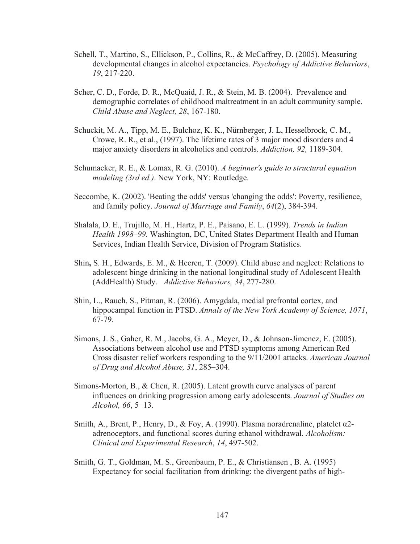- Schell, T., Martino, S., Ellickson, P., Collins, R., & McCaffrey, D. (2005). Measuring developmental changes in alcohol expectancies. *Psychology of Addictive Behaviors*, *19*, 217-220.
- Scher, C. D., Forde, D. R., McQuaid, J. R., & Stein, M. B. (2004). Prevalence and demographic correlates of childhood maltreatment in an adult community sample. *Child Abuse and Neglect, 28*, 167-180.
- Schuckit, M. A., Tipp, M. E., Bulchoz, K. K., Nürnberger, J. L, Hesselbrock, C. M., Crowe, R. R., et al., (1997). The lifetime rates of 3 major mood disorders and 4 major anxiety disorders in alcoholics and controls. *Addiction, 92,* 1189-304.
- Schumacker, R. E., & Lomax, R. G. (2010). *A beginner's guide to structural equation modeling (3rd ed.)*. New York, NY: Routledge.
- Seccombe, K. (2002). 'Beating the odds' versus 'changing the odds': Poverty, resilience, and family policy. *Journal of Marriage and Family*, *64*(2), 384-394.
- Shalala, D. E., Trujillo, M. H., Hartz, P. E., Paisano, E. L. (1999). *Trends in Indian Health 1998–99.* Washington, DC, United States Department Health and Human Services, Indian Health Service, Division of Program Statistics.
- Shin**,** S. H., Edwards, E. M., & Heeren, T. (2009). Child abuse and neglect: Relations to adolescent binge drinking in the national longitudinal study of Adolescent Health (AddHealth) Study. *Addictive Behaviors, 34*, 277-280.
- Shin, L., Rauch, S., Pitman, R. (2006). Amygdala, medial prefrontal cortex, and hippocampal function in PTSD. *Annals of the New York Academy of Science, 1071*, 67-79.
- Simons, J. S., Gaher, R. M., Jacobs, G. A., Meyer, D., & Johnson-Jimenez, E. (2005). Associations between alcohol use and PTSD symptoms among American Red Cross disaster relief workers responding to the 9/11/2001 attacks. *American Journal of Drug and Alcohol Abuse, 31*, 285–304.
- Simons-Morton, B., & Chen, R. (2005). Latent growth curve analyses of parent influences on drinking progression among early adolescents. *Journal of Studies on Alcohol, 66, 5*–13.
- Smith, A., Brent, P., Henry, D., & Foy, A. (1990). Plasma noradrenaline, platelet  $\alpha$ 2adrenoceptors, and functional scores during ethanol withdrawal. *Alcoholism: Clinical and Experimental Research*, *14*, 497-502.
- Smith, G. T., Goldman, M. S., Greenbaum, P. E., & Christiansen , B. A. (1995) Expectancy for social facilitation from drinking: the divergent paths of high-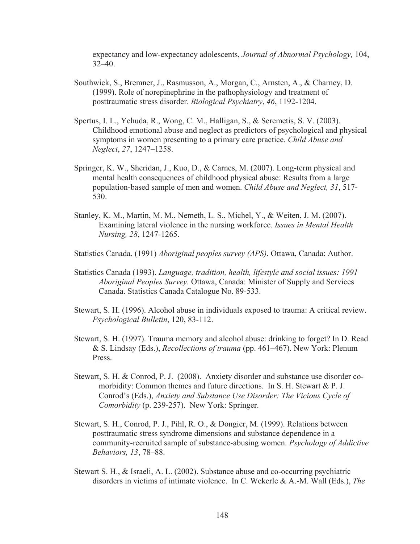expectancy and low-expectancy adolescents, *Journal of Abnormal Psychology,* 104, 32–40.

- Southwick, S., Bremner, J., Rasmusson, A., Morgan, C., Arnsten, A., & Charney, D. (1999). Role of norepinephrine in the pathophysiology and treatment of posttraumatic stress disorder. *Biological Psychiatry*, *46*, 1192-1204.
- Spertus, I. L., Yehuda, R., Wong, C. M., Halligan, S., & Seremetis, S. V. (2003). Childhood emotional abuse and neglect as predictors of psychological and physical symptoms in women presenting to a primary care practice. *Child Abuse and Neglect*, *27*, 1247–1258.
- Springer, K. W., Sheridan, J., Kuo, D., & Carnes, M. (2007). Long-term physical and mental health consequences of childhood physical abuse: Results from a large population-based sample of men and women. *Child Abuse and Neglect, 31*, 517- 530.
- Stanley, K. M., Martin, M. M., Nemeth, L. S., Michel, Y., & Weiten, J. M. (2007). Examining lateral violence in the nursing workforce. *Issues in Mental Health Nursing, 28*, 1247-1265.
- Statistics Canada. (1991) *Aboriginal peoples survey (APS)*. Ottawa, Canada: Author.
- Statistics Canada (1993). *Language, tradition, health, lifestyle and social issues: 1991 Aboriginal Peoples Survey.* Ottawa, Canada: Minister of Supply and Services Canada. Statistics Canada Catalogue No. 89-533.
- Stewart, S. H. (1996). Alcohol abuse in individuals exposed to trauma: A critical review. *Psychological Bulletin*, 120, 83-112.
- Stewart, S. H. (1997). Trauma memory and alcohol abuse: drinking to forget? In D. Read & S. Lindsay (Eds.), *Recollections of trauma* (pp. 461–467). New York: Plenum Press.
- Stewart, S. H. & Conrod, P. J. (2008). Anxiety disorder and substance use disorder comorbidity: Common themes and future directions. In S. H. Stewart & P. J. Conrod's (Eds.), *Anxiety and Substance Use Disorder: The Vicious Cycle of Comorbidity* (p. 239-257). New York: Springer.
- Stewart, S. H., Conrod, P. J., Pihl, R. O., & Dongier, M. (1999). Relations between posttraumatic stress syndrome dimensions and substance dependence in a community-recruited sample of substance-abusing women. *Psychology of Addictive Behaviors, 13*, 78–88.
- Stewart S. H., & Israeli, A. L. (2002). Substance abuse and co-occurring psychiatric disorders in victims of intimate violence. In C. Wekerle & A.-M. Wall (Eds.), *The*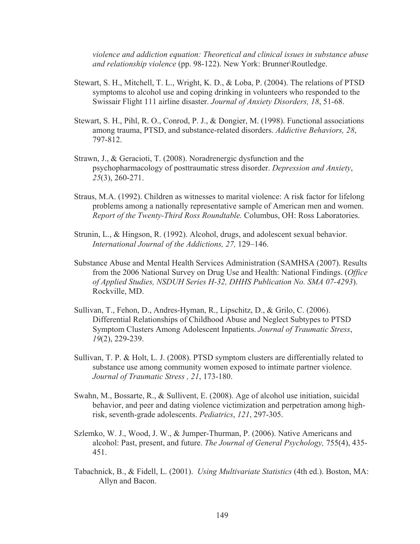*violence and addiction equation: Theoretical and clinical issues in substance abuse and relationship violence* (pp. 98-122). New York: Brunner\Routledge.

- Stewart, S. H., Mitchell, T. L., Wright, K. D., & Loba, P. (2004). The relations of PTSD symptoms to alcohol use and coping drinking in volunteers who responded to the Swissair Flight 111 airline disaster. *Journal of Anxiety Disorders, 18*, 51-68.
- Stewart, S. H., Pihl, R. O., Conrod, P. J., & Dongier, M. (1998). Functional associations among trauma, PTSD, and substance-related disorders. *Addictive Behaviors, 28*, 797-812.
- Strawn, J., & Geracioti, T. (2008). Noradrenergic dysfunction and the psychopharmacology of posttraumatic stress disorder. *Depression and Anxiety*, *25*(3), 260-271.
- Straus, M.A. (1992). Children as witnesses to marital violence: A risk factor for lifelong problems among a nationally representative sample of American men and women. *Report of the Twenty-Third Ross Roundtable.* Columbus, OH: Ross Laboratories.
- Strunin, L., & Hingson, R. (1992). Alcohol, drugs, and adolescent sexual behavior. *International Journal of the Addictions, 27,* 129–146.
- Substance Abuse and Mental Health Services Administration (SAMHSA (2007). Results from the 2006 National Survey on Drug Use and Health: National Findings. (*Office of Applied Studies, NSDUH Series H-32, DHHS Publication No. SMA 07-4293*). Rockville, MD.
- Sullivan, T., Fehon, D., Andres-Hyman, R., Lipschitz, D., & Grilo, C. (2006). Differential Relationships of Childhood Abuse and Neglect Subtypes to PTSD Symptom Clusters Among Adolescent Inpatients. *Journal of Traumatic Stress*, *19*(2), 229-239.
- Sullivan, T. P. & Holt, L. J. (2008). PTSD symptom clusters are differentially related to substance use among community women exposed to intimate partner violence. *Journal of Traumatic Stress , 21*, 173-180.
- Swahn, M., Bossarte, R., & Sullivent, E. (2008). Age of alcohol use initiation, suicidal behavior, and peer and dating violence victimization and perpetration among highrisk, seventh-grade adolescents. *Pediatrics*, *121*, 297-305.
- Szlemko, W. J., Wood, J. W., & Jumper-Thurman, P. (2006). Native Americans and alcohol: Past, present, and future. *The Journal of General Psychology,* 755(4), 435- 451.
- Tabachnick, B., & Fidell, L. (2001). *Using Multivariate Statistics* (4th ed.). Boston, MA: Allyn and Bacon.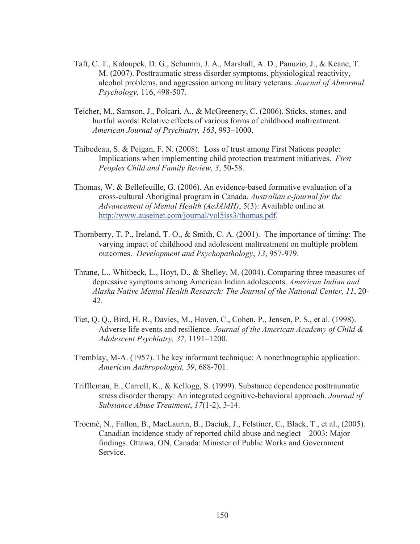- Taft, C. T., Kaloupek, D. G., Schumm, J. A., Marshall, A. D., Panuzio, J., & Keane, T. M. (2007). Posttraumatic stress disorder symptoms, physiological reactivity, alcohol problems, and aggression among military veterans. *Journal of Abnormal Psychology*, 116, 498-507.
- Teicher, M., Samson, J., Polcari, A., & McGreenery, C. (2006). Sticks, stones, and hurtful words: Relative effects of various forms of childhood maltreatment. *American Journal of Psychiatry, 163*, 993–1000.
- Thibodeau, S. & Peigan, F. N. (2008). Loss of trust among First Nations people: Implications when implementing child protection treatment initiatives. *First Peoples Child and Family Review, 3*, 50-58.
- Thomas, W. & Bellefeuille, G. (2006). An evidence-based formative evaluation of a cross-cultural Aboriginal program in Canada. *Australian e-journal for the Advancement of Mental Health (AeJAMH)*, 5(3): Available online at http://www.auseinet.com/journal/vol5iss3/thomas.pdf.
- Thornberry, T. P., Ireland, T. O., & Smith, C. A. (2001). The importance of timing: The varying impact of childhood and adolescent maltreatment on multiple problem outcomes. *Development and Psychopathology*, *13*, 957-979.
- Thrane, L., Whitbeck, L., Hoyt, D., & Shelley, M. (2004). Comparing three measures of depressive symptoms among American Indian adolescents. *American Indian and Alaska Native Mental Health Research: The Journal of the National Center, 11*, 20- 42.
- Tiet, Q. Q., Bird, H. R., Davies, M., Hoven, C., Cohen, P., Jensen, P. S., et al. (1998). Adverse life events and resilience. *Journal of the American Academy of Child & Adolescent Psychiatry, 37*, 1191–1200.
- Tremblay, M-A. (1957). The key informant technique: A nonethnographic application. *American Anthropologist, 59*, 688-701.
- Triffleman, E., Carroll, K., & Kellogg, S. (1999). Substance dependence posttraumatic stress disorder therapy: An integrated cognitive-behavioral approach. *Journal of Substance Abuse Treatment*, *17*(1-2), 3-14.
- Trocmé, N., Fallon, B., MacLaurin, B., Daciuk, J., Felstiner, C., Black, T., et al., (2005). Canadian incidence study of reported child abuse and neglect—2003: Major findings. Ottawa, ON, Canada: Minister of Public Works and Government Service.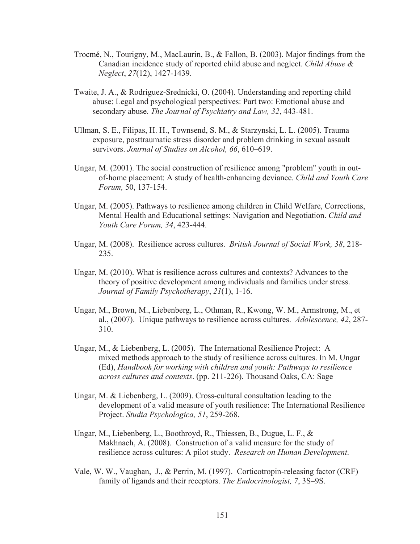- Trocmé, N., Tourigny, M., MacLaurin, B., & Fallon, B. (2003). Major findings from the Canadian incidence study of reported child abuse and neglect. *Child Abuse & Neglect*, *27*(12), 1427-1439.
- Twaite, J. A., & Rodriguez-Srednicki, O. (2004). Understanding and reporting child abuse: Legal and psychological perspectives: Part two: Emotional abuse and secondary abuse. *The Journal of Psychiatry and Law, 32*, 443-481.
- Ullman, S. E., Filipas, H. H., Townsend, S. M., & Starzynski, L. L. (2005). Trauma exposure, posttraumatic stress disorder and problem drinking in sexual assault survivors. *Journal of Studies on Alcohol, 66*, 610–619.
- Ungar, M. (2001). The social construction of resilience among "problem" youth in outof-home placement: A study of health-enhancing deviance. *Child and Youth Care Forum,* 50, 137-154.
- Ungar, M. (2005). Pathways to resilience among children in Child Welfare, Corrections, Mental Health and Educational settings: Navigation and Negotiation. *Child and Youth Care Forum, 34*, 423-444.
- Ungar, M. (2008). Resilience across cultures. *British Journal of Social Work, 38*, 218- 235.
- Ungar, M. (2010). What is resilience across cultures and contexts? Advances to the theory of positive development among individuals and families under stress. *Journal of Family Psychotherapy*, *21*(1), 1-16.
- Ungar, M., Brown, M., Liebenberg, L., Othman, R., Kwong, W. M., Armstrong, M., et al., (2007). Unique pathways to resilience across cultures. *Adolescence, 42*, 287- 310.
- Ungar, M., & Liebenberg, L. (2005). The International Resilience Project: A mixed methods approach to the study of resilience across cultures. In M. Ungar (Ed), *Handbook for working with children and youth: Pathways to resilience across cultures and contexts*. (pp. 211-226). Thousand Oaks, CA: Sage
- Ungar, M. & Liebenberg, L. (2009). Cross-cultural consultation leading to the development of a valid measure of youth resilience: The International Resilience Project. *Studia Psychologica, 51*, 259-268.
- Ungar, M., Liebenberg, L., Boothroyd, R., Thiessen, B., Dugue, L. F., & Makhnach, A. (2008). Construction of a valid measure for the study of resilience across cultures: A pilot study. *Research on Human Development*.
- Vale, W. W., Vaughan, J., & Perrin, M. (1997). Corticotropin-releasing factor (CRF) family of ligands and their receptors. *The Endocrinologist, 7*, 3S–9S.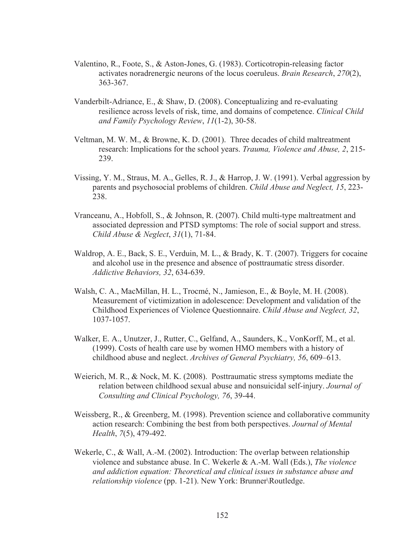- Valentino, R., Foote, S., & Aston-Jones, G. (1983). Corticotropin-releasing factor activates noradrenergic neurons of the locus coeruleus. *Brain Research*, *270*(2), 363-367.
- Vanderbilt-Adriance, E., & Shaw, D. (2008). Conceptualizing and re-evaluating resilience across levels of risk, time, and domains of competence. *Clinical Child and Family Psychology Review*, *11*(1-2), 30-58.
- Veltman, M. W. M., & Browne, K. D. (2001). Three decades of child maltreatment research: Implications for the school years. *Trauma, Violence and Abuse, 2*, 215- 239.
- Vissing, Y. M., Straus, M. A., Gelles, R. J., & Harrop, J. W. (1991). Verbal aggression by parents and psychosocial problems of children. *Child Abuse and Neglect, 15*, 223- 238.
- Vranceanu, A., Hobfoll, S., & Johnson, R. (2007). Child multi-type maltreatment and associated depression and PTSD symptoms: The role of social support and stress. *Child Abuse & Neglect*, *31*(1), 71-84.
- Waldrop, A. E., Back, S. E., Verduin, M. L., & Brady, K. T. (2007). Triggers for cocaine and alcohol use in the presence and absence of posttraumatic stress disorder. *Addictive Behaviors, 32*, 634-639.
- Walsh, C. A., MacMillan, H. L., Trocmé, N., Jamieson, E., & Boyle, M. H. (2008). Measurement of victimization in adolescence: Development and validation of the Childhood Experiences of Violence Questionnaire. *Child Abuse and Neglect, 32*, 1037-1057.
- Walker, E. A., Unutzer, J., Rutter, C., Gelfand, A., Saunders, K., VonKorff, M., et al. (1999). Costs of health care use by women HMO members with a history of childhood abuse and neglect. *Archives of General Psychiatry, 56*, 609–613.
- Weierich, M. R., & Nock, M. K. (2008). Posttraumatic stress symptoms mediate the relation between childhood sexual abuse and nonsuicidal self-injury. *Journal of Consulting and Clinical Psychology, 76*, 39-44.
- Weissberg, R., & Greenberg, M. (1998). Prevention science and collaborative community action research: Combining the best from both perspectives. *Journal of Mental Health*, *7*(5), 479-492.
- Wekerle, C., & Wall, A.-M. (2002). Introduction: The overlap between relationship violence and substance abuse. In C. Wekerle & A.-M. Wall (Eds.), *The violence and addiction equation: Theoretical and clinical issues in substance abuse and relationship violence* (pp. 1-21). New York: Brunner\Routledge.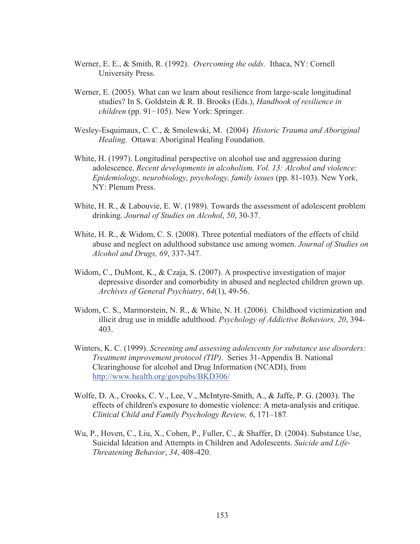- Werner, E. E., & Smith, R. (1992). *Overcoming the odds.* Ithaca, NY: Cornell University Press.
- Werner, E. (2005). What can we learn about resilience from large-scale longitudinal studies? In S. Goldstein & R. B. Brooks (Eds.), *Handbook of resilience in*   $children$  (pp. 91–105). New York: Springer.
- Wesley-Esquimaux, C. C., & Smolewski, M. (2004) *Historic Trauma and Aboriginal Healing.* Ottawa: Aboriginal Healing Foundation.
- White, H. (1997). Longitudinal perspective on alcohol use and aggression during adolescence. *Recent developments in alcoholism, Vol. 13: Alcohol and violence: Epidemiology, neurobiology, psychology, family issues* (pp. 81-103). New York, NY: Plenum Press.
- White, H. R., & Labouvie, E. W. (1989). Towards the assessment of adolescent problem drinking. *Journal of Studies on Alcohol*, *50*, 30-37.
- White, H. R., & Widom, C. S. (2008). Three potential mediators of the effects of child abuse and neglect on adulthood substance use among women. *Journal of Studies on Alcohol and Drugs, 69*, 337-347.
- Widom, C., DuMont, K., & Czaja, S. (2007). A prospective investigation of major depressive disorder and comorbidity in abused and neglected children grown up. *Archives of General Psychiatry*, *64*(1), 49-56.
- Widom, C. S., Marmorstein, N. R., & White, N. H. (2006). Childhood victimization and illicit drug use in middle adulthood. *Psychology of Addictive Behaviors, 20*, 394- 403.
- Winters, K. C. (1999). *Screening and assessing adolescents for substance use disorders: Treatment improvement protocol (TIP)*. Series 31-Appendix B. National Clearinghouse for alcohol and Drug Information (NCADI), from http://www.health.org/govpubs/BKD306/
- Wolfe, D. A., Crooks, C. V., Lee, V., McIntyre-Smith, A., & Jaffe, P. G. (2003). The effects of children's exposure to domestic violence: A meta-analysis and critique. *Clinical Child and Family Psychology Review, 6*, 171–187.
- Wu, P., Hoven, C., Liu, X., Cohen, P., Fuller, C., & Shaffer, D. (2004). Substance Use, Suicidal Ideation and Attempts in Children and Adolescents. *Suicide and Life-Threatening Behavior*, *34*, 408-420.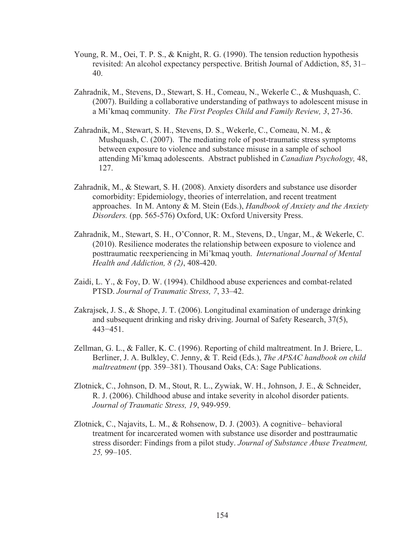- Young, R. M., Oei, T. P. S., & Knight, R. G. (1990). The tension reduction hypothesis revisited: An alcohol expectancy perspective. British Journal of Addiction, 85, 31– 40.
- Zahradnik, M., Stevens, D., Stewart, S. H., Comeau, N., Wekerle C., & Mushquash, C. (2007). Building a collaborative understanding of pathways to adolescent misuse in a Mi'kmaq community. *The First Peoples Child and Family Review, 3*, 27-36.
- Zahradnik, M., Stewart, S. H., Stevens, D. S., Wekerle, C., Comeau, N. M., & Mushquash, C. (2007). The mediating role of post-traumatic stress symptoms between exposure to violence and substance misuse in a sample of school attending Mi'kmaq adolescents. Abstract published in *Canadian Psychology,* 48, 127.
- Zahradnik, M., & Stewart, S. H. (2008). Anxiety disorders and substance use disorder comorbidity: Epidemiology, theories of interrelation, and recent treatment approaches. In M. Antony & M. Stein (Eds.), *Handbook of Anxiety and the Anxiety Disorders.* (pp. 565-576) Oxford, UK: Oxford University Press.
- Zahradnik, M., Stewart, S. H., O'Connor, R. M., Stevens, D., Ungar, M., & Wekerle, C. (2010). Resilience moderates the relationship between exposure to violence and posttraumatic reexperiencing in Mi'kmaq youth. *International Journal of Mental Health and Addiction, 8 (2)*, 408-420.
- Zaidi, L. Y., & Foy, D. W. (1994). Childhood abuse experiences and combat-related PTSD. *Journal of Traumatic Stress, 7*, 33–42.
- Zakrajsek, J. S., & Shope, J. T. (2006). Longitudinal examination of underage drinking and subsequent drinking and risky driving. Journal of Safety Research, 37(5), 443–451.
- Zellman, G. L., & Faller, K. C. (1996). Reporting of child maltreatment. In J. Briere, L. Berliner, J. A. Bulkley, C. Jenny, & T. Reid (Eds.), *The APSAC handbook on child maltreatment* (pp. 359–381). Thousand Oaks, CA: Sage Publications.
- Zlotnick, C., Johnson, D. M., Stout, R. L., Zywiak, W. H., Johnson, J. E., & Schneider, R. J. (2006). Childhood abuse and intake severity in alcohol disorder patients. *Journal of Traumatic Stress, 19*, 949-959.
- Zlotnick, C., Najavits, L. M., & Rohsenow, D. J. (2003). A cognitive– behavioral treatment for incarcerated women with substance use disorder and posttraumatic stress disorder: Findings from a pilot study. *Journal of Substance Abuse Treatment, 25,* 99–105.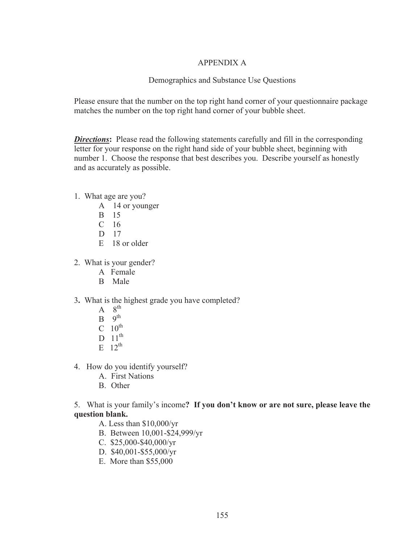# APPENDIX A

## Demographics and Substance Use Questions

Please ensure that the number on the top right hand corner of your questionnaire package matches the number on the top right hand corner of your bubble sheet.

*Directions*: Please read the following statements carefully and fill in the corresponding letter for your response on the right hand side of your bubble sheet, beginning with number 1. Choose the response that best describes you. Describe yourself as honestly and as accurately as possible.

- 1. What age are you?
	- A 14 or younger
	- B 15
	- $C<sub>16</sub>$
	- D 17
	- E 18 or older
- 2. What is your gender?
	- A Female
	- B Male
- 3**.** What is the highest grade you have completed?
	- $A \quad 8^{th}$
	- $B \quad 9^{th}$
	- $C \quad 10^{th}$
	- D  $11<sup>th</sup>$
	- $E = 12^{th}$
- 4. How do you identify yourself?
	- A. First Nations
	- B. Other

5. What is your family's income**? If you don't know or are not sure, please leave the question blank.**

- A. Less than \$10,000/yr
- B. Between 10,001-\$24,999/yr
- C. \$25,000-\$40,000/yr
- D. \$40,001-\$55,000/yr
- E. More than \$55,000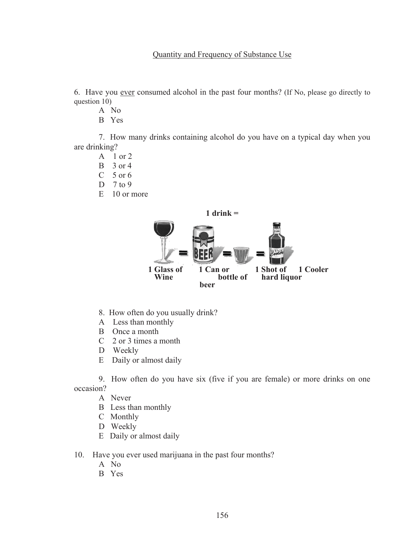6. Have you ever consumed alcohol in the past four months? (If No, please go directly to question 10)

- A No
- B Yes

7. How many drinks containing alcohol do you have on a typical day when you are drinking?

- A 1 or 2
- $B = 3$  or 4
- $C$  5 or 6
- D 7 to 9
- E 10 or more



- 8. How often do you usually drink?
- A Less than monthly
- B Once a month
- C 2 or 3 times a month
- D Weekly
- E Daily or almost daily

9. How often do you have six (five if you are female) or more drinks on one occasion?

- A Never
- B Less than monthly
- C Monthly
- D Weekly
- E Daily or almost daily
- 10. Have you ever used marijuana in the past four months?
	- A No
	- B Yes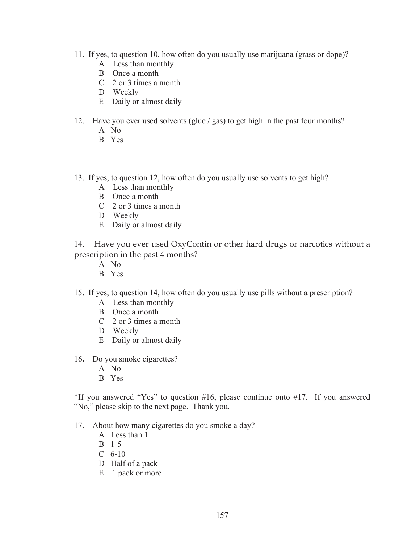- 11. If yes, to question 10, how often do you usually use marijuana (grass or dope)?
	- A Less than monthly
	- B Once a month
	- C 2 or 3 times a month
	- D Weekly
	- E Daily or almost daily
- 12. Have you ever used solvents (glue / gas) to get high in the past four months? A No
	- B Yes
- 13. If yes, to question 12, how often do you usually use solvents to get high?
	- A Less than monthly
	- B Once a month
	- C 2 or 3 times a month
	- D Weekly
	- E Daily or almost daily

14. Have you ever used OxyContin or other hard drugs or narcotics without a prescription in the past 4 months?

- A No
- B Yes
- 15. If yes, to question 14, how often do you usually use pills without a prescription?
	- A Less than monthly
	- B Once a month
	- C 2 or 3 times a month
	- D Weekly
	- E Daily or almost daily
- 16**.** Do you smoke cigarettes?
	- A No
	- B Yes

\*If you answered "Yes" to question #16, please continue onto #17. If you answered "No," please skip to the next page. Thank you.

- 17. About how many cigarettes do you smoke a day?
	- A Less than 1
	- B 1-5
	- C 6-10
	- D Half of a pack
	- E 1 pack or more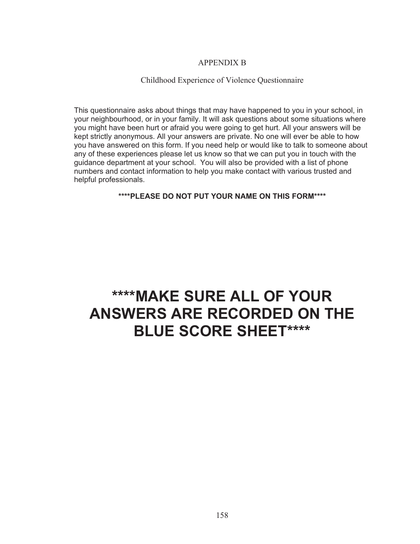## APPENDIX B

#### Childhood Experience of Violence Questionnaire

This questionnaire asks about things that may have happened to you in your school, in your neighbourhood, or in your family. It will ask questions about some situations where you might have been hurt or afraid you were going to get hurt. All your answers will be kept strictly anonymous. All your answers are private. No one will ever be able to how you have answered on this form. If you need help or would like to talk to someone about any of these experiences please let us know so that we can put you in touch with the guidance department at your school. You will also be provided with a list of phone numbers and contact information to help you make contact with various trusted and helpful professionals.

#### **\*\*\*\*PLEASE DO NOT PUT YOUR NAME ON THIS FORM\*\*\*\***

# **\*\*\*\*MAKE SURE ALL OF YOUR ANSWERS ARE RECORDED ON THE BLUE SCORE SHEET\*\*\*\***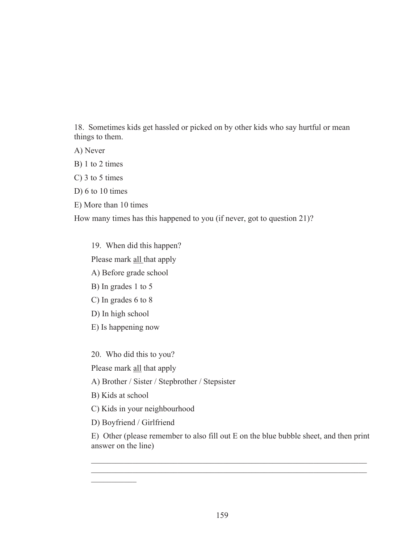18. Sometimes kids get hassled or picked on by other kids who say hurtful or mean things to them.

A) Never

B) 1 to 2 times

C) 3 to 5 times

D) 6 to 10 times

E) More than 10 times

How many times has this happened to you (if never, got to question 21)?

19. When did this happen? Please mark all that apply A) Before grade school B) In grades 1 to 5 C) In grades 6 to 8 D) In high school

E) Is happening now

20. Who did this to you?

Please mark all that apply

A) Brother / Sister / Stepbrother / Stepsister

B) Kids at school

 $\mathcal{L}_\text{max}$ 

C) Kids in your neighbourhood

D) Boyfriend / Girlfriend

E) Other (please remember to also fill out E on the blue bubble sheet, and then print answer on the line)

 $\mathcal{L}_\mathcal{L} = \mathcal{L}_\mathcal{L} = \mathcal{L}_\mathcal{L} = \mathcal{L}_\mathcal{L} = \mathcal{L}_\mathcal{L} = \mathcal{L}_\mathcal{L} = \mathcal{L}_\mathcal{L} = \mathcal{L}_\mathcal{L} = \mathcal{L}_\mathcal{L} = \mathcal{L}_\mathcal{L} = \mathcal{L}_\mathcal{L} = \mathcal{L}_\mathcal{L} = \mathcal{L}_\mathcal{L} = \mathcal{L}_\mathcal{L} = \mathcal{L}_\mathcal{L} = \mathcal{L}_\mathcal{L} = \mathcal{L}_\mathcal{L}$  $\mathcal{L}_\mathcal{L} = \mathcal{L}_\mathcal{L} = \mathcal{L}_\mathcal{L} = \mathcal{L}_\mathcal{L} = \mathcal{L}_\mathcal{L} = \mathcal{L}_\mathcal{L} = \mathcal{L}_\mathcal{L} = \mathcal{L}_\mathcal{L} = \mathcal{L}_\mathcal{L} = \mathcal{L}_\mathcal{L} = \mathcal{L}_\mathcal{L} = \mathcal{L}_\mathcal{L} = \mathcal{L}_\mathcal{L} = \mathcal{L}_\mathcal{L} = \mathcal{L}_\mathcal{L} = \mathcal{L}_\mathcal{L} = \mathcal{L}_\mathcal{L}$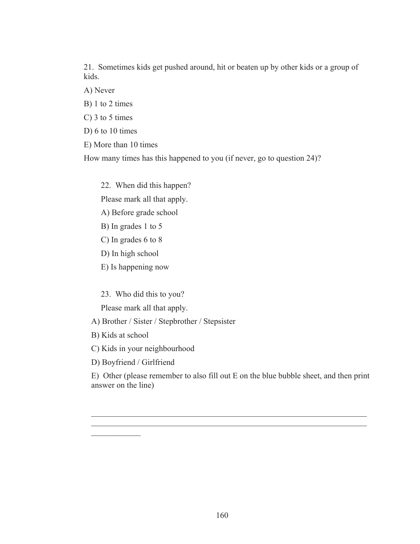21. Sometimes kids get pushed around, hit or beaten up by other kids or a group of kids.

A) Never

B) 1 to 2 times

C) 3 to 5 times

D) 6 to 10 times

E) More than 10 times

How many times has this happened to you (if never, go to question 24)?

22. When did this happen?

Please mark all that apply.

A) Before grade school

B) In grades 1 to 5

C) In grades 6 to 8

D) In high school

E) Is happening now

23. Who did this to you?

Please mark all that apply.

A) Brother / Sister / Stepbrother / Stepsister

B) Kids at school

 $\frac{1}{2}$ 

C) Kids in your neighbourhood

D) Boyfriend / Girlfriend

E) Other (please remember to also fill out E on the blue bubble sheet, and then print answer on the line)

 $\mathcal{L}_\mathcal{L} = \mathcal{L}_\mathcal{L} = \mathcal{L}_\mathcal{L} = \mathcal{L}_\mathcal{L} = \mathcal{L}_\mathcal{L} = \mathcal{L}_\mathcal{L} = \mathcal{L}_\mathcal{L} = \mathcal{L}_\mathcal{L} = \mathcal{L}_\mathcal{L} = \mathcal{L}_\mathcal{L} = \mathcal{L}_\mathcal{L} = \mathcal{L}_\mathcal{L} = \mathcal{L}_\mathcal{L} = \mathcal{L}_\mathcal{L} = \mathcal{L}_\mathcal{L} = \mathcal{L}_\mathcal{L} = \mathcal{L}_\mathcal{L}$  $\mathcal{L}_\text{max} = \mathcal{L}_\text{max} = \mathcal{L}_\text{max} = \mathcal{L}_\text{max} = \mathcal{L}_\text{max} = \mathcal{L}_\text{max} = \mathcal{L}_\text{max} = \mathcal{L}_\text{max} = \mathcal{L}_\text{max} = \mathcal{L}_\text{max} = \mathcal{L}_\text{max} = \mathcal{L}_\text{max} = \mathcal{L}_\text{max} = \mathcal{L}_\text{max} = \mathcal{L}_\text{max} = \mathcal{L}_\text{max} = \mathcal{L}_\text{max} = \mathcal{L}_\text{max} = \mathcal{$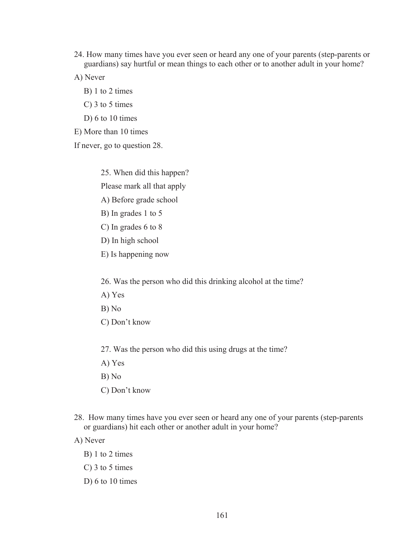- 24. How many times have you ever seen or heard any one of your parents (step-parents or guardians) say hurtful or mean things to each other or to another adult in your home?
- A) Never
	- B) 1 to 2 times
	- C) 3 to 5 times
	- D) 6 to 10 times

E) More than 10 times

If never, go to question 28.

25. When did this happen? Please mark all that apply A) Before grade school

- B) In grades 1 to 5
- C) In grades 6 to 8
- D) In high school
- E) Is happening now

26. Was the person who did this drinking alcohol at the time?

- A) Yes
- B) No
- C) Don't know

27. Was the person who did this using drugs at the time?

- A) Yes
- B) No
- C) Don't know
- 28. How many times have you ever seen or heard any one of your parents (step-parents or guardians) hit each other or another adult in your home?

A) Never

- B) 1 to 2 times
- C) 3 to 5 times
- D) 6 to 10 times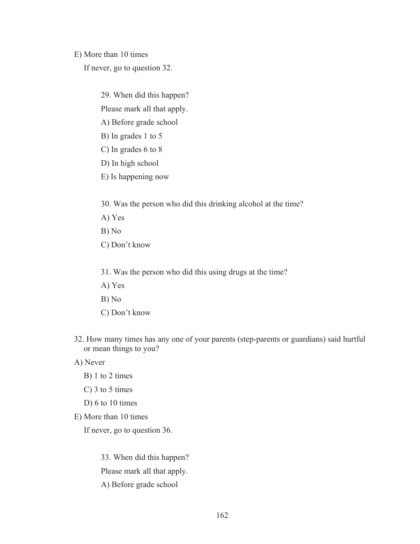E) More than 10 times

If never, go to question 32.

29. When did this happen?

Please mark all that apply.

A) Before grade school

- B) In grades 1 to 5
- C) In grades 6 to 8
- D) In high school
- E) Is happening now

30. Was the person who did this drinking alcohol at the time?

- A) Yes
- B) No
- C) Don't know
- 31. Was the person who did this using drugs at the time?
- A) Yes
- B) No
- C) Don't know
- 32. How many times has any one of your parents (step-parents or guardians) said hurtful or mean things to you?
- A) Never
	- B) 1 to 2 times
	- C) 3 to 5 times
	- D) 6 to 10 times
- E) More than 10 times

If never, go to question 36.

33. When did this happen? Please mark all that apply. A) Before grade school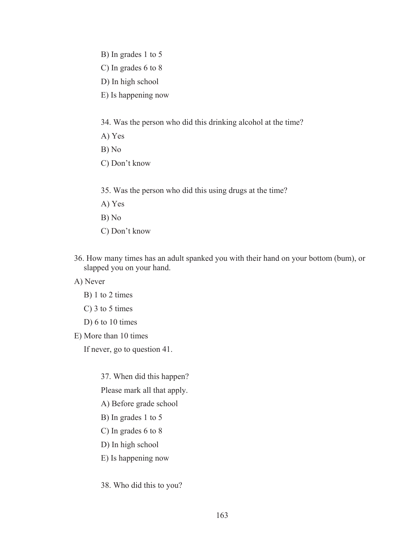- B) In grades 1 to 5
- C) In grades 6 to 8
- D) In high school
- E) Is happening now

34. Was the person who did this drinking alcohol at the time?

- A) Yes
- B) No
- C) Don't know
- 35. Was the person who did this using drugs at the time?
- A) Yes
- B) No
- C) Don't know
- 36. How many times has an adult spanked you with their hand on your bottom (bum), or slapped you on your hand.

A) Never

- B) 1 to 2 times
- C) 3 to 5 times
- D) 6 to 10 times
- E) More than 10 times

If never, go to question 41.

37. When did this happen?

Please mark all that apply.

- A) Before grade school
- B) In grades 1 to 5
- C) In grades 6 to 8
- D) In high school
- E) Is happening now
- 38. Who did this to you?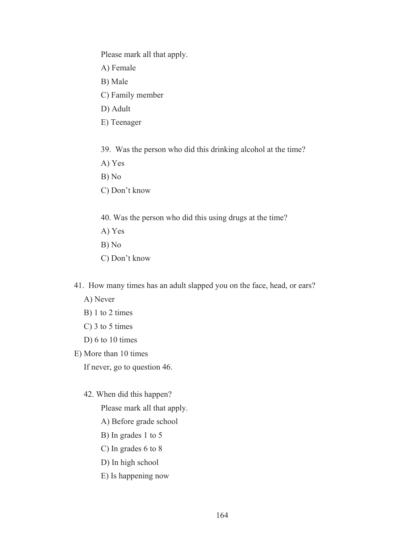Please mark all that apply.

A) Female

B) Male

C) Family member

D) Adult

E) Teenager

39. Was the person who did this drinking alcohol at the time?

A) Yes

B) No

C) Don't know

40. Was the person who did this using drugs at the time?

A) Yes

B) No

C) Don't know

41. How many times has an adult slapped you on the face, head, or ears?

A) Never

B) 1 to 2 times

C) 3 to 5 times

D) 6 to 10 times

E) More than 10 times

If never, go to question 46.

42. When did this happen?

Please mark all that apply.

A) Before grade school

B) In grades 1 to 5

C) In grades 6 to 8

D) In high school

E) Is happening now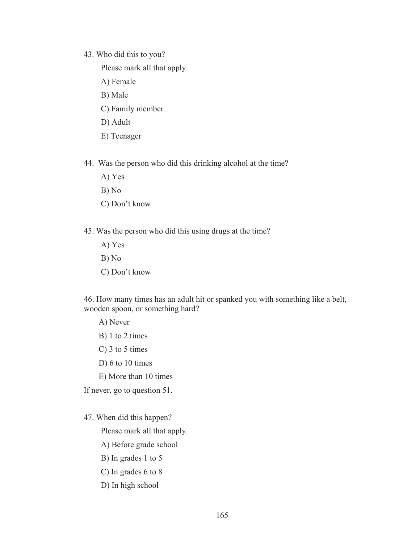#### 43. Who did this to you?

Please mark all that apply.

- A) Female
- B) Male
- C) Family member
- D) Adult
- E) Teenager
- 44. Was the person who did this drinking alcohol at the time?
	- A) Yes
	- B) No
	- C) Don't know
- 45. Was the person who did this using drugs at the time?
	- A) Yes
	- B) No
	- C) Don't know

46. How many times has an adult hit or spanked you with something like a belt, wooden spoon, or something hard?

A) Never

- B) 1 to 2 times
- C) 3 to 5 times
- D) 6 to 10 times
- E) More than 10 times

If never, go to question 51.

## 47. When did this happen?

Please mark all that apply.

- A) Before grade school
- B) In grades 1 to 5
- C) In grades 6 to 8
- D) In high school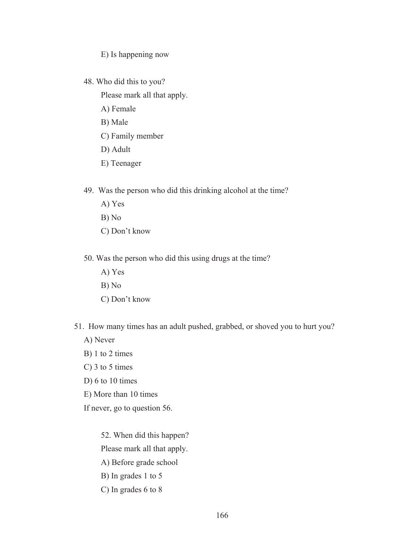E) Is happening now

48. Who did this to you?

Please mark all that apply.

- A) Female
- B) Male
- C) Family member
- D) Adult
- E) Teenager
- 49. Was the person who did this drinking alcohol at the time?
	- A) Yes
	- B) No
	- C) Don't know
- 50. Was the person who did this using drugs at the time?
	- A) Yes
	- B) No
	- C) Don't know
- 51. How many times has an adult pushed, grabbed, or shoved you to hurt you?
	- A) Never
	- B) 1 to 2 times
	- C) 3 to 5 times
	- D) 6 to 10 times
	- E) More than 10 times
	- If never, go to question 56.

52. When did this happen? Please mark all that apply. A) Before grade school B) In grades 1 to 5

C) In grades 6 to 8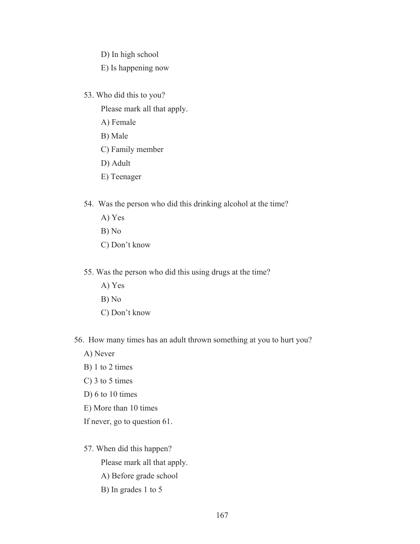D) In high school

E) Is happening now

53. Who did this to you?

Please mark all that apply.

- A) Female
- B) Male
- C) Family member
- D) Adult
- E) Teenager
- 54. Was the person who did this drinking alcohol at the time?
	- A) Yes
	- B) No
	- C) Don't know
- 55. Was the person who did this using drugs at the time?
	- A) Yes
	- B) No
	- C) Don't know
- 56. How many times has an adult thrown something at you to hurt you?
	- A) Never
	- B) 1 to 2 times
	- C) 3 to 5 times
	- D) 6 to 10 times
	- E) More than 10 times
	- If never, go to question 61.
	- 57. When did this happen?

- A) Before grade school
- B) In grades 1 to 5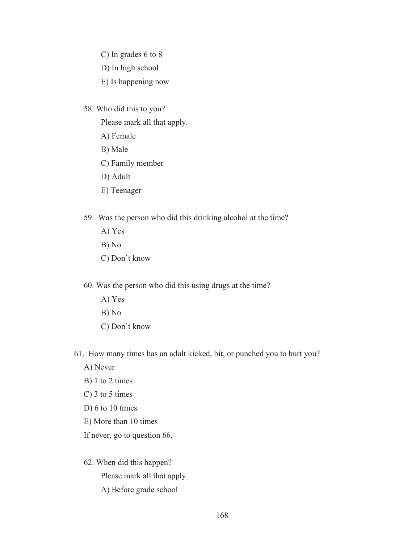- C) In grades 6 to 8
- D) In high school
- E) Is happening now
- 58. Who did this to you?
	- Please mark all that apply.
	- A) Female
	- B) Male
	- C) Family member
	- D) Adult
	- E) Teenager
- 59. Was the person who did this drinking alcohol at the time?
	- A) Yes
	- B) No
	- C) Don't know
- 60. Was the person who did this using drugs at the time?
	- A) Yes
	- B) No
	- C) Don't know
- 61. How many times has an adult kicked, bit, or punched you to hurt you?
	- A) Never
	- B) 1 to 2 times
	- C) 3 to 5 times
	- D) 6 to 10 times
	- E) More than 10 times
	- If never, go to question 66.
	- 62. When did this happen? Please mark all that apply. A) Before grade school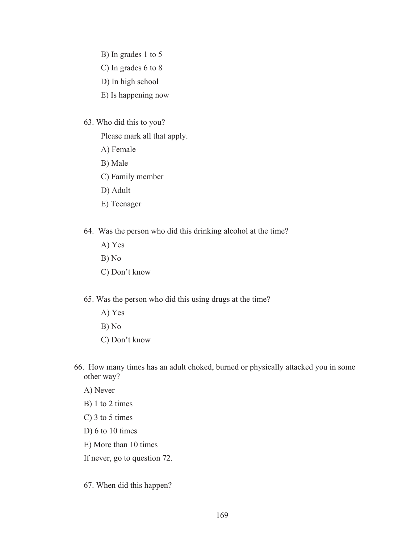- B) In grades 1 to 5
- C) In grades 6 to 8
- D) In high school
- E) Is happening now
- 63. Who did this to you?
	- Please mark all that apply.
	- A) Female
	- B) Male
	- C) Family member
	- D) Adult
	- E) Teenager
- 64. Was the person who did this drinking alcohol at the time?
	- A) Yes
	- B) No
	- C) Don't know
- 65. Was the person who did this using drugs at the time?
	- A) Yes
	- B) No
	- C) Don't know
- 66. How many times has an adult choked, burned or physically attacked you in some other way?
	- A) Never
	- B) 1 to 2 times
	- C) 3 to 5 times
	- D)  $6$  to  $10$  times
	- E) More than 10 times
	- If never, go to question 72.
	- 67. When did this happen?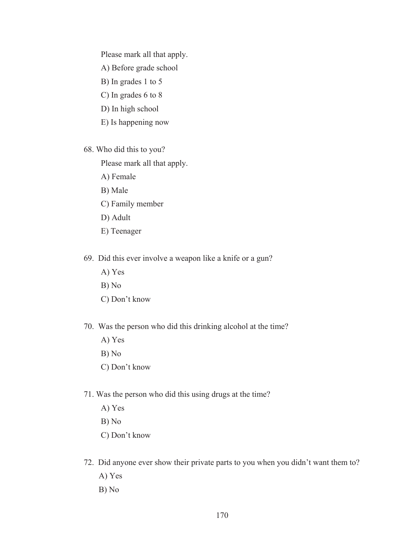Please mark all that apply.

A) Before grade school

- B) In grades 1 to 5
- C) In grades 6 to 8
- D) In high school
- E) Is happening now
- 68. Who did this to you?

- A) Female
- B) Male
- C) Family member
- D) Adult
- E) Teenager
- 69. Did this ever involve a weapon like a knife or a gun?
	- A) Yes
	- B) No
	- C) Don't know
- 70. Was the person who did this drinking alcohol at the time?
	- A) Yes
	- B) No
	- C) Don't know
- 71. Was the person who did this using drugs at the time?
	- A) Yes
	- B) No
	- C) Don't know
- 72. Did anyone ever show their private parts to you when you didn't want them to?
	- A) Yes
	- B) No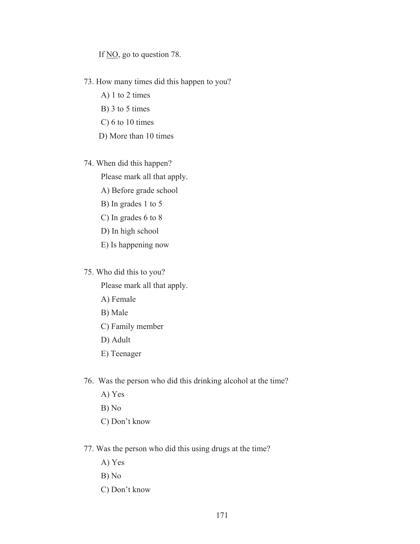If  $\underline{NO}$ , go to question 78.

### 73. How many times did this happen to you?

- A) 1 to 2 times
- B) 3 to 5 times
- C) 6 to 10 times
- D) More than 10 times

# 74. When did this happen?

Please mark all that apply.

- A) Before grade school
- B) In grades 1 to 5
- C) In grades 6 to 8
- D) In high school
- E) Is happening now

## 75. Who did this to you?

- A) Female
- B) Male
- C) Family member
- D) Adult
- E) Teenager
- 76. Was the person who did this drinking alcohol at the time?
	- A) Yes
	- B) No
	- C) Don't know
- 77. Was the person who did this using drugs at the time?
	- A) Yes
	- B) No
	- C) Don't know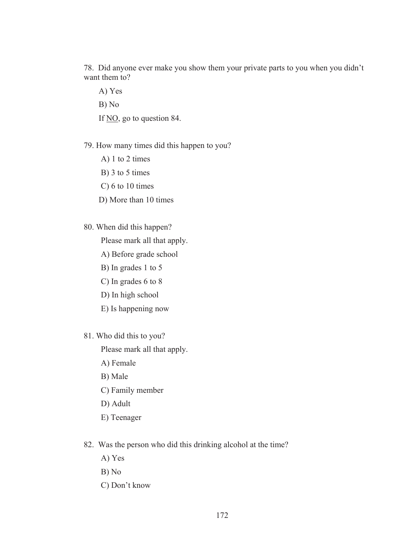78. Did anyone ever make you show them your private parts to you when you didn't want them to?

A) Yes B) No If NO, go to question 84.

## 79. How many times did this happen to you?

- A) 1 to 2 times
- B) 3 to 5 times
- C) 6 to 10 times
- D) More than 10 times
- 80. When did this happen?

Please mark all that apply.

- A) Before grade school
- B) In grades 1 to 5
- C) In grades 6 to 8
- D) In high school
- E) Is happening now
- 81. Who did this to you?

- A) Female
- B) Male
- C) Family member
- D) Adult
- E) Teenager
- 82. Was the person who did this drinking alcohol at the time?
	- A) Yes
	- B) No
	- C) Don't know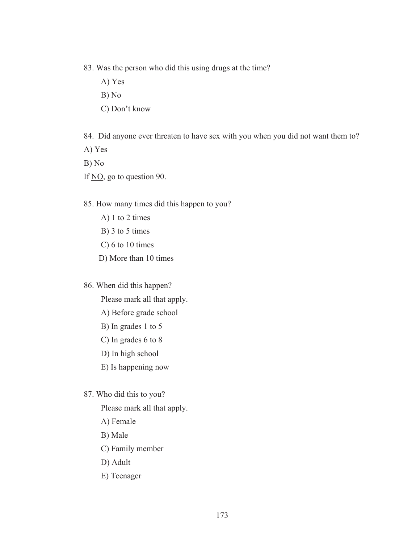- 83. Was the person who did this using drugs at the time?
	- A) Yes
	- B) No
	- C) Don't know
- 84. Did anyone ever threaten to have sex with you when you did not want them to?
- A) Yes
- B) No
- If <u>NO</u>, go to question 90.
- 85. How many times did this happen to you?
	- A) 1 to 2 times
	- B) 3 to 5 times
	- C) 6 to 10 times
	- D) More than 10 times
- 86. When did this happen?
	- Please mark all that apply.
	- A) Before grade school
	- B) In grades 1 to 5
	- C) In grades 6 to 8
	- D) In high school
	- E) Is happening now

## 87. Who did this to you?

- A) Female
- B) Male
- C) Family member
- D) Adult
- E) Teenager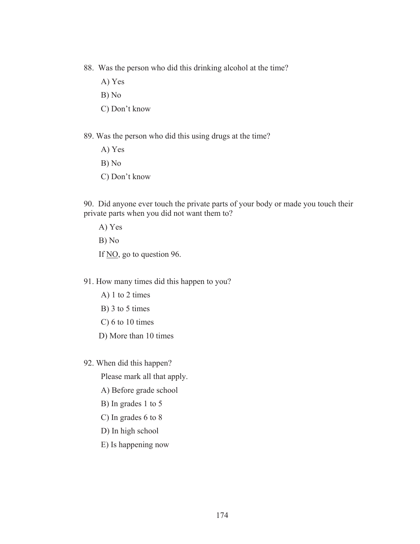- 88. Was the person who did this drinking alcohol at the time?
	- A) Yes
	- B) No
	- C) Don't know
- 89. Was the person who did this using drugs at the time?
	- A) Yes
	- B) No
	- C) Don't know

90. Did anyone ever touch the private parts of your body or made you touch their private parts when you did not want them to?

A) Yes B) No If NO, go to question 96.

- 91. How many times did this happen to you?
	- A) 1 to 2 times
	- B) 3 to 5 times
	- C) 6 to 10 times
	- D) More than 10 times
- 92. When did this happen?

Please mark all that apply.

A) Before grade school

- B) In grades 1 to 5
- C) In grades 6 to 8
- D) In high school
- E) Is happening now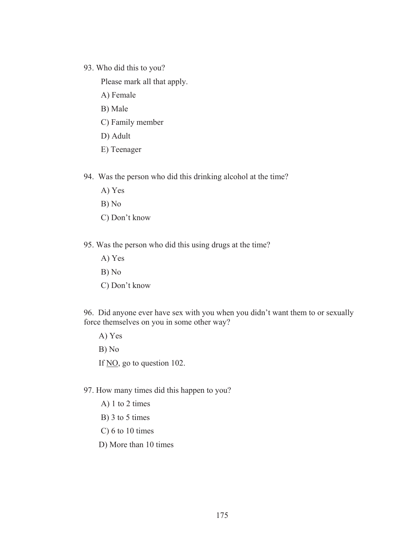93. Who did this to you?

Please mark all that apply.

- A) Female
- B) Male
- C) Family member
- D) Adult
- E) Teenager

94. Was the person who did this drinking alcohol at the time?

- A) Yes
- B) No
- C) Don't know
- 95. Was the person who did this using drugs at the time?
	- A) Yes
	- B) No
	- C) Don't know

96. Did anyone ever have sex with you when you didn't want them to or sexually force themselves on you in some other way?

A) Yes B) No

If NO, go to question 102.

97. How many times did this happen to you?

- A) 1 to 2 times
- B) 3 to 5 times
- C) 6 to 10 times
- D) More than 10 times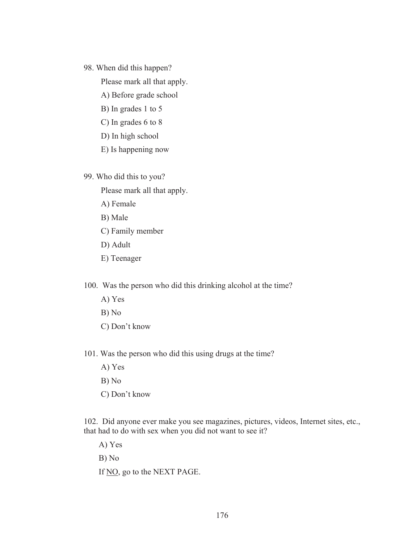### 98. When did this happen?

Please mark all that apply.

- A) Before grade school
- B) In grades 1 to 5
- C) In grades 6 to 8
- D) In high school
- E) Is happening now

99. Who did this to you?

Please mark all that apply.

- A) Female
- B) Male
- C) Family member
- D) Adult
- E) Teenager

100. Was the person who did this drinking alcohol at the time?

- A) Yes
- B) No
- C) Don't know
- 101. Was the person who did this using drugs at the time?

A) Yes

- B) No
- C) Don't know

102. Did anyone ever make you see magazines, pictures, videos, Internet sites, etc., that had to do with sex when you did not want to see it?

A) Yes B) No

If NO, go to the NEXT PAGE.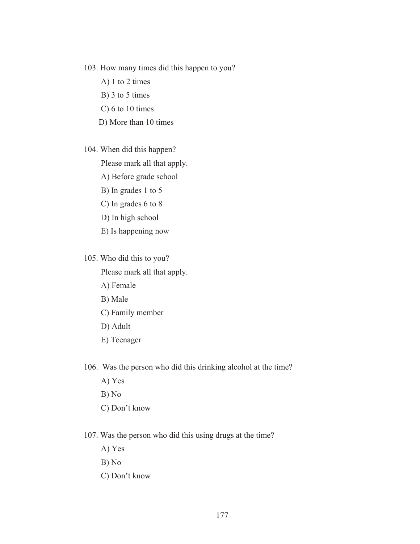- 103. How many times did this happen to you?
	- A) 1 to 2 times
	- B) 3 to 5 times
	- C) 6 to 10 times
	- D) More than 10 times
- 104. When did this happen?

Please mark all that apply.

- A) Before grade school
- B) In grades 1 to 5
- C) In grades 6 to 8
- D) In high school
- E) Is happening now
- 105. Who did this to you?

Please mark all that apply.

- A) Female
- B) Male
- C) Family member
- D) Adult
- E) Teenager

106. Was the person who did this drinking alcohol at the time?

- A) Yes
- B) No
- C) Don't know
- 107. Was the person who did this using drugs at the time?
	- A) Yes
	- B) No
	- C) Don't know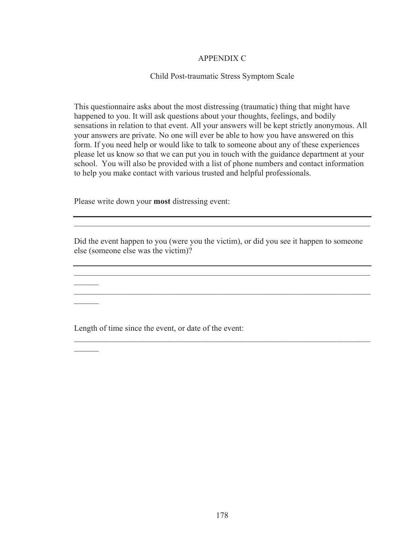## APPENDIX C

## Child Post-traumatic Stress Symptom Scale

This questionnaire asks about the most distressing (traumatic) thing that might have happened to you. It will ask questions about your thoughts, feelings, and bodily sensations in relation to that event. All your answers will be kept strictly anonymous. All your answers are private. No one will ever be able to how you have answered on this form. If you need help or would like to talk to someone about any of these experiences please let us know so that we can put you in touch with the guidance department at your school. You will also be provided with a list of phone numbers and contact information to help you make contact with various trusted and helpful professionals.

Please write down your **most** distressing event:

 $\mathcal{L}$ 

 $\mathcal{L}$ 

 $\mathcal{L}$ 

Did the event happen to you (were you the victim), or did you see it happen to someone else (someone else was the victim)?

 $\mathcal{L}_\text{max} = \mathcal{L}_\text{max} = \mathcal{L}_\text{max} = \mathcal{L}_\text{max} = \mathcal{L}_\text{max} = \mathcal{L}_\text{max} = \mathcal{L}_\text{max} = \mathcal{L}_\text{max} = \mathcal{L}_\text{max} = \mathcal{L}_\text{max} = \mathcal{L}_\text{max} = \mathcal{L}_\text{max} = \mathcal{L}_\text{max} = \mathcal{L}_\text{max} = \mathcal{L}_\text{max} = \mathcal{L}_\text{max} = \mathcal{L}_\text{max} = \mathcal{L}_\text{max} = \mathcal{$ 

 $\mathcal{L}_\mathcal{L} = \mathcal{L}_\mathcal{L} = \mathcal{L}_\mathcal{L} = \mathcal{L}_\mathcal{L} = \mathcal{L}_\mathcal{L} = \mathcal{L}_\mathcal{L} = \mathcal{L}_\mathcal{L} = \mathcal{L}_\mathcal{L} = \mathcal{L}_\mathcal{L} = \mathcal{L}_\mathcal{L} = \mathcal{L}_\mathcal{L} = \mathcal{L}_\mathcal{L} = \mathcal{L}_\mathcal{L} = \mathcal{L}_\mathcal{L} = \mathcal{L}_\mathcal{L} = \mathcal{L}_\mathcal{L} = \mathcal{L}_\mathcal{L}$ 

 $\mathcal{L}_\mathcal{L} = \mathcal{L}_\mathcal{L} = \mathcal{L}_\mathcal{L} = \mathcal{L}_\mathcal{L} = \mathcal{L}_\mathcal{L} = \mathcal{L}_\mathcal{L} = \mathcal{L}_\mathcal{L} = \mathcal{L}_\mathcal{L} = \mathcal{L}_\mathcal{L} = \mathcal{L}_\mathcal{L} = \mathcal{L}_\mathcal{L} = \mathcal{L}_\mathcal{L} = \mathcal{L}_\mathcal{L} = \mathcal{L}_\mathcal{L} = \mathcal{L}_\mathcal{L} = \mathcal{L}_\mathcal{L} = \mathcal{L}_\mathcal{L}$ 

 $\mathcal{L}_\mathcal{L} = \mathcal{L}_\mathcal{L} = \mathcal{L}_\mathcal{L} = \mathcal{L}_\mathcal{L} = \mathcal{L}_\mathcal{L} = \mathcal{L}_\mathcal{L} = \mathcal{L}_\mathcal{L} = \mathcal{L}_\mathcal{L} = \mathcal{L}_\mathcal{L} = \mathcal{L}_\mathcal{L} = \mathcal{L}_\mathcal{L} = \mathcal{L}_\mathcal{L} = \mathcal{L}_\mathcal{L} = \mathcal{L}_\mathcal{L} = \mathcal{L}_\mathcal{L} = \mathcal{L}_\mathcal{L} = \mathcal{L}_\mathcal{L}$ 

Length of time since the event, or date of the event: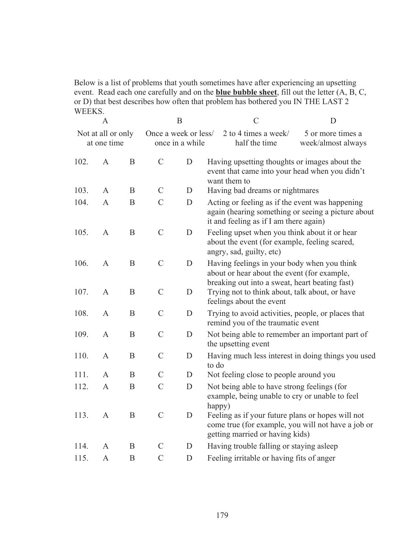Below is a list of problems that youth sometimes have after experiencing an upsetting event. Read each one carefully and on the **blue bubble sheet**, fill out the letter (A, B, C, or D) that best describes how often that problem has bothered you IN THE LAST 2 WEEKS.

|      | $\mathbf{A}$                      |          |                      | $\mathbf B$     | $\mathcal{C}$                                                                                                                                   | D                                       |
|------|-----------------------------------|----------|----------------------|-----------------|-------------------------------------------------------------------------------------------------------------------------------------------------|-----------------------------------------|
|      | Not at all or only<br>at one time |          | Once a week or less/ | once in a while | 2 to 4 times a week/<br>half the time                                                                                                           | 5 or more times a<br>week/almost always |
| 102. | $\mathbf{A}$                      | B        | $\mathcal{C}$        | D               | Having upsetting thoughts or images about the<br>event that came into your head when you didn't<br>want them to                                 |                                         |
| 103. | A                                 | B        | $\mathcal{C}$        | D               | Having bad dreams or nightmares                                                                                                                 |                                         |
| 104. | $\mathbf{A}$                      | B        | $\mathcal{C}$        | D               | Acting or feeling as if the event was happening<br>again (hearing something or seeing a picture about<br>it and feeling as if I am there again) |                                         |
| 105. | $\mathbf{A}$                      | B        | $\mathcal{C}$        | D               | Feeling upset when you think about it or hear<br>about the event (for example, feeling scared,<br>angry, sad, guilty, etc)                      |                                         |
| 106. | $\mathbf{A}$                      | $\bf{B}$ | $\mathcal{C}$        | D               | Having feelings in your body when you think<br>about or hear about the event (for example,<br>breaking out into a sweat, heart beating fast)    |                                         |
| 107. | $\mathbf{A}$                      | $\bf{B}$ | $\mathcal{C}$        | D               | Trying not to think about, talk about, or have<br>feelings about the event                                                                      |                                         |
| 108. | $\mathbf{A}$                      | B        | $\mathcal{C}$        | D               | Trying to avoid activities, people, or places that<br>remind you of the traumatic event                                                         |                                         |
| 109. | $\mathbf{A}$                      | B        | $\mathcal{C}$        | D               | Not being able to remember an important part of<br>the upsetting event                                                                          |                                         |
| 110. | $\mathbf{A}$                      | B        | $\mathcal{C}$        | D               | Having much less interest in doing things you used<br>to do                                                                                     |                                         |
| 111. | A                                 | B        | $\mathcal{C}$        | D               | Not feeling close to people around you                                                                                                          |                                         |
| 112. | $\mathbf{A}$                      | B        | $\mathcal{C}$        | D               | Not being able to have strong feelings (for<br>example, being unable to cry or unable to feel<br>happy)                                         |                                         |
| 113. | $\mathbf{A}$                      | B        | $\mathcal{C}$        | $\mathbf D$     | Feeling as if your future plans or hopes will not<br>come true (for example, you will not have a job or<br>getting married or having kids)      |                                         |
| 114. | A                                 | B        | $\mathcal{C}$        | D               | Having trouble falling or staying asleep                                                                                                        |                                         |
| 115. | A                                 | B        | $\mathcal{C}$        | D               | Feeling irritable or having fits of anger                                                                                                       |                                         |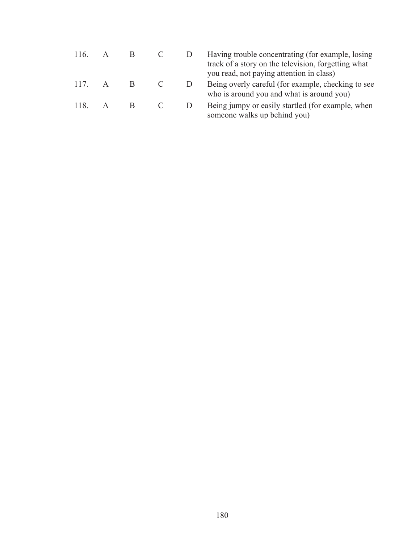| 116. | A            |   |        | Having trouble concentrating (for example, losing<br>track of a story on the television, forgetting what<br>you read, not paying attention in class) |
|------|--------------|---|--------|------------------------------------------------------------------------------------------------------------------------------------------------------|
| 117  | $\mathbf{A}$ | B |        | Being overly careful (for example, checking to see<br>who is around you and what is around you)                                                      |
| 118  | $\mathsf{A}$ | B | $\Box$ | Being jumpy or easily startled (for example, when<br>someone walks up behind you)                                                                    |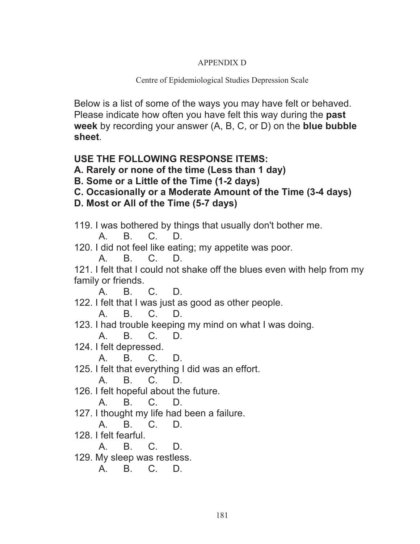# APPENDIX D

# Centre of Epidemiological Studies Depression Scale

Below is a list of some of the ways you may have felt or behaved. Please indicate how often you have felt this way during the **past week** by recording your answer (A, B, C, or D) on the **blue bubble sheet**.

# **USE THE FOLLOWING RESPONSE ITEMS:**

- **A. Rarely or none of the time (Less than 1 day)**
- **B. Some or a Little of the Time (1-2 days)**
- **C. Occasionally or a Moderate Amount of the Time (3-4 days)**
- **D. Most or All of the Time (5-7 days)**
- 119. I was bothered by things that usually don't bother me.

A. B. C. D.

120. I did not feel like eating; my appetite was poor.

A. B. C. D. 121. I felt that I could not shake off the blues even with help from my family or friends.

A. B. C. D.

122. I felt that I was just as good as other people.

A. B. C. D.

123. I had trouble keeping my mind on what I was doing.

A. B. C. D.

124. I felt depressed.

A. B. C. D.

125. I felt that everything I did was an effort.

A. B. C. D.

126. I felt hopeful about the future.

A. B. C. D.

127. I thought my life had been a failure.

A. B. C. D.

128. I felt fearful.

A. B. C. D.

129. My sleep was restless.

A. B. C. D.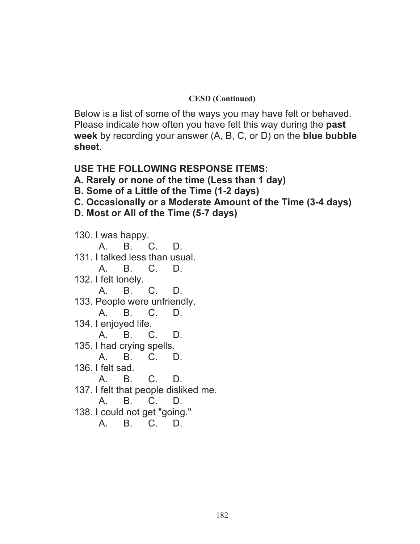# **CESD (Continued)**

Below is a list of some of the ways you may have felt or behaved. Please indicate how often you have felt this way during the **past week** by recording your answer (A, B, C, or D) on the **blue bubble sheet**.

# **USE THE FOLLOWING RESPONSE ITEMS:**

**A. Rarely or none of the time (Less than 1 day)** 

- **B. Some of a Little of the Time (1-2 days)**
- **C. Occasionally or a Moderate Amount of the Time (3-4 days)**
- **D. Most or All of the Time (5-7 days)**

130. I was happy. A. B. C. D. 131. I talked less than usual. A. B. C. D. 132. I felt lonely. A. B. C. D. 133. People were unfriendly. A. B. C. D. 134. I enjoyed life. A. B. C. D. 135. I had crying spells. A. B. C. D. 136. I felt sad. A. B. C. D. 137. I felt that people disliked me. A. B. C. D. 138. I could not get "going." A. B. C. D.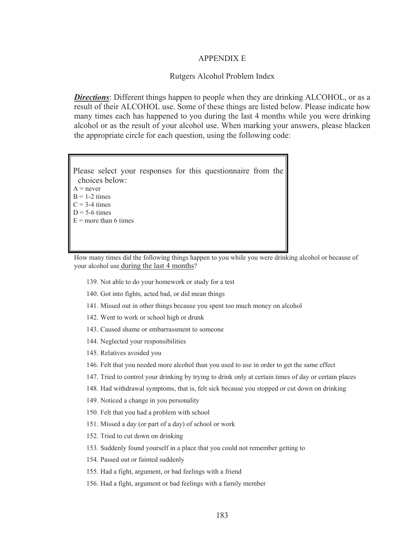#### APPENDIX E

#### Rutgers Alcohol Problem Index

*Directions*: Different things happen to people when they are drinking ALCOHOL, or as a result of their ALCOHOL use. Some of these things are listed below. Please indicate how many times each has happened to you during the last 4 months while you were drinking alcohol or as the result of your alcohol use. When marking your answers, please blacken the appropriate circle for each question, using the following code:

| Please select your responses for this questionnaire from the |  |  |  |
|--------------------------------------------------------------|--|--|--|
| choices below:                                               |  |  |  |
| $A = never$                                                  |  |  |  |
| $B = 1-2$ times                                              |  |  |  |
| $C = 3-4$ times                                              |  |  |  |
| $D = 5-6$ times                                              |  |  |  |
| $E =$ more than 6 times                                      |  |  |  |
|                                                              |  |  |  |
|                                                              |  |  |  |

How many times did the following things happen to you while you were drinking alcohol or because of your alcohol use during the last 4 months?

- 139. Not able to do your homework or study for a test
- 140. Got into fights, acted bad, or did mean things
- 141. Missed out in other things because you spent too much money on alcohol
- 142. Went to work or school high or drunk
- 143. Caused shame or embarrassment to someone
- 144. Neglected your responsibilities
- 145. Relatives avoided you
- 146. Felt that you needed more alcohol than you used to use in order to get the same effect
- 147. Tried to control your drinking by trying to drink only at certain times of day or certain places
- 148. Had withdrawal symptoms, that is, felt sick because you stopped or cut down on drinking
- 149. Noticed a change in you personality
- 150. Felt that you had a problem with school
- 151. Missed a day (or part of a day) of school or work
- 152. Tried to cut down on drinking
- 153. Suddenly found yourself in a place that you could not remember getting to
- 154. Passed out or fainted suddenly
- 155. Had a fight, argument, or bad feelings with a friend
- 156. Had a fight, argument or bad feelings with a family member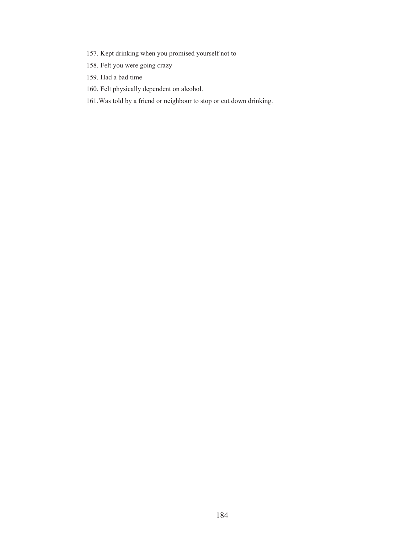- 157. Kept drinking when you promised yourself not to
- 158. Felt you were going crazy
- 159. Had a bad time
- 160. Felt physically dependent on alcohol.
- 161.Was told by a friend or neighbour to stop or cut down drinking.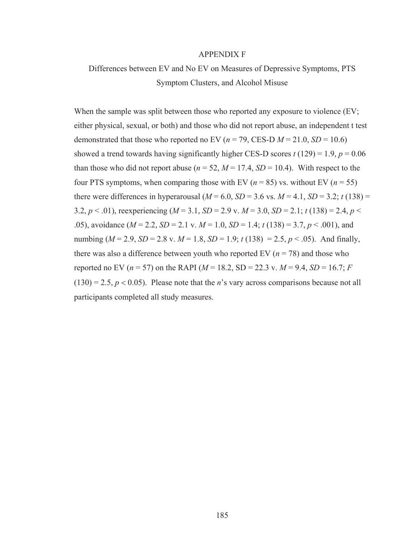#### APPENDIX F

# Differences between EV and No EV on Measures of Depressive Symptoms, PTS Symptom Clusters, and Alcohol Misuse

When the sample was split between those who reported any exposure to violence  $(EV;$ either physical, sexual, or both) and those who did not report abuse, an independent t test demonstrated that those who reported no EV ( $n = 79$ , CES-D  $M = 21.0$ ,  $SD = 10.6$ ) showed a trend towards having significantly higher CES-D scores  $t(129) = 1.9$ ,  $p = 0.06$ than those who did not report abuse ( $n = 52$ ,  $M = 17.4$ ,  $SD = 10.4$ ). With respect to the four PTS symptoms, when comparing those with EV ( $n = 85$ ) vs. without EV ( $n = 55$ ) there were differences in hyperarousal ( $M = 6.0$ ,  $SD = 3.6$  vs.  $M = 4.1$ ,  $SD = 3.2$ ;  $t(138) =$ 3.2,  $p < .01$ ), reexperiencing ( $M = 3.1$ ,  $SD = 2.9$  v.  $M = 3.0$ ,  $SD = 2.1$ ;  $t (138) = 2.4$ ,  $p <$ .05), avoidance (*M* = 2.2, *SD* = 2.1 v. *M* = 1.0, *SD* = 1.4; *t* (138) = 3.7, *p* < .001), and numbing ( $M = 2.9$ ,  $SD = 2.8$  v.  $M = 1.8$ ,  $SD = 1.9$ ;  $t(138) = 2.5$ ,  $p < .05$ ). And finally, there was also a difference between youth who reported EV  $(n = 78)$  and those who reported no EV ( $n = 57$ ) on the RAPI ( $M = 18.2$ , SD = 22.3 v.  $M = 9.4$ , SD = 16.7; *F*  $(130) = 2.5, p < 0.05$ ). Please note that the *n*'s vary across comparisons because not all participants completed all study measures.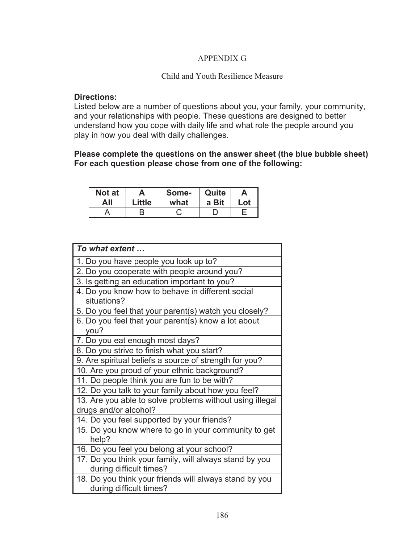# APPENDIX G

# Child and Youth Resilience Measure

## **Directions:**

Listed below are a number of questions about you, your family, your community, and your relationships with people. These questions are designed to better understand how you cope with daily life and what role the people around you play in how you deal with daily challenges.

# **Please complete the questions on the answer sheet (the blue bubble sheet) For each question please chose from one of the following:**

| Not at | A      | Some- | Quite | А   |
|--------|--------|-------|-------|-----|
| All    | Little | what  | a Bit | Lot |
|        |        |       |       |     |

| To what extent                                           |
|----------------------------------------------------------|
| 1. Do you have people you look up to?                    |
| 2. Do you cooperate with people around you?              |
| 3. Is getting an education important to you?             |
| 4. Do you know how to behave in different social         |
| situations?                                              |
| 5. Do you feel that your parent(s) watch you closely?    |
| 6. Do you feel that your parent(s) know a lot about      |
| you?                                                     |
| 7. Do you eat enough most days?                          |
| 8. Do you strive to finish what you start?               |
| 9. Are spiritual beliefs a source of strength for you?   |
| 10. Are you proud of your ethnic background?             |
| 11. Do people think you are fun to be with?              |
| 12. Do you talk to your family about how you feel?       |
| 13. Are you able to solve problems without using illegal |
| drugs and/or alcohol?                                    |
| 14. Do you feel supported by your friends?               |
| 15. Do you know where to go in your community to get     |
| help?                                                    |
| 16. Do you feel you belong at your school?               |
| 17. Do you think your family, will always stand by you   |
| during difficult times?                                  |
| 18. Do you think your friends will always stand by you   |
| during difficult times?                                  |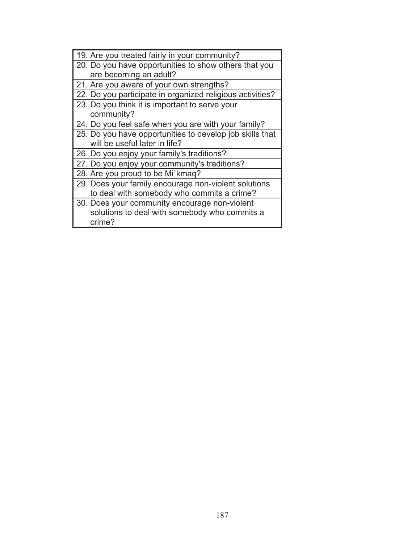| 19. Are you treated fairly in your community?                                                            |
|----------------------------------------------------------------------------------------------------------|
| 20. Do you have opportunities to show others that you                                                    |
| are becoming an adult?                                                                                   |
| 21. Are you aware of your own strengths?                                                                 |
| 22. Do you participate in organized religious activities?                                                |
| 23. Do you think it is important to serve your                                                           |
| community?                                                                                               |
| 24. Do you feel safe when you are with your family?                                                      |
| 25. Do you have opportunities to develop job skills that                                                 |
| will be useful later in life?                                                                            |
| 26. Do you enjoy your family's traditions?                                                               |
| 27. Do you enjoy your community's traditions?                                                            |
| 28. Are you proud to be Mi`kmaq?                                                                         |
| 29. Does your family encourage non-violent solutions                                                     |
| to deal with somebody who commits a crime?                                                               |
| 30. Does your community encourage non-violent<br>solutions to deal with somebody who commits a<br>crime? |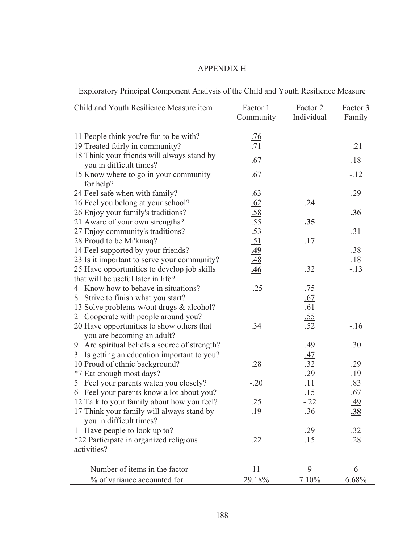# APPENDIX H

| Exploratory Principal Component Analysis of the Child and Youth Resilience Measure |
|------------------------------------------------------------------------------------|
|------------------------------------------------------------------------------------|

| Child and Youth Resilience Measure item            | Factor 1                                                                         | Factor 2                                                    | Factor 3          |
|----------------------------------------------------|----------------------------------------------------------------------------------|-------------------------------------------------------------|-------------------|
|                                                    | Community                                                                        | Individual                                                  | Family            |
| 11 People think you're fun to be with?             | <u>.76</u>                                                                       |                                                             |                   |
| 19 Treated fairly in community?                    | .71                                                                              |                                                             | $-.21$            |
| 18 Think your friends will always stand by         |                                                                                  |                                                             |                   |
| you in difficult times?                            | .67                                                                              |                                                             | .18               |
| 15 Know where to go in your community<br>for help? | .67                                                                              |                                                             | $-.12$            |
| 24 Feel safe when with family?                     |                                                                                  |                                                             | .29               |
| 16 Feel you belong at your school?                 | $\frac{.63}{.62}$<br>$\frac{.62}{.58}$<br>$\frac{.55}{.53}$<br>$\frac{.51}{.49}$ | .24                                                         |                   |
| 26 Enjoy your family's traditions?                 |                                                                                  |                                                             | .36               |
| 21 Aware of your own strengths?                    |                                                                                  | .35                                                         |                   |
| 27 Enjoy community's traditions?                   |                                                                                  |                                                             | .31               |
| 28 Proud to be Mi'kmaq?                            |                                                                                  | .17                                                         |                   |
| 14 Feel supported by your friends?                 |                                                                                  |                                                             | .38               |
| 23 Is it important to serve your community?        |                                                                                  |                                                             | .18               |
| 25 Have opportunities to develop job skills        | <u>.46</u>                                                                       | .32                                                         | $-.13$            |
| that will be useful later in life?                 |                                                                                  |                                                             |                   |
| 4 Know how to behave in situations?                | $-.25$                                                                           |                                                             |                   |
| 8 Strive to finish what you start?                 |                                                                                  |                                                             |                   |
| 13 Solve problems w/out drugs & alcohol?           |                                                                                  |                                                             |                   |
| Cooperate with people around you?<br>2             |                                                                                  |                                                             |                   |
| 20 Have opportunities to show others that          | .34                                                                              | $\frac{.75}{.67}$<br>$\frac{.61}{.55}$<br>$\frac{.52}{.52}$ | $-16$             |
| you are becoming an adult?                         |                                                                                  |                                                             |                   |
| 9 Are spiritual beliefs a source of strength?      |                                                                                  | <u>.49</u>                                                  | .30               |
| Is getting an education important to you?<br>3     |                                                                                  |                                                             |                   |
| 10 Proud of ethnic background?                     | .28                                                                              | $\frac{47}{32}$                                             | .29               |
| *7 Eat enough most days?                           |                                                                                  | .29                                                         | .19               |
| Feel your parents watch you closely?<br>5          | $-.20$                                                                           | .11                                                         | .83               |
| 6 Feel your parents know a lot about you?          |                                                                                  | .15                                                         |                   |
| 12 Talk to your family about how you feel?         | .25                                                                              | $-.22$                                                      | $\frac{.67}{.49}$ |
| 17 Think your family will always stand by          | .19                                                                              | .36                                                         | <u>.38</u>        |
| you in difficult times?                            |                                                                                  |                                                             |                   |
| 1 Have people to look up to?                       |                                                                                  | .29                                                         | $\frac{.32}{.28}$ |
| *22 Participate in organized religious             | .22                                                                              | .15                                                         |                   |
| activities?                                        |                                                                                  |                                                             |                   |
| Number of items in the factor                      | 11                                                                               | 9                                                           | 6                 |
| % of variance accounted for                        | 29.18%                                                                           | 7.10%                                                       | 6.68%             |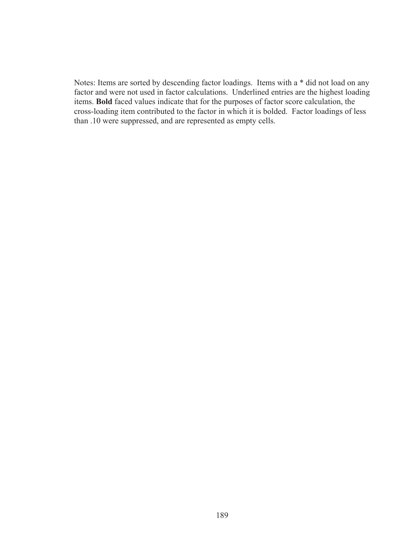Notes: Items are sorted by descending factor loadings. Items with a \* did not load on any factor and were not used in factor calculations. Underlined entries are the highest loading items. **Bold** faced values indicate that for the purposes of factor score calculation, the cross-loading item contributed to the factor in which it is bolded. Factor loadings of less than .10 were suppressed, and are represented as empty cells.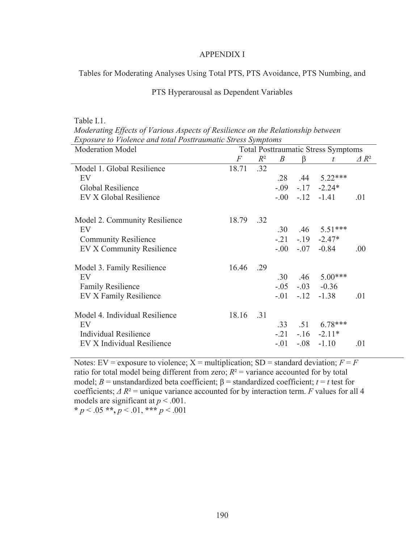#### APPENDIX I

Tables for Moderating Analyses Using Total PTS, PTS Avoidance, PTS Numbing, and

## PTS Hyperarousal as Dependent Variables

Table I.1.

*Moderating Effects of Various Aspects of Resilience on the Relationship between Exposure to Violence and total Posttraumatic Stress Symptoms* 

| <b>Moderation Model</b>        |       |       |                  |        | <b>Total Posttraumatic Stress Symptoms</b> |                 |
|--------------------------------|-------|-------|------------------|--------|--------------------------------------------|-----------------|
|                                | F     | $R^2$ | $\boldsymbol{B}$ | 13     | t                                          | $\triangle R^2$ |
| Model 1. Global Resilience     | 18.71 | .32   |                  |        |                                            |                 |
| EV                             |       |       | .28              | .44    | $5.22***$                                  |                 |
| Global Resilience              |       |       | $-0.09$          |        | $-17 -2.24*$                               |                 |
| EV X Global Resilience         |       |       |                  |        | $-.00-.12-.1.41$                           | .01             |
| Model 2. Community Resilience  | 18.79 | .32   |                  |        |                                            |                 |
| EV                             |       |       | .30              |        | $.46$ 5.51***                              |                 |
| <b>Community Resilience</b>    |       |       | $-.21$           |        | $-19 -2.47*$                               |                 |
| EV X Community Resilience      |       |       | $-00^{-}$        |        | $-0.84$                                    | .00.            |
| Model 3. Family Resilience     | 16.46 | .29   |                  |        |                                            |                 |
| EV                             |       |       | .30              | .46    | $5.00***$                                  |                 |
| <b>Family Resilience</b>       |       |       |                  |        | $-.05$ $-.03$ $-.0.36$                     |                 |
| EV X Family Resilience         |       |       | $-0.01$          | $-.12$ | $-1.38$                                    | .01             |
| Model 4. Individual Resilience | 18.16 | .31   |                  |        |                                            |                 |
| EV                             |       |       | .33              | .51    | $6.78***$                                  |                 |
| Individual Resilience          |       |       | $-.21$           |        | $-16 -2.11*$                               |                 |
| EV X Individual Resilience     |       |       | $-.01$           |        | $-.08$ $-1.10$                             | .01             |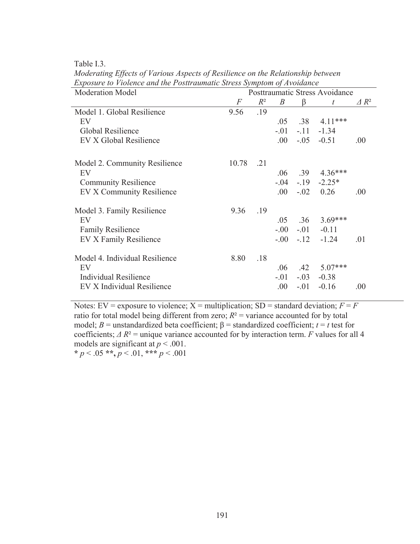Table I.3.

| <b>Moderation Model</b>        |       |       |                  |        | Posttraumatic Stress Avoidance |                 |
|--------------------------------|-------|-------|------------------|--------|--------------------------------|-----------------|
|                                | F     | $R^2$ | $\boldsymbol{B}$ | ß      | t                              | $\triangle R^2$ |
| Model 1. Global Resilience     | 9.56  | .19   |                  |        |                                |                 |
| EV                             |       |       | .05              | .38    | $4.11***$                      |                 |
| Global Resilience              |       |       | $-.01$           | $-.11$ | $-1.34$                        |                 |
| EV X Global Resilience         |       |       | .00.             | $-.05$ | $-0.51$                        | .00.            |
| Model 2. Community Resilience  | 10.78 | .21   |                  |        |                                |                 |
| EV                             |       |       | .06              | .39    | $4.36***$                      |                 |
| <b>Community Resilience</b>    |       |       | $-.04$           |        | $-19$ $-2.25*$                 |                 |
| EV X Community Resilience      |       |       | .00.             | $-.02$ | 0.26                           | .00.            |
| Model 3. Family Resilience     | 9.36  | .19   |                  |        |                                |                 |
| EV                             |       |       | .05              | .36    | $3.69***$                      |                 |
| <b>Family Resilience</b>       |       |       | $-00 -$          | $-01$  | $-0.11$                        |                 |
| EV X Family Resilience         |       |       | $-00 -$          | $-12$  | $-1.24$                        | .01             |
| Model 4. Individual Resilience | 8.80  | .18   |                  |        |                                |                 |
| EV                             |       |       | .06              | .42    | 5.07***                        |                 |
| Individual Resilience          |       |       | $-.01$           | $-.03$ | $-0.38$                        |                 |
| EV X Individual Resilience     |       |       | .00              | $-.01$ | $-0.16$                        | .00             |

*Moderating Effects of Various Aspects of Resilience on the Relationship between Exposure to Violence and the Posttraumatic Stress Symptom of Avoidance*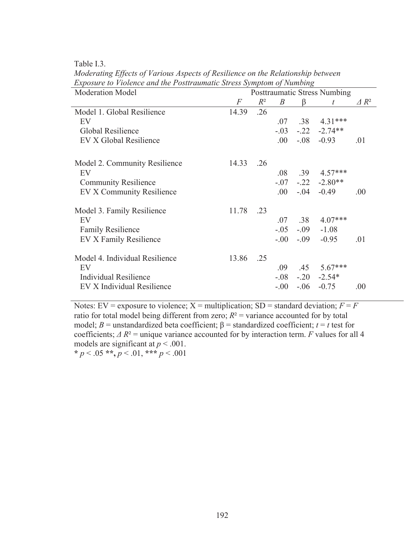Table I.3.

| <b>Moderation Model</b>        |       |       |                  |         | <b>Posttraumatic Stress Numbing</b> |                 |
|--------------------------------|-------|-------|------------------|---------|-------------------------------------|-----------------|
|                                | F     | $R^2$ | $\boldsymbol{B}$ | B       | $\bar{t}$                           | $\triangle R^2$ |
| Model 1. Global Resilience     | 14.39 | .26   |                  |         |                                     |                 |
| EV                             |       |       | .07              | .38     | $4.31***$                           |                 |
| Global Resilience              |       |       | $-0.03$          | $-.22$  | $-2.74**$                           |                 |
| EV X Global Resilience         |       |       | .00.             | $-.08$  | $-0.93$                             | .01             |
| Model 2. Community Resilience  | 14.33 | .26   |                  |         |                                     |                 |
| EV                             |       |       | .08              | .39     | $4.57***$                           |                 |
| <b>Community Resilience</b>    |       |       | $-.07$           |         | $-.22 - 2.80**$                     |                 |
| EV X Community Resilience      |       |       | .00.             | $-.04$  | $-0.49$                             | .00.            |
| Model 3. Family Resilience     | 11.78 | .23   |                  |         |                                     |                 |
| EV                             |       |       | .07              | .38     | $4.07***$                           |                 |
| <b>Family Resilience</b>       |       |       | $-.05$           | $-0.09$ | $-1.08$                             |                 |
| EV X Family Resilience         |       |       | $-00 -$          | $-.09$  | $-0.95$                             | .01             |
| Model 4. Individual Resilience | 13.86 | .25   |                  |         |                                     |                 |
| EV                             |       |       | .09              | .45     | $5.67***$                           |                 |
| Individual Resilience          |       |       | $-0.08$          |         | $-.20 -2.54*$                       |                 |
| EV X Individual Resilience     |       |       | $-0.00$          | $-.06$  | $-0.75$                             | .00.            |

*Moderating Effects of Various Aspects of Resilience on the Relationship between Exposure to Violence and the Posttraumatic Stress Symptom of Numbing*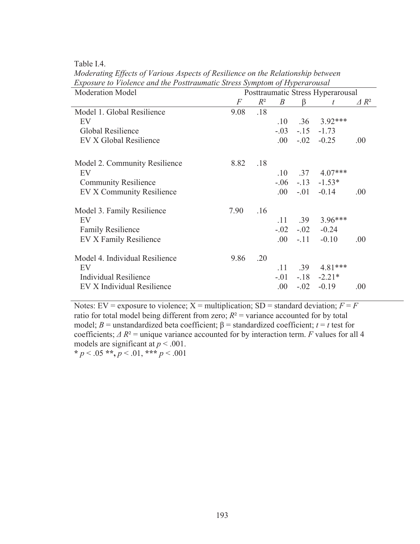Table I.4.

| <b>Moderation Model</b>        |      |       |                  |        | Posttraumatic Stress Hyperarousal |                 |
|--------------------------------|------|-------|------------------|--------|-----------------------------------|-----------------|
|                                | F    | $R^2$ | $\boldsymbol{B}$ | B      | t                                 | $\triangle R^2$ |
| Model 1. Global Resilience     | 9.08 | .18   |                  |        |                                   |                 |
| EV                             |      |       | .10              | .36    | $3.92***$                         |                 |
| Global Resilience              |      |       | $-.03$           | $-15$  | $-1.73$                           |                 |
| EV X Global Resilience         |      |       | $.00\,$          | $-.02$ | $-0.25$                           | .00.            |
| Model 2. Community Resilience  | 8.82 | .18   |                  |        |                                   |                 |
| EV                             |      |       | .10              | .37    | $4.07***$                         |                 |
| <b>Community Resilience</b>    |      |       | $-06$            |        | $-13 - 1.53*$                     |                 |
| EV X Community Resilience      |      |       | .00.             | $-.01$ | $-0.14$                           | .00.            |
| Model 3. Family Resilience     | 7.90 | .16   |                  |        |                                   |                 |
| EV                             |      |       | .11              | .39    | 3.96***                           |                 |
| <b>Family Resilience</b>       |      |       | $-.02$           | $-.02$ | $-0.24$                           |                 |
| EV X Family Resilience         |      |       | .00.             | $-.11$ | $-0.10$                           | .00.            |
| Model 4. Individual Resilience | 9.86 | .20   |                  |        |                                   |                 |
| EV                             |      |       | .11              | .39    | 4.81***                           |                 |
| <b>Individual Resilience</b>   |      |       | $-.01$           | $-.18$ | $-2.21*$                          |                 |
| EV X Individual Resilience     |      |       | .00              | $-.02$ | $-0.19$                           | .00.            |

*Moderating Effects of Various Aspects of Resilience on the Relationship between Exposure to Violence and the Posttraumatic Stress Symptom of Hyperarousal*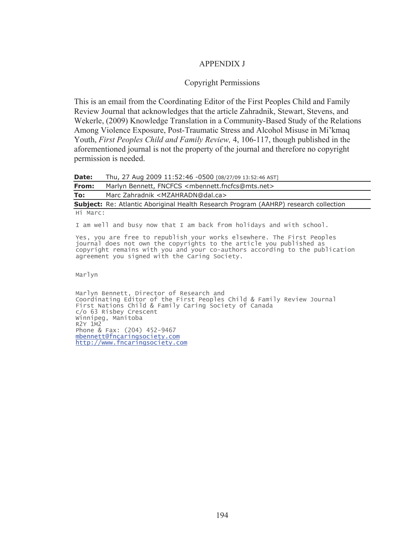### APPENDIX J

#### Copyright Permissions

This is an email from the Coordinating Editor of the First Peoples Child and Family Review Journal that acknowledges that the article Zahradnik, Stewart, Stevens, and Wekerle, (2009) Knowledge Translation in a Community-Based Study of the Relations Among Violence Exposure, Post-Traumatic Stress and Alcohol Misuse in Mi'kmaq Youth, *First Peoples Child and Family Review,* 4, 106-117, though published in the aforementioned journal is not the property of the journal and therefore no copyright permission is needed.

**Date:** Thu, 27 Aug 2009 11:52:46 -0500 [08/27/09 13:52:46 AST]

**From:** Marlyn Bennett, FNCFCS <mbennett.fncfcs@mts.net>

**To:** Marc Zahradnik <MZAHRADN@dal.ca>

**Subject:** Re: Atlantic Aboriginal Health Research Program (AAHRP) research collection Hi Marc:

I am well and busy now that I am back from holidays and with school.

Yes, you are free to republish your works elsewhere. The First Peoples journal does not own the copyrights to the article you published as copyright remains with you and your co-authors according to the publication agreement you signed with the Caring Society.

Marlyn

Marlyn Bennett, Director of Research and Coordinating Editor of the First Peoples Child & Family Review Journal First Nations Child & Family Caring Society of Canada c/o 63 Risbey Crescent Winnipeg, Manitoba R2Y 1M2 Phone & Fax: (204) 452-9467 mbennett@fncaringsociety.com http://www.fncaringsociety.com